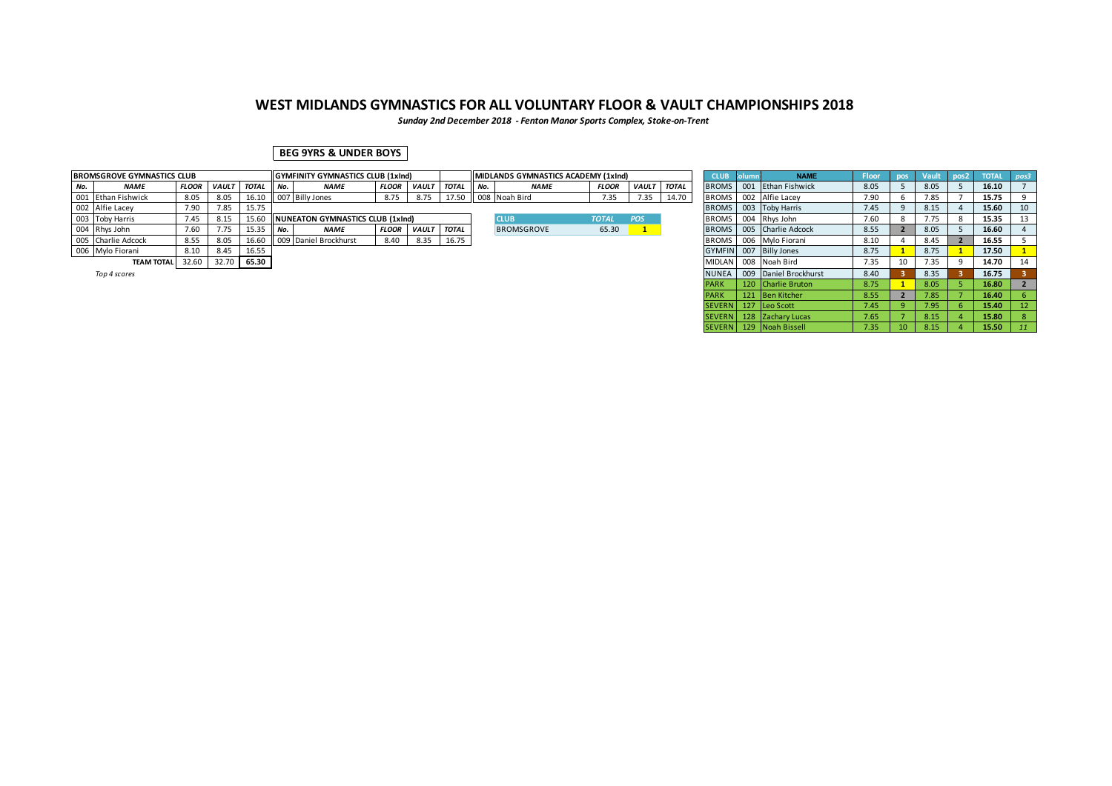*Sunday 2nd December 2018 - Fenton Manor Sports Complex, Stoke-on-Trent*

## **BEG 9YRS & UNDER BOYS**

|     | <b>BROMSGROVE GYMNASTICS CLUB</b> |              |              |              |        | <b>IGYMFINITY GYMNASTICS CLUB (1xInd)</b> |              |              |              |        | <b>IMIDLANDS GYMNASTICS ACADEMY (1xInd)</b> |              |             |       | <b>CLUB</b>  | <b>NAME</b>            | <b>Floor</b> |    | Vault | pos <sub>2</sub> | <b>TOTAL</b> |    |
|-----|-----------------------------------|--------------|--------------|--------------|--------|-------------------------------------------|--------------|--------------|--------------|--------|---------------------------------------------|--------------|-------------|-------|--------------|------------------------|--------------|----|-------|------------------|--------------|----|
| No. | <b>NAME</b>                       | <b>FLOOR</b> | <b>VAULT</b> | <b>TOTAL</b> | II No. | <b>NAME</b>                               | <b>FLOOR</b> | <b>VAULT</b> | <b>TOTAL</b> | II No. | <b>NAME</b>                                 | <b>FLOOR</b> | VAULT TOTAL |       | <b>BROMS</b> | 001 Ethan Fishwick     | 8.05         |    | 8.05  |                  | 16.10        |    |
|     | 001 Ethan Fishwick                | 8.05         | 8.05         | 16.10        |        | 007 Billy Jones                           | 8.75         | 8.75         |              |        | 17.50 008 Noah Bird                         | 7.35         | 7.35        | 14.70 | <b>BROMS</b> | 002 Alfie Lacey        | 7.90         |    | 7.85  |                  | 15.75        |    |
|     | 002 Alfie Lacey                   | 7.90         | 7.85         | 15.75        |        |                                           |              |              |              |        |                                             |              |             |       | <b>BROMS</b> | 003 Toby Harris        | 7.45         |    | 8.15  |                  | 15.60        | 10 |
|     | 003 Toby Harris                   | 7.45         | 8.15         | 15.60        |        | NUNEATON GYMNASTICS CLUB (1xInd)          |              |              |              |        | <b>CLUB</b>                                 | <b>TOTAL</b> | <b>POS</b>  |       | <b>BROMS</b> | 004 Rhys John          | 7.60         |    | 7.75  |                  | 15.35        |    |
|     | 004 Rhys John                     | 7.60         | 1.75         | 15.35        | i No   | <b>NAME</b>                               | <b>FLOOR</b> | <b>VAULT</b> | <b>TOTAL</b> |        | <b>BROMSGROVE</b>                           | 65.30        |             |       | <b>BROMS</b> | 005 Charlie Adcock     | 8.55         |    | 8.05  |                  | 16.60        |    |
|     | 005 Charlie Adcock                | 8.55         | 8.05         | 16.60        |        | 009 Daniel Brockhurst                     | 8.40         | 8.35         | 16.75        |        |                                             |              |             |       | <b>BROMS</b> | 006 Mylo Fiorani       | 8.10         |    | 8.45  |                  | 16.55        |    |
|     | 006 Mylo Fiorani                  | 8.10         | 8.45         | 16.55        |        |                                           |              |              |              |        |                                             |              |             |       |              | GYMFIN 007 Billy Jones | 8.75         |    | 8.75  |                  | 17.50        |    |
|     | <b>TEAM TOTAL</b>                 | 32.60        | 32.70        | 65.30        |        |                                           |              |              |              |        |                                             |              |             |       |              | MIDLAN 008 Noah Bird   | 7.35         | 10 | 7.35  |                  | 14.70        | 14 |
|     |                                   |              |              |              |        |                                           |              |              |              |        |                                             |              |             |       |              |                        |              |    |       |                  |              |    |

|  | ion 4 score |  |
|--|-------------|--|
|  |             |  |

| <b>ISGROVE GYMNASTICS CLUB</b> |              |              |              |        | <b>GYMFINITY GYMNASTICS CLUB (1xInd)</b> |              |              |              | MIDLANDS GYMNASTICS ACADEMY (1xInd) |              |              |              | <b>CLUB</b>   | Column | <b>NAME</b>              | <b>Floor</b> | pos             | Vault | $\sim$ pos2 | <b>TOTAL</b> | $\vert$ pos3 |
|--------------------------------|--------------|--------------|--------------|--------|------------------------------------------|--------------|--------------|--------------|-------------------------------------|--------------|--------------|--------------|---------------|--------|--------------------------|--------------|-----------------|-------|-------------|--------------|--------------|
| NAME                           | <b>FLOOR</b> | <b>VAULT</b> | <b>TOTAL</b> | II No. | <b>NAME</b>                              | <b>FLOOR</b> | <b>VAULT</b> | <b>TOTAL</b> | <b>NAME</b>                         | <b>FLOOR</b> | <b>VAULT</b> | <b>TOTAL</b> | <b>BROMS</b>  | 001    | Ethan Fishwick           | 8.05         |                 | 8.05  |             | 16.10        |              |
| Ethan Fishwick                 | 8.05         | 8.05         | 16.10        |        | 007 Billy Jones                          | 8.75         | 8.75         | 17.50        | 008 Noah Bird                       | 7.35         | 7.35         | 14.70        | <b>BROMS</b>  |        | 002 Alfie Lacev          | 7.90         |                 | 7.85  |             | 15.75        |              |
| Alfie Lacey                    | 7.90         | 7.85         | 15.75        |        |                                          |              |              |              |                                     |              |              |              |               |        | BROMS 003 Toby Harris    | 7.45         |                 | 8.15  |             | 15.60        | 10           |
| Toby Harris                    | 7.45         | 8.15         | 15.60        |        | NUNEATON GYMNASTICS CLUB (1xInd)         |              |              |              | <b>CLUB</b>                         | <b>TOTAL</b> | <b>POS</b>   |              | <b>BROMS</b>  |        | 004 Rhys John            | 7.60         |                 | 7.75  |             | 15.35        | 13           |
| Rhys John                      | 7.60         | 7.75         | 15.35        | l No.  | <b>NAME</b>                              | <b>FLOOR</b> | <b>VAULT</b> | <b>TOTAL</b> | <b>BROMSGROVE</b>                   | 65.30        |              |              |               |        | BROMS 005 Charlie Adcock | 8.55         |                 | 8.05  |             | 16.60        |              |
| Charlie Adcock                 | 8.55         | 8.05         | 16.60        |        | 009 Daniel Brockhurst                    | 8.40         | 8.35         | 16.75        |                                     |              |              |              |               |        | BROMS 006 Mylo Fiorani   | 8.10         |                 | 8.45  |             | 16.55        |              |
| Mylo Fiorani                   | 8.10         | 8.45         | 16.55        |        |                                          |              |              |              |                                     |              |              |              |               |        | GYMFIN 007 Billy Jones   | 8.75         |                 | 8.75  |             | 17.50        |              |
| <b>TEAM TOTAL</b>              | 32.60        | 32.70 65.30  |              |        |                                          |              |              |              |                                     |              |              |              | <b>MIDLAN</b> |        | 008 Noah Bird            | 7.35         | 10              | 7.35  |             | 14.70        | 14           |
| Top 4 scores                   |              |              |              |        |                                          |              |              |              |                                     |              |              |              | NUNEA         |        | 009 Daniel Brockhurst    | 8.40         |                 | 8.35  |             | 16.75        |              |
|                                |              |              |              |        |                                          |              |              |              |                                     |              |              |              |               |        | 120 Charlie Bruton       | 8.75         |                 | 8.05  |             | 16.80        |              |
|                                |              |              |              |        |                                          |              |              |              |                                     |              |              |              | <b>PARK</b>   |        | 121 Ben Kitcher          | 8.55         |                 | 7.85  |             | 16.40        |              |
|                                |              |              |              |        |                                          |              |              |              |                                     |              |              |              | <b>SEVERN</b> |        | 127 Leo Scott            | 7.45         |                 | 7.95  |             | 15.40        |              |
|                                |              |              |              |        |                                          |              |              |              |                                     |              |              |              | <b>SEVERN</b> |        | 128 Zachary Lucas        | 7.65         |                 | 8.15  |             | 15.80        |              |
|                                |              |              |              |        |                                          |              |              |              |                                     |              |              |              |               |        | SEVERN 129 Noah Bissell  | 7.35         | 10 <sup>°</sup> | 8.15  |             | 15.50        | 11           |
|                                |              |              |              |        |                                          |              |              |              |                                     |              |              |              |               |        |                          |              |                 |       |             |              |              |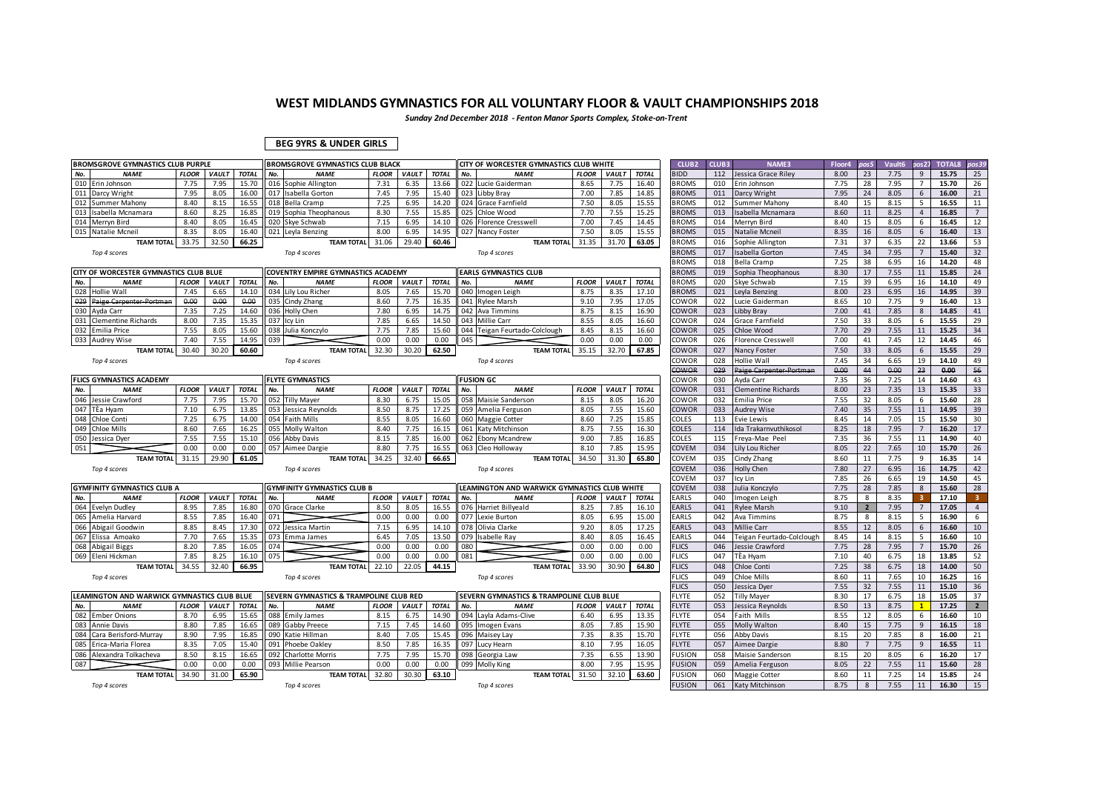*Sunday 2nd December 2018 - Fenton Manor Sports Complex, Stoke-on-Trent*

### **BEG 9YRS & UNDER GIRLS**

|     | <b>BROMSGROVE GYMNASTICS CLUB PURPLE</b>    |              |              |              | BROMSGROVE GYMNASTICS CLUB BLACK          |              |              |              |     | CITY OF WORCESTER GYMNASTICS CLUB WHITE      |              |              |              | <b>CLUB2</b>  | CLUB3 | <b>NAME3</b>              | Floor4 | oos5           | Vault6 | os2            | <b>TOTAL8</b> | oos 39           |
|-----|---------------------------------------------|--------------|--------------|--------------|-------------------------------------------|--------------|--------------|--------------|-----|----------------------------------------------|--------------|--------------|--------------|---------------|-------|---------------------------|--------|----------------|--------|----------------|---------------|------------------|
| No. | <b>NAME</b>                                 | <b>FLOOR</b> | <b>VAULT</b> | <b>TOTAI</b> | <b>NAME</b><br>No.                        | <b>FLOOR</b> | <b>VAULT</b> | <b>TOTAL</b> | No. | <b>NAME</b>                                  | <b>FLOOR</b> | <b>VAULT</b> | <b>TOTAL</b> | <b>SIDD</b>   | 112   | essica Grace Riley        | 8.00   | 23             | 7.75   | 9              | 15.75         | 25               |
|     | 010 Erin Johnson                            | 7.75         | 7.95         | 15.70        | 016 Sophie Allington                      | 7.31         | 6.35         | 13.66        |     | 022 Lucie Gaiderman                          | 8.65         | 7.75         | 16.40        | <b>BROMS</b>  | 010   | Erin Johnson              | 7.75   | 28             | 7.95   |                | 15.70         | 26               |
|     | 011 Darcy Wright                            | 7.95         | 8.05         | 16.00        | 017 Isabella Gorton                       | 7.45         | 7.95         | 15.40        |     | 023 Libby Bray                               | 7.00         | 7.85         | 14.85        | <b>BROMS</b>  | 011   | Darcy Wright              | 7.95   | 24             | 8.05   | 6              | 16.00         | 21               |
|     | 012 Summer Mahony                           | 8.40         | 8.15         | 16.55        | 018 Bella Cramp                           | 7.25         | 6.95         | 14.20        |     | 024 Grace Farnfield                          | 7.50         | 8.05         | 15.55        | <b>BROMS</b>  | 012   | <b>Summer Mahony</b>      | 8.40   | 15             | 8.15   | 5              | 16.55         | 11               |
| 013 | Isabella Mcnamara                           | 8.60         | 8.25         | 16.85        | 019 Sophia Theophanous                    | 8.30         | 7.55         | 15.85        |     | 025 Chloe Wood                               | 7.70         | 7.55         | 15.25        | <b>BROMS</b>  | 013   | sabella Mcnamara          | 8.60   | 11             | 8.25   | $\overline{4}$ | 16.85         | $7^{\circ}$      |
|     | 014 Merryn Bird                             | 8.40         | 8.05         | 16.45        | 020 Skye Schwab                           | 7.15         | 6.95         | 14.10        |     | 026 Florence Cresswell                       | 7.00         | 7.45         | 14.45        | <b>BROMS</b>  | 014   | Merryn Bird               | 8.40   | 15             | 8.05   | 6              | 16.45         | 12               |
| 015 | Natalie Mcnei                               | 8.35         | 8.05         | 16.40        | 021 Leyla Benzing                         | 8.00         | 6.95         | 14.95        |     | 027 Nancy Foster                             | 7.50         | 8.05         | 15.55        | <b>BROMS</b>  | 015   | Natalie Mcnei             | 8.35   | 16             | 8.05   | 6              | 16.40         | 13               |
|     | <b>TEAM TOTAL</b>                           | 33.75        | 32.50        | 66.25        | <b>TEAM TOTAL</b>                         | 31.06        | 29.40        | 60.46        |     | <b>TEAM TOTAL</b>                            | 31.35        | 31.70        | 63.05        | <b>BROMS</b>  | 016   | Sophie Allingtor          | 7.31   | 37             | 6.35   | 22             | 13.66         | 53               |
|     | Top 4 scores                                |              |              |              | Top 4 scores                              |              |              |              |     | Top 4 scores                                 |              |              |              | <b>BROMS</b>  | 017   | <b>Isabella Gorton</b>    | 7.45   | 34             | 7.95   | $\overline{7}$ | 15.40         | 32               |
|     |                                             |              |              |              |                                           |              |              |              |     |                                              |              |              |              | <b>BROMS</b>  | 018   | <b>Bella Cramp</b>        | 7.25   | 38             | 6.95   | 16             | 14.20         | 48               |
|     | CITY OF WORCESTER GYMNASTICS CLUB BLUE      |              |              |              | <b>COVENTRY EMPIRE GYMNASTICS ACADEMY</b> |              |              |              |     | <b>EARLS GYMNASTICS CLUB</b>                 |              |              |              | <b>BROMS</b>  | 019   | Sophia Theophanous        | 8.30   | 17             | 7.55   | 11             | 15.85         | 24               |
| No. | <b>NAME</b>                                 | <b>FLOOR</b> | <b>VAULT</b> | <b>TOTAL</b> | No.<br><b>NAME</b>                        | <b>FLOOR</b> | <b>VAULT</b> | <b>TOTAL</b> | No. | <b>NAME</b>                                  | <b>FLOOR</b> | <b>VAULT</b> | <b>TOTAL</b> | <b>BROMS</b>  | 020   | Skye Schwab               | 7.15   | 39             | 6.95   | 16             | 14.10         | 49               |
| 028 | Hollie Wall                                 | 7.45         | 6.65         | 14.10        | 034 Lily Lou Richer                       | 8.05         | 7.65         | 15.70        |     | 040 Imogen Leigh                             | 8.75         | 8.35         | 17.10        | <b>BROMS</b>  | 021   | Leyla Benzing             | 8.00   | 23             | 6.95   | 16             | 14.95         | 39               |
| 029 | Paige Carpenter-Portman                     | 0.00         | 0.00         | 0.00         | 035 Cindy Zhang                           | 8.60         | 7.75         | 16.35        |     | 041 Rylee Marsh                              | 9.10         | 7.95         | 17.05        | Cowor         | 022   | Lucie Gaiderman           | 8.65   | 10             | 7.75   | 9              | 16.40         | 13               |
| 030 | Ayda Carr                                   | 7.35         | 7.25         | 14.60        | 036 Holly Chen                            | 7.80         | 6.95         | 14.75        |     | 042 Ava Timmins                              | 8.75         | 8.15         | 16.90        | COWOR         | 023   | ibby Bray                 | 7.00   | 41             | 7.85   | 8              | 14.85         | 41               |
| 031 | <b>Clementine Richards</b>                  | 8.00         | 7.35         | 15.35        | 037<br>Icy Lin                            | 7.85         | 6.65         | 14.50        |     | 043 Millie Carr                              | 8.55         | 8.05         | 16.60        | OWOR:         | 024   | Grace Farnfield           | 7.50   | 33             | 8.05   | 6              | 15.55         | 29               |
|     | 032 Emilia Price                            | 7.55         | 8.05         | 15.60        | 038 Julia Konczylo                        | 7.75         | 7.85         | 15.60        |     | 044 Teigan Feurtado-Colclough                | 8.45         | 8.15         | 16.60        | COWOR         | 025   | Chloe Wood                | 7.70   | 29             | 7.55   | 11             | 15.25         | 34               |
| 033 | <b>Audrey Wise</b>                          | 7.40         | 7.55         | 14.95        | 039                                       | 0.00         | 0.00         | 0.00         | 045 |                                              | 0.00         | 0.00         | 0.00         | COWOR         | 026   | Florence Cresswell        | 7.00   | 41             | 7.45   | 12             | 14.45         | 46               |
|     | <b>TEAM TOTAL</b>                           | 30.40        | 30.20        | 60.60        | <b>TEAM TOTAL</b>                         | 32.30        | 30.20        | 62.50        |     | <b>TEAM TOTAL</b>                            | 35.15        | 32.70        | 67.85        | COWOR         | 027   | Nancy Foster              | 7.50   | 33             | 8.05   | 6              | 15.55         | 29               |
|     | Top 4 scores                                |              |              |              | Top 4 scores                              |              |              |              |     | Top 4 scores                                 |              |              |              | Cowor         | 028   | Hollie Wall               | 7.45   | 34             | 6.65   | 19             | 14.10         | 49               |
|     |                                             |              |              |              |                                           |              |              |              |     |                                              |              |              |              | COWOR         | 029   | Paige Carpenter-Portman   | 0.00   | 44             | 0.00   | 23             | 0.00          | 56               |
|     | <b>FLICS GYMNASTICS ACADEMY</b>             |              |              |              | <b>FLYTE GYMNASTICS</b>                   |              |              |              |     | <b>FUSION GC</b>                             |              |              |              | Cowor         | 030   | Avda Carr                 | 7.35   | 36             | 7.25   | 14             | 14.60         | 43               |
| No. | <b>NAME</b>                                 | <b>FLOOR</b> | VAULT        | <b>TOTAL</b> | No.<br><b>NAME</b>                        | <b>FLOOR</b> | <b>VAULT</b> | <b>TOTAL</b> | No. | <b>NAME</b>                                  | <b>FLOOR</b> | <b>VAULT</b> | <b>TOTAL</b> | COWOR         | 031   | Clementine Richards       | 8.00   | 23             | 7.35   | 13             | 15.35         | 33               |
|     | 046 Jessie Crawford                         | 7.75         | 7.95         | 15.70        | 052 Tilly Mayer                           | 8.30         | 6.75         | 15.05        |     | 058 Maisie Sanderson                         | 8.15         | 8.05         | 16.20        | :OWOR         | 032   | Emilia Price              | 7.55   | 32             | 8.05   | 6              | 15.60         | 28               |
|     | 047 TÈa Hvam                                | 7.10         | 6.75         | 13.85        | 053 Jessica Revnolds                      | 8.50         | 8.75         | 17.25        |     | 059 Amelia Ferguson                          | 8.05         | 7.55         | 15.60        | COWOR         | 033   | Audrev Wise               | 7.40   | 35             | 7.55   | 11             | 14.95         | 39               |
| 048 | Chloe Conti                                 | 7.25         | 6.75         | 14.00        | 054 Faith Mills                           | 8.55         | 8.05         | 16.60        |     | 060 Maggie Cotter                            | 8.60         | 7.25         | 15.85        | COLES         | 113   | Evie Lewis                | 8.45   | 14             | 7.05   | 15             | 15.50         | 30               |
|     | 049 Chloe Mills                             | 8.60         | 7.65         | 16.25        | 055 Molly Walton                          | 8.40         | 7.75         | 16.15        |     | 061 Katy Mitchinson                          | 8.75         | 7.55         | 16.30        | COLES         | 114   | da Trakarnvuthikosol      | 8.25   | 18             | 7.95   | $\overline{7}$ | 16.20         | 17               |
|     | 050 Jessica Dyer                            | 7.55         | 7.55         | 15.10        | 056 Abby Davis                            | 8.15         | 7.85         | 16.00        |     | 062 Ebony Mcandrew                           | 9.00         | 7.85         | 16.85        | COLES         | 115   | Freya-Mae Peel            | 7.35   | 36             | 7.55   | 11             | 14.90         | 40               |
| 051 |                                             | 0.00         | 0.00         | 0.00         | 057<br>Aimee Dargie                       | 8.80         | 7.75         | 16.55        |     | 063 Cleo Holloway                            | 8.10         | 7.85         | 15.95        | COVEM         | 034   | Lily Lou Richer           | 8.05   | 22             | 7.65   | 10             | 15.70         | 26               |
|     | <b>TEAM TOTAL</b>                           | 31.15        | 29.90        | 61.05        | <b>TEAM TOTAL</b>                         | 34.25        | 32.40        | 66.65        |     | <b>TEAM TOTAL</b>                            | 34.50        | 31.30        | 65.80        | COVEM         | 035   | Cindy Zhang               | 8.60   | 11             | 7.75   | 9              | 16.35         | 14               |
|     | Top 4 scores                                |              |              |              | Top 4 scores                              |              |              |              |     | Top 4 scores                                 |              |              |              | COVEM         | 036   | <b>Holly Chen</b>         | 7.80   | 27             | 6.95   | 16             | 14.75         | 42               |
|     |                                             |              |              |              |                                           |              |              |              |     |                                              |              |              |              | COVEM         | 037   | cy Lin                    | 7.85   | 26             | 6.65   | 19             | 14.50         | 45               |
|     | <b>GYMFINITY GYMNASTICS CLUB A</b>          |              |              |              | <b>GYMFINITY GYMNASTICS CLUB B</b>        |              |              |              |     | LEAMINGTON AND WARWICK GYMNASTICS CLUB WHITE |              |              |              | COVEM         | 038   | Julia Konczylo            | 7.75   | 28             | 7.85   | 8              | 15.60         | 28               |
| No. | <b>NAME</b>                                 | <b>FLOOR</b> | <b>VAULT</b> | <b>TOTAL</b> | No.<br><b>NAME</b>                        | <b>FLOOR</b> | <b>VAULT</b> | <b>TOTAL</b> | No. | <b>NAME</b>                                  | <b>FLOOR</b> | <b>VAULT</b> | <b>TOTAL</b> | EARLS         | 040   | mogen Leigh               | 8.75   | 8              | 8.35   |                | 17.10         | 3 <sup>1</sup>   |
| 064 | Evelyn Dudley                               | 8.95         | 7.85         | 16.80        | 070 Grace Clarke                          | 8.50         | 8.05         | 16.55        |     | 076 Harriet Billyeald                        | 8.25         | 7.85         | 16.10        | EARLS         | 041   | <b>Rylee Marsh</b>        | 9.10   | $\overline{2}$ | 7.95   | $\overline{7}$ | 17.05         | $\overline{4}$   |
| 065 | Amelia Harvard                              | 8.55         | 7.85         | 16.40        | 071                                       | 0.00         | 0.00         | 0.00         |     | 077 Lexie Burton                             | 8.05         | 6.95         | 15.00        | EARLS         | 042   | Ava Timmins               | 8.75   | 8              | 8.15   | 5              | 16.90         | 6                |
| 066 | Abigail Goodwin                             | 8.85         | 8.45         | 17.30        | 072<br>Jessica Martin                     | 7.15         | 6.95         | 14.10        |     | 078 Olivia Clarke                            | 9.20         | 8.05         | 17.25        | EARLS         | 043   | Millie Carr               | 8.55   | 12             | 8.05   | 6              | 16.60         | 10 <sup>10</sup> |
| 067 | Elissa Amoako                               | 7.70         | 7.65         | 15.35        | 073<br>Emma James                         | 6.45         | 7.05         | 13.50        |     | 079 Isabelle Ray                             | 8.40         | 8.05         | 16.45        | <b>EARLS</b>  | 044   | Feigan Feurtado-Colclough | 8.45   | 14             | 8.15   | 5              | 16.60         | 10               |
|     | 068 Abigail Biggs                           | 8.20         | 7.85         | 16.05        | 074                                       | 0.00         | 0.00         | 0.00         | 080 |                                              | 0.00         | 0.00         | 0.00         | <b>FLICS</b>  | 046   | essie Crawford            | 7.75   | 28             | 7.95   | $\overline{7}$ | 15.70         | 26               |
|     | 069 Eleni Hickman                           | 7.85         | 8.25         | 16.10        | 075                                       | 0.00         | 0.00         | 0.00         | 081 |                                              | 0.00         | 0.00         | 0.00         | <b>FLICS</b>  | 047   | lÈa Hyam                  | 7.10   | 40             | 6.75   | 18             | 13.85         | 52               |
|     | <b>TEAM TOTAL</b>                           | 34.55        | 32.40        | 66.95        | <b>TEAM TOTAL</b>                         | 22.10        | 22.05        | 44.15        |     | <b>TEAM TOTAL</b>                            | 33.90        | 30.90        | 64.80        | <b>FLICS</b>  | 048   | Chloe Conti               | 7.25   | 38             | 6.75   | 18             | 14.00         | 50               |
|     | Top 4 scores                                |              |              |              | Top 4 scores                              |              |              |              |     | Top 4 scores                                 |              |              |              | <b>FLICS</b>  | 049   | Chloe Mills               | 8.60   | 11             | 7.65   | 10             | 16.25         | 16               |
|     |                                             |              |              |              |                                           |              |              |              |     |                                              |              |              |              | <b>ELICS</b>  | 050   | essica Dyer               | 7.55   | 32             | 7.55   | 11             | 15.10         | 36               |
|     | LEAMINGTON AND WARWICK GYMNASTICS CLUB BLUE |              |              |              | SEVERN GYMNASTICS & TRAMPOLINE CLUB RED   |              |              |              |     | SEVERN GYMNASTICS & TRAMPOLINE CLUB BLUE     |              |              |              | FLYTE         | 052   | Tilly Mayer               | 8.30   | 17             | 6.75   | 18             | 15.05         | 37               |
| No. | <b>NAME</b>                                 | <b>FLOOR</b> | VAULT        | <b>TOTAL</b> | No.<br><b>NAME</b>                        | <b>FLOOR</b> | VAULT        | <b>TOTAL</b> | No. | <b>NAME</b>                                  | <b>FLOOR</b> | <b>VAULT</b> | <b>TOTAL</b> | <b>FLYTE</b>  | 053   | essica Reynolds           | 8.50   | 13             | 8.75   | $\mathbf{1}$   | 17.25         | $2^{\circ}$      |
|     | 082 Ember Onions                            | 8.70         | 6.95         | 15.65        | 088 Emily James                           | 8.15         | 6.75         | 14.90        |     | 094 Layla Adams-Clive                        | 6.40         | 6.95         | 13.35        | <b>FLYTE</b>  | 054   | Faith Mills               | 8.55   | 12             | 8.05   | 6              | 16.60         | 10               |
| 083 | <b>Annie Davis</b>                          | 8.80         | 7.85         | 16.65        | 089 Gabby Preece                          | 7.15         | 7.45         | 14.60        |     | 095 Imogen Evans                             | 8.05         | 7.85         | 15.90        | <b>FLYTE</b>  | 055   | <b>Molly Walton</b>       | 8.40   | 15             | 7.75   | 9              | 16.15         | 18               |
| 084 | Cara Berisford-Murray                       | 8.90         | 7.95         | 16.85        | 090 Katie Hillman                         | 8.40         | 7.05         | 15.45        |     | 096 Maisey Lay                               | 7.35         | 8.35         | 15.70        | <b>FLYTE</b>  | 056   | Abby Davis                | 8.15   | 20             | 7.85   | 8              | 16.00         | 21               |
| 085 | Erica-Maria Florea                          | 8.35         | 7.05         | 15.40        | 091 Phoebe Oakley                         | 8.50         | 7.85         | 16.35        |     | 097 Lucy Hearn                               | 8.10         | 7.95         | 16.05        | <b>FLYTE</b>  | 057   | Aimee Dargie              | 8.80   | 7              | 7.75   | 9              | 16.55         | 11               |
|     | 086 Alexandra Tolkacheva                    | 8.50         | 8.15         | 16.65        | 092<br><b>Charlotte Morris</b>            | 7.75         | 7.95         | 15.70        |     | 098 Georgia Law                              | 7.35         | 6.55         | 13.90        | <b>USION</b>  | 058   | <b>Maisie Sanderson</b>   | 8.15   | 20             | 8.05   | 6              | 16.20         | 17               |
| 087 |                                             | 0.00         | 0.00         | 0.00         | 093<br><b>Millie Pearson</b>              | 0.00         | 0.00         | 0.00         |     | 099 Molly King                               | 8.00         | 7.95         | 15.95        | <b>USION</b>  | 059   | Amelia Ferguson           | 8.05   | 22             | 7.55   | 11             | 15.60         | 28               |
|     | <b>TEAM TOTAL</b>                           | 34.90        | 31.00        | 65.90        | <b>TEAM TOTAL</b>                         | 32.80        | 30.30        | 63.10        |     | <b>TEAM TOTAL</b>                            | 31.50        | 32.10        | 63.60        | <b>USION</b>  | 060   | Maggie Cotter             | 8.60   | 11             | 7.25   | 14             | 15.85         | 24               |
|     | Top 4 scores                                |              |              |              | Top 4 scores                              |              |              |              |     | Top 4 scores                                 |              |              |              | <b>FUSION</b> | 061   | Katy Mitchinson           | 8.75   | 8              | 7.55   | 11             | 16.30         | 15               |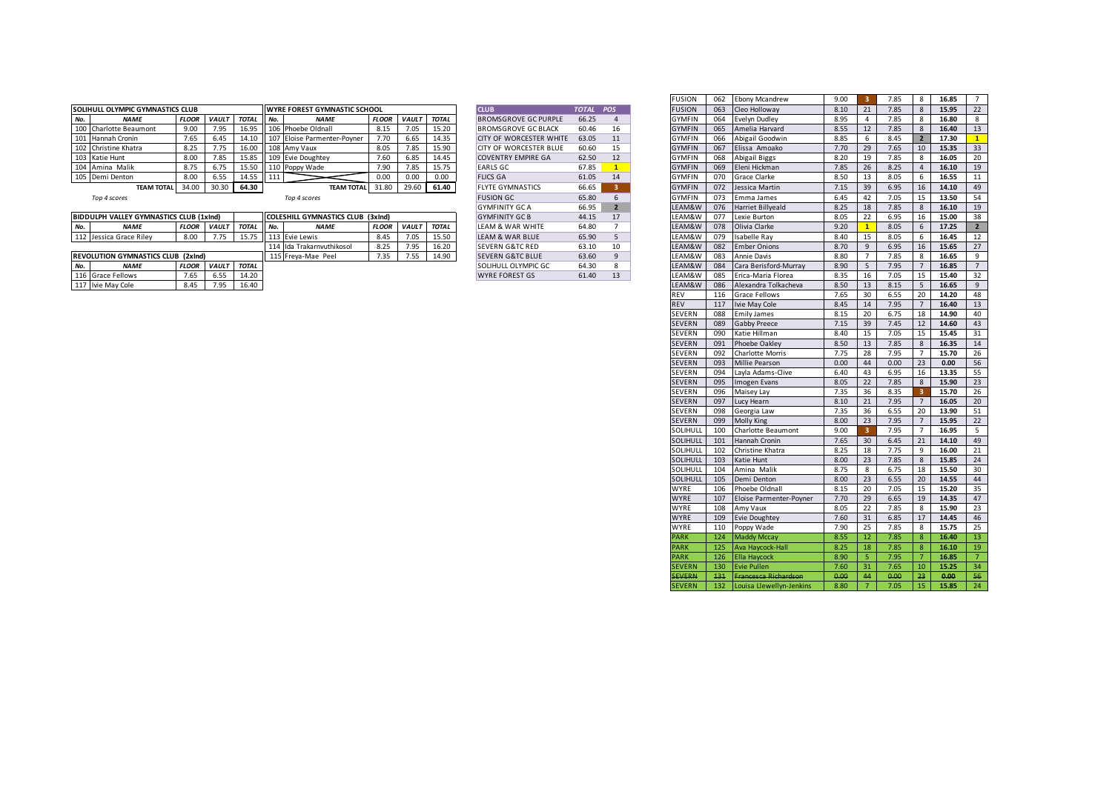|     | <b>SOLIHULL OLYMPIC GYMNASTICS CLUB</b> |              |              |       |        | <b>I WYRE FOREST GYMNASTIC SCHOOL</b> |              |              |              | <b>CLUB</b>                    | <b>TOTAL</b> | <b>POS</b> | <b>FUSION</b> | 063 | Cleo Holloway   | 8.10 | 21   | 7.85 | 15.95 |    |
|-----|-----------------------------------------|--------------|--------------|-------|--------|---------------------------------------|--------------|--------------|--------------|--------------------------------|--------------|------------|---------------|-----|-----------------|------|------|------|-------|----|
| No. | <b>NAME</b>                             | <b>FLOOI</b> | <b>VAULT</b> | TOTAL | II No. | <b>NAME</b>                           | <b>FLOOR</b> | <b>VAULT</b> | <b>TOTAL</b> | <b>BROMSGROVE GC PURPLE</b>    | 66.25        |            | <b>GYMFIN</b> | 064 | Evelyn Dudley   | 8.95 |      | 7.85 | 16.80 |    |
|     | 100 Charlotte Beaumont                  | 9.00         | 7.95         | 16.95 |        | 106 Phoebe Oldnall                    | 8.15         | 7.05         | 15.20        | <b>BROMSGROVE GC BLACK</b>     | 60.46        |            | <b>GYMFIN</b> | 065 | Amelia Harvard  | 8.55 | 12   | 7.85 | 16.40 |    |
|     | 101 Hannah Cronin                       | 7.65         | 6.45         | 14.10 |        | 107 Eloise Parmenter-Poyner           | 7.70         | 6.65         | 14.35        | <b>CITY OF WORCESTER WHITE</b> | 63.05        |            | <b>GYMFIN</b> | 066 | Abigail Goodwin | 8.85 |      | 8.45 | 17.30 |    |
|     | 102 Christine Khatra                    |              |              | 16.00 |        | 108 Amy Vaux                          | 8.05         | 7.85         | 15.90        | <b>CITY OF WORCESTER BLUE</b>  | 60.60        |            | <b>GYMFIN</b> | 067 | Elissa Amoako   | 7.70 | 29   | 7.65 | 15.35 | 33 |
|     | 103 Katie Hunt                          | 8.00         | 7.85         | 15.85 |        | 109 Evie Doughtey                     | 7.60         | 6.85         | 14.45        | <b>COVENTRY EMPIRE GA</b>      | 62.50        |            | <b>GYMFIN</b> | 068 | Abigail Biggs   | 8.20 | 19   | 7.85 | 16.05 |    |
|     | 104 Amina Malik                         |              | 6.75         | 15.50 |        | 110 Poppy Wade                        | 7.90         | 7.85         | 15.75        | <b>EARLS GC</b>                | 67.85        |            | <b>GYMFIN</b> | 069 | Eleni Hickman   | 7.85 | 26   | 8.25 | 16.10 |    |
|     | 105 Demi Denton                         | 8.00         | 6.55         | 14.55 |        |                                       |              | 0.00         | 0.00         | <b>FLICS GA</b>                | 61.05        |            | <b>GYMFIN</b> | 070 | Grace Clarke    | 8.50 | - 13 | 8.05 | 16.55 |    |
|     | <b>TEAM TOTAL</b>                       | 34.00        | 30.30        | 64.30 |        | <b>TEAM TOTAL</b>                     | 31.80        | 29.60        | 61.40        | <b>FLYTE GYMNASTICS</b>        | 66.65        |            | <b>GYMFIN</b> | 072 | Jessica Martin  | 7.15 | 39   | 6.95 | 14.10 |    |
|     |                                         |              |              |       |        |                                       |              |              |              |                                |              |            |               |     |                 |      |      |      |       |    |

| <b>CLUB</b>                 | <b>TOTAL</b> | <b>POS</b>     |
|-----------------------------|--------------|----------------|
| <b>BROMSGROVE GC PURPLE</b> | 66.25        | 4              |
| BROMSGROVE GC BLACK         | 60.46        | 16             |
| CITY OF WORCESTER WHITE     | 63.05        | 11             |
| CITY OF WORCESTER BLUE      | 60.60        | 15             |
| <b>COVENTRY EMPIRE GA</b>   | 62.50        | 12             |
| <b>EARLS GC</b>             | 67.85        | $\overline{1}$ |
| <b>FLICS GA</b>             | 61.05        | 14             |
| <b>FLYTE GYMNASTICS</b>     | 66.65        | 3              |
| <b>FUSION GC</b>            | 65.80        | 6              |
| <b>GYMFINITY GC A</b>       | 66.95        | $\overline{2}$ |
| <b>GYMFINITY GC B</b>       | 44.15        | 17             |
| LEAM & WAR WHITE            | 64.80        | 7              |
| <b>LEAM &amp; WAR BLUE</b>  | 65.90        | 5              |
| <b>SEVERN G&amp;TC RED</b>  | 63.10        | 10             |
| <b>SEVERN G&amp;TC BLUE</b> | 63.60        | 9              |
| SOLIHULL OLYMPIC GC         | 64.30        | 8              |
| <b>WYRE FOREST GS</b>       | 61.40        | 13             |

|     |                                                |              |              |              |                                   |              |              |              |                                |           |                | <b>FUSION</b> |     | 062 Ebony Mcandrew           | 9.00 | 3.              | 7.85 |                |
|-----|------------------------------------------------|--------------|--------------|--------------|-----------------------------------|--------------|--------------|--------------|--------------------------------|-----------|----------------|---------------|-----|------------------------------|------|-----------------|------|----------------|
|     | OLIHULL OLYMPIC GYMNASTICS CLUB                |              |              |              | WYRE FOREST GYMNASTIC SCHOOL      |              |              |              | <b>CLUB</b>                    | TOTAL POS |                | <b>FUSION</b> |     | 063 Cleo Holloway            | 8.10 | 21              | 7.85 |                |
| No. | <b>NAME</b>                                    | <b>FLOOR</b> | <b>VAULT</b> | <b>TOTAL</b> | No.<br><b>NAME</b>                | <b>FLOOR</b> | VAULT        | <b>TOTAL</b> | <b>BROMSGROVE GC PURPLE</b>    | 66.25     | 4              | <b>GYMFIN</b> |     | 064 Evelyn Dudley            | 8.95 | $\overline{4}$  | 7.85 |                |
|     | 100 Charlotte Beaumont                         | 9.00         | 7.95         | 16.95        | 106 Phoebe Oldnall                | 8.15         | 7.05         | 15.20        | <b>BROMSGROVE GC BLACK</b>     | 60.46     | 16             | <b>GYMFIN</b> |     | 065 Amelia Harvard           | 8.55 | 12              | 7.85 |                |
|     | 101 Hannah Cronin                              | 7.65         | 6.45         | 14.10        | 107 Eloise Parmenter-Poyner       | 7.70         | 6.65         | 14.35        | <b>CITY OF WORCESTER WHITE</b> | 63.05     | 11             | <b>GYMFIN</b> | 066 | Abigail Goodwin              | 8.85 | 6               | 8.45 |                |
|     | 102 Christine Khatra                           | 8.25         | 7.75         | 16.00        | 108 Amy Vaux                      | 8.05         | 7.85         | 15.90        | <b>CITY OF WORCESTER BLUE</b>  | 60.60     | 15             | <b>GYMFIN</b> | 067 | Elissa Amoako                | 7.70 | 29              | 7.65 |                |
|     | 103 Katie Hunt                                 | 8.00         | 7.85         | 15.85        | 109 Evie Doughtey                 | 7.60         | 6.85         | 14.45        | <b>COVENTRY EMPIRE GA</b>      | 62.50     | 12             | <b>GYMFIN</b> | 068 | Abigail Biggs                | 8.20 | 19              | 7.85 |                |
|     | 104 Amina Malik                                | 8.75         | 6.75         | 15.50        | 110 Poppy Wade                    | 7.90         | 7.85         | 15.75        | <b>EARLS GC</b>                | 67.85     | $\mathbf{1}$   | <b>GYMFIN</b> | 069 | Eleni Hickman                | 7.85 | 26              | 8.25 |                |
|     | 105 Demi Denton                                | 8.00         | 6.55         |              | 111                               | 0.00         | 0.00         | 0.00         | <b>FLICS GA</b>                |           |                | <b>GYMFIN</b> | 070 | <b>Grace Clarke</b>          | 8.50 |                 | 8.05 |                |
|     |                                                |              |              | 14.55        |                                   |              |              |              |                                | 61.05     | 14             |               |     |                              |      | 13              |      |                |
|     | <b>TEAM TOTAL</b>                              | 34.00        | 30.30        | 64.30        | <b>TEAM TOTAL</b>                 | 31.80        | 29.60        | 61.40        | <b>FLYTE GYMNASTICS</b>        | 66.65     | -3-1           | <b>GYMFIN</b> |     | 072 Jessica Martin           | 7.15 | 39              | 6.95 |                |
|     | Top 4 scores                                   |              |              |              | Top 4 scores                      |              |              |              | <b>FUSION GC</b>               | 65.80     | 6              | <b>GYMFIN</b> | 073 | Emma James                   | 6.45 | 42              | 7.05 |                |
|     |                                                |              |              |              |                                   |              |              |              | <b>GYMFINITY GC A</b>          | 66.95     | $\overline{2}$ | LEAM&W        |     | 076 Harriet Billyeald        | 8.25 | 18              | 7.85 |                |
|     | <b>BIDDULPH VALLEY GYMNASTICS CLUB (1xInd)</b> |              |              |              | COLESHILL GYMNASTICS CLUB (3xInd) |              |              |              | <b>GYMFINITY GC B</b>          | 44.15     | 17             | LEAM&W        |     | 077 Lexie Burton             | 8.05 | 22              | 6.95 | 16             |
| No. | <b>NAME</b>                                    | <b>FLOOR</b> | VAULT TOTAL  |              | <b>NAME</b><br>No.                | <b>FLOOR</b> | <b>VAULT</b> | <b>TOTAL</b> | LEAM & WAR WHITE               | 64.80     | $7^{\circ}$    | LEAM&W        |     | 078 Olivia Clarke            | 9.20 | $\mathbf{1}$    | 8.05 |                |
|     | 112 Jessica Grace Riley                        | 8.00         | 7.75         | 15.75        | 113 Evie Lewis                    | 8.45         | 7.05         | 15.50        | LEAM & WAR BLUE                | 65.90     | 5              | LEAM&W        | 079 | Isabelle Ray                 | 8.40 | 15              | 8.05 |                |
|     |                                                |              |              |              | 114 Ida Trakarnvuthikosol         | 8.25         | 7.95         | 16.20        | <b>SEVERN G&amp;TC RED</b>     | 63.10     | 10             | LEAM&W        | 082 | <b>Ember Onions</b>          | 8.70 | 9               | 6.95 | 16             |
|     | REVOLUTION GYMNASTICS CLUB (2xInd)             |              |              |              | 115 Freya-Mae Peel                | 7.35         | 7.55         | 14.90        | <b>SEVERN G&amp;TC BLUE</b>    | 63.60     | 9              | LEAM&W        |     | 083 Annie Davis              | 8.80 | $\overline{7}$  | 7.85 | 8              |
| No. | <b>NAME</b>                                    | <b>FLOOR</b> | <b>VAULT</b> | <b>TOTAL</b> |                                   |              |              |              | <b>SOLIHULL OLYMPIC GC</b>     | 64.30     | 8              | LEAM&W        |     | 084 Cara Berisford-Murray    | 8.90 | 5               | 7.95 |                |
|     | 116 Grace Fellows                              | 7.65         | 6.55         | 14.20        |                                   |              |              |              | <b>WYRE FOREST GS</b>          | 61.40     | 13             | LEAM&W        |     | 085 Erica-Maria Florea       | 8.35 | 16              | 7.05 | 15             |
|     | 117 Ivie May Cole                              | 8.45         | 7.95         | 16.40        |                                   |              |              |              |                                |           |                | LEAM&W        |     | 086 Alexandra Tolkacheva     | 8.50 | 13              | 8.15 | - 5            |
|     |                                                |              |              |              |                                   |              |              |              |                                |           |                | <b>REV</b>    |     | 116 Grace Fellows            | 7.65 | 30              | 6.55 | 20             |
|     |                                                |              |              |              |                                   |              |              |              |                                |           |                | <b>REV</b>    |     | 117 Ivie May Cole            | 8.45 | 14              | 7.95 | 7              |
|     |                                                |              |              |              |                                   |              |              |              |                                |           |                | <b>SEVERN</b> | 088 | <b>Emily James</b>           | 8.15 | 20              | 6.75 | 18             |
|     |                                                |              |              |              |                                   |              |              |              |                                |           |                | <b>SEVERN</b> |     | 089 Gabby Preece             | 7.15 | 39              | 7.45 | 12             |
|     |                                                |              |              |              |                                   |              |              |              |                                |           |                | SEVERN        | 090 | Katie Hillman                | 8.40 | 15              | 7.05 | 15             |
|     |                                                |              |              |              |                                   |              |              |              |                                |           |                | <b>SEVERN</b> |     | 091 Phoebe Oakley            | 8.50 | 13              | 7.85 |                |
|     |                                                |              |              |              |                                   |              |              |              |                                |           |                | SEVERN        | 092 | <b>Charlotte Morris</b>      | 7.75 | 28              | 7.95 |                |
|     |                                                |              |              |              |                                   |              |              |              |                                |           |                | <b>SEVERN</b> |     | 093 Millie Pearson           | 0.00 | 44              | 0.00 | 23             |
|     |                                                |              |              |              |                                   |              |              |              |                                |           |                | SEVERN        | 094 | Layla Adams-Clive            | 6.40 | 43              | 6.95 | 16             |
|     |                                                |              |              |              |                                   |              |              |              |                                |           |                | <b>SEVERN</b> |     | 095 Imogen Evans             | 8.05 | 22              | 7.85 |                |
|     |                                                |              |              |              |                                   |              |              |              |                                |           |                | <b>SEVERN</b> | 096 | Maisey Lay                   | 7.35 | 36              | 8.35 | -3             |
|     |                                                |              |              |              |                                   |              |              |              |                                |           |                | <b>SEVERN</b> | 097 | Lucy Hearn                   | 8.10 | 21              | 7.95 | $\overline{7}$ |
|     |                                                |              |              |              |                                   |              |              |              |                                |           |                | SEVERN        | 098 | Georgia Law                  | 7.35 | 36              | 6.55 | 20             |
|     |                                                |              |              |              |                                   |              |              |              |                                |           |                | <b>SEVERN</b> | 099 | <b>Molly King</b>            | 8.00 | 23              | 7.95 | $\overline{7}$ |
|     |                                                |              |              |              |                                   |              |              |              |                                |           |                | SOLIHULI      |     | 100 Charlotte Beaumont       | 9.00 | 3               | 7.95 | $\overline{7}$ |
|     |                                                |              |              |              |                                   |              |              |              |                                |           |                | SOLIHULL      |     | 101 Hannah Cronin            | 7.65 | 30 <sup>2</sup> | 6.45 | 21             |
|     |                                                |              |              |              |                                   |              |              |              |                                |           |                | SOLIHULL      |     | 102 Christine Khatra         | 8.25 | 18              | 7.75 | 9              |
|     |                                                |              |              |              |                                   |              |              |              |                                |           |                | SOLIHULL      |     | 103 Katie Hunt               | 8.00 | 23              | 7.85 | 8              |
|     |                                                |              |              |              |                                   |              |              |              |                                |           |                | SOLIHULL      |     | 104 Amina Malik              | 8.75 | 8               | 6.75 | 18             |
|     |                                                |              |              |              |                                   |              |              |              |                                |           |                | SOLIHULL      |     | 105 Demi Denton              | 8.00 | 23              | 6.55 | 20             |
|     |                                                |              |              |              |                                   |              |              |              |                                |           |                | <b>WYRE</b>   |     | 106 Phoebe Oldnall           | 8.15 | 20              | 7.05 | 15             |
|     |                                                |              |              |              |                                   |              |              |              |                                |           |                | WYRE          |     | 107 Eloise Parmenter-Poyner  | 7.70 | 29              | 6.65 | 19             |
|     |                                                |              |              |              |                                   |              |              |              |                                |           |                | <b>WYRE</b>   |     | 108 Amy Vaux                 | 8.05 | 22              | 7.85 | 8              |
|     |                                                |              |              |              |                                   |              |              |              |                                |           |                | <b>WYRE</b>   |     | 109 Evie Doughtey            | 7.60 | 31              | 6.85 | 17             |
|     |                                                |              |              |              |                                   |              |              |              |                                |           |                | WYRE          |     | 110 Poppy Wade               | 7.90 | 25              | 7.85 | 8              |
|     |                                                |              |              |              |                                   |              |              |              |                                |           |                | <b>PARK</b>   |     | 124 Maddy Mccay              | 8.55 | 12 <sub>1</sub> | 7.85 | 8              |
|     |                                                |              |              |              |                                   |              |              |              |                                |           |                | <b>PARK</b>   |     | 125 Ava Haycock-Hall         | 8.25 | 18              | 7.85 | 8              |
|     |                                                |              |              |              |                                   |              |              |              |                                |           |                | <b>PARK</b>   |     | 126 Ella Haycock             | 8.90 | -5              | 7.95 | $\overline{7}$ |
|     |                                                |              |              |              |                                   |              |              |              |                                |           |                | <b>SEVERN</b> |     | 130 Evie Pullen              | 7.60 | 31              | 7.65 | 10             |
|     |                                                |              |              |              |                                   |              |              |              |                                |           |                | <b>SEVERN</b> |     | 131 Francesca Richardson     | 0.00 | 44              | 0.00 | 23             |
|     |                                                |              |              |              |                                   |              |              |              |                                |           |                |               |     |                              |      |                 |      |                |
|     |                                                |              |              |              |                                   |              |              |              |                                |           |                | <b>SEVERN</b> |     | 132 Louisa Llewellyn-Jenkins | 8.80 | 7 <sup>1</sup>  | 7.05 |                |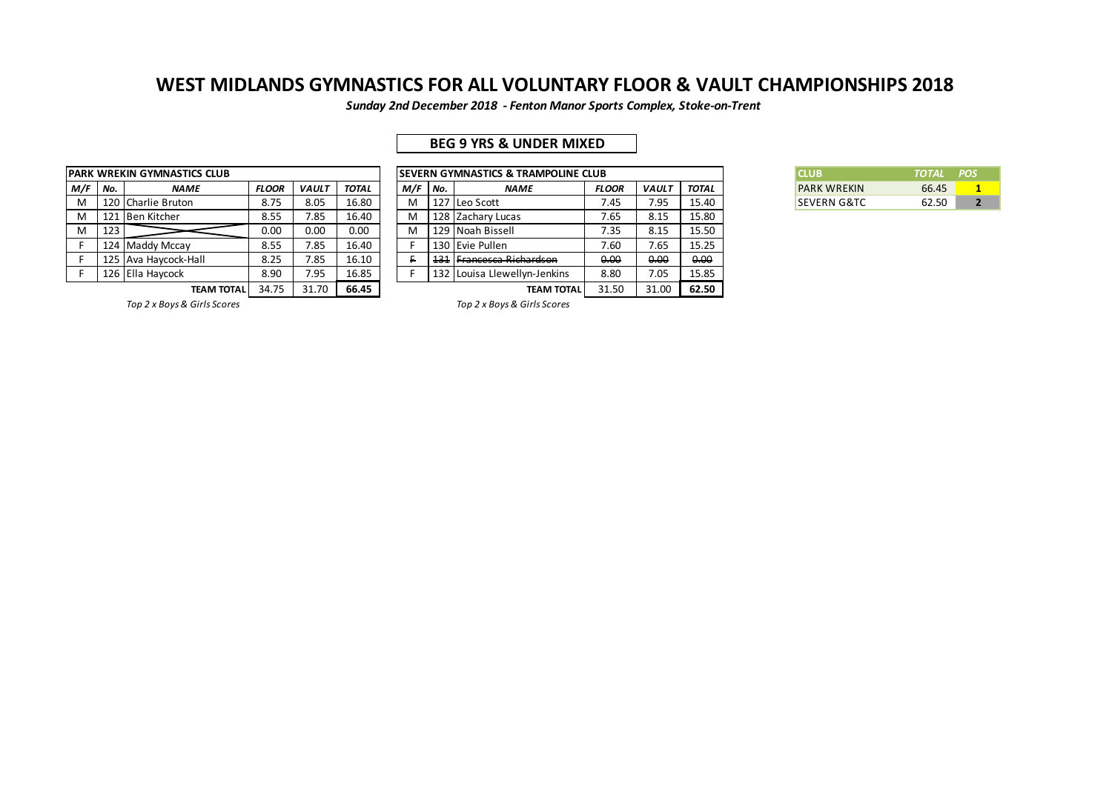*Sunday 2nd December 2018 - Fenton Manor Sports Complex, Stoke-on-Trent*

## **BEG 9 YRS & UNDER MIXED**

|     |     | <b>PARK WREKIN GYMNASTICS CLUB</b> |              |              |              |     |     | <b>SEVERN GYMNASTICS &amp; TRAMPOLINE CLUB</b> |      |
|-----|-----|------------------------------------|--------------|--------------|--------------|-----|-----|------------------------------------------------|------|
| M/F | No. | <b>NAME</b>                        | <b>FLOOR</b> | <b>VAULT</b> | <b>TOTAL</b> | M/F | No. | <b>NAME</b>                                    | FL ( |
| M   |     | 120 Charlie Bruton                 | 8.75         | 8.05         | 16.80        | M   | 127 | Leo Scott                                      |      |
| M   |     | 121 Ben Kitcher                    | 8.55         | 7.85         | 16.40        | M   |     | 128 Zachary Lucas                              |      |
| M   | 123 |                                    | 0.00         | 0.00         | 0.00         | M   |     | 129 Noah Bissell                               |      |
|     |     | 124 Maddy Mccay                    | 8.55         | 7.85         | 16.40        |     |     | 130 Evie Pullen                                |      |
|     |     | 125 Ava Haycock-Hall               | 8.25         | 7.85         | 16.10        |     | 131 | Francesca Richardson                           | θ    |
|     |     | 126 Ella Havcock                   | 8.90         | 7.95         | 16.85        |     |     | 132 Louisa Llewellyn-Jenkins                   | 8    |
|     |     | TEAM TOTAL                         | 34.75        | 31.70        | 66.45        |     |     | <b>TEAM TOTAL</b>                              | 31   |

|     |       | PARK WREKIN GYMNASTICS CLUB |              |              |       |           |     | <b>ISEVERN GYMNASTICS &amp; TRAMPOLINE CLUB</b> |              |              |       | <b>CLUB</b>            | <b>TOTAL</b> | <b>POS</b> |
|-----|-------|-----------------------------|--------------|--------------|-------|-----------|-----|-------------------------------------------------|--------------|--------------|-------|------------------------|--------------|------------|
| M/F | l No. | <b>NAME</b>                 | <b>FLOOR</b> | <b>VAULT</b> | TOTAL | $M/F$ No. |     | <b>NAME</b>                                     | <b>FLOOR</b> | <b>VAULT</b> | TOTAL | <b>PARK WREKIN</b>     | 66.45        |            |
| M   |       | 120 Charlie Bruton          | 8.75         | 8.05         | 16.80 | M         |     | 127 Leo Scott                                   | 7.45         | 7.95         | 15.40 | <b>SEVERN G&amp;TC</b> | 62.50        |            |
| M   |       | 121 Ben Kitcher             | 8.55         | 7.85         | 16.40 | M         |     | 128 Zachary Lucas                               | 7.65         | 8.15         | 15.80 |                        |              |            |
| M   | 123   |                             | 0.00         | 0.00         | 0.00  | M         |     | 129 Noah Bissell                                | 7.35         | 8.15         | 15.50 |                        |              |            |
|     |       | 124 Maddy Mccay             | 8.55         | 7.85         | 16.40 |           |     | 130 Evie Pullen                                 | 7.60         | 7.65         | 15.25 |                        |              |            |
|     |       | 125 Ava Havcock-Hall        | 8.25         | 7.85         | 16.10 |           | 131 | F <del>rancesca Richardson</del>                | 0.00         | 0.00         | 0.00  |                        |              |            |
|     |       | 126 Ella Havcock            | 8.90         | 7.95         | 16.85 |           |     | 132 Louisa Llewellyn-Jenkins                    | 8.80         | 7.05         | 15.85 |                        |              |            |
|     |       | <b>TEAM TOTAL</b>           | 34.75        | 31.70        | 66.45 |           |     | <b>TEAM TOTAL</b>                               | 31.50        | 31.00        | 62.50 |                        |              |            |

| <b>CLUB</b>            | TOTAL POS |  |
|------------------------|-----------|--|
| <b>PARK WRFKIN</b>     | 66.45     |  |
| <b>SEVERN G&amp;TC</b> | 62.50     |  |

*Top 2 x Boys & Girls Scores Top 2 x Boys & Girls Scores*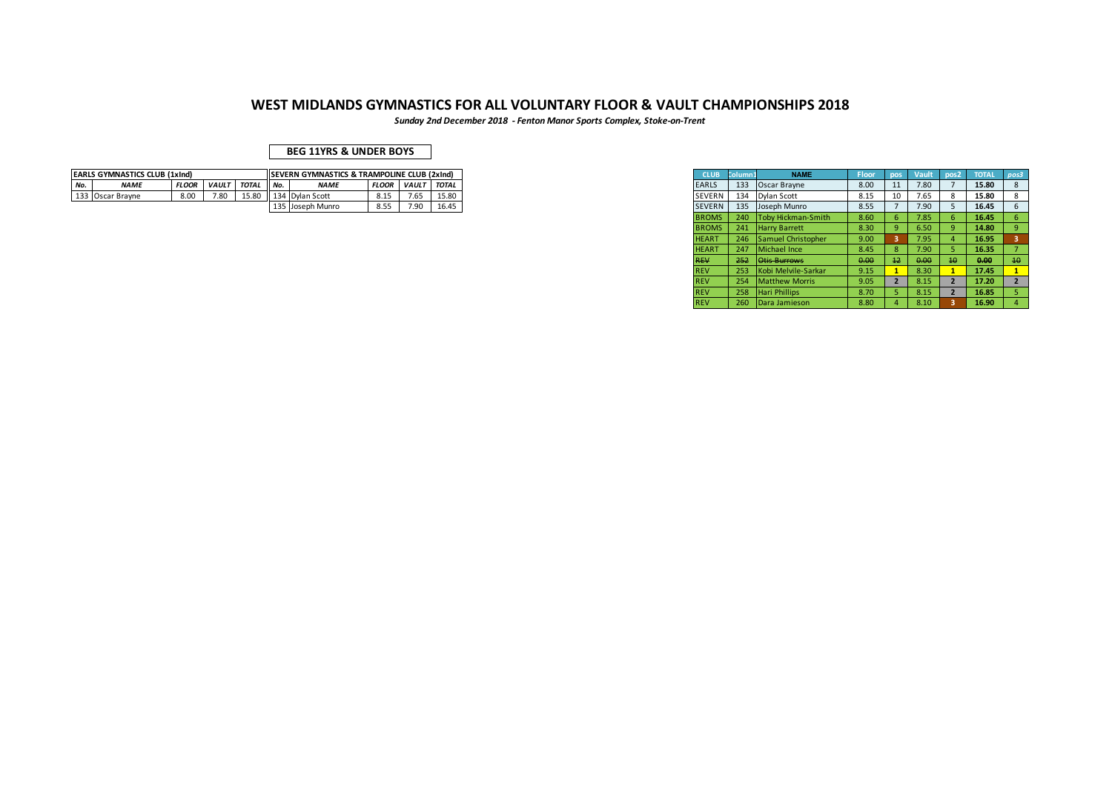*Sunday 2nd December 2018 - Fenton Manor Sports Complex, Stoke-on-Trent*

|     | <b>EARLS GYMNASTICS CLUB (1xInd)</b> |              |              |              |         | <b>ISEVERN GYMNASTICS &amp; TRAMPOLINE CLUB (2xInd)</b> |              |                    |       |
|-----|--------------------------------------|--------------|--------------|--------------|---------|---------------------------------------------------------|--------------|--------------------|-------|
| No. | <b>NAMI</b>                          | <b>FLOOR</b> | <b>VAUL1</b> | <b>TOTAL</b> | $A = 1$ | <b>NAME</b>                                             | <b>FLOOR</b> | <b>VAULT</b> TOTAL |       |
|     | 133 Oscar Brayne                     | 8.00         | 7.80         | 15.80        |         | 134 Dylan Scott                                         | 0.⊥.         | 7.65               | 15.80 |
|     |                                      |              |              |              |         | 135 Joseph Munro                                        | ິ            | 7.90               | 16.45 |

|                 | EVERN GYMNASTICS & TRAMPOLINE CLUB (2xInd) |              |              |       |
|-----------------|--------------------------------------------|--------------|--------------|-------|
|                 |                                            |              |              |       |
| <b>NAME</b>     |                                            | <b>FLOOR</b> | <b>VAULT</b> | TOTAL |
| 134 Dylan Scott |                                            | 8.15         | 7.65         | 15.80 |
|                 | 135 Joseph Munro                           | 8.55         | 7.90         | 16.45 |
|                 |                                            |              |              |       |
|                 |                                            |              |              |       |
|                 |                                            |              |              |       |
|                 |                                            |              |              |       |
|                 |                                            |              |              |       |
|                 |                                            |              |              |       |
|                 |                                            |              |              |       |
|                 |                                            |              |              |       |
|                 |                                            |              |              |       |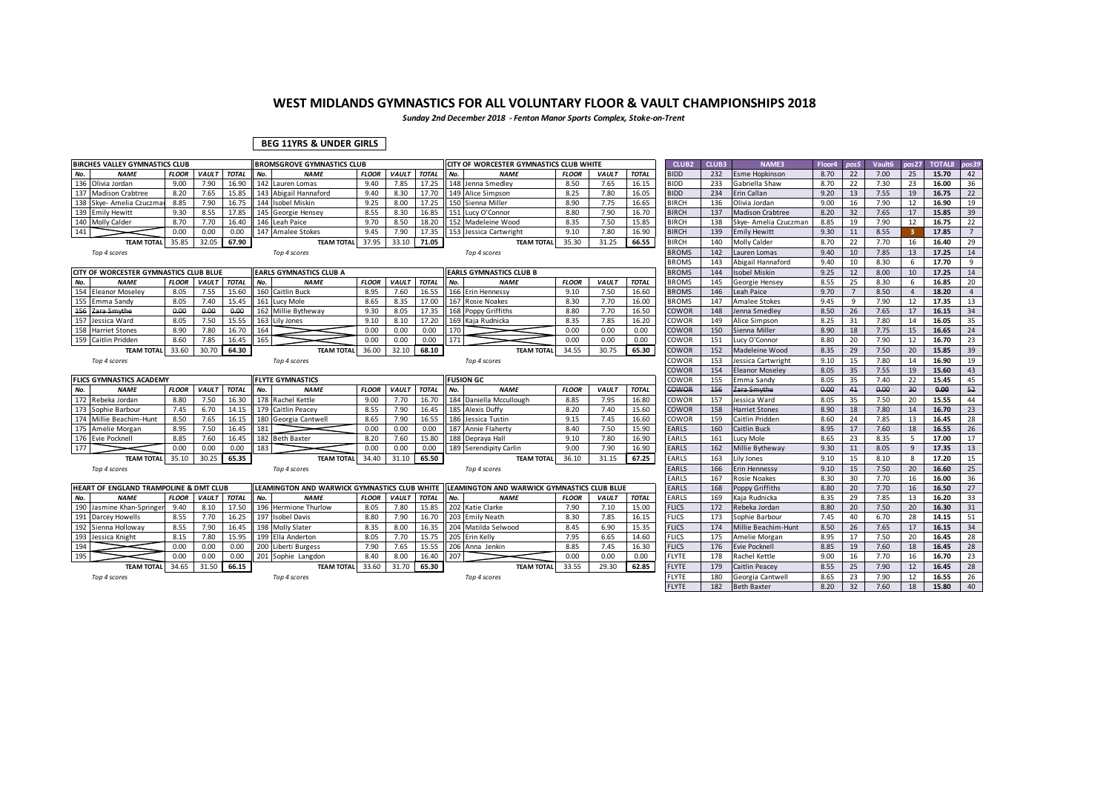*Sunday 2nd December 2018 - Fenton Manor Sports Complex, Stoke-on-Trent*

### **BEG 11YRS & UNDER GIRLS**

|            | <b>BIRCHES VALLEY GYMNASTICS CLUB</b>  |              |                    |                |     | <b>BROMSGROVE GYMNASTICS CLUB</b>            |              |              |                |     | CITY OF WORCESTER GYMNASTICS CLUB WHITE     |              |              |                | <b>CLUB2</b>                 | <b>CLUB3</b> | NAME3                                | Floor4       | pos5           | Vault6       | nos27          | <b>TOTAL8</b>  | pos39          |
|------------|----------------------------------------|--------------|--------------------|----------------|-----|----------------------------------------------|--------------|--------------|----------------|-----|---------------------------------------------|--------------|--------------|----------------|------------------------------|--------------|--------------------------------------|--------------|----------------|--------------|----------------|----------------|----------------|
| No.        | <b>NAME</b>                            | <b>FLOOR</b> | <b>VAULT</b>       | <b>TOTAL</b>   | No. | <b>NAME</b>                                  | <b>FLOOR</b> | <b>VAUL1</b> | <b>TOTAL</b>   | No. | <b>NAME</b>                                 | <b>FLOOR</b> | <b>VAULT</b> | <b>TOTAL</b>   | <b>BIDD</b>                  | 232          | <b>Esme Hopkinson</b>                | 8.70         | 22             | 7.00         | 25             | 15.70          | 42             |
| 136        | Olivia Jordan                          | 9.00         | 7.90               | 16.90          |     | 142 Lauren Lomas                             | 9.40         | 7.85         | 17.25          |     | 148 Jenna Smedlev                           | 8.50         | 7.65         | 16.15          | <b>BIDD</b>                  | 233          | Gabriella Shaw                       | 8.70         | 22             | 7.30         | 23             | 16.00          | 36             |
| 137        | <b>Madison Crabtree</b>                | 8.20         | 7.65               | 15.85          |     | 143 Abigail Hannaford                        | 9.40         | 8.30         | 17.70          |     | 149 Alice Simpson                           | 8.25         | 7.80         | 16.05          | <b>BIDD</b>                  | 234          | Erin Callan                          | 9.20         | 13             | 7.55         | 19             | 16.75          | 22             |
| 138        | Skve- Amelia Czuczm                    | 8.85         | 7.90               | 16.75          |     | 144 Isobel Miskin                            | 9.25         | 8.00         | 17.25          |     | 150 Sienna Miller                           | 8.90         | 7.75         | 16.65          | <b>BIRCH</b>                 | 136          | Olivia Jordan                        | 9.00         | 16             | 7.90         | 12             | 16.90          | 19             |
|            | 139 Emily Hewitt                       | 9.30         | 8.55               | 17.85          |     | 145 Georgie Hensey                           | 8.55         | 8.30         | 16.85          | 151 | Lucy O'Connor                               | 8.80         | 7.90         | 16.70          | <b>BIRCH</b>                 | 137          | <b>Madison Crabtree</b>              | 8.20         | 32             | 7.65         | 17             | 15.85          | 39             |
|            | 140 Molly Calder                       | 8.70         | 7.70               | 16.40          |     | 146 Leah Paice                               | 9.70         | 8.50         | 18.20          |     | 152 Madeleine Wood                          | 8.35         | 7.50         | 15.85          | <b>BIRCH</b>                 | 138          | kve- Amelia Czuczman                 | 8.85         | 19             | 7.90         | 12             | 16.75          | 22             |
| 141        |                                        | 0.00         | 0.00               | 0.00           |     | 147 Amalee Stokes                            | 9.45         | 7.90         | 17.35          |     | 153 Jessica Cartwright                      | 9.10         | 7.80         | 16.90          | <b>BIRCH</b>                 | 139          | <b>Emily Hewitt</b>                  | 9.30         | 11             | 8.55         |                | 17.85          | $\overline{7}$ |
|            | <b>TEAM TOTAL</b>                      | 35.85        | 32.05              | 67.90          |     | <b>TEAM TOTAL</b>                            | 37.95        | 33.10        | 71.05          |     | <b>TEAM TOTAL</b>                           | 35.30        | 31.25        | 66.55          | <b>BIRCH</b>                 | 140          | Molly Calder                         | 8.70         | 22             | 7.70         | 16             | 16.40          | 29             |
|            | Top 4 scores                           |              |                    |                |     | Top 4 scores                                 |              |              |                |     | Top 4 scores                                |              |              |                | <b>BROMS</b>                 | 142          | Lauren Lomas                         | 9.40         | 10             | 7.85         | 13             | 17.25          | 14             |
|            |                                        |              |                    |                |     |                                              |              |              |                |     |                                             |              |              |                | <b>BROMS</b>                 | 143          | Abigail Hannaford                    | 9.40         | 10             | 8.30         | 6              | 17.70          | 9              |
|            | CITY OF WORCESTER GYMNASTICS CLUB BLUE |              |                    |                |     | EARLS GYMNASTICS CLUB A                      |              |              |                |     | EARLS GYMNASTICS CLUB B                     |              |              |                | <b>BROMS</b>                 | 144          | sobel Miskin                         | 9.25         | 12             | 8.00         | 10             | 17.25          | 14             |
| No.        | <b>NAME</b>                            | <b>FLOOR</b> | <b>VAULT</b>       | <b>TOTAL</b>   | No. | <b>NAME</b>                                  | <b>FLOOR</b> | <b>VAULT</b> | <b>TOTAL</b>   | No. | <b>NAME</b>                                 | <b>FLOOR</b> | <b>VAULT</b> | <b>TOTAL</b>   | <b>BROMS</b>                 | 145          | Georgie Hensey                       | 8.55         | 25             | 8.30         | 6              | 16.85          | 20             |
| 154        | <b>Eleanor Moselev</b>                 | 8.05         | 7.55               | 15.60          |     | 160 Caitlin Buck                             | 8.95         | 7.60         | 16.55          |     | 166 Erin Hennessy                           | 9.10         | 7.50         | 16.60          | <b>BROMS</b>                 | 146          | Leah Paice                           | 9.70         | $\overline{7}$ | 8.50         | $\overline{4}$ | 18.20          | $\overline{4}$ |
| 155        | Emma Sandy                             | 8.05         | 7.40               | 15.45          | 161 | Lucy Mole                                    | 8.65         | 8.35         | 17.00          |     | 167 Rosie Noakes                            | 8.30         | 7.70         | 16.00          | <b>BROMS</b>                 | 147          | Amalee Stokes                        | 9.45         | 9              | 7.90         | 12             | 17.35          | 13             |
| 156        | Zara Smythe                            | 0.00         | 0.00               | 0.00           |     | 162 Millie Bytheway                          | 9.30         | 8.05         | 17.35          |     | 168 Poppy Griffiths                         | 8.80         | 7.70         | 16.50          | COWOR                        | 148          | Jenna Smedley                        | 8.50         | 26             | 7.65         | 17             | 16.15          | 34             |
| 157        | Jessica Ward                           | 8.05         | 7.50               | 15.55          |     | 163 Lily Jones                               | 9.10         | 8.10         | 17.20          |     | 169 Kaja Rudnicka                           | 8.35         | 7.85         | 16.20          | COWOR                        | 149          | Alice Simpson                        | 8.25         | 31             | 7.80         | 14             | 16.05          | 35             |
| 158        | <b>Harriet Stones</b>                  | 8.90         | 7.80               | 16.70          | 164 |                                              | 0.00         | 0.00         | 0.00           | 170 |                                             | 0.00         | 0.00         | 0.00           | COWOR                        | 150          | Sienna Miller                        | 8.90         | 18             | 7.75         | 15             | 16.65          | 24             |
|            | 159 Caitlin Pridden                    | 8.60         | 7.85               | 16.45          | 165 |                                              | 0.00         | 0.00         | 0.00           | 171 |                                             | 0.00         | 0.00         | 0.00           | COWOR                        | 151          | Lucy O'Connor                        | 8.80         | 20             | 7.90         | 12             | 16.70          | 23             |
|            | <b>TEAM TOTAL</b>                      | 33.60        | 30.70              | 64.30          |     | <b>TEAM TOTAL</b>                            | 36.00        | 32.10        | 68.10          |     | <b>TEAM TOTAL</b>                           | 34.55        | 30.75        | 65.30          | COWOR                        | 152          | Madeleine Wood                       | 8.35         | 29             | 7.50         | 20             | 15.85          | 39             |
|            | Top 4 scores                           |              |                    |                |     | Top 4 scores                                 |              |              |                |     | Top 4 scores                                |              |              |                | COWOR                        | 153          | lessica Cartwright                   | 9.10         | 15             | 7.80         | 14             | 16.90          | 19             |
|            |                                        |              |                    |                |     |                                              |              |              |                |     |                                             |              |              |                | COWOR                        | 154          | <b>Eleanor Moseley</b>               | 8.05         | 35             | 7.55         | 19             | 15.60          | 43             |
|            | <b>FLICS GYMNASTICS ACADEMY</b>        |              |                    |                |     | <b>FLYTE GYMNASTICS</b>                      |              |              |                |     | <b>FUSION GC</b>                            |              |              |                | COWOR                        | 155          | Emma Sandy                           | 8.05         | 35             | 7.40         | 22             | 15.45          | 45             |
| No.        | <b>NAME</b>                            | <b>FLOOR</b> | <b>VAULT</b>       | <b>TOTAL</b>   | No. | <b>NAME</b>                                  | <b>FLOOR</b> | <b>VAUL</b>  | <b>TOTAL</b>   | No. | <b>NAME</b>                                 | <b>FLOOR</b> | <b>VAULT</b> | <b>TOTAL</b>   | COWOR                        | 156          | ara Smythe                           | 0.00         | 41             | 0.00         | 30             | 0.00           | 52             |
| 172        | Rebeka Jordan                          | 8.80         | 7.50               | 16.30          |     | 178 Rachel Kettle                            | 9.00         | 7.70         | 16.70          |     | 184 Daniella Mccullough                     | 8.85         | 7.95         | 16.80          | COWOR                        | 157          | lessica Ward                         | 8.05         | 35             | 7.50         | 20             | 15.55          | 44             |
| 173        | Sophie Barbour                         | 7.45         | 6.70               | 14.15          |     | 179 Caitlin Peacev                           | 8.55         | 7.90         | 16.45          |     | 185 Alexis Duffy                            | 8.20         | 7.40         | 15.60          | COWOR                        | 158          | <b>Harriet Stones</b>                | 8.90         | 18             | 7.80         | 14             | 16.70          | 23             |
| 174        | Millie Beachim-Hunt                    | 8.50         | 7.65               | 16.15          |     | 180 Georgia Cantwell                         | 8.65         | 7.90         | 16.55          |     | 186 Jessica Tustin                          | 9.15         | 7.45         | 16.60          | COWOR                        | 159          | Caitlin Pridden                      | 8.60         | 24             | 7.85         | 13             | 16.45          | 28             |
| 175        | Amelie Morgan                          | 8.95         | 7.50               | 16.45          | 181 |                                              | 0.00         | 0.00         | 0.00           |     | 187 Annie Flaherty                          | 8.40         | 7.50         | 15.90          | EARLS                        | 160          | Caitlin Buck                         | 8.95         | 17             | 7.60         | 18             | 16.55          | 26             |
|            | 176 Evie Pocknell                      | 8.85         | 7.60               | 16.45          |     | 182 Beth Baxter                              | 8.20         | 7.60         | 15.80          |     | 188 Depraya Hall                            | 9.10         | 7.80         | 16.90          | EARLS                        | 161          | ucy Mole                             | 8.65         | 23             | 8.35         | -5             | 17.00          | 17             |
| 177        |                                        | 0.00         | 0.00               | 0.00           | 183 |                                              | 0.00         | 0.00         | 0.00           |     | 189 Serendipity Carlin                      | 9.00         | 7.90         | 16.90          | EARLS                        | 162          | <b>Millie Bytheway</b>               | 9.30         | 11             | 8.05         | 9              | 17.35          | 13             |
|            | <b>TEAM TOTAL</b>                      | 35.10        | 30.25              | 65.35          |     | <b>TEAM TOTAL</b>                            | 34.40        | 31.10        | 65.50          |     | <b>TEAM TOTAL</b>                           | 36.10        | 31.15        | 67.25          | EARLS                        | 163          | ily Jones                            | 9.10         | 15             | 8.10         | 8              | 17.20          | 15             |
|            | Top 4 scores                           |              |                    |                |     | Top 4 scores                                 |              |              |                |     | Top 4 scores                                |              |              |                | EARLS                        | 166          | Erin Hennessy                        | 9.10         | 15             | 7.50         | 20             | 16.60          | 25             |
|            |                                        |              |                    |                |     |                                              |              |              |                |     |                                             |              |              |                | EARLS                        | 167          | Rosie Noakes                         | 8.30         | 30             | 7.70         | 16             | 16.00          | 36             |
|            | HEART OF ENGLAND TRAMPOLINE & DMT CLUB |              |                    |                |     | LEAMINGTON AND WARWICK GYMNASTICS CLUB WHITE |              |              |                |     | LEAMINGTON AND WARWICK GYMNASTICS CLUB BLUE |              |              |                | <b>EARLS</b>                 | 168          | Poppy Griffiths                      | 8.80         | 20             | 7.70         | 16             | 16.50          | 27             |
| No.        | <b>NAME</b>                            | <b>FLOOR</b> | <b>VAULT TOTAL</b> |                | No. | <b>NAME</b>                                  | <b>FLOOR</b> | <b>VAULT</b> | <b>TOTAL</b>   | No. | <b>NAME</b>                                 | <b>FLOOR</b> | <b>VAULT</b> | <b>TOTAL</b>   | EARLS                        | 169          | Kaja Rudnicka                        | 8.35         | 29             | 7.85         | 13             | 16.20          | 33             |
| 190        | Jasmine Khan-Springer                  | 9.40         | 8.10               | 17.50          |     | 196 Hermione Thurlow                         | 8.05         | 7.80         | 15.85          |     | 202 Katie Clarke                            | 7.90         | 7.10         | 15.00          | <b>FLICS</b>                 | 172          | Rebeka Jordan                        | 8.80         | 20             | 7.50         | 20             | 16.30          | 31             |
| 191        | Darcey Howells                         | 8.55         | 7.70               | 16.25          |     | 197 Isobel Davis                             | 8.80         | 7.90         | 16.70          |     | 203 Emily Neath                             | 8.30         | 7.85         | 16.15          | <b>FLICS</b>                 | 173          | Sophie Barbour                       | 7.45         | 40             | 6.70         | 28             | 14.15          | 51             |
| 192<br>193 | Sienna Holloway<br>Jessica Knight      | 8.55<br>8.15 | 7.90<br>7.80       | 16.45<br>15.95 |     | 198 Molly Slater<br>199 Ella Anderton        | 8.35<br>8.05 | 8.00<br>7.70 | 16.35<br>15.75 | 204 | Matilda Selwood<br>205 Erin Kelly           | 8.45<br>7.95 | 6.90<br>6.65 | 15.35<br>14.60 | <b>FLICS</b><br><b>FLICS</b> | 174<br>175   | Millie Beachim-Hunt<br>Amelie Morgan | 8.50<br>8.95 | 26<br>17       | 7.65<br>7.50 | 17<br>20       | 16.15<br>16.45 | 34<br>28       |
| 194        |                                        | 0.00         | 0.00               | 0.00           |     | 200 Liberti Burgess                          | 7.90         | 7.65         | 15.55          |     | 206 Anna Jenkin                             | 8.85         | 7.45         | 16.30          | <b>FLICS</b>                 | 176          | <b>Evie Pocknell</b>                 | 8.85         | 19             | 7.60         | 18             | 16.45          | 28             |
| 195        |                                        | 0.00         | 0.00               | 0.00           |     | 201 Sophie Langdon                           | 8.40         | 8.00         | 16.40          | 207 |                                             | 0.00         | 0.00         | 0.00           | <b>FLYTE</b>                 | 178          | Rachel Kettle                        | 9.00         | 16             | 7.70         | 16             | 16.70          | 23             |
|            | <b>TEAM TOTA</b>                       | 34.65        | 31.50              | 66.15          |     | <b>TEAM TOTAL</b>                            | 33.60        | 31.70        | 65.30          |     | <b>TEAM TOTAL</b>                           | 33.55        | 29.30        | 62.85          | <b>FLYTE</b>                 | 179          | Caitlin Peacey                       | 8.55         | 25             | 7.90         | 12             | 16.45          | 28             |
|            |                                        |              |                    |                |     |                                              |              |              |                |     |                                             |              |              |                |                              | 180          |                                      |              |                |              |                | 16.55          | 26             |
|            | Top 4 scores                           |              |                    |                |     | Top 4 scores                                 |              |              |                |     | Top 4 scores                                |              |              |                | <b>FLYTE</b>                 |              | Georgia Cantwell                     | 8.65<br>8.20 | 23<br>32       | 7.90<br>7.60 | 12             | 15.80          | 40             |
|            |                                        |              |                    |                |     |                                              |              |              |                |     |                                             |              |              |                | <b>FLYTE</b>                 | 182          | <b>Beth Baxter</b>                   |              |                |              | 18             |                |                |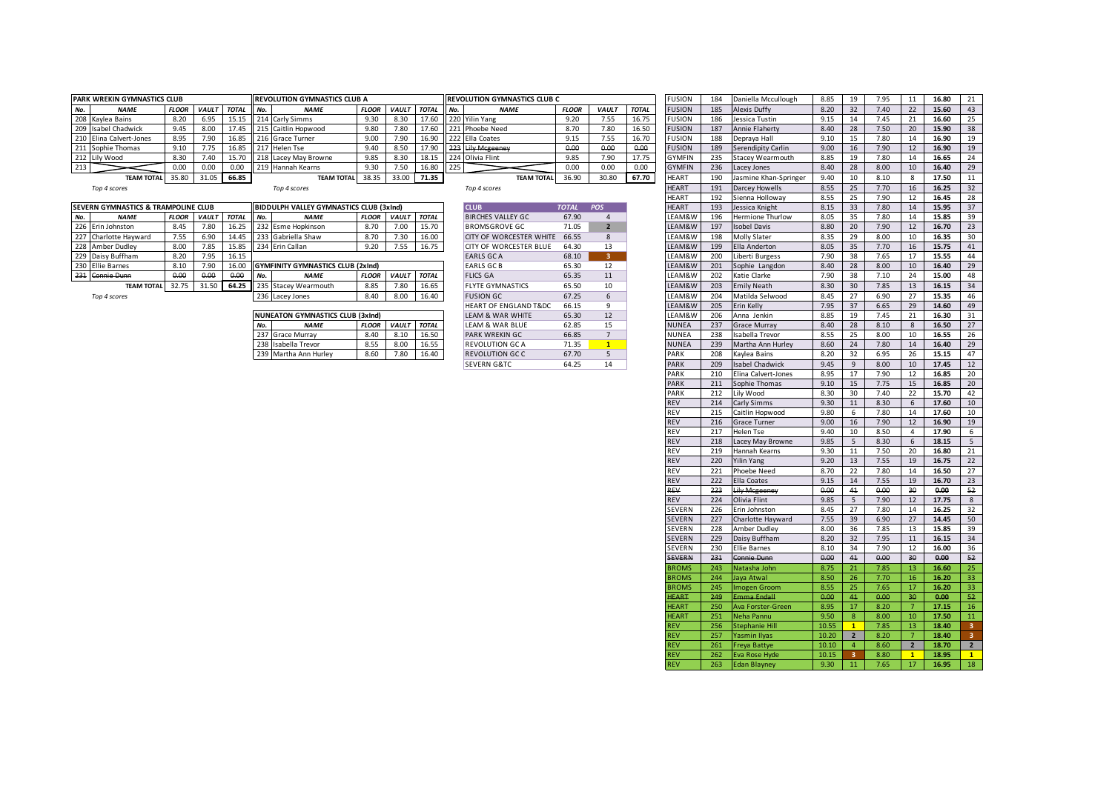| <b>PARK WREKIN GYMNASTICS CLUB</b> |              |              |              |        | <b>IREVOLUTION GYMNASTICS CLUB A</b> |              |              |              |    | <b>IREVOLUTION GYMNASTICS CLUB C</b> |              |             |              | <b>FUSION</b> | 184 | Daniella Mccullough     | 8.85 |    | 7.95 |    | 16.80 |  |
|------------------------------------|--------------|--------------|--------------|--------|--------------------------------------|--------------|--------------|--------------|----|--------------------------------------|--------------|-------------|--------------|---------------|-----|-------------------------|------|----|------|----|-------|--|
| <b>NAME</b>                        | <b>FLOOR</b> | <b>VAULT</b> | <b>TOTAL</b> | II No. | <b>NAME</b>                          | <b>FLOOR</b> | <b>VAULT</b> | <b>TOTAL</b> | NQ | <b>NAME</b>                          | <b>FLOOR</b> | <b>VAUL</b> | <b>TOTAL</b> | <b>FUSION</b> | 185 | Alexis Duffy            | 8.20 |    | 7.40 |    | 15.60 |  |
| 208 Kaylea Bains                   | 8.20         | 6.95         | 15.15        |        | 214 Carly Simms                      |              | 8.30         |              |    | 17.60 220 Yilin Yang                 | 9.20         | 7.55        | 16.75        | <b>FUSION</b> | 186 | Jessica Tustin          | 0.1E |    | 1.45 |    | 16.60 |  |
| 209 Isabel Chadwick                | 9.45         | 8.00         | 17.45        |        | 215 Caitlin Hopwood                  | 9.80         | 7.80         |              |    | 17.60 221 Phoebe Need                | 8.70         | 7.80        | 16.50        | <b>FUSION</b> | 187 | <b>Annie Flaherty</b>   | 8.40 | 28 | 7.50 | 20 | 15.90 |  |
| 210 Elina Calvert-Jones            | 8.95         | 7.90         | 16.85        |        | 216 Grace Turner                     | 9.00         | 7.90         |              |    | 16.90 222 Ella Coates                | 9.15         | 7.55        | 16.70        | <b>FUSION</b> | 188 | Depraya Hall            | 9.10 |    | 7.80 |    | 16.90 |  |
| 211 Sophie Thomas                  | 9.10         |              | 16.85        |        | 217 Helen Tse                        | 9.40         | 8.50         |              |    | 223 Lily Mcgeeney                    | 0.00         | 0.00        | 0.00         | <b>FUSION</b> | 189 | Serendipity Carlin      |      |    | 7.90 |    | 16.90 |  |
| 212 Lily Wood                      | 8.30         | 7.4C         | 15.70        |        | 218 Lacey May Browne                 | 9.85         | 8.30         | 18.15        |    | Il 224 Olivia Flint                  | 9.85         | 7.90        | 17.75        | <b>GYMFIN</b> | 235 | <b>Stacev Wearmouth</b> | 8.85 |    | 7.80 |    | 16.65 |  |
|                                    | 0.00         | ი.იი         |              |        | 219 Hannah Kearns                    |              | 7.50         | 16.80        |    |                                      |              | 0.00        | 0.00         | <b>GYMFIN</b> | 236 | Lacey Jones             | 8.4( | 28 | 8.00 |    | 16.40 |  |
| <b>TEAM TOTAL</b>                  | 35.80        |              | 66.85        |        | <b>TEAM TOTAL</b>                    | 38.35        | 33.00        | 71.35        |    | <b>TEAM TOTAL</b>                    | 36.90        | 30.80       | 67.70        | <b>HEART</b>  | 190 | Jasmine Khan-Springer   |      |    | 8.10 |    | 17.50 |  |

|     | SEVERN GYMNASTICS & TRAMPOLINE CLUB |              |              |              |        | <b>BIDDULPH VALLEY GYMNASTICS CLUB (3xInd)</b> |              |              |              | <b>LCLUB</b>                  | <b>TOTAL</b> | POS | <b>HEART</b>      | 193 | Jessica Knight          | 8.15 | 7.80 | 14 | 15.95 |  |
|-----|-------------------------------------|--------------|--------------|--------------|--------|------------------------------------------------|--------------|--------------|--------------|-------------------------------|--------------|-----|-------------------|-----|-------------------------|------|------|----|-------|--|
| No. | <b>NAME</b>                         | <b>FLOOR</b> | <b>VAULT</b> | <b>TOTAL</b> | II No. | <b>NAME</b>                                    | <b>FLOOR</b> | <b>VAULT</b> | <b>TOTAL</b> | <b>BIRCHES VALLEY GC</b>      | 67.90        |     | LEAM&W            | 196 | <b>Hermione Thurlow</b> | 8.05 | 7.80 |    | 15.85 |  |
|     | 226 Erin Johnston                   | 8.45         | 7.80         | 16.25        |        | 232 Esme Hopkinson                             | 8.70         | 7.00         | 15.70        | <b>BROMSGROVE GC</b>          | 71.05        |     | LEAM&W            | 197 | <b>Isobel Davis</b>     | 8.80 | 7.90 |    | 16.70 |  |
|     | 227 Charlotte Hayward               | 7.55         | 6.90         | 14.45        |        | 233 Gabriella Shaw                             | 8.70         | 7.30         | 16.00        | CITY OF WORCESTER WHITE       | 66.55        |     | LEAM&W            | 198 | Molly Slater            | 8.35 | 8.00 |    | 16.35 |  |
|     | 228 Amber Dudley                    | 8.00         | 7.85         | 15.85        |        | 234 Erin Callan                                | 9.20         | 7.55         | 16.75        | <b>CITY OF WORCESTER BLUE</b> | 64.30        | 13  | LEAM&W            | 199 | Ella Anderton           | 8.05 | 7.70 | 16 | 15.75 |  |
|     | 229 Daisy Buffham                   | 8.20         | 7.95         | 16.15        |        |                                                |              |              |              | <b>EARLS GCA</b>              | 68.10        |     | LEAM&W            | 200 | Liberti Burgess         | 7.90 | 7.65 |    | 15.55 |  |
|     | 230 Ellie Barnes                    | 8.10         | ,90          |              |        | <b>GYMFINITY GYMNASTICS CLUB (2xInd)</b>       |              |              |              | <b>EARLS GCB</b>              | 65.30        | 12  | LEAM&W            | 201 | Sophie Langdon          | 8.40 | 8.00 |    | 16.40 |  |
|     | 231 Connie Dunn                     | 0.00         | 0.00         | 0.00         | No.    | <b>NAME</b>                                    | <b>FLOOR</b> | <b>VAULT</b> | <b>TOTAL</b> | <b>FLICS GA</b>               | 65.35        | 11  | LEAM&W            | 202 | Katie Clarke            | 7.90 | 7.10 |    | 15.00 |  |
|     | TEAM TOTAL 32.75                    |              | 31.50        | 64.25        |        | 235 Stacey Wearmouth                           | 8.85         | 7.80         | 16.65        | <b>FLYTE GYMNASTICS</b>       | 65.50        | 10  | <b>LEAM&amp;W</b> | 203 | <b>Emily Neath</b>      | 8.30 | 7.85 |    | 16.15 |  |
|     | Top 4 scores                        |              |              |              |        | 236 Lacey Jones                                | 8.40         | 8.00         | 16.40        | <b>FUSION GC</b>              | 67.25        |     | LEAM&W            | 204 | Matilda Selwood         | 8.45 | 5.9C |    | 15.35 |  |
|     |                                     |              |              |              |        |                                                |              |              |              |                               |              |     |                   |     |                         |      |      |    |       |  |

|     | <b>NUNEATON GYMNASTICS CLUB (3xInd)</b> |              |              |              |
|-----|-----------------------------------------|--------------|--------------|--------------|
| No. | <b>NAME</b>                             | <b>FLOOR</b> | <b>VAULT</b> | <b>TOTAL</b> |
|     | 237 Grace Murray                        | 8.40         | 8.10         | 16.50        |
|     | 238 Isabella Trevor                     | 8.55         | 8.00         | 16.55        |
|     | 239 Martha Ann Hurley                   | 8.60         | 7.80         | 16.40        |

| <b>CLUB</b>                 | <b>TOTAL</b> | <b>POS</b>     |
|-----------------------------|--------------|----------------|
| <b>BIRCHES VALLEY GC</b>    | 67.90        | 4              |
|                             |              |                |
| <b>BROMSGROVE GC</b>        | 71.05        | $\overline{2}$ |
| CITY OF WORCESTER WHITE     | 66.55        | 8              |
| CITY OF WORCESTER BLUE      | 64.30        | 13             |
| <b>EARLS GC A</b>           | 68.10        | 3              |
| <b>EARLS GCB</b>            | 65.30        | 12             |
| FLICS GA                    | 65.35        | 11             |
| <b>FLYTE GYMNASTICS</b>     | 65.50        | 10             |
| <b>FUSION GC</b>            | 67.25        | 6              |
| HEART OF ENGLAND T&DC.      | 66.15        | 9              |
| <b>LEAM &amp; WAR WHITE</b> | 65.30        | 12             |
| <b>LEAM &amp; WAR BLUE</b>  | 62.85        | 15             |
| PARK WREKIN GC              | 66.85        | $\overline{7}$ |
| <b>REVOLUTION GC A</b>      | 71.35        | $\overline{1}$ |
| <b>REVOLUTION GC C</b>      | 67.70        | 5              |
| <b>SEVERN G&amp;TC</b>      | 64.25        | 14             |

| <b>WREKIN GYMNASTICS CLUB</b>   |              |              |              | REVOLUTION GYMNASTICS CLUB A             |              |              |              |     | REVOLUTION GYMNASTICS CLUB C                    |                |                   |              | <b>FUSION</b>                | 184        | Daniella Mccullough                    | 8.85         | 19             | 7.95         | 11                    | 16.80          | 21              |
|---------------------------------|--------------|--------------|--------------|------------------------------------------|--------------|--------------|--------------|-----|-------------------------------------------------|----------------|-------------------|--------------|------------------------------|------------|----------------------------------------|--------------|----------------|--------------|-----------------------|----------------|-----------------|
| <b>NAME</b>                     | <b>FLOOR</b> | VAULT TOTAL  |              | No.<br><b>NAME</b>                       | <b>FLOOR</b> | <b>VAULT</b> | <b>TOTAL</b> | No. | <b>NAME</b>                                     | <b>FLOOR</b>   | <b>VAULT</b>      | <b>TOTAL</b> | <b>FUSION</b>                | 185        | Alexis Duffy                           | 8.20         | 32             | 7.40         | 22                    | 15.60          | 43              |
| Kaylea Bains                    | 8.20         | 6.95         | 15.15        | 214 Carly Simms                          | 9.30         | 8.30         | 17.60        |     | 220 Yilin Yang                                  | 9.20           | 7.55              | 16.75        | <b>FUSION</b>                | 186        | Jessica Tustin                         | 9.15         | 14             | 7.45         | 21                    | 16.60          | 25              |
| <b>Isabel Chadwick</b>          | 9.45         | 8.00         | 17.45        | 215 Caitlin Hopwood                      | 9.80         | 7.80         | 17.60        |     | 221 Phoebe Need                                 | 8.70           | 7.80              | 16.50        | <b>FUSION</b>                | 187        | <b>Annie Flaherty</b>                  | 8.40         | 28             | 7.50         | 20                    | 15.90          | 38              |
| Elina Calvert-Jones             | 8.95         | 7.90         | 16.85        | 216 Grace Turner                         | 9.00         | 7.90         | 16.90        |     | 222 Ella Coates                                 | 9.15           | 7.55              | 16.70        | <b>FUSION</b>                | 188        | Depraya Hall                           | 9.10         | 15             | 7.80         | 14                    | 16.90          | 19              |
| Sophie Thomas                   | 9.10         | 7.75         | 16.85        | 217 Helen Tse                            | 9.40         | 8.50         | 17.90        |     | 223 Lily Mcgeeney                               | 0.00           | 0.00              | 0.00         | <b>FUSION</b>                | 189        | Serendipity Carlin                     | 9.00         | 16             | 7.90         | 12                    | 16.90          | 19              |
| Lily Wood                       | 8.30         | 7.40         | 15.70        | 218 Lacey May Browne                     | 9.85         | 8.30         | 18.15        |     | 224 Olivia Flint                                | 9.85           | 7.90              | 17.75        | <b>GYMFIN</b>                | 235        | <b>Stacey Wearmouth</b>                | 8.85         | 19             | 7.80         | 14                    | 16.65          | 24              |
|                                 | 0.00         | 0.00         | 0.00         | 219 Hannah Kearns                        | 9.30         | 7.50         | 16.80        | 225 |                                                 | 0.00           | 0.00              | 0.00         | <b>GYMFIN</b>                | 236        | Lacey Jones                            | 8.40         | 28             | 8.00         | 10                    | 16.40          | 29              |
| <b>TEAM TOTAL</b>               | 35.80        | 31.05        | 66.85        | <b>TEAM TOTAL</b>                        | 38.35        | 33.00        | 71.35        |     | <b>TEAM TOTAL</b>                               | 36.90          | 30.80             | 67.70        | <b>HEART</b>                 | 190        | Jasmine Khan-Springer                  | 9.40         | 10             | 8.10         | 8                     | 17.50          | 11              |
| Top 4 scores                    |              |              |              | Top 4 scores                             |              |              |              |     | Top 4 scores                                    |                |                   |              | <b>HEART</b>                 | 191        | Darcey Howells                         | 8.55         | 25             | 7.70         | 16                    | 16.25          | 32              |
|                                 |              |              |              |                                          |              |              |              |     |                                                 |                |                   |              | <b>HEART</b>                 | 192        | Sienna Holloway                        | 8.55         | 25             | 7.90         | 12                    | 16.45          | 28              |
| IN GYMNASTICS & TRAMPOLINE CLUB |              |              |              | BIDDULPH VALLEY GYMNASTICS CLUB (3xInd)  |              |              |              |     | <b>CLUB</b>                                     | <b>TOTAL</b>   | <b>POS</b>        |              | <b>HEART</b>                 | 193        | Jessica Knight                         | 8.15         | 33             | 7.80         | 14                    | 15.95          | 37              |
| <b>NAME</b>                     | <b>FLOOR</b> | <b>VAULT</b> | <b>TOTAL</b> | <b>NAME</b><br>No.                       | <b>FLOOR</b> | <b>VAULT</b> | <b>TOTAL</b> |     | <b>BIRCHES VALLEY GC</b>                        | 67.90          | $\overline{4}$    |              | LEAM&W                       | 196        | Hermione Thurlow                       | 8.05         | 35             | 7.80         | 14                    | 15.85          | 39              |
| Erin Johnston                   | 8.45         | 7.80         | 16.25        | 232 Esme Hopkinson                       | 8.70         | 7.00         | 15.70        |     | <b>BROMSGROVE GC</b>                            | 71.05          | $\overline{2}$    |              | LEAM&W                       | 197        | sobel Davis                            | 8.80         | 20             | 7.90         | 12                    | 16.70          | 23              |
| Charlotte Hayward               | 7.55         | 6.90         | 14.45        | 233 Gabriella Shaw                       | 8.70         | 7.30         | 16.00        |     | CITY OF WORCESTER WHITE 66.55                   |                | 8                 |              | LEAM&W                       | 198        | <b>Molly Slater</b>                    | 8.35         | 29             | 8.00         | 10                    | 16.35          | 30              |
| Amber Dudley                    | 8.00         | 7.85         | 15.85        | 234 Erin Callan                          | 9.20         | 7.55         | 16.75        |     | CITY OF WORCESTER BLUE                          | 64.30          | 13                |              | LEAM&W                       | 199        | Ella Anderton                          | 8.05         | 35             | 7.70         | 16                    | 15.75          | 41              |
| Daisy Buffham                   | 8.20         | 7.95         | 16.15        |                                          |              |              |              |     | EARLS GCA                                       | 68.10          | 3 <sup>2</sup>    |              | LEAM&W                       | 200        | Liberti Burgess                        | 7.90         | 38             | 7.65         | 17                    | 15.55          | 44              |
| <b>Ellie Barnes</b>             | 8.10         | 7.90         | 16.00        | <b>GYMFINITY GYMNASTICS CLUB (2xInd)</b> |              |              |              |     | <b>EARLS GCB</b>                                | 65.30          | 12                |              | LEAM&W                       | 201        | Sophie Langdon                         | 8.40         | 28             | 8.00         | 10                    | 16.40          | 29              |
| Connie Dunn                     | 0.00         | 0.00         | 0.00         | No.<br><b>NAME</b>                       | <b>FLOOR</b> | <b>VAULT</b> | <b>TOTAL</b> |     | <b>FLICS GA</b>                                 | 65.35          | 11                |              | LEAM&W                       | 202        | Katie Clarke                           | 7.90         | 38             | 7.10         | 24                    | 15.00          | 48              |
| <b>TEAM TOTAL</b>               | 32.75        | 31.50        | 64.25        | 235 Stacey Wearmouth                     | 8.85         | 7.80         | 16.65        |     | <b>FLYTE GYMNASTICS</b>                         | 65.50          | 10                |              | LEAM&W                       | 203        | <b>Emily Neath</b>                     | 8.30         | 30             | 7.85         | 13                    | 16.15          | 34              |
| Top 4 scores                    |              |              |              | 236 Lacey Jones                          | 8.40         | 8.00         | 16.40        |     | <b>FUSION GC</b>                                | 67.25          | 6                 |              | LEAM&W                       | 204        | Matilda Selwood                        | 8.45         | 27             | 6.90         | 27                    | 15.35          | 46              |
|                                 |              |              |              |                                          |              |              |              |     | HEART OF ENGLAND T&DC                           | 66.15          | 9                 |              | LEAM&W                       | 205        | Erin Kelly                             | 7.95         | 37             | 6.65         | 29                    | 14.60          | 49              |
|                                 |              |              |              | <b>NUNEATON GYMNASTICS CLUB (3xInd)</b>  |              |              |              |     | LEAM & WAR WHITE                                | 65.30          | 12                |              | LEAM&W                       | 206        | Anna Jenkin                            | 8.85         | 19             | 7.45         | 21                    | 16.30          | 31              |
|                                 |              |              |              | <b>NAME</b><br>No.                       | <b>FLOOR</b> | <b>VAULT</b> | <b>TOTAL</b> |     | LEAM & WAR BLUE                                 | 62.85          | 15                |              | <b>NUNEA</b>                 | 237        | <b>Grace Murray</b>                    | 8.40         | 28             | 8.10         | 8                     | 16.50          | 27              |
|                                 |              |              |              | 237 Grace Murray                         | 8.40         | 8.10         | 16.50        |     | <b>PARK WREKIN GC</b>                           | 66.85          | $7\overline{ }$   |              | <b>NUNEA</b>                 | 238        | Isabella Trevor                        | 8.55         | 25             | 8.00         | 10                    | 16.55          | 26              |
|                                 |              |              |              | 238 Isabella Trevor                      | 8.55         | 8.00         | 16.55        |     | <b>REVOLUTION GC A</b>                          | 71.35          | $\mathbf{1}$<br>5 |              | <b>NUNEA</b>                 | 239        | Martha Ann Hurley                      | 8.60         | 24<br>32       | 7.80         | 14                    | 16.40          | 29<br>47        |
|                                 |              |              |              | 239 Martha Ann Hurley                    | 8.60         | 7.80         | 16.40        |     | <b>REVOLUTION GCC</b><br><b>SEVERN G&amp;TC</b> | 67.70<br>64.25 | 14                |              | PARK<br>PARK                 | 208<br>209 | Kaylea Bains<br><b>Isabel Chadwick</b> | 8.20<br>9.45 | 9              | 6.95<br>8.00 | 26<br>10              | 15.15<br>17.45 | 12              |
|                                 |              |              |              |                                          |              |              |              |     |                                                 |                |                   |              | PARK                         | 210        | Elina Calvert-Jones                    | 8.95         | 17             | 7.90         | 12                    | 16.85          | 20              |
|                                 |              |              |              |                                          |              |              |              |     |                                                 |                |                   |              | PARK                         | 211        | Sophie Thomas                          | 9.10         | 15             | 7.75         | 15                    | 16.85          | 20              |
|                                 |              |              |              |                                          |              |              |              |     |                                                 |                |                   |              | PARK                         | 212        | Lily Wood                              | 8.30         | 30             | 7.40         | 22                    | 15.70          | 42              |
|                                 |              |              |              |                                          |              |              |              |     |                                                 |                |                   |              | <b>REV</b>                   | 214        | Carly Simms                            | 9.30         | 11             | 8.30         | 6                     | 17.60          | 10              |
|                                 |              |              |              |                                          |              |              |              |     |                                                 |                |                   |              | REV                          | 215        | Caitlin Hopwood                        | 9.80         | 6              | 7.80         | 14                    | 17.60          | 10              |
|                                 |              |              |              |                                          |              |              |              |     |                                                 |                |                   |              | <b>REV</b>                   | 216        | <b>Grace Turner</b>                    | 9.00         | 16             | 7.90         | 12                    | 16.90          | 19              |
|                                 |              |              |              |                                          |              |              |              |     |                                                 |                |                   |              | REV                          | 217        | Helen Tse                              | 9.40         | 10             | 8.50         | $\overline{4}$        | 17.90          | 6               |
|                                 |              |              |              |                                          |              |              |              |     |                                                 |                |                   |              | <b>REV</b>                   | 218        | Lacey May Browne                       | 9.85         | 5 <sup>5</sup> | 8.30         | 6                     | 18.15          | 5 <sup>7</sup>  |
|                                 |              |              |              |                                          |              |              |              |     |                                                 |                |                   |              | <b>REV</b>                   | 219        | Hannah Kearns                          | 9.30         | 11             | 7.50         | 20                    | 16.80          | 21              |
|                                 |              |              |              |                                          |              |              |              |     |                                                 |                |                   |              | <b>REV</b>                   | 220        | <b>Yilin Yang</b>                      | 9.20         | 13             | 7.55         | 19                    | 16.75          | 22              |
|                                 |              |              |              |                                          |              |              |              |     |                                                 |                |                   |              | REV                          | 221        | Phoebe Need                            | 8.70         | 22             | 7.80         | 14                    | 16.50          | 27              |
|                                 |              |              |              |                                          |              |              |              |     |                                                 |                |                   |              | <b>REV</b>                   | 222        | Ella Coates                            | 9.15         | 14             | 7.55         | 19                    | 16.70          | 23              |
|                                 |              |              |              |                                          |              |              |              |     |                                                 |                |                   |              | <b>REV</b>                   | 223        | <b>Lily Mcgeeney</b>                   | 0.00         | 41             | 0.00         | 30                    | 0.00           | 52              |
|                                 |              |              |              |                                          |              |              |              |     |                                                 |                |                   |              | <b>REV</b>                   | 224        | Olivia Flint                           | 9.85         | 5 <sup>5</sup> | 7.90         | 12                    | 17.75          | 8               |
|                                 |              |              |              |                                          |              |              |              |     |                                                 |                |                   |              | SEVERN                       | 226        | Erin Johnston                          | 8.45         | 27             | 7.80         | 14                    | 16.25          | 32              |
|                                 |              |              |              |                                          |              |              |              |     |                                                 |                |                   |              | SEVERN                       | 227        | Charlotte Hayward                      | 7.55         | 39             | 6.90         | 27                    | 14.45          | 50              |
|                                 |              |              |              |                                          |              |              |              |     |                                                 |                |                   |              | SEVERN                       | 228        | Amber Dudley                           | 8.00         | 36             | 7.85         | 13                    | 15.85          | 39              |
|                                 |              |              |              |                                          |              |              |              |     |                                                 |                |                   |              | SEVERN                       | 229        | Daisy Buffham                          | 8.20         | 32             | 7.95         | 11                    | 16.15          | 34              |
|                                 |              |              |              |                                          |              |              |              |     |                                                 |                |                   |              | SEVERN                       | 230        | <b>Ellie Barnes</b>                    | 8.10         | 34             | 7.90         | 12                    | 16.00          | 36              |
|                                 |              |              |              |                                          |              |              |              |     |                                                 |                |                   |              | <b>SEVERN</b>                | 231        | <b>Connie Dunn</b>                     | 0.00         | 41             | 0.00         | 30                    | 0.00           | 52              |
|                                 |              |              |              |                                          |              |              |              |     |                                                 |                |                   |              | <b>BROMS</b>                 | 243        | Natasha John                           | 8.75         | 21             | 7.85         | 13                    | 16.60          | 25              |
|                                 |              |              |              |                                          |              |              |              |     |                                                 |                |                   |              | <b>BROMS</b>                 | 244        | Jaya Atwal                             | 8.50         | 26             | 7.70         | 16                    | 16.20          | 33 <sup>°</sup> |
|                                 |              |              |              |                                          |              |              |              |     |                                                 |                |                   |              | <b>BROMS</b><br><b>HEART</b> | 245<br>249 | Imogen Groom<br>Emma Endal             | 8.55<br>0.00 | 25<br>41       | 7.65<br>0.00 | 17<br>30 <sub>o</sub> | 16.20<br>0.00  | 33<br>52        |
|                                 |              |              |              |                                          |              |              |              |     |                                                 |                |                   |              | <b>HEART</b>                 | 250        | Ava Forster-Green                      | 8.95         | 17             | 8.20         | 7 <sup>7</sup>        | 17.15          | 16              |
|                                 |              |              |              |                                          |              |              |              |     |                                                 |                |                   |              | <b>HEART</b>                 | 251        | Neha Pannu                             | 9.50         | 8              | 8.00         | 10                    | 17.50          | 11              |
|                                 |              |              |              |                                          |              |              |              |     |                                                 |                |                   |              | <b>REV</b>                   | 256        | <b>Stephanie Hill</b>                  | 10.55        | $\mathbf{1}$   | 7.85         | 13                    | 18.40          | $3 -$           |
|                                 |              |              |              |                                          |              |              |              |     |                                                 |                |                   |              | <b>REV</b>                   | 257        | Yasmin Ilyas                           | 10.20        | $\overline{2}$ | 8.20         | 7 <sup>7</sup>        | 18.40          | 3 <sup>1</sup>  |
|                                 |              |              |              |                                          |              |              |              |     |                                                 |                |                   |              | <b>REV</b>                   | 261        | <b>Freya Battye</b>                    | 10.10        | $\overline{4}$ | 8.60         | $\overline{2}$        | 18.70          | $\overline{2}$  |
|                                 |              |              |              |                                          |              |              |              |     |                                                 |                |                   |              | <b>REV</b>                   | 262        | Eva Rose Hyde                          | 10.15        | 3              | 8.80         | $\mathbf{1}$          | 18.95          | $\mathbf{1}$    |
|                                 |              |              |              |                                          |              |              |              |     |                                                 |                |                   |              | <b>REV</b>                   |            | 263 Edan Blayney                       | 9.30         | 11             | 7.65         | 17                    | 16.95          | 18              |
|                                 |              |              |              |                                          |              |              |              |     |                                                 |                |                   |              |                              |            |                                        |              |                |              |                       |                |                 |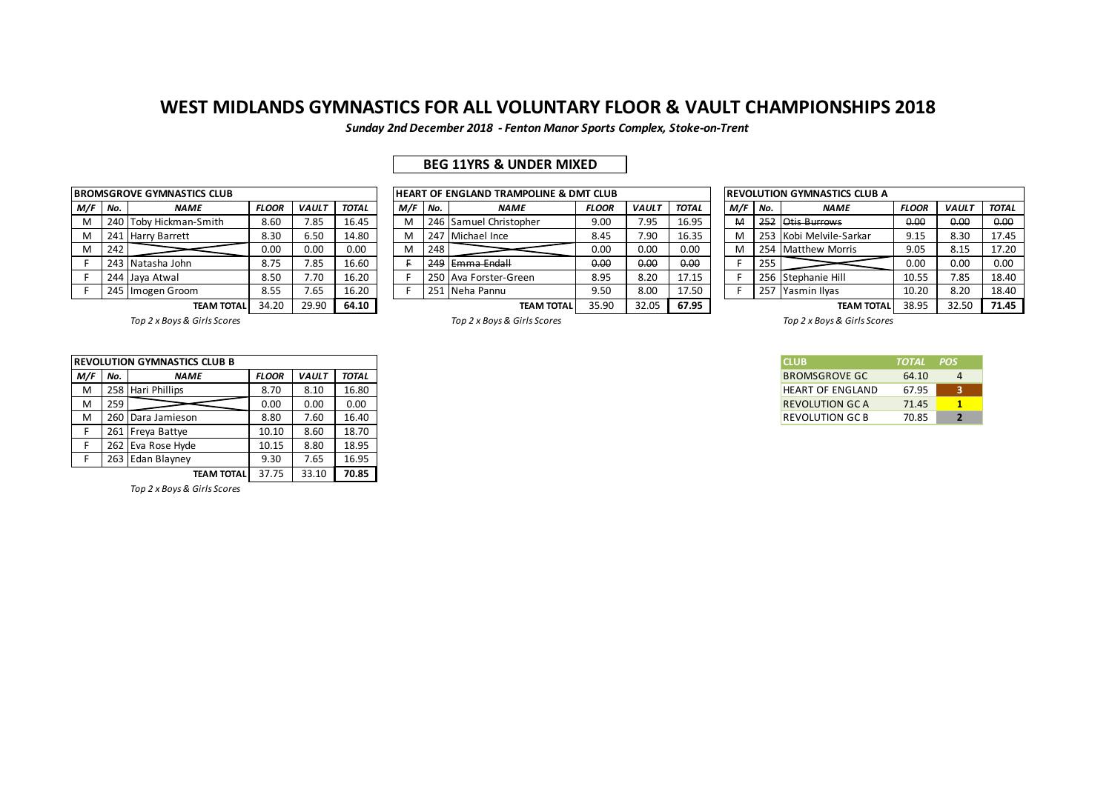*Sunday 2nd December 2018 - Fenton Manor Sports Complex, Stoke-on-Trent*

## **BEG 11YRS & UNDER MIXED**

|     |     | <b>BROMSGROVE GYMNASTICS CLUB</b> |              |              |              |
|-----|-----|-----------------------------------|--------------|--------------|--------------|
| M/F | No. | <b>NAME</b>                       | <b>FLOOR</b> | <b>VAULT</b> | <b>TOTAL</b> |
| м   |     | 240 Toby Hickman-Smith            | 8.60         | 7.85         | 16.45        |
| м   | 241 | <b>Harry Barrett</b>              | 8.30         | 6.50         | 14.80        |
| M   | 242 |                                   | 0.00         | 0.00         | 0.00         |
| F.  |     | 243 Natasha John                  | 8.75         | 7.85         | 16.60        |
| F   | 244 | Jaya Atwal                        | 8.50         | 7.70         | 16.20        |
| F.  |     | 245 Imogen Groom                  | 8.55         | 7.65         | 16.20        |
|     |     |                                   | - - - -      | -- - -       | -- - -       |

|     |     | ROMSGROVE GYMNASTICS CLUB |              |              |       |     |     | <b>IHEART OF ENGLAND TRAMPOLINE &amp; DMT CLUB</b> |              |              |              |     |       | <b>IREVOLUTION GYMNASTICS CLUB A</b> |              |              |              |
|-----|-----|---------------------------|--------------|--------------|-------|-----|-----|----------------------------------------------------|--------------|--------------|--------------|-----|-------|--------------------------------------|--------------|--------------|--------------|
| 1/F | No. | <b>NAME</b>               | <b>FLOOR</b> | <b>VAULT</b> | TOTAL | M/F | No. | <b>NAME</b>                                        | <b>FLOOR</b> | <b>VAUL1</b> | <b>TOTAL</b> | M/F | l No. | <b>NAME</b>                          | <b>FLOOR</b> | <b>VAULT</b> | <b>TOTAL</b> |
|     | 240 | Toby Hickman-Smith        | 8.60         | 7.85         | 16.45 |     |     | 246 Samuel Christopher                             | 9.00         | 7.95         | 16.95        | M   | 252   | Otis Burrows                         | 0.00         | 0.00         | 0.00         |
|     |     | 241 Harry Barrett         | 8.30         | 6.50         | 14.80 |     |     | 247 Michael Ince                                   | 8.45         | 7.90         | 16.35        | м   |       | 253 Kobi Melvile-Sarkar              | 9.15         | 8.30         | 17.45        |
|     | 242 |                           | 0.00         | 0.00         | 0.00  | M   | 248 |                                                    | 0.00         | 0.00         | 0.00         | M   | 254   | <b>Matthew Morris</b>                | 9.05         | 8.15         | 17.20        |
|     |     | 243 Natasha John          | 8.75         | 7.85         | 16.60 |     |     | 249 Emma Endall                                    | 0.00         | 0.00         | 0.00         |     | 255   |                                      | 0.00         | 0.00         | 0.00         |
|     |     | 244 Jaya Atwal            | 8.50         | 7.70         | 16.20 |     |     | 250 Ava Forster-Green                              | 8.95         | 8.20         | 17.15        |     |       | 256 Stephanie Hill                   | 10.55        | 7.85         | 18.40        |
|     |     | 245 Imogen Groom          | 8.55         | 7.65         | 16.20 |     |     | 251 Neha Pannu                                     | 9.50         | 8.00         | 17.50        |     | 257   | Yasmin Ilyas                         | 10.20        | 8.20         | 18.40        |
|     |     | <b>TEAM TOTAL</b>         | 34.20        | 29.90        | 64.10 |     |     | <b>TEAM TOTAL</b>                                  | 35.90        | 32.05        | 67.95        |     |       | <b>TEAM TOTAL</b>                    | 38.95        | 32.50        | 71.45        |

| M/F | No. | <b>NAME</b>           | <b>FLOOR</b> | <b>VAULT</b> | <b>TOTAL</b> |
|-----|-----|-----------------------|--------------|--------------|--------------|
| M   | 252 | Otis Burrows          | 0.00         | 0.00         | 0.00         |
| M   | 253 | Kobi Melvile-Sarkar   | 9.15         | 8.30         | 17.45        |
| M   | 254 | <b>Matthew Morris</b> | 9.05         | 8.15         | 17.20        |
| F   | 255 |                       | 0.00         | 0.00         | 0.00         |
| F   | 256 | Stephanie Hill        | 10.55        | 7.85         | 18.40        |
| F   | 257 | Yasmin Ilyas          | 10.20        | 8.20         | 18.40        |
|     |     | ΤΕΔΜ ΤΩΤΔΙ            | 38.95        | 32.50        | 71.45        |

*Top 2 x Boys & Girls Scores Top 2 x Boys & Girls Scores Top 2 x Boys & Girls Scores*

| <b>CLUB</b>             | <b>TOTAL</b> | <b>POS</b> |
|-------------------------|--------------|------------|
| <b>BROMSGROVE GC</b>    | 64.10        | Δ          |
| <b>HEART OF ENGLAND</b> | 67.95        | 3          |
| <b>REVOLUTION GC A</b>  | 71.45        | 1          |
| <b>REVOLUTION GC B</b>  | 70.85        | 2          |

|     |     | <b>IREVOLUTION GYMNASTICS CLUB B</b> |              |              |       |
|-----|-----|--------------------------------------|--------------|--------------|-------|
| M/F | No. | <b>NAME</b>                          | <b>FLOOR</b> | <b>VAULT</b> | TOTAL |
| M   |     | 258 Hari Phillips                    | 8.70         | 8.10         | 16.80 |
| M   | 259 |                                      | 0.00         | 0.00         | 0.00  |
| M   |     | 260 Dara Jamieson                    | 8.80         | 7.60         | 16.40 |
|     |     | 261 Freya Battye                     | 10.10        | 8.60         | 18.70 |
|     |     | 262 Eva Rose Hvde                    | 10.15        | 8.80         | 18.95 |
|     |     | 263 Edan Blayney                     | 9.30         | 7.65         | 16.95 |
|     |     | <b>TEAM TOTAL</b>                    | 37.75        | 33.10        | 70.85 |

*Top 2 x Boys & Girls Scores*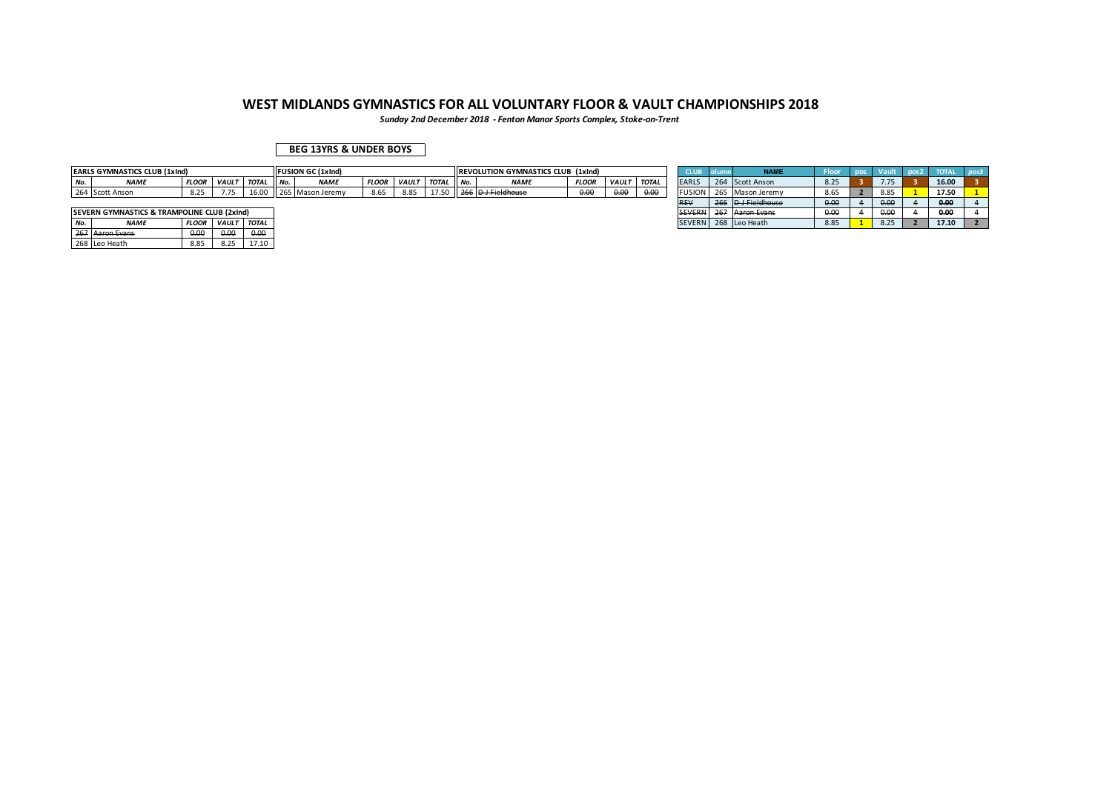*Sunday 2nd December 2018 - Fenton Manor Sports Complex, Stoke-on-Trent*

### **BEG 13YRS & UNDER BOYS**

|     | <b>EARLS GYMNASTICS CLUB (1xInd)</b> |              |              |              |       | <b>FUSION GC (1xlnd)</b> |              |             |       |      | <b>IREVOLUTION GYMNASTICS CLUB (1xInd)</b> |              |              |              |               |     | <b>LABRE</b>                     |      |      |                  |  |
|-----|--------------------------------------|--------------|--------------|--------------|-------|--------------------------|--------------|-------------|-------|------|--------------------------------------------|--------------|--------------|--------------|---------------|-----|----------------------------------|------|------|------------------|--|
| No. | <b>NAMI</b>                          | <b>FLOOR</b> | <b>VAULT</b> | <b>TOTAL</b> | II No | <b>NAMI</b>              | <b>FLOOR</b> | <b>VAUL</b> | TOTAL | ЧNo. | <b>NAME</b>                                | <b>FLOOR</b> | <b>VAULT</b> | <b>TOTAL</b> | <b>EARL</b> : |     | 264 Scott Anson                  | $-2$ |      | 16.00            |  |
|     | 264 Scott Anson                      | 0.25<br>8.ZJ |              |              |       | 5 Mason Jeremy           | 8.65         | 8.85        |       |      | <b>D</b> J Fieldhouse                      | 0.00         | 0.00         | 0.00<br>v.v. | <b>FUSION</b> | 203 | Mason Jeremy                     | 3.65 |      | 17.50            |  |
|     |                                      |              |              |              |       |                          |              |             |       |      |                                            |              |              |              | <b>DEV</b>    |     | $D$ LEigldhouse<br>_____________ | 0.00 | 0.00 | n <sub>n</sub> c |  |

|     | <b>ISEVERN GYMNASTICS &amp; TRAMPOLINE CLUB (2xInd)</b> |              |              |              |
|-----|---------------------------------------------------------|--------------|--------------|--------------|
| No. | <b>NAME</b>                                             | <b>FLOOR</b> | <b>VAULT</b> | <b>TOTAL</b> |
|     | 267 Aaron Evans                                         | 0.00         | 0.00         | 0.00         |
|     | 268 Leo Heath                                           | 8.85         | 8.25         | 17 10        |

|       | EARLS GYMNASTICS CLUB (1xInd)               |              |              |              |        | <b>IFUSION GC (1xind)</b> |              |              |              |       | <b>IREVOLUTION GYMNASTICS CLUB (1xind)</b> |              |              |              | <b>CLUB</b>   | Ιc  | <b>NAME</b>               | <b>Floor</b> | pos | <b>Vault</b> | pos2 <sub>1</sub> | <b>TOTAL</b> | $p$ os3 |
|-------|---------------------------------------------|--------------|--------------|--------------|--------|---------------------------|--------------|--------------|--------------|-------|--------------------------------------------|--------------|--------------|--------------|---------------|-----|---------------------------|--------------|-----|--------------|-------------------|--------------|---------|
| No.   | <b>NAME</b>                                 | <b>FLOOR</b> | <b>VAULT</b> | <b>TOTAL</b> | II No. | <b>NAME</b>               | <b>FLOOR</b> | <b>VAULT</b> | <b>TOTAL</b> | I No. | <b>NAME</b>                                | <b>FLOOR</b> | <b>VAULT</b> | <b>TOTAL</b> | <b>EARLS</b>  | 264 | Scott Anson               | 8.25         |     | 775          |                   | 16.00        |         |
|       | 264 Scott Anson                             | 8.25         |              | 16.00        |        | 265 Mason Jeremy          | 8.65         | 8.85         |              |       | 266 D J Fieldhouse                         | 0.00         | 0.00         | 0.00         | <b>FUSION</b> |     | Mason Jeremy              | 8.65         |     | 8.85         |                   | 17.50        |         |
|       |                                             |              |              |              |        |                           |              |              |              |       |                                            |              |              |              | <b>REV</b>    |     | D <del>J Fieldhouse</del> | 0.00         |     | 0.00         |                   | 0.00         |         |
|       | SEVERN GYMNASTICS & TRAMPOLINE CLUB (2xInd) |              |              |              |        |                           |              |              |              |       |                                            |              |              |              | <b>SEVERN</b> |     | 267 Aaron Evans           | 0.00         |     | 0.00         |                   | 0.00         |         |
| No.   | <b>NAME</b>                                 | <b>FLOOR</b> | <b>VAUL1</b> | <b>TOTAL</b> |        |                           |              |              |              |       |                                            |              |              |              |               |     | SEVERN 268 Leo Heath      | 8.85         |     | 8.25         |                   | 17.10        |         |
| $  -$ |                                             | .            | .            | .            |        |                           |              |              |              |       |                                            |              |              |              |               |     |                           |              |     |              |                   |              |         |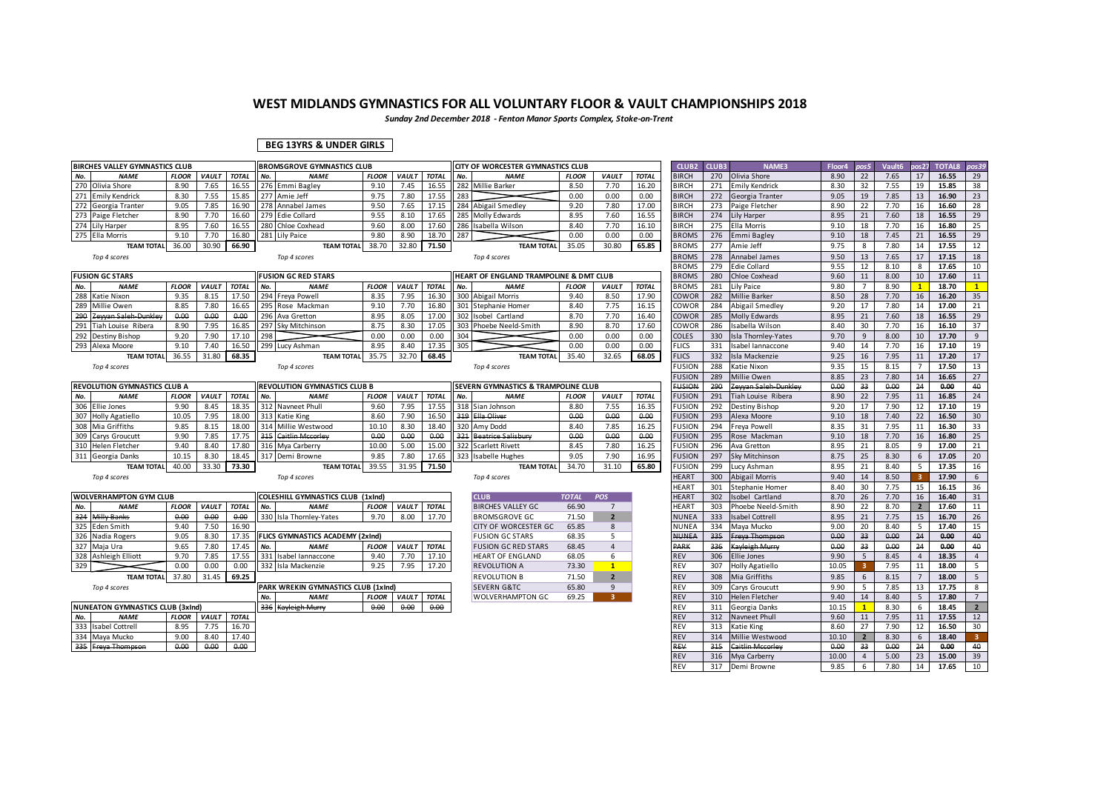*Sunday 2nd December 2018 - Fenton Manor Sports Complex, Stoke-on-Trent*

### **BEG 13YRS & UNDER GIRLS**

| BIRCHES VALLEY GYMNASTICS CLUB          |              |              |              |     | <b>BROMSGROVE GYMNASTICS CLUB</b>       |              |              |              | CITY OF WORCESTER GYMNASTICS CLUB      |              |                |              | CLUB <sub>2</sub> | CLUB3 | NAME3                   | Floor4 | pos5            | Vault6 | pos27                   | <b>TOTAL8</b> | pos39           |
|-----------------------------------------|--------------|--------------|--------------|-----|-----------------------------------------|--------------|--------------|--------------|----------------------------------------|--------------|----------------|--------------|-------------------|-------|-------------------------|--------|-----------------|--------|-------------------------|---------------|-----------------|
| No.<br><b>NAME</b>                      | <b>FLOOR</b> | VAULT        | <b>TOTAL</b> | No. | <b>NAME</b>                             | <b>FLOOR</b> | VAULT        | <b>TOTAL</b> | No.<br><b>NAME</b>                     | <b>FLOOR</b> | <b>VAULT</b>   | <b>TOTAL</b> | <b>BIRCH</b>      | 270   | Olivia Shore            | 8.90   | 22              | 7.65   | 17                      | 16.55         | 29              |
| 270 Olivia Shore                        | 8.90         | 7.65         | 16.55        |     | 276 Emmi Bagley                         | 9.10         | 7.45         | 16.55        | 282 Millie Barker                      | 8.50         | 7.70           | 16.20        | <b>BIRCH</b>      | 271   | <b>Emily Kendrick</b>   | 8.30   | 32              | 7.55   | 19                      | 15.85         | 38              |
| 271<br><b>Emily Kendrick</b>            | 8.30         | 7.55         | 15.85        |     | 277 Amie Jeff                           | 9.75         | 7.80         | 17.55        | 283                                    | 0.00         | 0.00           | 0.00         | <b>BIRCH</b>      | 272   | Georgia Tranter         | 9.05   | 19              | 7.85   | 13                      | 16.90         | 23              |
| 272<br>Georgia Tranter                  | 9.05         | 7.85         | 16.90        |     | 278 Annabel James                       | 9.50         | 7.65         | 17.15        | 284 Abigail Smedley                    | 9.20         | 7.80           | 17.00        | <b>BIRCH</b>      | 273   | Paige Fletcher          | 8.90   | 22              | 7.70   | 16                      | 16.60         | 28              |
| 273 Paige Fletcher                      | 8.90         | 7.70         | 16.60        |     | 279 Edie Collard                        | 9.55         | 8.10         | 17.65        | 285 Molly Edwards                      | 8.95         | 7.60           | 16.55        | <b>BIRCH</b>      | 274   | Lily Harper             | 8.95   | 21              | 7.60   | 18                      | 16.55         | 29              |
| 274 Lily Harper                         | 8.95         | 7.60         | 16.55        |     | 280 Chloe Coxhead                       | 9.60         | 8.00         | 17.60        | 286 Isabella Wilson                    | 8.40         | 7.70           | 16.10        | <b>BIRCH</b>      | 275   | Ella Morris             | 9.10   | 18              | 7.70   | 16                      | 16.80         | 25              |
| 275<br>Ella Morris                      | 9.10         | 7.70         | 16.80        |     | 281 Lily Paice                          | 9.80         | 8.90         | 18.70        | 287                                    | 0.00         | 0.00           | 0.00         | <b>BROMS</b>      | 276   | Emmi Bagley             | 9.10   | 18              | 7.45   | 21                      | 16.55         | 29              |
| <b>TEAM TOTAL</b>                       | 36.00        | 30.90        | 66.90        |     | <b>TEAM TOTAL</b>                       | 38.70        | 32.80        | 71.50        | <b>TEAM TOTAL</b>                      | 35.05        | 30.80          | 65.85        | <b>BROMS</b>      | 277   | Amie Jeff               | 9.75   | 8               | 7.80   | 14                      | 17.55         | 12              |
| Top 4 scores                            |              |              |              |     | Top 4 scores                            |              |              |              | Top 4 scores                           |              |                |              | <b>BROMS</b>      | 278   | Annabel James           | 9.50   | 13              | 7.65   | 17                      | 17.15         | 18              |
|                                         |              |              |              |     |                                         |              |              |              |                                        |              |                |              | <b>BROMS</b>      | 279   | Edie Collard            | 9.55   | 12              | 8.10   | 8                       | 17.65         | 10              |
| <b>FUSION GC STARS</b>                  |              |              |              |     | <b>FUSION GC RED STARS</b>              |              |              |              | HEART OF ENGLAND TRAMPOLINE & DMT CLUB |              |                |              | <b>BROMS</b>      | 280   | Chloe Coxhead           | 9.60   | 11              | 8.00   | 10                      | 17.60         | 11              |
| No.<br><b>NAME</b>                      | <b>FLOOR</b> | <b>VAUL1</b> | <b>TOTAL</b> | No. | <b>NAME</b>                             | <b>FLOOR</b> | VAULT        | <b>TOTAL</b> | No.<br><b>NAME</b>                     | <b>FLOOR</b> | <b>VAULT</b>   | <b>TOTAL</b> | <b>BROMS</b>      | 281   | Lily Paice              | 9.80   | $\overline{7}$  | 8.90   | $\mathbf{1}$            | 18.70         | $\mathbf{1}$    |
| 288<br>Katie Nixon                      | 9.35         | 8.15         | 17.50        |     | 294 Freya Powell                        | 8.35         | 7.95         | 16.30        | 300 Abigail Morris                     | 9.40         | 8.50           | 17.90        | <b>COWOR</b>      | 282   | <b>Millie Barker</b>    | 8.50   | 28              | 7.70   | 16                      | 16.20         | 35              |
| 289<br>Millie Owen                      | 8.85         | 7.80         | 16.65        |     | 295 Rose Mackman                        | 9.10         | 7.70         | 16.80        | 301 Stephanie Homer                    | 8.40         | 7.75           | 16.15        | COWOR             | 284   | Abigail Smedley         | 9.20   | 17              | 7.80   | 14                      | 17.00         | 21              |
| 290<br>Zewan Saleh-Dunkley              | 0.00         | 0.00         | 0.00         |     | 296 Ava Gretton                         | 8.95         | 8.05         | 17.00        | 302 Isobel Cartland                    | 8.70         | 7.70           | 16.40        | <b>COWOR</b>      | 285   | <b>Molly Edwards</b>    | 8.95   | 21              | 7.60   | 18                      | 16.55         | 29              |
| 291<br>Tiah Louise Ribera               | 8.90         | 7.95         | 16.85        |     | 297 Sky Mitchinson                      | 8.75         | 8.30         | 17.05        | 303 Phoebe Neeld-Smith                 | 8.90         | 8.70           | 17.60        | COWOR             | 286   | Isabella Wilson         | 8.40   | 30              | 7.70   | 16                      | 16.10         | 37              |
| 292<br>Destiny Bishop                   | 9.20         | 7.90         | 17.10        | 298 |                                         | 0.00         | 0.00         | 0.00         | 304                                    | 0.00         | 0.00           | 0.00         | COLES             | 330   | Isla Thornley-Yates     | 9.70   | 9               | 8.00   | 10                      | 17.70         | 9               |
| 293<br>Alexa Moore                      | 9.10         | 7.40         | 16.50        |     | 299 Lucy Ashman                         | 8.95         | 8.40         | 17.35        | 305                                    | 0.00         | 0.00           | 0.00         | <b>FLICS</b>      | 331   | Isabel Iannaccone       | 9.40   | 14              | 7.70   | 16                      | 17.10         | 19              |
| <b>TEAM TOTAL</b>                       | 36.55        | 31.80        | 68.35        |     | <b>TEAM TOTAL</b>                       | 35.75        | 32.70        | 68.45        | <b>TEAM TOTAL</b>                      | 35.40        | 32.65          | 68.05        | <b>FLICS</b>      | 332   | Isla Mackenzie          | 9.25   | 16              | 7.95   | 11                      | 17.20         | 17              |
| Top 4 scores                            |              |              |              |     | Top 4 scores                            |              |              |              | Top 4 scores                           |              |                |              | <b>FUSION</b>     | 288   | Katie Nixon             | 9.35   | 15              | 8.15   | $\overline{7}$          | 17.50         | 13              |
|                                         |              |              |              |     |                                         |              |              |              |                                        |              |                |              | <b>FUSION</b>     | 289   | Millie Owen             | 8.85   | 23              | 7.80   | 14                      | 16.65         | 27              |
| REVOLUTION GYMNASTICS CLUB A            |              |              |              |     | REVOLUTION GYMNASTICS CLUB B            |              |              |              | SEVERN GYMNASTICS & TRAMPOLINE CLUB    |              |                |              | <b>FUSION</b>     | 290   | Zewan Saleh Dunkley     | 0.00   | 33 <sub>o</sub> | 0.00   | 24                      | 0.00          | 40              |
| No.<br><b>NAME</b>                      | <b>FLOOR</b> | VAULT        | <b>TOTAL</b> | No. | <b>NAME</b>                             | <b>FLOOR</b> | VAULT        | <b>TOTAL</b> | No.<br><b>NAME</b>                     | <b>FLOOR</b> | <b>VAULT</b>   | <b>TOTAL</b> | <b>FUSION</b>     | 291   | Tiah Louise Ribera      | 8.90   | 22              | 7.95   | 11                      | 16.85         | 24              |
| 306 Ellie Jones                         | 9.90         | 8.45         | 18.35        |     | 312 Navneet Phull                       | 9.60         | 7.95         | 17.55        | 318 Sian Johnson                       | 8.80         | 7.55           | 16.35        | FUSION            | 292   | Destiny Bishop          | 9.20   | 17              | 7.90   | 12                      | 17.10         | 19              |
| 307 Holly Agatiello                     | 10.05        | 7.95         | 18.00        |     | 313 Katie King                          | 8.60         | 7.90         | 16.50        | 319 Ella Oliver                        | 0.00         | 0.00           | 0.00         | <b>FUSION</b>     | 293   | Alexa Moore             | 9.10   | 18              | 7.40   | 22                      | 16.50         | 30 <sup>°</sup> |
| 308 Mia Griffiths                       | 9.85         | 8.15         | 18.00        |     | 314 Millie Westwood                     | 10.10        | 8.30         | 18.40        | 320 Amy Dodd                           | 8.40         | 7.85           | 16.25        | FUSION            | 294   | Freva Powell            | 8.35   | 31              | 7.95   | 11                      | 16.30         | 33              |
| 309<br>Carys Groucutt                   | 9.90         | 7.85         | 17.75        |     | 315 Caitlin Mccorley                    | 0.00         | 0.00         | 0.00         | 321 Beatrice Salisbury                 | 0.00         | 0.00           | 0.00         | <b>FUSION</b>     | 295   | Rose Mackman            | 9.10   | 18              | 7.70   | 16                      | 16.80         | 25              |
| 310 Helen Fletcher                      | 9.40         | 8.40         | 17.80        |     | 316 Mya Carberry                        | 10.00        | 5.00         | 15.00        | 322 Scarlett Rivett                    | 8.45         | 7.80           | 16.25        | <b>FUSION</b>     | 296   | Ava Gretton             | 8.95   | 21              | 8.05   | 9                       | 17.00         | 21              |
| 311<br>Georgia Danks                    | 10.15        | 8.30         | 18.45        |     | 317 Demi Browne                         | 9.85         | 7.80         | 17.65        | 323 Isabelle Hughes                    | 9.05         | 7.90           | 16.95        | <b>FUSION</b>     | 297   | Sky Mitchinson          | 8.75   | 25              | 8.30   | 6                       | 17.05         | 20              |
| <b>TEAM TOTAL</b>                       | 40.00        | 33.30        | 73.30        |     | <b>TEAM TOTAL</b>                       | 39.55        | 31.95        | 71.50        | <b>TEAM TOTAL</b>                      | 34.70        | 31.10          | 65.80        | <b>FUSION</b>     | 299   | Lucy Ashman             | 8.95   | 21              | 8.40   | .5                      | 17.35         | 16              |
| Top 4 scores                            |              |              |              |     | Top 4 scores                            |              |              |              | Top 4 scores                           |              |                |              | <b>HEART</b>      | 300   | <b>Abigail Morris</b>   | 9.40   | 14              | 8.50   | $\overline{\mathbf{a}}$ | 17.90         | 6               |
|                                         |              |              |              |     |                                         |              |              |              |                                        |              |                |              | HEART             | 301   | Stephanie Homer         | 8.40   | 30              | 7.75   | 15                      | 16.15         | 36              |
| <b>WOLVERHAMPTON GYM CLUB</b>           |              |              |              |     | COLESHILL GYMNASTICS CLUB (1xInd)       |              |              |              | <b>CLUB</b>                            | <b>TOTAL</b> | <b>POS</b>     |              | <b>HEART</b>      | 302   | <b>Isobel Cartland</b>  | 8.70   | 26              | 7.70   | 16                      | 16.40         | 31              |
| No.<br><b>NAME</b>                      | <b>FLOOR</b> | VAULT        | <b>TOTAL</b> | No. | <b>NAME</b>                             | <b>FLOOR</b> | <b>VAULT</b> | <b>TOTAL</b> | <b>BIRCHES VALLEY GC</b>               | 66.90        | $7^{\circ}$    |              | HEART             | 303   | Phoebe Neeld-Smith      | 8.90   | 22              | 8.70   | $\overline{2}$          | 17.60         | 11              |
| Milly Banks<br>324                      | 0.00         | 0.00         | 0.00         |     | 330 Isla Thornley-Yates                 | 9.70         | 8.00         | 17.70        | <b>BROMSGROVE GC</b>                   | 71.50        | $\overline{2}$ |              | <b>NUNEA</b>      | 333   | <b>Isabel Cottrell</b>  | 8.95   | 21              | 7.75   | 15                      | 16.70         | 26              |
| 325<br><b>Eden Smith</b>                | 9.40         | 7.50         | 16.90        |     |                                         |              |              |              | CITY OF WORCESTER GC                   | 65.85        | 8              |              | NUNEA             | 334   | Maya Mucko              | 9.00   | 20              | 8.40   | -5                      | 17.40         | 15              |
| 326 Nadia Rogers                        | 9.05         | 8.30         | 17.35        |     | <b>FLICS GYMNASTICS ACADEMY (2xInd)</b> |              |              |              | <b>FUSION GC STARS</b>                 | 68.35        | 5 <sup>1</sup> |              | <b>NUNEA</b>      | 335   | Freya Thompson          | 0.00   | 33 <sub>o</sub> | 0.00   | 24                      | 0.00          | 40              |
| 327<br>Maia Ura                         | 9.65         | 7.80         | 17.45        | No. | <b>NAME</b>                             | <b>FLOOR</b> | VAULT        | <b>TOTAL</b> | <b>FUSION GC RED STARS</b>             | 68.45        | $\overline{4}$ |              | PARK              | 336   | Kayleigh Murr           | 0.00   | 33              | 0.00   | 24                      | 0.00          | 40              |
| 328 Ashleigh Elliott                    | 9.70         | 7.85         | 17.55        | 331 | Isabel Iannaccone                       | 9.40         | 7.70         | 17.10        | HEART OF ENGLAND                       | 68.05        | 6              |              | <b>REV</b>        | 306   | <b>Ellie Jones</b>      | 9.90   | 5               | 8.45   | $\overline{4}$          | 18.35         | $\overline{4}$  |
| 329                                     | 0.00         | 0.00         | 0.00         |     | 332 Isla Mackenzie                      | 9.25         | 7.95         | 17.20        | <b>REVOLUTION A</b>                    | 73.30        | $\mathbf{1}$   |              | <b>REV</b>        | 307   | Holly Agatiello         | 10.05  | 3               | 7.95   | 11                      | 18.00         | 5 <sup>1</sup>  |
| <b>TEAM TOTAL</b>                       | 37.80        | 31.45        | 69.25        |     |                                         |              |              |              | <b>REVOLUTION B</b>                    | 71.50        | $\overline{2}$ |              | <b>REV</b>        | 308   | Mia Griffiths           | 9.85   | 6               | 8.15   | $\overline{7}$          | 18.00         | 5 <sup>5</sup>  |
| Top 4 scores                            |              |              |              |     | PARK WREKIN GYMNASTICS CLUB (1xInd)     |              |              |              | <b>SEVERN G&amp;TC</b>                 | 65.80        | 9              |              | REV               | 309   | Carys Groucutt          | 9.90   | 5               | 7.85   | 13                      | 17.75         | 8               |
|                                         |              |              |              | No. | <b>NAME</b>                             | <b>FLOOR</b> | VAULT        | <b>TOTAL</b> | <b>WOLVERHAMPTON GC</b>                | 69.25        | 3 <sup>1</sup> |              | <b>REV</b>        | 310   | <b>Helen Fletcher</b>   | 9.40   | 14              | 8.40   | 5                       | 17.80         | $7^{\circ}$     |
| <b>NUNEATON GYMNASTICS CLUB (3xInd)</b> |              |              |              |     | 336 Kayleigh Murry                      | 0.00         | 0.00         | 0.00         |                                        |              |                |              | REV               | 311   | Georgia Danks           | 10.15  | $\mathbf{1}$    | 8.30   | 6                       | 18.45         | $2^{\circ}$     |
| No.<br><b>NAME</b>                      | <b>FLOOR</b> | VAULT        | <b>TOTAL</b> |     |                                         |              |              |              |                                        |              |                |              | <b>REV</b>        | 312   | Navneet Phull           | 9.60   | 11              | 7.95   | 11                      | 17.55         | 12              |
| 333<br><b>Isabel Cottrell</b>           | 8.95         | 7.75         | 16.70        |     |                                         |              |              |              |                                        |              |                |              | REV               | 313   | Katie King              | 8.60   | 27              | 7.90   | 12                      | 16.50         | 30              |
| 334<br>Maya Mucko                       | 9.00         | 8.40         | 17.40        |     |                                         |              |              |              |                                        |              |                |              | REV               | 314   | Millie Westwood         | 10.10  | $\overline{2}$  | 8.30   | 6                       | 18.40         | 3 <sup>7</sup>  |
| 335<br>Freya Thompson                   | 0.00         | 0.00         | $0.00 -$     |     |                                         |              |              |              |                                        |              |                |              | REV               | 315   | <b>Caitlin Mccorley</b> | 0.00   | 33              | 0.00   | 24                      | 0.00          | 40              |
|                                         |              |              |              |     |                                         |              |              |              |                                        |              |                |              | <b>REV</b>        |       | 316 Mya Carberry        | 10.00  | $\overline{4}$  | 5.00   | 23                      | 15.00         | 39              |
|                                         |              |              |              |     |                                         |              |              |              |                                        |              |                |              |                   |       |                         |        |                 |        |                         |               |                 |

REV 316 Mya Carberry 10.00 4 5.00 23 15.00 39<br>REV 317 Demi Browne 9.85 6 7.80 14 17.65 10

REV 317 Demi Browne 9.85 6 7.80 14 **17.65** 10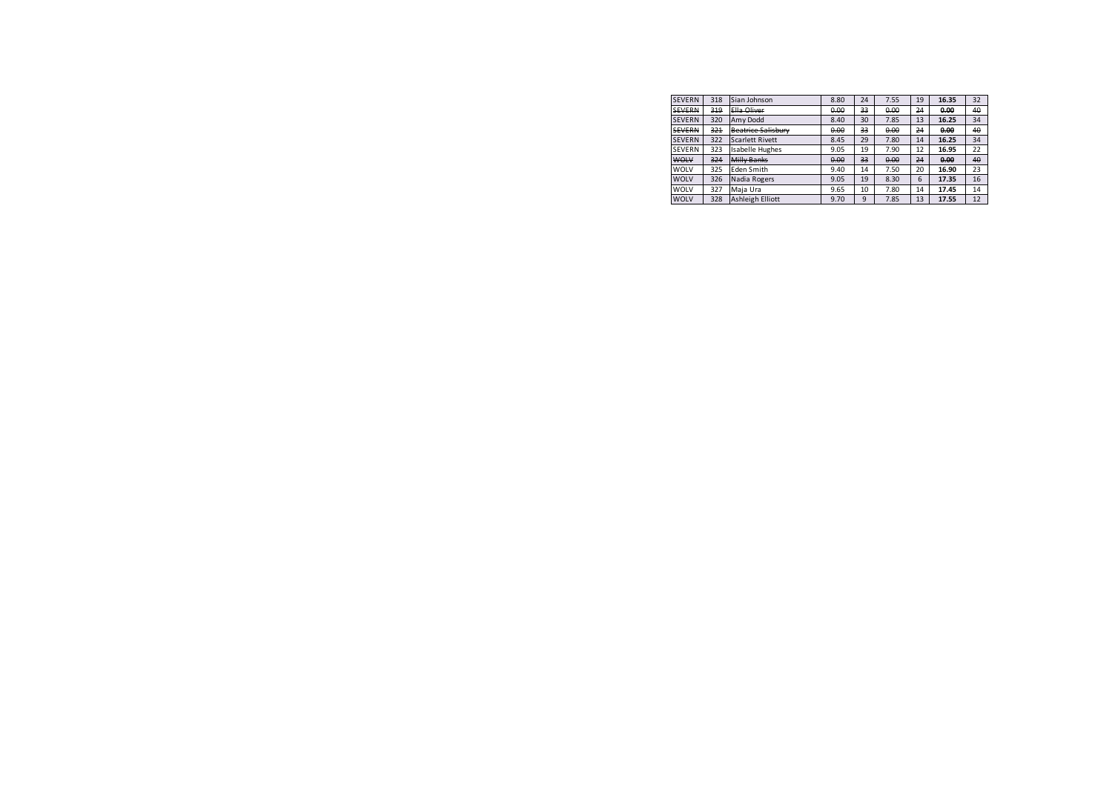| <b>SEVERN</b> | 318 | Sian Johnson              | 8.80 | 24 | 7.55 | 19 | 16.35 | 32 |
|---------------|-----|---------------------------|------|----|------|----|-------|----|
| <b>SEVERN</b> | 319 | Ella Oliver               | 0.00 | 33 | 0.00 | 24 | 0.00  | 40 |
| <b>SEVERN</b> | 320 | Amy Dodd                  | 8.40 | 30 | 7.85 | 13 | 16.25 | 34 |
| <b>SEVERN</b> | 321 | <b>Beatrice Salisbury</b> | 0.00 | 33 | 0.00 | 24 | 0.00  | 40 |
| <b>SEVERN</b> | 322 | <b>Scarlett Rivett</b>    | 8.45 | 29 | 7.80 | 14 | 16.25 | 34 |
| <b>SEVERN</b> | 323 | <b>Isabelle Hughes</b>    | 9.05 | 19 | 7.90 | 12 | 16.95 | 22 |
| <b>WOLV</b>   | 324 | Milly Banks               | 0.00 | 33 | 0.00 | 24 | 0.00  | 40 |
| WOLV          | 325 | Eden Smith                | 9.40 | 14 | 7.50 | 20 | 16.90 | 23 |
| <b>WOLV</b>   | 326 | Nadia Rogers              | 9.05 | 19 | 8.30 | 6  | 17.35 | 16 |
| WOLV          | 327 | Maia Ura                  | 9.65 | 10 | 7.80 | 14 | 17.45 | 14 |
| <b>WOLV</b>   | 328 | Ashleigh Elliott          | 9.70 | 9  | 7.85 | 13 | 17.55 | 12 |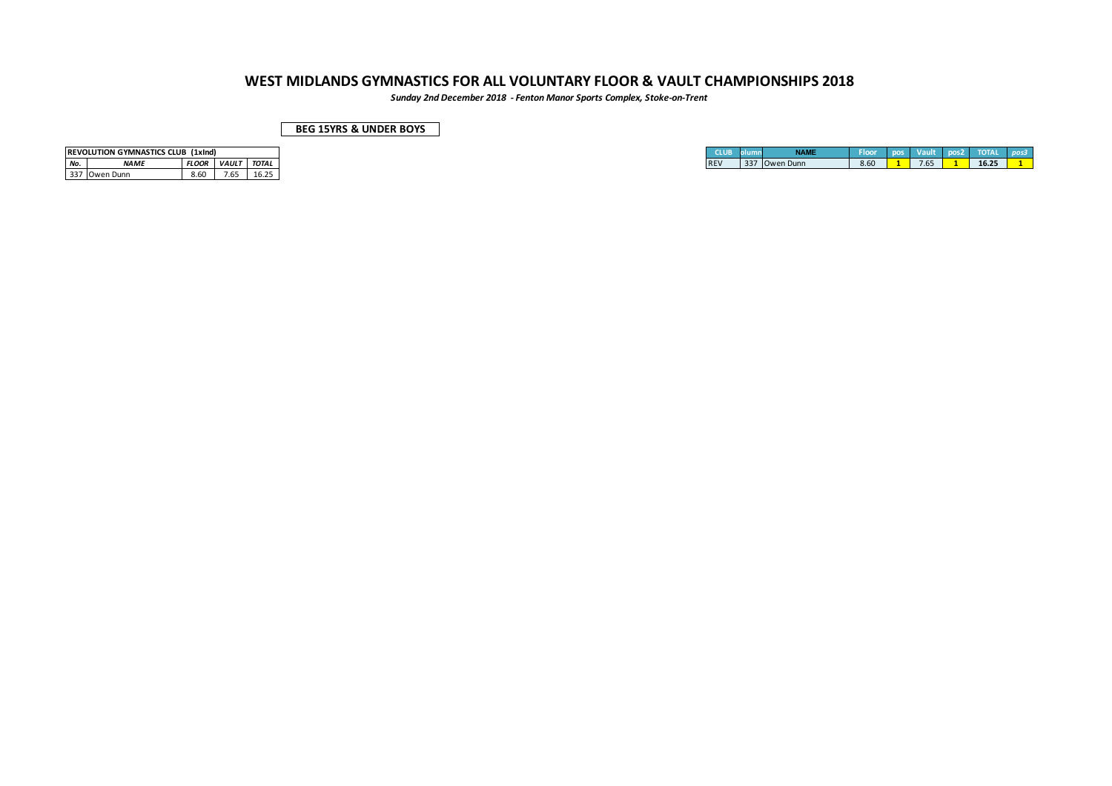*Sunday 2nd December 2018 - Fenton Manor Sports Complex, Stoke-on-Trent*

### **BEG 15YRS & UNDER BOYS**

|       | <b>REVOLUTION GYMNASTICS CLUB (1xInd)</b> |              |              |              |
|-------|-------------------------------------------|--------------|--------------|--------------|
| ' No. | <i><b>NAME</b></i>                        | <b>FLOOR</b> | <b>VAULT</b> | <b>TOTAL</b> |
|       | 1337 Owen Dunn                            | 8.60         | 7.65         |              |

| REVOLUTION GYMNASTICS CLUB (1xInd)                                        |            |     | MAME                               | Floor | l po |                  | mа    |
|---------------------------------------------------------------------------|------------|-----|------------------------------------|-------|------|------------------|-------|
| <b>FLOOR</b><br><b>VAULT</b><br><b>TOTAL</b><br>No.<br><i><b>NAME</b></i> | <b>REV</b> | -22 | $\sim$ $\sim$<br><b>IOwen Dunn</b> | 8.60  |      | $\overline{1.0}$ | 16.25 |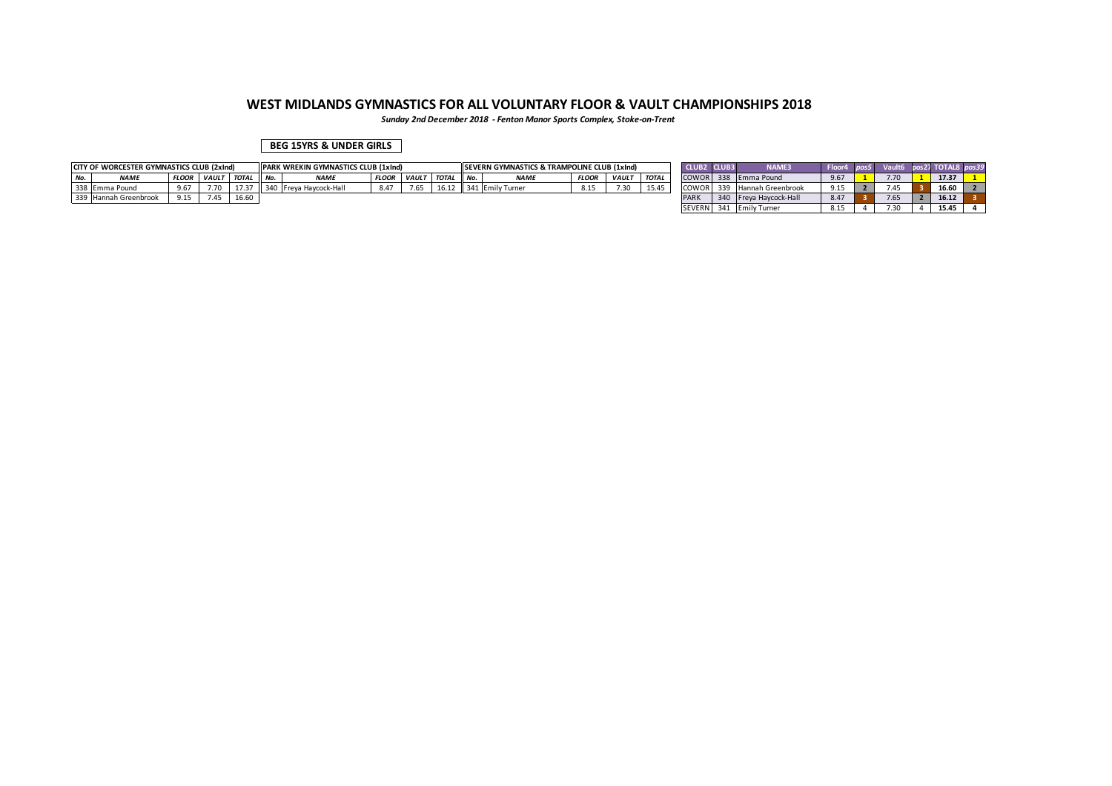*Sunday 2nd December 2018 - Fenton Manor Sports Complex, Stoke-on-Trent*

### **BEG 15YRS & UNDER GIRLS**

| CITY OF WORCESTER GYMNASTICS CLUB (2xInd) |              |              |              |        | <b>I PARK WREKIN GYMNASTICS CLUB (1xInd)</b> |              |                |       |        | <b>ISEVERN GYMNASTICS &amp; TRAMPOLINE CLUB (1xInd)</b> |              |              |              | CLUB:        | 2 CLUB3 | <b>NAME3</b>             | Floor4 | Vault | pos27 TOTAL8 pos39 |  |
|-------------------------------------------|--------------|--------------|--------------|--------|----------------------------------------------|--------------|----------------|-------|--------|---------------------------------------------------------|--------------|--------------|--------------|--------------|---------|--------------------------|--------|-------|--------------------|--|
| <b>NAME</b>                               | <b>FLOOR</b> | <b>VAULT</b> | <b>TOTAL</b> | II No. | <b>NAME</b>                                  | <b>FLOOR</b> | <b>I VAULT</b> | TOTAL | II No. | <b>NAMF</b>                                             | <b>FLOOR</b> | <b>VAULT</b> | <b>TOTAL</b> | <b>COWOR</b> |         | 338 Emma Pound           | 9.67   | 7.70  | 17.37              |  |
| 338 Emma Pound                            | 9.67         |              | 17.37        |        | 340 Freya Haycock-Hall                       | 8.47         | 7.65           | 16.12 |        | 341 Emily Turner                                        | 8.15         | 7.30         | 15.45        | COWOR .      | 339     | <b>Hannah Greenbrook</b> | 9.15   | .45   | 16.60              |  |
| 339 Hannah Greenbrook                     | 015<br>,     |              | 16.60        |        |                                              |              |                |       |        |                                                         |              |              |              | <b>PAR</b>   |         | 340 Freva Havcock-Hall   | 8.47   | 7.65  | 16.12              |  |
|                                           |              |              |              |        |                                              |              |                |       |        |                                                         |              |              |              | SEVERN 341   |         | <b>Emily Turner</b>      | 8.15   | υ.    | 15.45              |  |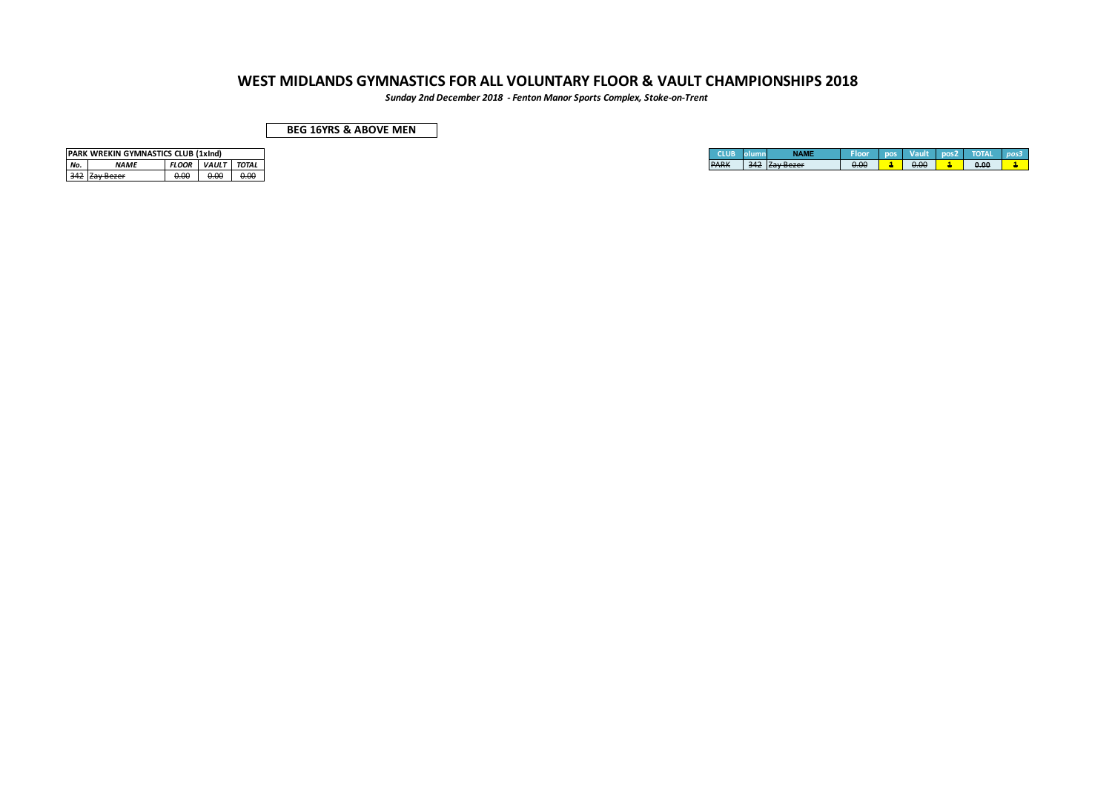*Sunday 2nd December 2018 - Fenton Manor Sports Complex, Stoke-on-Trent*

| <b>BEG 16YRS &amp; ABOVE MEN</b> |  |
|----------------------------------|--|
|----------------------------------|--|

|     | <b>IPARK WREKIN GYMNASTICS CLUB (1xInd)</b> |              |              |       |
|-----|---------------------------------------------|--------------|--------------|-------|
| No. | <b>NAMF</b>                                 | <b>FLOOR</b> | <b>VAULT</b> | TOTAL |
| 342 |                                             |              |              |       |

|  |      |  | <b>TOTAL</b> |
|--|------|--|--------------|
|  | 0.00 |  | 0.00<br>n nn |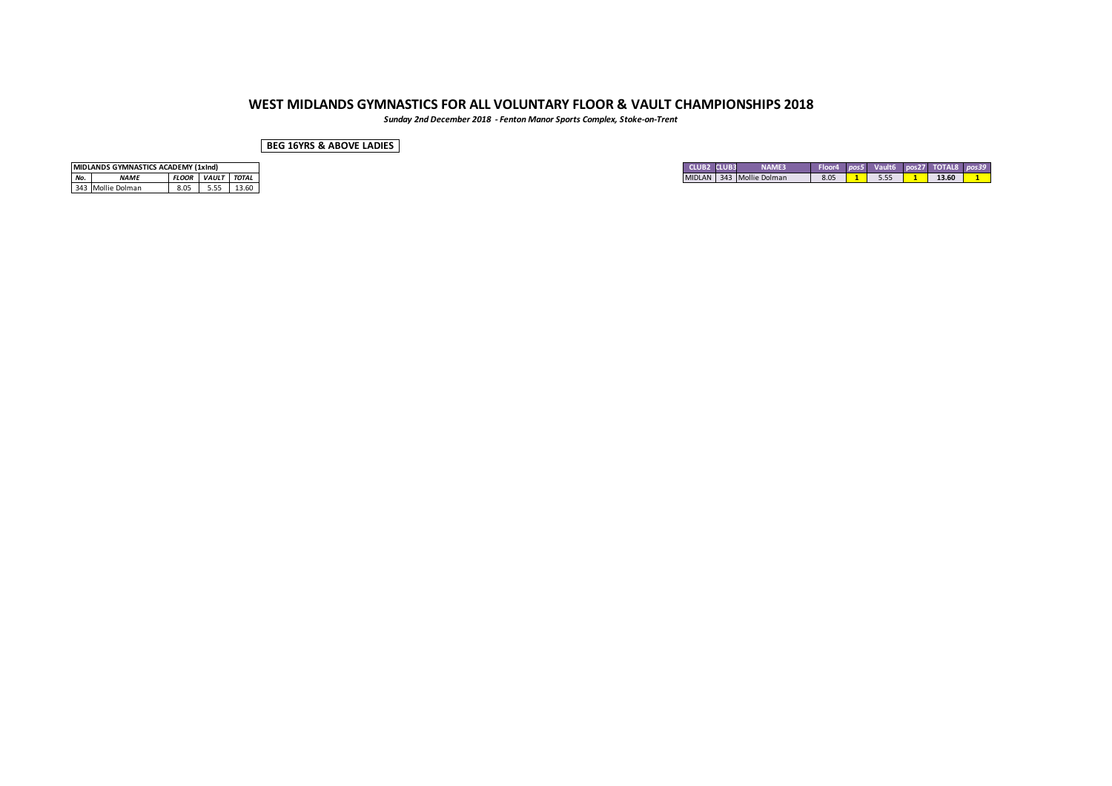*Sunday 2nd December 2018 - Fenton Manor Sports Complex, Stoke-on-Trent*

**BEG 16YRS & ABOVE LADIES**

|     | MIDLANDS GYMNASTICS ACADEMY (1xInd) |                          |      |       |
|-----|-------------------------------------|--------------------------|------|-------|
| No. | <b>NAME</b>                         | <b>FLOOR VAULT TOTAL</b> |      |       |
|     | 343 Mollie Dolman                   | 8.05                     | 5.55 | 13.60 |

| <b>CLUB</b>   | <b>NAME3</b><br><b>CLUB3</b> | <b>Floo</b> | <br>$11 - 110$<br>- 555 | $\cdots$ nor $\cdots$ | s27 TOTAL8 |
|---------------|------------------------------|-------------|-------------------------|-----------------------|------------|
| <b>MIDLAN</b> | 343 Mollie Dolman            | 8.05        | 5.55                    |                       | 13.60      |
|               |                              |             |                         |                       |            |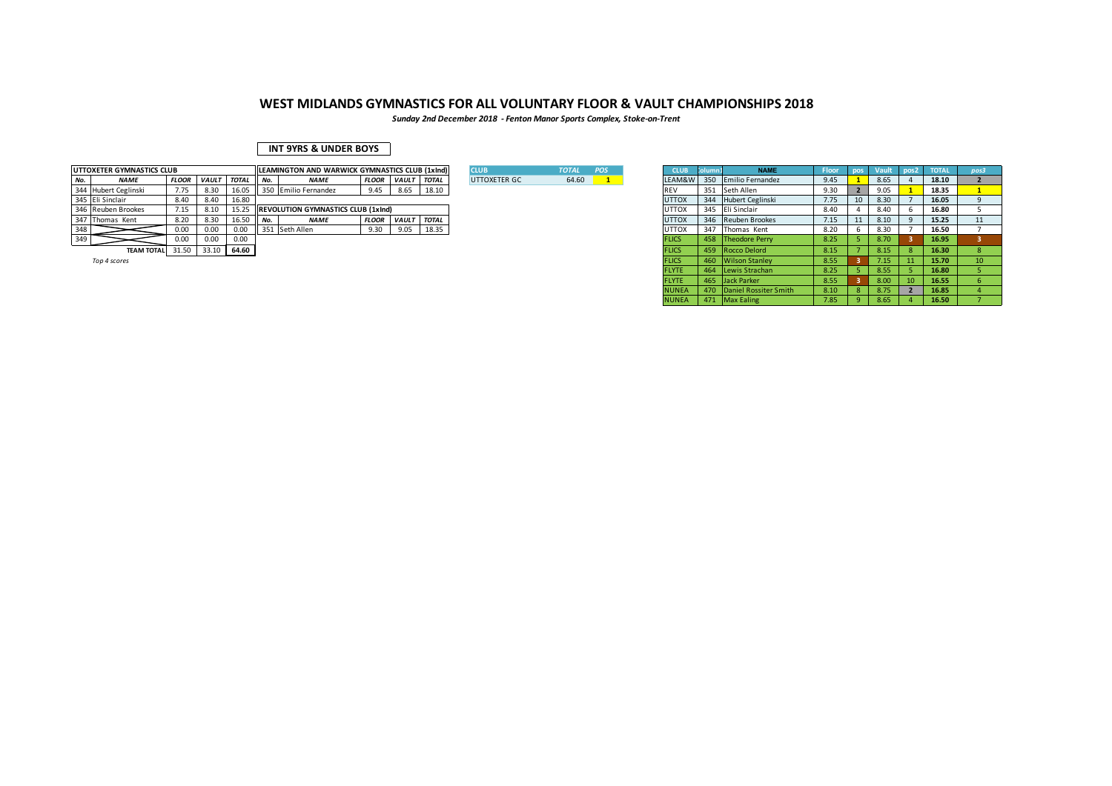*Sunday 2nd December 2018 - Fenton Manor Sports Complex, Stoke-on-Trent*

### **INT 9YRS & UNDER BOYS**

|     | UTTOXETER GYMNASTICS CLUB |              |       |              |        | <b>ILEAMINGTON AND WARWICK GYMNASTICS CLUB (1xInd)</b> |              |              |              | <b>CLUB</b>  | <b>TOTAL</b> | <b>POS</b> |              |     | <b>NAME</b>          | Floor. | pos | <b>Vault</b> | pos2 | <b>TOTAL</b> | pos3 |
|-----|---------------------------|--------------|-------|--------------|--------|--------------------------------------------------------|--------------|--------------|--------------|--------------|--------------|------------|--------------|-----|----------------------|--------|-----|--------------|------|--------------|------|
| No. | <b>NAME</b>               | <b>FLOOF</b> | VAULT | <b>TOTAL</b> | N      | <b>NAME</b>                                            | <b>FLOOR</b> | <i>VAULT</i> | <b>TOTAL</b> | UTTOXETER GC | 64.60        |            | LEAM&W       | 350 | Emilio Fernandez     | 9.45   |     | 8.65         |      | 18.10        |      |
|     | 344 Hubert Ceglinski      | 7.75         | 8.30  | 16.05        |        | Il 350 Emilio Fernandez                                | 9.45         | 8.65         | 18.10        |              |              |            |              |     | 351 Seth Allen       | 9.30   |     | 9.05         |      | 18.35        |      |
|     | 345 Eli Sinclair          | 8.40         | 8.40  | 16.80        |        |                                                        |              |              |              |              |              |            | <b>UTTOX</b> |     | 344 Hubert Ceglinski | 7.75   | 10  | 8.30         |      | 16.05        |      |
|     | 346 Reuben Brookes        | 7.15         | 8.10  | 15.25        |        | <b>IREVOLUTION GYMNASTICS CLUB (1xInd)</b>             |              |              |              |              |              |            | <b>UTTOX</b> |     | 345 Eli Sinclair     | 8.40   |     | 8.40         |      | 16.80        |      |
|     | 347 Thomas Kent           | 8.20         | 8.30  | 16.50        | II No. | <b>NAME</b>                                            | <b>FLOOR</b> | <b>VAULT</b> | <b>TOTAL</b> |              |              |            | <b>UTTOX</b> |     | 346 Reuben Brookes   | 7.15   |     | 8.10         |      | 15.25        | 11   |
| 348 |                           | 0.00         | 0.00  | 0.00         |        | 351 Seth Allen                                         | 9.30         | 9.05         | 18.35        |              |              |            | <b>UTTOX</b> | 347 | Thomas Kent          | 8.20   |     | 8.30         |      | 16.50        |      |
| 349 |                           | 0.00         | 0.00  | 0.00         |        |                                                        |              |              |              |              |              |            |              |     | 458 Theodore Perry   | 8.25   |     | 8.70         |      | 16.95        |      |
|     | TEAM TOTAL 31.50          |              | 33.10 | 64.60        |        |                                                        |              |              |              |              |              |            |              |     | 459 Rocco Delord     | 8.15   |     | 8.15         |      | 16.30        |      |
|     |                           |              |       |              |        |                                                        |              |              |              |              |              |            |              |     |                      |        |     |              |      |              |      |

| <b>XETER GYMNASTICS CLUB</b> |              |              |              |     | LEAMINGTON AND WARWICK GYMNASTICS CLUB (1xInd) |              |                    |       | <b>CLUB</b>  | <b>TOTAL</b> | POS | <b>CLUB</b>  |     | <b>NAME</b>               | Floor |                 |      | pos2 | <b>TOTAL</b> | pos3            |
|------------------------------|--------------|--------------|--------------|-----|------------------------------------------------|--------------|--------------------|-------|--------------|--------------|-----|--------------|-----|---------------------------|-------|-----------------|------|------|--------------|-----------------|
| NAME                         | <b>FLOOR</b> | <b>VAULT</b> | <b>TOTAL</b> | No. | <b>NAME</b>                                    | <b>FLOOR</b> | VAULT TOTAL        |       | UTTOXETER GC | 64.60        |     | LEAM&W       | 350 | Emilio Fernandez          | 9.45  |                 | 8.65 |      | 18.10        |                 |
| Hubert Ceglinski             | 7.75         | 8.30         | 16.05        |     | 350 Emilio Fernandez                           | 9.45         | 8.65               | 18.10 |              |              |     | <b>REV</b>   |     | 351 Seth Allen            | 9.30  | 2               | 9.05 |      | 18.35        |                 |
| Eli Sinclair                 | 8.40         | 8.40         | 16.80        |     |                                                |              |                    |       |              |              |     | <b>UTTOX</b> |     | 344 Hubert Ceglinski      | 7.75  | 10 <sup>1</sup> | 8.30 |      | 16.05        |                 |
| Reuben Brookes               | 7.15         | 8.10         | 15.25        |     | <b>REVOLUTION GYMNASTICS CLUB (1xInd)</b>      |              |                    |       |              |              |     | <b>UTTOX</b> |     | 345 Eli Sinclair          | 8.40  |                 | 8.40 |      | 16.80        |                 |
| Thomas Kent                  | 8.20         | 8.30         | 16.50        | No. | <b>NAME</b>                                    | <b>FLOOR</b> | <b>VAULT TOTAL</b> |       |              |              |     | <b>UTTOX</b> |     | 346 Reuben Brookes        | 7.15  | 11              | 8.10 |      | 15.25        |                 |
|                              | 0.00         | 0.00         | 0.00         |     | 351 Seth Allen                                 | 9.30         | 9.05               | 18.35 |              |              |     | <b>UTTOX</b> |     | 347 Thomas Kent           | 8.20  | 6               | 8.30 |      | 16.50        |                 |
|                              | 0.00         | 0.00         | 0.00         |     |                                                |              |                    |       |              |              |     | <b>FLICS</b> |     | 458 Theodore Perry        | 8.25  |                 | 8.70 |      | 16.95        |                 |
| <b>TEAM TOTAL</b>            | 31.50        |              | 33.10 64.60  |     |                                                |              |                    |       |              |              |     | <b>FLICS</b> |     | 459 Rocco Delord          | 8.15  |                 | 8.15 | -8   | 16.30        |                 |
| Top 4 scores                 |              |              |              |     |                                                |              |                    |       |              |              |     | <b>FLICS</b> |     | 460 Wilson Stanley        | 8.55  |                 | 7.15 | 11   | 15.70        | 10 <sup>°</sup> |
|                              |              |              |              |     |                                                |              |                    |       |              |              |     | <b>FLYTE</b> |     | 464 Lewis Strachan        | 8.25  |                 | 8.55 |      | 16.80        |                 |
|                              |              |              |              |     |                                                |              |                    |       |              |              |     | <b>FLYTE</b> |     | 465 Jack Parker           | 8.55  |                 | 8.00 | 10   | 16.55        |                 |
|                              |              |              |              |     |                                                |              |                    |       |              |              |     | <b>NUNEA</b> |     | 470 Daniel Rossiter Smith | 8.10  | 8 <sup>1</sup>  | 8.75 |      | 16.85        |                 |
|                              |              |              |              |     |                                                |              |                    |       |              |              |     | <b>NUNEA</b> |     | 471 Max Ealing            | 7.85  | 9               | 8.65 |      | 16.50        |                 |
|                              |              |              |              |     |                                                |              |                    |       |              |              |     |              |     |                           |       |                 |      |      |              |                 |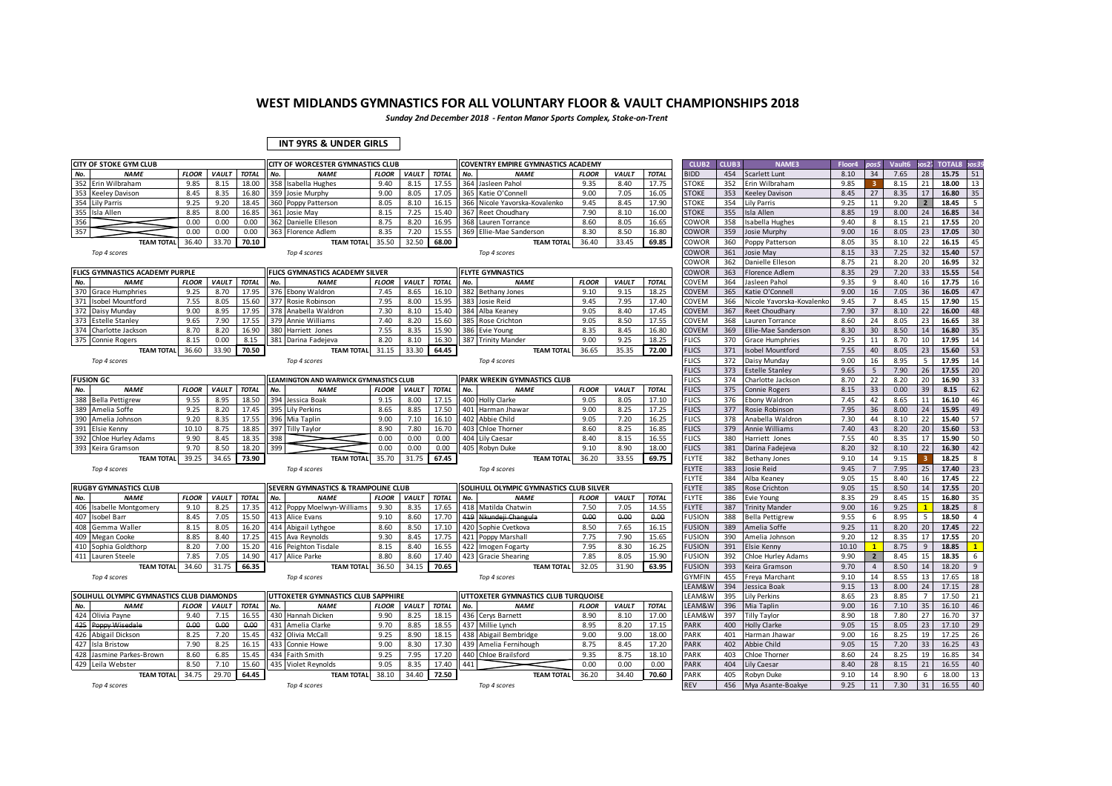*Sunday 2nd December 2018 - Fenton Manor Sports Complex, Stoke-on-Trent*

#### **INT 9YRS & UNDER GIRLS**

|     | <b>CITY OF STOKE GYM CLUB</b>             |              |              |              | CITY OF WORCESTER GYMNASTICS CLUB      |              |              |              | COVENTRY EMPIRE GYMNASTICS ACADEMY      |              |              |              | CLUB <sub>2</sub> | CLUB3 | <b>NAME3</b>               | Floor4 | pos5           | Vault <sub>6</sub> | cos 27       | <b>TOTAL8</b> | os39           |
|-----|-------------------------------------------|--------------|--------------|--------------|----------------------------------------|--------------|--------------|--------------|-----------------------------------------|--------------|--------------|--------------|-------------------|-------|----------------------------|--------|----------------|--------------------|--------------|---------------|----------------|
| No. | <b>NAME</b>                               | <b>FLOOR</b> | <b>VAULT</b> | <b>TOTAL</b> | No.<br><b>NAME</b>                     | <b>FLOOR</b> | <b>VAULT</b> | <b>TOTAL</b> | No.<br><b>NAME</b>                      | <b>FLOOR</b> | <b>VAULT</b> | <b>TOTAL</b> | <b>BIDD</b>       | 454   | Scarlett Lunt              | 8.10   | 34             | 7.65               | 28           | 15.75         | 51             |
| 352 | Erin Wilbraham                            | 9.85         | 8.15         | 18.00        | 358 Isabella Hughes                    | 9.40         | 8.15         | 17.55        | 364<br>Jasleen Pahol                    | 9.35         | 8.40         | 17.75        | <b>STOKE</b>      | 352   | Erin Wilbraham             | 9.85   |                | 8.15               | 21           | 18.00         | 13             |
| 353 | <b>Keeley Davison</b>                     | 8.45         | 8.35         | 16.80        | 359 Josie Murphy                       | 9.00         | 8.05         | 17.05        | 365<br>Katie O'Connell                  | 9.00         | 7.05         | 16.05        | <b>STOKE</b>      | 353   | <b>Keeley Davison</b>      | 8.45   | 27             | 8.35               | 17           | 16.80         | 35             |
|     | 354 Lily Parris                           | 9.25         | 9.20         | 18.45        | 360 Poppy Patterson                    | 8.05         | 8.10         | 16.15        | 366<br>Nicole Yavorska-Kovalenko        | 9.45         | 8.45         | 17.90        | <b>STOKE</b>      | 354   | Lily Parris                | 9.25   | 11             | 9.20               |              | 18.45         | 5              |
| 355 | Isla Allen                                | 8.85         | 8.00         | 16.85        | 361 Josie May                          | 8.15         | 7.25         | 15.40        | 367<br><b>Reet Choudhary</b>            | 7.90         | 8.10         | 16.00        | <b>STOKE</b>      | 355   | sla Allen                  | 8.85   | 19             | 8.00               | 24           | 16.85         | 34             |
| 356 |                                           | 0.00         | 0.00         | 0.00         | 362 Danielle Elleson                   | 8.75         | 8.20         | 16.95        | 368 Lauren Torrance                     | 8.60         | 8.05         | 16.65        | COWOR             | 358   | sabella Hughes             | 9.40   | 8              | 8.15               | 21           | 17.55         | 20             |
| 357 |                                           | 0.00         | 0.00         | 0.00         | 363 Florence Adlem                     | 8.35         | 7.20         | 15.55        | 369 Ellie-Mae Sanderson                 | 8.30         | 8.50         | 16.80        | COWOR             | 359   | Josie Murphy               | 9.00   | 16             | 8.05               | 23           | 17.05         | 30             |
|     | <b>TEAM TOTA</b>                          | 36.40        | 33.70        | 70.10        | <b>TEAM TOTAL</b>                      | 35.50        | 32.50        | 68.00        | <b>TEAM TOTAL</b>                       | 36.40        | 33.45        | 69.85        | COWOR             | 360   | Poppy Patterson            | 8.05   | 35             | 8.10               | 22           | 16.15         | 45             |
|     | Top 4 scores                              |              |              |              | Top 4 scores                           |              |              |              | Top 4 scores                            |              |              |              | COWOR             | 361   | losie May                  | 8.15   | 33             | 7.25               | 32           | 15.40         | 57             |
|     |                                           |              |              |              |                                        |              |              |              |                                         |              |              |              | COWOR             | 362   | Danielle Elleson           | 8.75   | 21             | 8.20               | 20           | 16.95         | 32             |
|     | FLICS GYMNASTICS ACADEMY PURPLE           |              |              |              | FLICS GYMNASTICS ACADEMY SILVER        |              |              |              | <b>FLYTE GYMNASTICS</b>                 |              |              |              | COWOR             | 363   | Florence Adlem             | 8.35   | 29             | 7.20               | 33           | 15.55         | 54             |
| No. | <b>NAME</b>                               | <b>FLOOR</b> | <b>VAULT</b> | <b>TOTAL</b> | No.<br><b>NAME</b>                     | <b>FLOOR</b> | <b>VAULT</b> | <b>TOTAL</b> | No.<br><b>NAME</b>                      | <b>FLOOR</b> | <b>VAULT</b> | <b>TOTAL</b> | COVEM             | 364   | Jasleen Pahol              | 9.35   | 9              | 8.40               | 16           | 17.75         | 16             |
|     | 370 Grace Humphries                       | 9.25         | 8.70         | 17.95        | 376 Ebony Waldron                      | 7.45         | 8.65         | 16.10        | 382<br><b>Bethany Jones</b>             | 9.10         | 9.15         | 18.25        | COVEM             | 365   | Katie O'Connell            | 9.00   | 16             | 7.05               | 36           | 16.05         | 47             |
| 371 | Isobel Mountford                          | 7.55         | 8.05         | 15.60        | 377 Rosie Robinson                     | 7.95         | 8.00         | 15.95        | 383<br>Josie Reid                       | 9.45         | 7.95         | 17.40        | COVEM             | 366   | Nicole Yavorska-Kovalenko  | 9.45   | $\overline{7}$ | 8.45               | 15           | 17.90         | 15             |
| 372 | Daisy Munday                              | 9.00         | 8.95         | 17.95        | 378 Anabella Waldron                   | 7.30         | 8.10         | 15.40        | 384<br>Alba Keaney                      | 9.05         | 8.40         | 17.45        | <b>COVEM</b>      | 367   | Reet Choudhary             | 7.90   | 37             | 8.10               | 22           | 16.00         | 48             |
|     | 373 Estelle Stanley                       | 9.65         | 7.90         | 17.55        | 379 Annie Williams                     | 7.40         | 8.20         | 15.60        | 385<br><b>Rose Crichton</b>             | 9.05         | 8.50         | 17.55        | COVEM             | 368   | Lauren Torrance            | 8.60   | 24             | 8.05               | 23           | 16.65         | 38             |
|     | 374 Charlotte Jackson                     | 8.70         | 8.20         | 16.90        | 380 Harriett Jones                     | 7.55         | 8.35         | 15.90        | 386<br>Evie Young                       | 8.35         | 8.45         | 16.80        | COVEM             | 369   | <b>Ellie-Mae Sanderson</b> | 8.30   | 30             | 8.50               | 14           | 16.80         | 35             |
|     | 375 Connie Rogers                         | 8.15         | 0.00         | 8.15         | 381 Darina Fadejeva                    | 8.20         | 8.10         | 16.30        | 387 Trinity Mander                      | 9.00         | 9.25         | 18.25        | <b>FLICS</b>      | 370   | <b>Grace Humphries</b>     | 9.25   | 11             | 8.70               | 10           | 17.95         | 14             |
|     | <b>TEAM TOTAL</b>                         | 36.60        | 33.90        | 70.50        | <b>TEAM TOTAL</b>                      | 31.15        | 33.30        | 64.45        | <b>TEAM TOTAL</b>                       | 36.65        | 35.35        | 72.00        | <b>FLICS</b>      | 371   | sobel Mountford            | 7.55   | 40             | 8.05               | 23           | 15.60         | 53             |
|     | Top 4 scores                              |              |              |              | Top 4 scores                           |              |              |              | Top 4 scores                            |              |              |              | <b>FLICS</b>      | 372   | Daisy Munday               | 9.00   | 16             | 8.95               | 5            | 17.95         | 14             |
|     |                                           |              |              |              |                                        |              |              |              |                                         |              |              |              | <b>FLICS</b>      | 373   | <b>Estelle Stanley</b>     | 9.65   | 5              | 7.90               | 26           | 17.55         | 20             |
|     | <b>FUSION GC</b>                          |              |              |              | LEAMINGTON AND WARWICK GYMNASTICS CLUB |              |              |              | PARK WREKIN GYMNASTICS CLUB             |              |              |              | <b>FLICS</b>      | 374   | Charlotte Jackson          | 8.70   | 22             | 8.20               | 20           | 16.90         | 33             |
| No. | <b>NAME</b>                               | <b>FLOOR</b> | <b>VAULT</b> | <b>TOTAL</b> | No.<br><b>NAME</b>                     | <b>FLOOR</b> | <b>VAUL1</b> | <b>TOTAL</b> | <b>NAME</b><br>No.                      | <b>FLOOR</b> | <b>VAULT</b> | <b>TOTAL</b> | <b>FLICS</b>      | 375   | Connie Rogers              | 8.15   | 33             | 0.00               | 39           | 8.15          | 62             |
| 388 | <b>Bella Pettigrew</b>                    | 9.55         | 8.95         | 18.50        | 394 Jessica Boak                       | 9.15         | 8.00         | 17.15        | 400<br><b>Holly Clarke</b>              | 9.05         | 8.05         | 17.10        | <b>FLICS</b>      | 376   | Ebony Waldron              | 7.45   | 42             | 8.65               | 11           | 16.10         | 46             |
| 389 | Amelia Soffe                              | 9.25         | 8.20         | 17.45        | 395 Lily Perkins                       | 8.65         | 8.85         | 17.50        | 401<br>Harman Jhawar                    | 9.00         | 8.25         | 17.25        | <b>FLICS</b>      | 377   | Rosie Robinson             | 7.95   | 36             | 8.00               | 24           | 15.95         | 49             |
| 390 | Amelia Johnson                            | 9.20         | 8.35         | 17.55        | 396 Mia Taplin                         | 9.00         | 7.10         | 16.10        | 402<br>Abbie Child                      | 9.05         | 7.20         | 16.25        | <b>FLICS</b>      | 378   | Anabella Waldror           | 7.30   | 44             | 8.10               | 22           | 15.40         | 57             |
| 391 | Elsie Kenny                               | 10.10        | 8.75         | 18.85        | 397 Tilly Taylor                       | 8.90         | 7.80         | 16.70        | Chloe Thorner<br>403                    | 8.60         | 8.25         | 16.85        | <b>FLICS</b>      | 379   | Annie Williams             | 7.40   | 43             | 8.20               | 20           | 15.60         | 53             |
|     | 392 Chloe Hurley Adams                    | 9.90         | 8.45         | 18.35        | 398                                    | 0.00         | 0.00         | 0.00         | 404<br>Lily Caesar                      | 8.40         | 8.15         | 16.55        | <b>FLICS</b>      | 380   | Harriett Jones             | 7.55   | 40             | 8.35               | 17           | 15.90         | 50             |
| 393 | Keira Gramson                             | 9.70         | 8.50         | 18.20        | 399                                    | 0.00         | 0.00         | 0.00         | 405<br>Robyn Duke                       | 9.10         | 8.90         | 18.00        | <b>FLICS</b>      | 381   | Darina Fadejeva            | 8.20   | 32             | 8.10               | 22           | 16.30         | 42             |
|     | <b>TEAM TOTAL</b>                         | 39.25        | 34.65        | 73.90        | <b>TEAM TOTAL</b>                      | 35.70        | 31.75        | 67.45        | <b>TEAM TOTAL</b>                       | 36.20        | 33.55        | 69.75        | <b>FLYTE</b>      | 382   | <b>Bethany Jones</b>       | 9.10   | 14             | 9.15               |              | 18.25         | 8              |
|     | Top 4 scores                              |              |              |              | Top 4 scores                           |              |              |              | Top 4 scores                            |              |              |              | FLYTE             | 383   | losie Reid                 | 9.45   | $\overline{7}$ | 7.95               | 25           | 17.40         | 23             |
|     |                                           |              |              |              |                                        |              |              |              |                                         |              |              |              | <b>LYTE</b>       | 384   | Alba Keaney                | 9.05   | 15             | 8.40               | 16           | 17.45         | 22             |
|     | <b>RUGBY GYMNASTICS CLUB</b>              |              |              |              | SEVERN GYMNASTICS & TRAMPOLINE CLUB    |              |              |              | SOLIHULL OLYMPIC GYMNASTICS CLUB SILVER |              |              |              | <b>FLYTE</b>      | 385   | ose Crichton               | 9.05   | 15             | 8.50               | 14           | 17.55         | 20             |
| No. | <b>NAME</b>                               | <b>FLOOR</b> | <b>VAULT</b> | <b>TOTAL</b> | No.<br><b>NAME</b>                     | <b>FLOOR</b> | <b>VAULT</b> | <b>TOTAL</b> | No.<br><b>NAME</b>                      | <b>FLOOR</b> | <b>VAULT</b> | <b>TOTAL</b> | <b>FLYTE</b>      | 386   | Evie Young                 | 8.35   | 29             | 8.45               | 15           | 16.80         | 35             |
| 406 | <b>Isabelle Montgomery</b>                | 9.10         | 8.25         | 17.35        | 412 Poppy Moelwyn-Williams             | 9.30         | 8.35         | 17.65        | 418 Matilda Chatwin                     | 7.50         | 7.05         | 14.55        | <b>FLYTE</b>      | 387   | <b>Trinity Mander</b>      | 9.00   | 16             | 9.25               |              | 18.25         | 8              |
| 407 | Isobel Barr                               | 8.45         | 7.05         | 15.50        | 413 Alice Evans                        | 9.10         | 8.60         | 17.70        | 419<br>Nkundeji Changula                | 0.00         | 0.00         | 0.00         | <b>FUSION</b>     | 388   | Bella Pettigrew            | 9.55   | 6              | 8.95               | 5            | 18.50         | $\overline{4}$ |
| 408 | Gemma Waller                              | 8.15         | 8.05         | 16.20        | 414 Abigail Lythgoe                    | 8.60         | 8.50         | 17.10        | 420<br>Sophie Cvetkova                  | 8.50         | 7.65         | 16.15        | <b>FUSION</b>     | 389   | Amelia Soffe               | 9.25   | 11             | 8.20               | 20           | 17.45         | 22             |
|     | 409 Megan Cooke                           | 8.85         | 8.40         | 17.25        | 415 Ava Reynolds                       | 9.30         | 8.45         | 17.75        | Poppy Marshall<br>421                   | 7.75         | 7.90         | 15.65        | <b>FUSION</b>     | 390   | Amelia Johnson             | 9.20   | 12             | 8.35               | 17           | 17.55         | 20             |
|     | 410 Sophia Goldthorp                      | 8.20         | 7.00         | 15.20        | 416 Peighton Tisdale                   | 8.15         | 8.40         | 16.55        | 422<br>Imogen Fogarty                   | 7.95         | 8.30         | 16.25        | <b>FUSION</b>     | 391   | Elsie Kenny                | 10.10  | $\mathbf{1}$   | 8.75               | $\mathsf{q}$ | 18.85         | $\blacksquare$ |
| 411 | Lauren Steele                             | 7.85         | 7.05         | 14.90        | 417 Alice Parke                        | 8.80         | 8.60         | 17.40        | 423<br><b>Gracie Shearing</b>           | 7.85         | 8.05         | 15.90        | <b>USION</b>      | 392   | Chloe Hurley Adams         | 9.90   | $\overline{2}$ | 8.45               | 15           | 18.35         | 6              |
|     | <b>TEAM TOTAL</b>                         | 34.60        | 31.75        | 66.35        | <b>TEAM TOTAL</b>                      | 36.50        | 34.15        | 70.65        | <b>TEAM TOTAI</b>                       | 32.05        | 31.90        | 63.95        | <b>FUSION</b>     | 393   | Keira Gramson              | 9.70   | $\overline{4}$ | 8.50               | 14           | 18.20         | 9              |
|     | Top 4 scores                              |              |              |              | Top 4 scores                           |              |              |              | Top 4 scores                            |              |              |              | <b>GYMFIN</b>     | 455   | Freya Marchant             | 9.10   | 14             | 8.55               | 13           | 17.65         | 18             |
|     |                                           |              |              |              |                                        |              |              |              |                                         |              |              |              | LEAM&W            | 394   | lessica Boak               | 9.15   | 13             | 8.00               | 24           | 17.15         | 28             |
|     | SOLIHULL OLYMPIC GYMNASTICS CLUB DIAMONDS |              |              |              | UTTOXETER GYMNASTICS CLUB SAPPHIRE     |              |              |              | UTTOXETER GYMNASTICS CLUB TURQUOISE     |              |              |              | EAM&W             | 395   | Lily Perkins               | 8.65   | 23             | 8.85               |              | 17.50         | 21             |
| No. | <b>NAME</b>                               | <b>FLOOR</b> | <b>VAULT</b> | <b>TOTAL</b> | No.<br><b>NAME</b>                     | <b>FLOOR</b> | <b>VAULT</b> | <b>TOTAL</b> | <b>NAME</b><br>No.                      | <b>FLOOR</b> | <b>VAULT</b> | <b>TOTAL</b> | LEAM&W            | 396   | Mia Taplin                 | 9.00   | 16             | 7.10               | 35           | 16.10         | 46             |
| 424 | Olivia Payne                              | 9.40         | 7.15         | 16.55        | 430 Hannah Dicken                      | 9.90         | 8.25         | 18.15        | 436<br>Cerys Barnett                    | 8.90         | 8.10         | 17.00        | LEAM&W            | 397   | <b>Tilly Taylor</b>        | 8.90   | 18             | 7.80               | 27           | 16.70         | 37             |
| 425 | Poppy Wisedale                            | 0.00         | 0.00         | 0.00         | 431 Amelia Clarke                      | 9.70         | 8.85         | 18.55        | 437<br>Millie Lynch                     | 8.95         | 8.20         | 17.15        | <b>PARK</b>       | 400   | Holly Clarke               | 9.05   | 15             | 8.05               | 23           | 17.10         | 29             |
|     | 426 Abigail Dickson                       | 8.25         | 7.20         | 15.45        | 432 Olivia McCall                      | 9.25         | 8.90         | 18.15        | Abigail Bembridge<br>438                | 9.00         | 9.00         | 18.00        | PARK              | 401   | Harman Jhawar              | 9.00   | 16             | 8.25               | 19           | 17.25         | 26             |
| 427 | <b>Isla Bristow</b>                       | 7.90         | 8.25         | 16.15        | 433 Connie Howe                        | 9.00         | 8.30         | 17.30        | 439<br>Amelia Fernihough                | 8.75         | 8.45         | 17.20        | PARK              | 402   | Abbie Child                | 9.05   | 15             | 7.20               | 33           | 16.25         | 43             |
| 428 | Jasmine Parkes-Brown                      | 8.60         | 6.85         | 15.45        | 434 Faith Smith                        | 9.25         | 7.95         | 17.20        | 440<br>Chloe Brailsford                 | 9.35         | 8.75         | 18.10        | PARK              | 403   | <b>Chloe Thorner</b>       | 8.60   | 24             | 8.25               | 19           | 16.85         | 34             |
| 429 | Leila Webster                             | 8.50         | 7.10         | 15.60        | 435 Violet Reynolds                    | 9.05         | 8.35         | 17.40        | 441                                     | 0.00         | 0.00         | 0.00         | PARK              | 404   | Lily Caesar                | 8.40   | 28             | 8.15               | 21           | 16.55         | 40             |
|     |                                           | 34.75        | 29.70        | 64.45        | <b>TEAM TOTAL</b>                      | 38.10        | 34.40        | 72.50        |                                         | 36.20        | 34.40        | 70.60        | PARK              |       |                            | 9.10   | 14             | 8.90               |              | 18.00         | 13             |
|     | <b>TEAM TOTAL</b>                         |              |              |              |                                        |              |              |              | <b>TEAM TOTAI</b>                       |              |              |              |                   | 405   | Robyn Duke                 |        |                |                    | 6            | 16.55         | 40             |
|     | Top 4 scores                              |              |              |              | Top 4 scores                           |              |              |              | Top 4 scores                            |              |              |              | <b>REV</b>        | 456   | Mya Asante-Boakye          | 9.25   | 11             | 7.30               | 31           |               |                |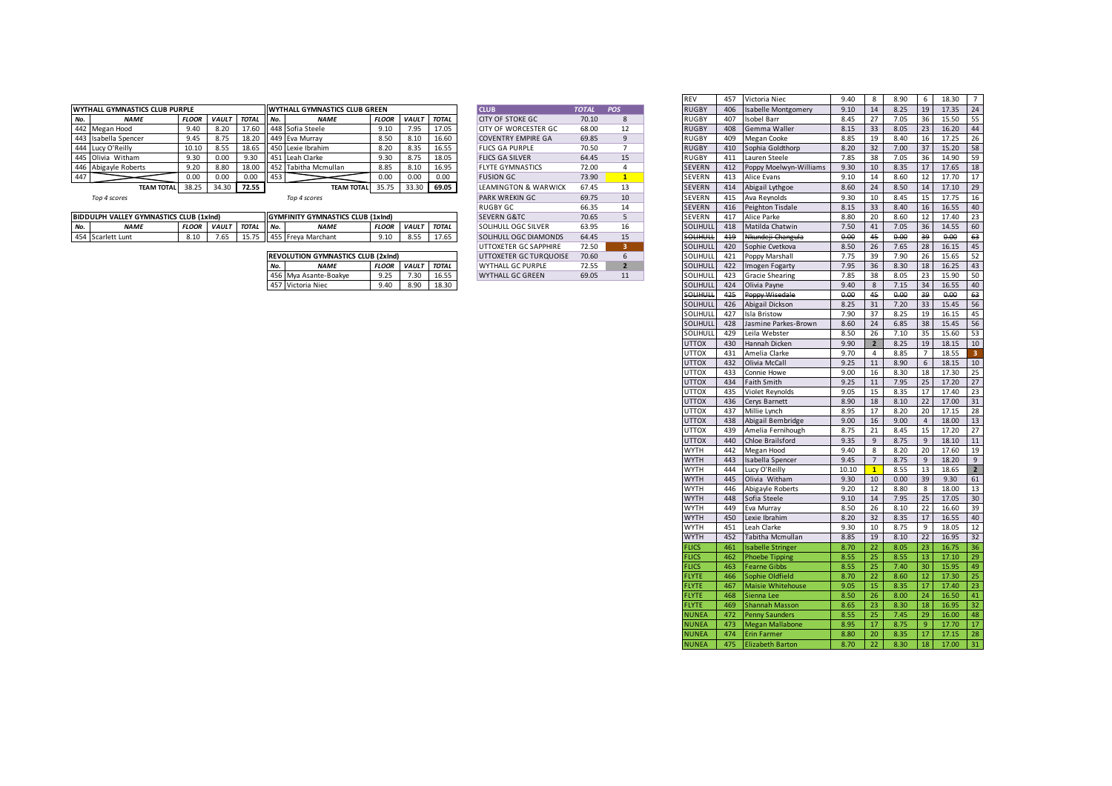|     | <b>WYTHALL GYMNASTICS CLUB PURPLE</b> |              |              |              |        | <b>WYTHALL GYMNASTICS CLUB GREEN</b> |              |              |              | <b>CLUB</b>                     | <b>TOTAL</b> | POS | <b>RUGBY</b>  | 406 | <b>Isabelle Montgomery</b> | 9.10 |    | 8.25 | 19 | 17.35 |           |
|-----|---------------------------------------|--------------|--------------|--------------|--------|--------------------------------------|--------------|--------------|--------------|---------------------------------|--------------|-----|---------------|-----|----------------------------|------|----|------|----|-------|-----------|
| No. | <b>NAME</b>                           | <b>FLOOR</b> | <b>VAULT</b> | <b>TOTAL</b> | $N$ o. | <b>NAME</b>                          | <b>FLOOR</b> | <b>VAULT</b> | <b>TOTAL</b> | <b>CITY OF STOKE GC</b>         | 70.10        |     | <b>RUGBY</b>  | 407 | Isobel Barr                | 8.45 |    | 7.05 | 36 | 15.50 | -55       |
|     | 442 Megan Hood                        | 9.40         | 8.20         | 17.60        |        | 448 Sofia Steele                     | 9.10         | 7.95         | 17.05        | <b>CITY OF WORCESTER GC</b>     | 68.00        |     | <b>RUGBY</b>  |     | 408 Gemma Waller           | 8.15 | 33 | 8.05 | 23 | 16.20 |           |
|     | 443 Isabella Spencer                  | 9.45         | 8.75         |              |        | 18.20 449 Eva Murray                 |              | 8.10         | 16.60        | <b>COVENTRY EMPIRE GA</b>       | 69.85        |     | <b>RUGBY</b>  | 409 | Megan Cooke                | 8.85 | 19 | 8.40 |    | 17.25 |           |
|     | 444 Lucy O'Reilly                     | 10.10        | 8.55         | 18.65        |        | 450 Lexie Ibrahim                    | 8.20         | 8.35         | 16.55        | <b>FLICS GA PURPLE</b>          | 70.50        |     | <b>RUGBY</b>  |     | 410 Sophia Goldthorp       | 8.20 |    | 7.00 | 37 | 15.20 | 58        |
|     | 445 Olivia Witham                     | 9.30         | 0.00         | 9.30         |        | 451 Leah Clarke                      |              | 8.75         | 18.05        | <b>FLICS GA SILVER</b>          | 64.45        |     | <b>RUGBY</b>  | 411 | Lauren Steele              | 7.85 | 38 | 7.05 | 36 | 14.90 | <b>59</b> |
|     | 446 Abigayle Roberts                  | 9.20         | 8.80         | 18.0         |        | 1452 Tabitha Mcmullan                | 8.85         | 8.10         | 16.95        | <b>FLYTE GYMNASTICS</b>         | 72.00        |     | <b>SEVERN</b> | 412 | Poppy Moelwyn-Williams     | 9.30 |    | 8.35 |    | 17.65 |           |
| 447 |                                       | 0.00         | 0.00         | 0.00         |        |                                      |              | 0.00         | 0.00         | <b>FUSION GC</b>                | 73.90        |     | <b>SEVERN</b> | 413 | Alice Evans                | 9.10 |    | 8.60 |    | 17.70 |           |
|     | <b>TEAM TOTAL</b>                     | 38.25        | 34.30        | 72.55        |        | <b>TEAM TOTAL</b>                    | 35.75        | 33.30        | 69.05        | <b>LEAMINGTON &amp; WARWICK</b> | 67.45        |     | <b>SEVERN</b> | 414 | Abigail Lythgoe            | 8.60 |    | 8.50 |    | 17.10 |           |
|     |                                       |              |              |              |        |                                      |              |              |              |                                 |              |     |               |     |                            |      |    |      |    |       |           |

|      | <b>BIDDULPH VALLEY GYMNASTICS CLUB (1xInd)</b> |              |              |                       |                 | <b>IGYMEINITY GYMNASTICS CLUB (1xInd)</b> |                   |                    |               | <b>SEVERN G&amp;TC</b>              | 70.65 |  |                                   | AA<br>41. | Alice<br>∙ Park                   | 8.80         | 20      | 8.60 | $\sim$ | $\overline{10}$<br>17.40 | ت |
|------|------------------------------------------------|--------------|--------------|-----------------------|-----------------|-------------------------------------------|-------------------|--------------------|---------------|-------------------------------------|-------|--|-----------------------------------|-----------|-----------------------------------|--------------|---------|------|--------|--------------------------|---|
| IVU. | NAMI                                           | <b>FLOOR</b> | <b>VAULT</b> | <b>TOTAL</b>          | II No.          | <b>ALA 8.41</b>                           | FLOO <sub>1</sub> | <b>VAULT</b>       | <b>TOTAL</b>  | . OGC SILVE<br>0.011111<br>$\cdots$ | 63.95 |  | LIHULL                            | 418       | Matilda Chatwin                   | 7.50         | AA<br>- | 7.05 | 36     | 14.5                     |   |
|      | '54 Scarlett Lunt                              | 8.10         | 7.65         | $- - -$<br><b>LJ.</b> | $\parallel$ 455 | va Marchant<br>Error                      |                   | $\sim$ $\sim$<br>ິ | $ -$<br>17.65 | <b>COLIHULL OGC DIAMONDS</b>        | 64.45 |  | 11 I LII I I I<br><b>JOLINULE</b> | 440<br>   | uundoii Changul<br><b>AI</b><br>. | a no<br>0.06 | $\sim$  | 0.00 | ാവ     | 0.00<br>u.uc             |   |

|     | <b>REVOLUTION GYMNASTICS CLUB (2xInd)</b> |              |              |              |
|-----|-------------------------------------------|--------------|--------------|--------------|
| No. | <b>NAME</b>                               | <b>FLOOR</b> | <b>VAULT</b> | <b>TOTAL</b> |
|     | 456 Mya Asante-Boakye                     | 9.25         | 7.30         | 16.55        |
|     | 457 Victoria Niec                         | 9.40         | 8.90         | 18.30        |

| <b>CLUB</b>                     | <b>TOTAL</b> | <b>POS</b>     |
|---------------------------------|--------------|----------------|
| <b>CITY OF STOKE GC</b>         | 70.10        | 8              |
| CITY OF WORCESTER GC            | 68.00        | 12             |
| <b>COVENTRY EMPIRE GA</b>       | 69.85        | 9              |
| <b>FLICS GA PURPLE</b>          | 70.50        | $\overline{7}$ |
| <b>FLICS GA SILVER</b>          | 64.45        | 15             |
| <b>FLYTE GYMNASTICS</b>         | 72.00        | 4              |
| <b>FUSION GC.</b>               | 73.90        | $\overline{1}$ |
| <b>LEAMINGTON &amp; WARWICK</b> | 67.45        | 13             |
| <b>PARK WREKIN GC</b>           | 69.75        | 10             |
| RUGBY GC                        | 66.35        | 14             |
| <b>SEVERN G&amp;TC</b>          | 70.65        | 5              |
| SOLIHULL OGC SILVER             | 63.95        | 16             |
| SOLIHULL OGC DIAMONDS           | 64.45        | 15             |
| <b>UTTOXETER GC SAPPHIRE</b>    | 72.50        | 3              |
| UTTOXETER GC TURQUOISE          | 70.60        | 6              |
| <b>WYTHALL GC PURPLE</b>        | 72.55        | $\overline{2}$ |
| <b>WYTHALL GC GREEN</b>         | 69.05        | 11             |

|                                     |              |       |             |     |                                           |              |              |              |                             |              |                | <b>REV</b>      | 457 | Victoria Niec              | 9.40  | 8                       | 8.90 | 6               | 18.30 | $\overline{7}$ |
|-------------------------------------|--------------|-------|-------------|-----|-------------------------------------------|--------------|--------------|--------------|-----------------------------|--------------|----------------|-----------------|-----|----------------------------|-------|-------------------------|------|-----------------|-------|----------------|
| ALL GYMNASTICS CLUB PURPLE          |              |       |             |     | WYTHALL GYMNASTICS CLUB GREEN             |              |              |              | <b>CLUB</b>                 | <b>TOTAL</b> | POS            | <b>RUGBY</b>    | 406 | <b>Isabelle Montgomery</b> | 9.10  | 14                      | 8.25 | 19              | 17.35 | 24             |
| <b>NAME</b>                         | <b>FLOOR</b> |       | VAULT TOTAL | No. | <b>NAME</b>                               | <b>FLOOR</b> | <b>VAULT</b> | <b>TOTAL</b> | <b>CITY OF STOKE GC</b>     | 70.10        | 8              | <b>RUGBY</b>    | 407 | Isobel Barr                | 8.45  | 27                      | 7.05 | 36              | 15.50 | 55             |
| Megan Hood                          | 9.40         | 8.20  | 17.60       |     | 448 Sofia Steele                          | 9.10         | 7.95         | 17.05        | <b>CITY OF WORCESTER GC</b> | 68.00        | 12             | <b>RUGBY</b>    | 408 | Gemma Waller               | 8.15  | 33                      | 8.05 | 23              | 16.20 | 44             |
| Isabella Spencer                    | 9.45         | 8.75  | 18.20       |     | 449 Eva Murray                            | 8.50         | 8.10         | 16.60        | <b>COVENTRY EMPIRE GA</b>   | 69.85        | 9              | <b>RUGBY</b>    | 409 | Megan Cooke                | 8.85  | 19                      | 8.40 | 16              | 17.25 | 26             |
| Lucy O'Reilly                       | 10.10        | 8.55  | 18.65       |     | 450 Lexie Ibrahim                         | 8.20         | 8.35         | 16.55        | <b>FLICS GA PURPLE</b>      | 70.50        | $\overline{7}$ | <b>RUGBY</b>    | 410 | Sophia Goldthorp           | 8.20  | 32                      | 7.00 | 37              | 15.20 | 58             |
| Olivia Witham                       | 9.30         | 0.00  | 9.30        |     | 451 Leah Clarke                           | 9.30         | 8.75         | 18.05        | <b>FLICS GA SILVER</b>      | 64.45        | 15             | <b>RUGBY</b>    | 411 | Lauren Steele              | 7.85  | 38                      | 7.05 | 36              | 14.90 | 59             |
| Abigayle Roberts                    | 9.20         | 8.80  | 18.00       |     | 452 Tabitha Mcmullan                      | 8.85         | 8.10         | 16.95        | <b>FLYTE GYMNASTICS</b>     | 72.00        | $\overline{4}$ | <b>SEVERN</b>   | 412 | Poppy Moelwyn-Williams     | 9.30  | 10                      | 8.35 | 17              | 17.65 | 18             |
|                                     | 0.00         | 0.00  | 0.00        | 453 |                                           | 0.00         | 0.00         | 0.00         | <b>FUSION GC</b>            | 73.90        | $\mathbf{1}$   | SEVERN          | 413 | Alice Evans                | 9.10  | 14                      | 8.60 | 12              | 17.70 | 17             |
| <b>TEAM TOTAL</b>                   | 38.25        | 34.30 | 72.55       |     | <b>TEAM TOTAL</b>                         | 35.75        | 33.30        | 69.05        | LEAMINGTON & WARWICK        | 67.45        | 13             | <b>SEVERN</b>   | 414 | Abigail Lythgoe            | 8.60  | 24                      | 8.50 | 14              | 17.10 | 29             |
| Top 4 scores                        |              |       |             |     | Top 4 scores                              |              |              |              | <b>PARK WREKIN GC</b>       | 69.75        | 10             | <b>SEVERN</b>   | 415 | Ava Reynolds               | 9.30  | 10                      | 8.45 | 15              | 17.75 | 16             |
|                                     |              |       |             |     |                                           |              |              |              | <b>RUGBY GC</b>             | 66.35        | 14             | SEVERN          | 416 | Peighton Tisdale           | 8.15  | 33                      | 8.40 | 16              | 16.55 | 40             |
| JLPH VALLEY GYMNASTICS CLUB (1xInd) |              |       |             |     | <b>GYMFINITY GYMNASTICS CLUB (1xInd)</b>  |              |              |              | <b>SEVERN G&amp;TC</b>      | 70.65        | 5              | SEVERN          | 417 | Alice Parke                | 8.80  | 20                      | 8.60 | 12              | 17.40 | 23<br>60       |
| <b>NAME</b>                         | <b>FLOOR</b> |       | VAULT TOTAL | No. | <b>NAME</b>                               |              | FLOOR VAULT  | <b>TOTAL</b> | <b>SOLIHULL OGC SILVER</b>  | 63.95        | 16             | SOLIHUL         | 418 | Matilda Chatwin            | 7.50  | 41                      | 7.05 | 36              | 14.55 |                |
| Scarlett Lunt                       | 8.10         | 7.65  | 15.75       |     | 455 Freya Marchant                        | 9.10         | 8.55         | 17.65        | SOLIHULL OGC DIAMONDS       | 64.45        | 15             | <b>SOLIHULL</b> | 419 | Nkundeji Changula          | 0.00  | 45                      | 0.00 | 39              | 0.00  | 63             |
|                                     |              |       |             |     |                                           |              |              |              | UTTOXETER GC SAPPHIRE       | 72.50        | 3 <sup>2</sup> | SOLIHULI        | 420 | Sophie Cvetkova            | 8.50  | 26                      | 7.65 | 28              | 16.15 | 45             |
|                                     |              |       |             |     | <b>REVOLUTION GYMNASTICS CLUB (2xInd)</b> |              |              |              | UTTOXETER GC TURQUOISE      | 70.60        | 6              | SOLIHULI        | 421 | Poppy Marshall             | 7.75  | 39                      | 7.90 | 26              | 15.65 | 52             |
|                                     |              |       |             | No. | <b>NAME</b>                               | <b>FLOOR</b> | <b>VAULT</b> | <b>TOTAL</b> | <b>WYTHALL GC PURPLE</b>    | 72.55        | $\overline{2}$ | SOLIHUL         | 422 | Imogen Fogarty             | 7.95  | 36                      | 8.30 | 18              | 16.25 |                |
|                                     |              |       |             |     | 456 Mya Asante-Boakye                     | 9.25         | 7.30         | 16.55        | <b>WYTHALL GC GREEN</b>     | 69.05        | 11             | SOLIHULI        | 423 | <b>Gracie Shearing</b>     | 7.85  | 38                      | 8.05 | 23              | 15.90 |                |
|                                     |              |       |             |     | 457 Victoria Niec                         | 9.40         | 8.90         | 18.30        |                             |              |                | SOLIHULI        | 424 | Olivia Payne               | 9.40  | 8                       | 7.15 | 34              | 16.55 |                |
|                                     |              |       |             |     |                                           |              |              |              |                             |              |                | тинит           | 425 | Poppy Wisedale             | 0.00  | 45                      | 0.00 | 39              | 0.00  |                |
|                                     |              |       |             |     |                                           |              |              |              |                             |              |                | SOLIHUL         | 426 | Abigail Dickson            | 8.25  | 31                      | 7.20 | 33              | 15.45 |                |
|                                     |              |       |             |     |                                           |              |              |              |                             |              |                | SOLIHULI        | 427 | Isla Bristow               | 7.90  | 37                      | 8.25 | 19              | 16.15 |                |
|                                     |              |       |             |     |                                           |              |              |              |                             |              |                | SOLIHUL         | 428 | Jasmine Parkes-Brown       | 8.60  | 24                      | 6.85 | 38              | 15.45 |                |
|                                     |              |       |             |     |                                           |              |              |              |                             |              |                | SOLIHULI        | 429 | Leila Webster              | 8.50  | 26                      | 7.10 | 35              | 15.60 |                |
|                                     |              |       |             |     |                                           |              |              |              |                             |              |                | <b>UTTOX</b>    | 430 | Hannah Dicken              | 9.90  | $\overline{\mathbf{2}}$ | 8.25 | 19              | 18.15 |                |
|                                     |              |       |             |     |                                           |              |              |              |                             |              |                | <b>UTTOX</b>    | 431 | Amelia Clarke              | 9.70  | 4                       | 8.85 | 7               | 18.55 |                |
|                                     |              |       |             |     |                                           |              |              |              |                             |              |                | <b>UTTOX</b>    | 432 | Olivia McCall              | 9.25  | 11                      | 8.90 | 6               | 18.15 |                |
|                                     |              |       |             |     |                                           |              |              |              |                             |              |                | <b>UTTOX</b>    | 433 | Connie Howe                | 9.00  | 16                      | 8.30 | 18              | 17.30 |                |
|                                     |              |       |             |     |                                           |              |              |              |                             |              |                | <b>UTTOX</b>    | 434 | <b>Faith Smith</b>         | 9.25  | 11                      | 7.95 | 25              | 17.20 |                |
|                                     |              |       |             |     |                                           |              |              |              |                             |              |                | <b>UTTOX</b>    | 435 | Violet Reynolds            | 9.05  | 15                      | 8.35 | 17              | 17.40 |                |
|                                     |              |       |             |     |                                           |              |              |              |                             |              |                | <b>UTTOX</b>    | 436 | Cerys Barnett              | 8.90  | 18                      | 8.10 | 22              | 17.00 |                |
|                                     |              |       |             |     |                                           |              |              |              |                             |              |                | <b>UTTOX</b>    | 437 | Millie Lynch               | 8.95  | 17                      | 8.20 | 20              | 17.15 |                |
|                                     |              |       |             |     |                                           |              |              |              |                             |              |                | <b>UTTOX</b>    | 438 | Abigail Bembridge          | 9.00  | 16                      | 9.00 | $\overline{4}$  | 18.00 |                |
|                                     |              |       |             |     |                                           |              |              |              |                             |              |                | <b>UTTOX</b>    | 439 | Amelia Fernihough          | 8.75  | 21                      | 8.45 | 15              | 17.20 |                |
|                                     |              |       |             |     |                                           |              |              |              |                             |              |                | <b>UTTOX</b>    | 440 | Chloe Brailsford           | 9.35  | 9                       | 8.75 | 9               | 18.10 |                |
|                                     |              |       |             |     |                                           |              |              |              |                             |              |                | <b>WYTH</b>     | 442 | Megan Hood                 | 9.40  | 8                       | 8.20 | 20              | 17.60 |                |
|                                     |              |       |             |     |                                           |              |              |              |                             |              |                | <b>WYTH</b>     | 443 | Isabella Spencer           | 9.45  | $\overline{7}$          | 8.75 | 9               | 18.20 |                |
|                                     |              |       |             |     |                                           |              |              |              |                             |              |                | <b>WYTH</b>     | 444 | Lucy O'Reilly              | 10.10 | -1                      | 8.55 | 13              | 18.65 |                |
|                                     |              |       |             |     |                                           |              |              |              |                             |              |                | <b>WYTH</b>     | 445 | Olivia Witham              | 9.30  | 10                      | 0.00 | 39              | 9.30  |                |
|                                     |              |       |             |     |                                           |              |              |              |                             |              |                | <b>WYTH</b>     | 446 | Abigayle Roberts           | 9.20  | 12                      | 8.80 | 8               | 18.00 |                |
|                                     |              |       |             |     |                                           |              |              |              |                             |              |                | <b>WYTH</b>     | 448 | Sofia Steele               | 9.10  | 14                      | 7.95 | 25              | 17.05 |                |
|                                     |              |       |             |     |                                           |              |              |              |                             |              |                | <b>WYTH</b>     | 449 | Eva Murray                 | 8.50  | 26                      | 8.10 | 22              | 16.60 |                |
|                                     |              |       |             |     |                                           |              |              |              |                             |              |                | <b>WYTH</b>     | 450 | Lexie Ibrahim              | 8.20  | 32                      | 8.35 | 17              | 16.55 |                |
|                                     |              |       |             |     |                                           |              |              |              |                             |              |                | <b>WYTH</b>     | 451 | Leah Clarke                | 9.30  | 10                      | 8.75 | 9               | 18.05 |                |
|                                     |              |       |             |     |                                           |              |              |              |                             |              |                | <b>WYTH</b>     | 452 | Tabitha Mcmullan           | 8.85  | 19                      | 8.10 | 22              | 16.95 |                |
|                                     |              |       |             |     |                                           |              |              |              |                             |              |                | <b>FLICS</b>    | 461 | <b>Isabelle Stringer</b>   | 8.70  | 22                      | 8.05 | 23              | 16.75 |                |
|                                     |              |       |             |     |                                           |              |              |              |                             |              |                | <b>FLICS</b>    | 462 | <b>Phoebe Tipping</b>      | 8.55  | 25                      | 8.55 | 13 <sup>1</sup> | 17.10 |                |
|                                     |              |       |             |     |                                           |              |              |              |                             |              |                | <b>FLICS</b>    | 463 | <b>Fearne Gibbs</b>        | 8.55  | 25                      | 7.40 | 30              | 15.95 |                |
|                                     |              |       |             |     |                                           |              |              |              |                             |              |                | <b>FLYTE</b>    | 466 | Sophie Oldfield            | 8.70  | 22                      | 8.60 | 12 <sup>7</sup> | 17.30 |                |
|                                     |              |       |             |     |                                           |              |              |              |                             |              |                | <b>FLYTE</b>    | 467 | <b>Maisie Whitehouse</b>   | 9.05  | 15                      | 8.35 | 17 <sup>1</sup> | 17.40 |                |
|                                     |              |       |             |     |                                           |              |              |              |                             |              |                | <b>FLYTE</b>    | 468 | Sienna Lee                 | 8.50  | 26                      | 8.00 | 24              | 16.50 |                |
|                                     |              |       |             |     |                                           |              |              |              |                             |              |                | FLYTE           | 469 | <b>Shannah Masson</b>      | 8.65  | 23                      | 8.30 | 18              | 16.95 |                |
|                                     |              |       |             |     |                                           |              |              |              |                             |              |                | <b>IUNEA</b>    | 472 | <b>Penny Saunders</b>      | 8.55  | 25                      | 7.45 | 29              | 16.00 |                |
|                                     |              |       |             |     |                                           |              |              |              |                             |              |                | <b>NUNEA</b>    | 473 | <b>Megan Mallabone</b>     | 8.95  | 17                      | 8.75 | 9               | 17.70 | 28             |
|                                     |              |       |             |     |                                           |              |              |              |                             |              |                | NUNEA           |     | 474 Erin Farmer            | 8.80  | 20                      | 8.35 | 17 <sup>1</sup> | 17.15 |                |
|                                     |              |       |             |     |                                           |              |              |              |                             |              |                | <b>NUNEA</b>    | 475 | <b>Elizabeth Barton</b>    | 8.70  | 22                      | 8.30 | 18              | 17.00 | 31             |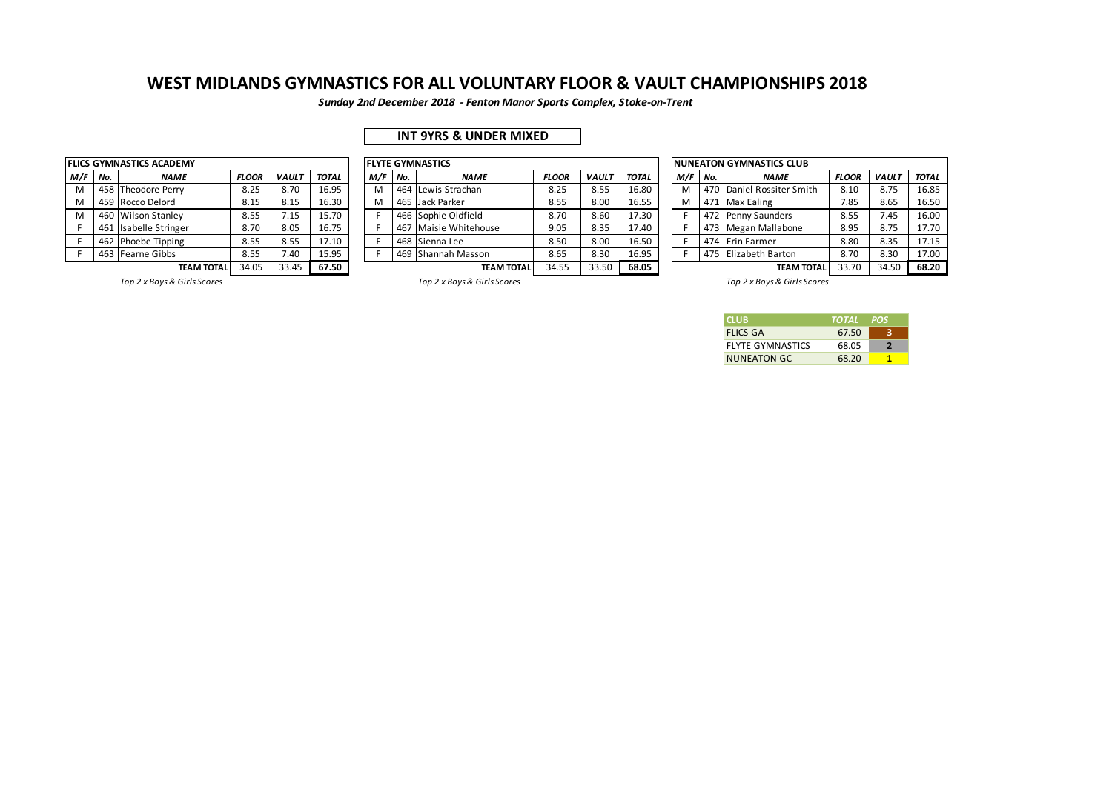*Sunday 2nd December 2018 - Fenton Manor Sports Complex, Stoke-on-Trent*

## **INT 9YRS & UNDER MIXED**

|     |     | <b>FLICS GYMNASTICS ACADEMY</b> |              |              |                 |
|-----|-----|---------------------------------|--------------|--------------|-----------------|
| M/F | No. | <b>NAME</b>                     | <b>FLOOR</b> | <b>VAULT</b> | TO <sub>T</sub> |
| М   |     | 458 Theodore Perry              | 8.25         | 8.70         | 16.             |
| м   |     | 459 Rocco Delord                | 8.15         | 8.15         | 16.             |
| М   | 460 | <b>Wilson Stanley</b>           | 8.55         | 7.15         | 15.             |
| F   | 461 | <b>Isabelle Stringer</b>        | 8.70         | 8.05         | 16.             |
| F   | 462 | Phoebe Tipping                  | 8.55         | 8.55         | 17.             |
| F   |     | 463 Fearne Gibbs                | 8.55         | 7.40         | 15.             |
|     |     | TEA M TOTAI                     | <b>24 UE</b> | 22 15        | 67              |

|           |                                     | FLICS GYMNASTICS ACADEMY |              |              |              |     |     | <b>FLYTE GYMNASTICS</b> |              |              |              |                              |     |     | <b>INUNEATON GYMNASTICS CLUB</b> |              |              |              |
|-----------|-------------------------------------|--------------------------|--------------|--------------|--------------|-----|-----|-------------------------|--------------|--------------|--------------|------------------------------|-----|-----|----------------------------------|--------------|--------------|--------------|
| $M/F$ No. |                                     | <b>NAME</b>              | <b>FLOOR</b> | <b>VAULT</b> | <b>TOTAL</b> | M/F | No. | <b>NAME</b>             | <b>FLOOR</b> | <b>VAUL1</b> | <b>TOTAL</b> |                              | M/F | No. | <b>NAME</b>                      | <b>FLOOR</b> | <b>VAULT</b> | <b>TOTAL</b> |
| м         |                                     | 458 Theodore Perry       | 8.25         | 8.70         | 16.95        | M   |     | 464 Lewis Strachan      | 8.25         | 8.55         | 16.80        |                              | M   |     | 470 Daniel Rossiter Smith        | 8.10         | 8.75         | 16.85        |
| м         |                                     | 459 Rocco Delord         | 8.15         | 8.15         | 16.30        | M   |     | 465 Jack Parker         | 8.55         | 8.00         | 16.55        |                              | M   |     | 471 Max Ealing                   | 7.85         | 8.65         | 16.50        |
|           |                                     | 460 Wilson Stanley       | 8.55         | 7.15         | 15.70        |     |     | 466 Sophie Oldfield     | 8.70         | 8.60         | 17.30        | 472 Penny Saunders           |     |     |                                  | 8.55         | 7.45         | 16.00        |
|           |                                     | 461 Isabelle Stringer    | 8.70         | 8.05         | 16.75        |     |     | 467 Maisie Whitehouse   | 9.05         | 8.35         | 17.40        |                              |     |     | 473 Megan Mallabone              | 8.95         | 8.75         | 17.70        |
|           |                                     | 462 Phoebe Tipping       | 8.55         | 8.55         | 17.10        |     |     | 468 Sienna Lee          | 8.50         | 8.00         | 16.50        |                              |     |     | 474 Erin Farmer                  | 8.80         | 8.35         | 17.15        |
|           |                                     | 463 Fearne Gibbs         | 8.55         | 7.40         | 15.95        |     |     | 469 Shannah Masson      | 8.65         | 8.30         | 16.95        | 475 Elizabeth Barton<br>8.70 |     |     |                                  |              | 8.30         | 17.00        |
|           | 33.45<br>34.05<br><b>TEAM TOTAL</b> |                          |              |              | 67.50        |     |     | <b>TEAM TOTAL</b>       | 34.55        | 33.50        | 68.05        |                              |     |     | <b>TEAM TOTAL</b>                | 33.70        | 34.50        | 68.20        |

|     |     | NUNEATON GYMNASTICS CLUB |              |              |              |
|-----|-----|--------------------------|--------------|--------------|--------------|
| M/F | No. | <b>NAME</b>              | <b>FLOOR</b> | <b>VAULT</b> | <b>TOTAL</b> |
| M   | 470 | Daniel Rossiter Smith    | 8.10         | 8.75         | 16.85        |
| M   | 471 | <b>Max Ealing</b>        | 7.85         | 8.65         | 16.50        |
| F   | 472 | Penny Saunders           | 8.55         | 7.45         | 16.00        |
| F   | 473 | Megan Mallabone          | 8.95         | 8.75         | 17.70        |
| F   | 474 | Erin Farmer              | 8.80         | 8.35         | 17.15        |
| F   |     | 475 Elizabeth Barton     | 8.70         | 8.30         | 17.00        |
|     |     | TEARA TOTAL              | 22.70        | 24.50        | 0.20         |

*Top 2 x Boys & Girls Scores Top 2 x Boys & Girls Scores Top 2 x Boys & Girls Scores*

| <b>CLUB</b>             | TOTAL | <b>POS</b> |
|-------------------------|-------|------------|
| <b>FLICS GA</b>         | 67.50 |            |
| <b>FLYTE GYMNASTICS</b> | 68.05 | э          |
| <b>NUNEATON GC</b>      | 68.20 |            |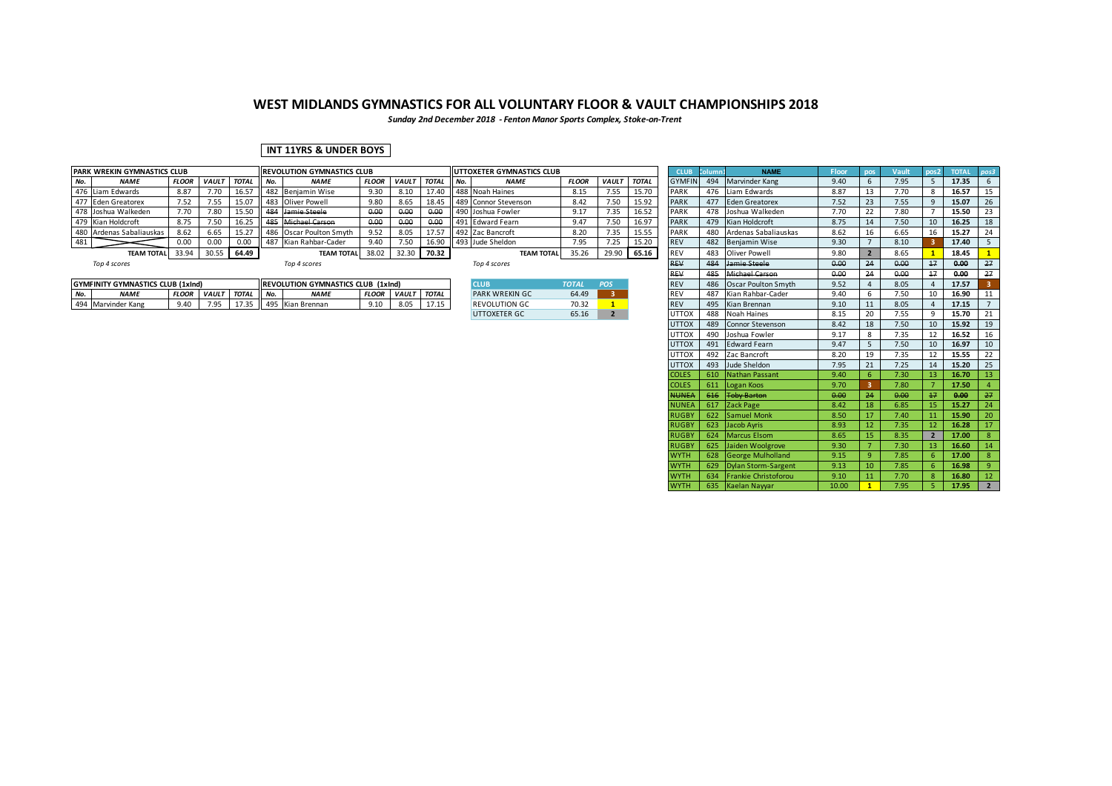*Sunday 2nd December 2018 - Fenton Manor Sports Complex, Stoke-on-Trent*

### **INT 11YRS & UNDER BOYS**

|     | <b>PARK WREKIN GYMNASTICS CLUB</b> |              |              |              |     | <b>IREVOLUTION GYMNASTICS CLUB</b> |              |              |              |        | UTTOXETER GYMNASTICS CLUB |              |              |              | <b>CLUB</b>   |     | <b>NAME</b>           | Floor |      | <b>TOTAL</b> |    |
|-----|------------------------------------|--------------|--------------|--------------|-----|------------------------------------|--------------|--------------|--------------|--------|---------------------------|--------------|--------------|--------------|---------------|-----|-----------------------|-------|------|--------------|----|
| No. | <b>NAME</b>                        | <b>FLOOR</b> | <b>VAULT</b> | <b>TOTAL</b> | No. | <b>NAME</b>                        | <b>FLOOR</b> | <b>VAULT</b> | <b>TOTAL</b> | II No. | <b>NAME</b>               | <b>FLOOR</b> | <b>VAULT</b> | <b>TOTAL</b> | <b>GYMFIN</b> | 494 | Marvinder Kang        | 9.40  | 7.95 | 17.35        |    |
|     | 476 Liam Edwards                   | 8.87         |              | 16.57        |     | 482 Benjamin Wise                  | 9.30         | 8.10         | 17.40        |        | 488 Noah Haines           | 8.15         | 7.55         | 15.70        | PARK          | 476 | Liam Edwards          | 8.87  | 7.70 | 16.57        |    |
|     | 477 Eden Greatorex                 | 7.52         |              | 15.07        |     | 483 Oliver Powell                  | 9.80         | 8.65         | 18.45        |        | 489 Connor Stevenson      | 8.42         | 7.50         | 15.92        | PARK          | 477 | <b>Eden Greatorex</b> | 7.52  | 7.55 | 15.07        | 26 |
|     | 478 Joshua Walkeden                | 7.70         | 7.80         | 15.50        |     | 484 Jamie Steele                   | 0.00         | 0.00         | 0.00         |        | 490 Joshua Fowler         | 9.17         | 7.35         | 16.52        | PARK          |     | 478 Joshua Walkeden   | 7.70  | 7.80 | 15.50        |    |
|     | 479 Kian Holdcroft                 | 8.75         |              |              |     | 485 Michael Carson                 | 0.00         | 0.00         | 0.00         | 491    | Edward Fearn              | 9.47         | 7.50         | 16.97        | PARK          | 479 | Kian Holdcroft        | 8.75  | 7.50 | 16.25        |    |
|     | 480 Ardenas Sabaliauskas           | 8.62         | 6.65         | 15.27        |     | 486 Oscar Poulton Smyth            | 9.52         | 8.05         | 17.57        | 497    | 2 Zac Bancroft            | 8.20         | 7.35         | 15.55        | <b>PARK</b>   | 480 | Ardenas Sabaliauskas  | 8.62  | 6.65 | 15.27        |    |
| 481 |                                    |              | 0.00         | 0.00         | 487 | / Kian Rahbar-Cader                | 9.40         | 7.50         | 16.90        | 493    | Jude Sheldon              | 7.95         | 7.25         | 15.20        | REV           | 482 | Benjamin Wise         | 9.30  | 8.10 | 17.40        |    |
|     | <b>TEAM TOTAL</b>                  | 33.94        | 30.55        | 64.49        |     | <b>TEAM TOTAL</b>                  | 38.02        | 32.30        | 70.32        |        | <b>TEAM TOTAL</b>         | 35.26        | 29.90        | 65.16        | <b>REV</b>    |     | 483 Oliver Powell     | 9.80  | 8.65 | 18.45        |    |
|     |                                    |              |              |              |     |                                    |              |              |              |        |                           |              |              |              |               |     |                       |       |      |              |    |

| <b>CLUB</b>            | <b>TOTAL</b> | <b>POS</b> |
|------------------------|--------------|------------|
| <b>PARK WREKIN GC.</b> | 64.49        | R          |
| <b>REVOLUTION GC</b>   | 70.32        |            |
| UTTOXETER GC           | 65.16        |            |

|     | PARK WREKIN GYMNASTICS CLUB              |              |                    |              |     | <b>REVOLUTION GYMNASTICS CLUB</b>         |              |                   |       |     | UTTOXETER GYMNASTICS CLUB |              |                |              | <b>CLUB</b>   | Column1 | <b>NAME</b>                | Floor | pos             | Vault | pos2           | TOTAL pos3 |                |
|-----|------------------------------------------|--------------|--------------------|--------------|-----|-------------------------------------------|--------------|-------------------|-------|-----|---------------------------|--------------|----------------|--------------|---------------|---------|----------------------------|-------|-----------------|-------|----------------|------------|----------------|
| No. | <b>NAME</b>                              | <b>FLOOR</b> | <b>VAULT</b>       | <b>TOTAL</b> | No. | <b>NAME</b>                               | <b>FLOOR</b> | VAULT TOTAL       |       | No. | <b>NAME</b>               | <b>FLOOR</b> | <b>VAULT</b>   | <b>TOTAL</b> | <b>GYMFIN</b> |         | 494 Marvinder Kang         | 9.40  | 6               | 7.95  | 5              | 17.35      | 6              |
|     | 476 Liam Edwards                         | 8.87         | 7.70               | 16.57        |     | 482 Benjamin Wise                         | 9.30         | 8.10              | 17.40 |     | 488 Noah Haines           | 8.15         | 7.55           | 15.70        | <b>PARK</b>   | 476     | Liam Edwards               | 8.87  | 13              | 7.70  | 8              | 16.57      | 15             |
|     | 477 Eden Greatorex                       | 7.52         | 7.55               | 15.07        |     | 483 Oliver Powell                         | 9.80         | 8.65              | 18.45 |     | 489 Connor Stevenson      | 8.42         | 7.50           | 15.92        | <b>PARK</b>   | 477     | <b>Eden Greatorex</b>      | 7.52  | 23              | 7.55  | 9              | 15.07      | 26             |
|     | 478 Joshua Walkeden                      | 7.70         | 7.80               | 15.50        | 484 | Jamie Steele                              | 0.00         | 0.00              | 0.00  |     | 490 Joshua Fowler         | 9.17         | 7.35           | 16.52        | <b>PARK</b>   | 478     | Joshua Walkeden            | 7.70  | 22              | 7.80  |                | 15.50      | 23             |
|     | 479 Kian Holdcroft                       | 8.75         | 7.50               | 16.25        | 485 | <b>Michael Carson</b>                     | 0.00         | 0.00              | 0.00  |     | 491 Edward Fearn          | 9.47         | 7.50           | 16.97        | <b>PARK</b>   | 479     | Kian Holdcroft             | 8.75  | 14              | 7.50  | 10             | 16.25      | 18             |
|     | 480 Ardenas Sabaliauskas                 | 8.62         | 6.65               | 15.27        |     | 486 Oscar Poulton Smyth                   | 9.52         | 8.05              | 17.57 |     | 492 Zac Bancroft          | 8.20         | 7.35           | 15.55        | <b>PARK</b>   | 480     | Ardenas Sabaliauskas       | 8.62  | 16              | 6.65  | 16             | 15.27      | 24             |
| 481 |                                          | 0.00         | 0.00               | 0.00         |     | 487 Kian Rahbar-Cader                     | 9.40         | 7.50              | 16.90 |     | 493 Jude Sheldon          | 7.95         | 7.25           | 15.20        | <b>REV</b>    | 482     | <b>Beniamin Wise</b>       | 9.30  | $7\overline{ }$ | 8.10  |                | 17.40      | 5 <sup>5</sup> |
|     | <b>TEAM TOTAL</b>                        | 33.94        | 30.55              | 64.49        |     | TEAM TOTAL 38.02 32.30 70.32              |              |                   |       |     | <b>TEAM TOTAL</b>         | 35.26        | 29.90          | 65.16        | <b>REV</b>    | 483     | <b>Oliver Powell</b>       | 9.80  | $\overline{2}$  | 8.65  | $\mathbf{1}$   | 18.45      |                |
|     | Top 4 scores                             |              |                    |              |     | Top 4 scores                              |              |                   |       |     | Top 4 scores              |              |                |              | <b>REV</b>    | 484     | Jamie Steele               | 0.00  | 24              | 0.00  | 17             | 0.00       | 27             |
|     |                                          |              |                    |              |     |                                           |              |                   |       |     |                           |              |                |              | REV           | 485     | Michael Carson             | 0.00  | 24              | 0.00  | 17             | 0.00       | 27             |
|     | <b>GYMFINITY GYMNASTICS CLUB (1xInd)</b> |              |                    |              |     | <b>REVOLUTION GYMNASTICS CLUB (1xInd)</b> |              |                   |       |     | <b>CLUB</b>               | <b>TOTAL</b> | <b>POS</b>     |              | <b>REV</b>    | 486     | <b>Oscar Poulton Smyth</b> | 9.52  | $\overline{a}$  | 8.05  | $\Delta$       | 17.57      | 3 <sup>7</sup> |
| No. | <b>NAME</b>                              |              | <b>FLOOR VAULT</b> | <b>TOTAL</b> | No. | <b>NAME</b>                               |              | FLOOR VAULT TOTAL |       |     | <b>PARK WREKIN GC</b>     | 64.49        | $-3$           |              | REV           | 487     | Kian Rahbar-Cader          | 9.40  | 6               | 7.50  | 10             | 16.90      | 11             |
|     | 494 Marvinder Kang                       | 9.40         | 7.95               | 17.35        |     | 495 Kian Brennan                          | 9.10         | 8.05              | 17.15 |     | <b>REVOLUTION GC</b>      | 70.32        | $\mathbf{1}$   |              | <b>REV</b>    | 495     | Kian Brennan               | 9.10  | 11              | 8.05  |                | 17.15      | $7^{\circ}$    |
|     |                                          |              |                    |              |     |                                           |              |                   |       |     | <b>UTTOXETER GC</b>       | 65.16        | $\overline{2}$ |              | <b>UTTOX</b>  | 488     | Noah Haines                | 8.15  | 20              | 7.55  | 9              | 15.70      | 21             |
|     |                                          |              |                    |              |     |                                           |              |                   |       |     |                           |              |                |              | <b>UTTOX</b>  | 489     | <b>Connor Stevenson</b>    | 8.42  | 18              | 7.50  | 10             | 15.92      | 19             |
|     |                                          |              |                    |              |     |                                           |              |                   |       |     |                           |              |                |              | <b>UTTOX</b>  | 490     | Joshua Fowler              | 9.17  | 8               | 7.35  | 12             | 16.52      | 16             |
|     |                                          |              |                    |              |     |                                           |              |                   |       |     |                           |              |                |              | <b>UTTOX</b>  | 491     | <b>Edward Fearn</b>        | 9.47  | 5               | 7.50  | 10             | 16.97      | 10             |
|     |                                          |              |                    |              |     |                                           |              |                   |       |     |                           |              |                |              | <b>UTTOX</b>  | 492     | Zac Bancroft               | 8.20  | 19              | 7.35  | 12             | 15.55      | 22             |
|     |                                          |              |                    |              |     |                                           |              |                   |       |     |                           |              |                |              | <b>UTTOX</b>  | 493     | Jude Sheldon               | 7.95  | 21              | 7.25  | 14             | 15.20      | 25             |
|     |                                          |              |                    |              |     |                                           |              |                   |       |     |                           |              |                |              | <b>COLES</b>  |         | 610 Nathan Passant         | 9.40  | -6              | 7.30  | <b>13</b>      | 16.70      | 13             |
|     |                                          |              |                    |              |     |                                           |              |                   |       |     |                           |              |                |              | <b>COLES</b>  |         | 611 Logan Koos             | 9.70  | 3               | 7.80  |                | 17.50      |                |
|     |                                          |              |                    |              |     |                                           |              |                   |       |     |                           |              |                |              | <b>NUNEA</b>  | 616     | <b>Toby Barton</b>         | 0.00  | 24              | 0.00  | 17             | 0.00       | 27             |
|     |                                          |              |                    |              |     |                                           |              |                   |       |     |                           |              |                |              | <b>NUNEA</b>  |         | 617 Zack Page              | 8.42  | 18              | 6.85  | 15             | 15.27      | 24             |
|     |                                          |              |                    |              |     |                                           |              |                   |       |     |                           |              |                |              | <b>RUGBY</b>  |         | 622 Samuel Monk            | 8.50  | 17              | 7.40  | 11             | 15.90      | 20             |
|     |                                          |              |                    |              |     |                                           |              |                   |       |     |                           |              |                |              | <b>RUGBY</b>  | 623     | Jacob Ayris                | 8.93  | 12              | 7.35  | 12             | 16.28      | 17             |
|     |                                          |              |                    |              |     |                                           |              |                   |       |     |                           |              |                |              | <b>RUGBY</b>  |         | 624 Marcus Elsom           | 8.65  | 15              | 8.35  | $\overline{2}$ | 17.00      | 8              |
|     |                                          |              |                    |              |     |                                           |              |                   |       |     |                           |              |                |              | <b>RUGBY</b>  |         | 625 Jaiden Woolgrove       | 9.30  |                 | 7.30  | 13             | 16.60      | 14             |
|     |                                          |              |                    |              |     |                                           |              |                   |       |     |                           |              |                |              | <b>WYTH</b>   | 628     | <b>George Mulholland</b>   | 9.15  | 9               | 7.85  |                | 17.00      | 8              |
|     |                                          |              |                    |              |     |                                           |              |                   |       |     |                           |              |                |              | <b>WYTH</b>   |         | 629   Dylan Storm-Sargent  | 9.13  | 10              | 7.85  | 6              | 16.98      | -9             |
|     |                                          |              |                    |              |     |                                           |              |                   |       |     |                           |              |                |              | <b>WYTH</b>   |         | 634 Frankie Christoforou   | 9.10  | 11              | 7.70  | 8              | 16.80      | 12             |
|     |                                          |              |                    |              |     |                                           |              |                   |       |     |                           |              |                |              | <b>WYTH</b>   |         | 635 Kaelan Nayyar          | 10.00 |                 | 7.95  | -5.            | 17.95      | $\overline{2}$ |
|     |                                          |              |                    |              |     |                                           |              |                   |       |     |                           |              |                |              |               |         |                            |       |                 |       |                |            |                |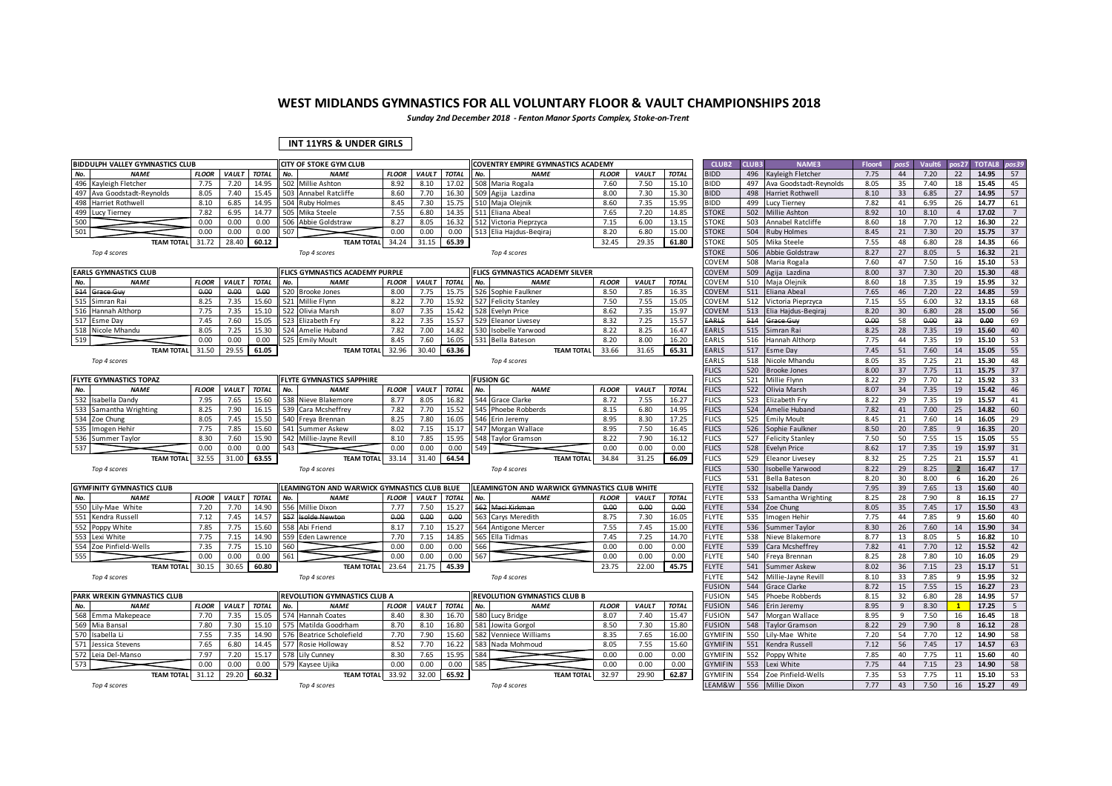*Sunday 2nd December 2018 - Fenton Manor Sports Complex, Stoke-on-Trent*

### **INT 11YRS & UNDER GIRLS**

| <b>BIDDULPH VALLEY GYMNASTICS CLUB</b>              |              |              |                |     | <b>CITY OF STOKE GYM CLUB</b>                   |              |              |              |     | <b>COVENTRY EMPIRE GYMNASTICS ACADEMY</b>    |              |                      |                | CLUB <sub>2</sub>            | CLUB3      | <b>NAME3</b>                  | Floor4       | pos5     | Vault6       | pos27          | <b>TOTAL8</b>  | pos39           |
|-----------------------------------------------------|--------------|--------------|----------------|-----|-------------------------------------------------|--------------|--------------|--------------|-----|----------------------------------------------|--------------|----------------------|----------------|------------------------------|------------|-------------------------------|--------------|----------|--------------|----------------|----------------|-----------------|
| No.<br><b>NAME</b>                                  | <b>FLOOR</b> | <b>VAULT</b> | <b>TOTAL</b>   | No. | <b>NAME</b>                                     | <b>FLOOR</b> | <b>VAULT</b> | <b>TOTAL</b> | No. | <b>NAME</b>                                  | <b>FLOOR</b> | <b>VAULT</b>         | <b>TOTAL</b>   | <b>BIDD</b>                  | 496        | Kayleigh Fletcher             | 7.75         | 44       | 7.20         | 22             | 14.95          | 57              |
| 496<br>Kayleigh Fletcher                            | 7.75         | 7.20         | 14.95          |     | 502 Millie Ashton                               | 8.92         | 8.10         | 17.02        |     | 508 Maria Rogala                             | 7.60         | 7.50                 | 15.10          | <b>BIDD</b>                  | 497        | Ava Goodstadt-Reynolds        | 8.05         | 35       | 7.40         | 18             | 15.45          | 45              |
| 497<br>Ava Goodstadt-Reynolds                       | 8.05         | 7.40         | 15.45          | 503 | Annabel Ratcliffe                               | 8.60         | 7.70         | 16.30        |     | 509 Agija Lazdina                            | 8.00         | 7.30                 | 15.30          | <b>BIDD</b>                  | 498        | Harriet Rothwell              | 8.10         | 33       | 6.85         | 27             | 14.95          | 57              |
| 498<br>Harriet Rothwell                             | 8.10         | 6.85         | 14.95          | 504 | <b>Ruby Holmes</b>                              | 8.45         | 7.30         | 15.75        |     | 510 Maja Olejnik                             | 8.60         | 7.35                 | 15.95          | <b>BIDD</b>                  | 499        | <b>Lucy Tierney</b>           | 7.82         | 41       | 6.95         | 26             | 14.77          | 61              |
| 499<br><b>Lucy Tierney</b>                          | 7.82         | 6.95         | 14.77          |     | 505 Mika Steele                                 | 7.55         | 6.80         | 14.35        |     | 511 Eliana Abeal                             | 7.65         | 7.20                 | 14.85          | <b>STOKE</b>                 | 502        | Millie Ashton                 | 8.92         | 10       | 8.10         | $\overline{4}$ | 17.02          | $\overline{7}$  |
| 500                                                 | 0.00         | 0.00         | 0.00           |     | 506 Abbie Goldstraw                             | 8.27         | 8.05         | 16.32        | 512 | Victoria Pieprzyca                           | 7.15         | 6.00                 | 13.15          | <b>STOKE</b>                 | 503        | Annabel Ratcliffe             | 8.60         | 18       | 7.70         | 12             | 16.30          | 22              |
| 501                                                 | 0.00         | 0.00         | 0.00           | 507 |                                                 | 0.00         | 0.00         | 0.00         |     | 513 Elia Hajdus-Begiraj                      | 8.20         | 6.80                 | 15.00          | <b>STOKE</b>                 | 504        | <b>Ruby Holmes</b>            | 8.45         | 21       | 7.30         | 20             | 15.75          | 37              |
| <b>TEAM TOTAL</b>                                   | 31.72        | 28.40        | 60.12          |     | <b>TEAM TOTAL</b>                               | 34.24        | 31.15        | 65.39        |     |                                              | 32.45        | 29.35                | 61.80          | STOKE                        | 505        | Mika Steele                   | 7.55         | 48       | 6.80         | 28             | 14.35          | 66              |
| Top 4 scores                                        |              |              |                |     | Top 4 scores                                    |              |              |              |     | Top 4 scores                                 |              |                      |                | <b>STOKE</b>                 | 506        | Abbie Goldstraw               | 8.27         | 27       | 8.05         | 5              | 16.32          | 21              |
|                                                     |              |              |                |     |                                                 |              |              |              |     |                                              |              |                      |                | COVEM                        | 508        | Maria Rogala                  | 7.60         | 47       | 7.50         | 16             | 15.10          | 53              |
| <b>EARLS GYMNASTICS CLUB</b>                        |              |              |                |     | FLICS GYMNASTICS ACADEMY PURPLE                 |              |              |              |     | FLICS GYMNASTICS ACADEMY SILVER              |              |                      |                | COVEM                        | 509        | Agija Lazdina                 | 8.00         | 37       | 7.30         | 20             | 15.30          | 48              |
| No.<br><b>NAME</b>                                  | <b>FLOOR</b> | VAULT        | <b>TOTAL</b>   | No. | <b>NAME</b>                                     | <b>FLOOR</b> | <b>VAULT</b> | <b>TOTAL</b> | No. | <b>NAME</b>                                  | <b>FLOOR</b> | VAULT                | <b>TOTAL</b>   | COVEM                        | 510        | Maja Olejnik                  | 8.60         | 18       | 7.35         | 19             | 15.95          | 32              |
| 514<br>Grace Guy                                    | 0.00         | 0.00         | 0.00           |     | 520 Brooke Jones                                | 8.00         | 7.75         | 15.75        |     | 526 Sophie Faulkner                          | 8.50         | 7.85                 | 16.35          | COVEM                        | 511        | Eliana Abeal                  | 7.65         | 46       | 7.20         | 22             | 14.85          | 59              |
| 515<br>Simran Rai                                   | 8.25         | 7.35         | 15.60          |     | 521 Millie Flynn                                | 8.22         | 7.70         | 15.92        |     | 527 Felicity Stanley                         | 7.50         | 7.55                 | 15.05          | COVEM                        | 512        | Victoria Pieprzyca            | 7.15         | 55       | 6.00         | 32             | 13.15          | 68              |
| 516<br>Hannah Althorp                               | 7.75         | 7.35         | 15.10          |     | 522 Olivia Marsh                                | 8.07         | 7.35         | 15.42        |     | 528 Evelyn Price                             | 8.62         | 7.35                 | 15.97          | <b>COVEM</b>                 | 513        | Elia Hajdus-Begira            | 8.20         | 30       | 6.80         | 28             | 15.00          | 56              |
| 517 Esme Day                                        | 7.45<br>8.05 | 7.60         | 15.05<br>15.30 |     | 523 Elizabeth Fry                               | 8.22<br>7.82 | 7.35<br>7.00 | 15.57        |     | 529 Eleanor Livesey                          | 8.32<br>8.22 | 7.25<br>8.25         | 15.57          | EARLS                        | 514        | Grace Guy                     | 0.00<br>8.25 | 58       | 0.00         | 33             | 0.00           | 69<br>40        |
| 518 Nicole Mhandu<br>519                            | 0.00         | 7.25         |                |     | 524 Amelie Huband                               | 8.45         |              | 14.82        |     | 530 Isobelle Yarwood                         |              |                      | 16.47          | EARLS<br>EARLS               | 515        | Simran Rai                    |              | 28<br>44 | 7.35         | 19             | 15.60          | 53              |
|                                                     |              | 0.00         | 0.00           |     | 525 Emily Moult                                 |              | 7.60         | 16.05        |     | 531 Bella Bateson                            | 8.20         | 8.00                 | 16.20          |                              | 516        | Hannah Althorp                | 7.75         |          | 7.35         | 19             | 15.10          |                 |
| <b>TEAM TOTAL</b>                                   | 31.50        | 29.55        | 61.05          |     | <b>TEAM TOTAL</b>                               | 32.96        | 30.40        | 63.36        |     | <b>TEAM TOTAL</b>                            | 33.66        | 31.65                | 65.31          | EARLS                        | 517        | <b>Esme Day</b>               | 7.45         | 51       | 7.60         | 14             | 15.05          | 55              |
| Top 4 scores                                        |              |              |                |     |                                                 |              |              |              |     | Top 4 scores                                 |              |                      |                | EARLS                        | 518        | Nicole Mhandu                 | 8.05         | 35       | 7.25         | 21             | 15.30          | 48              |
|                                                     |              |              |                |     |                                                 |              |              |              |     |                                              |              |                      |                | <b>FLICS</b>                 | 520        | <b>Brooke Jones</b>           | 8.00         | 37       | 7.75         | 11             | 15.75          | 37              |
| <b>FLYTE GYMNASTICS TOPAZ</b><br>No.<br><b>NAME</b> | <b>FLOOR</b> | <b>VAULT</b> | <b>TOTAL</b>   |     | <b>FLYTE GYMNASTICS SAPPHIRE</b><br><b>NAME</b> | <b>FLOOR</b> | <b>VAULT</b> | <b>TOTAL</b> | No. | <b>FUSION GC</b><br><b>NAME</b>              | <b>FLOOR</b> |                      | <b>TOTAL</b>   | <b>FLICS</b><br><b>FLICS</b> | 521<br>522 | Millie Flynn                  | 8.22<br>8.07 | 29<br>34 | 7.70<br>7.35 | 12<br>19       | 15.92<br>15.42 | 33<br>46        |
| 532<br>Isabella Dandy                               | 7.95         |              | 15.60          | No. | 538 Nieve Blakemore                             | 8.77         | 8.05         | 16.82        |     | 544 Grace Clarke                             | 8.72         | <b>VAULT</b><br>7.55 |                | <b>FLICS</b>                 | 523        | Olivia Marsh<br>Elizabeth Fry | 8.22         |          |              | 19             | 15.57          | 41              |
| 533 Samantha Wrighting                              | 8.25         | 7.65<br>7.90 | 16.15          | 539 | Cara Mcsheffrey                                 | 7.82         | 7.70         | 15.52        |     | 545 Phoebe Robberds                          | 8.15         | 6.80                 | 16.27<br>14.95 | <b>FLICS</b>                 | 524        | Amelie Huband                 | 7.82         | 29<br>41 | 7.35<br>7.00 | 25             | 14.82          | 60              |
| 534<br>Zoe Chung                                    | 8.05         | 7.45         | 15.50          |     | 540 Freya Brennan                               | 8.25         | 7.80         | 16.05        |     | 546 Erin Jeremy                              | 8.95         | 8.30                 | 17.25          | <b>FLICS</b>                 | 525        | <b>Emily Moult</b>            | 8.45         | 21       | 7.60         | 14             | 16.05          | 29              |
| 535<br>Imogen Hehir                                 | 7.75         | 7.85         | 15.60          |     | 541 Summer Askew                                | 8.02         | 7.15         | 15.17        |     | 547 Morgan Wallace                           | 8.95         | 7.50                 | 16.45          | <b>FLICS</b>                 | 526        | Sophie Faulkner               | 8.50         | 20       | 7.85         | 9              | 16.35          | 20              |
| 536 Summer Taylor                                   | 8.30         | 7.60         | 15.90          |     | 542 Millie-Jayne Revill                         | 8.10         | 7.85         | 15.95        |     | 548 Taylor Gramson                           | 8.22         | 7.90                 | 16.12          | <b>FLICS</b>                 | 527        | <b>Felicity Stanley</b>       | 7.50         | 50       | 7.55         | 15             | 15.05          | 55              |
| 537                                                 | 0.00         | 0.00         | 0.00           | 543 |                                                 | 0.00         | 0.00         | 0.00         | 549 |                                              | 0.00         | 0.00                 | 0.00           | <b>FLICS</b>                 | 528        | <b>Evelyn Price</b>           | 8.62         | 17       | 7.35         | 19             | 15.97          | 31              |
| <b>TEAM TOTAL</b>                                   | 32.55        | 31.00        | 63.55          |     | <b>TEAM TOTAL</b>                               | 33.14        | 31.40        | 64.54        |     | <b>TEAM TOTAL</b>                            | 34.84        | 31.25                | 66.09          | <b>FLICS</b>                 | 529        | <b>Eleanor Livesey</b>        | 8.32         | 25       | 7.25         | 21             | 15.57          | 41              |
| Top 4 scores                                        |              |              |                |     | Top 4 scores                                    |              |              |              |     | Top 4 scores                                 |              |                      |                | <b>FLICS</b>                 | 530        | Isobelle Yarwood              | 8.22         | 29       | 8.25         | $\overline{2}$ | 16.47          | 17              |
|                                                     |              |              |                |     |                                                 |              |              |              |     |                                              |              |                      |                | <b>FLICS</b>                 | 531        | Bella Bateson                 | 8.20         | 30       | 8.00         | 6              | 16.20          | 26              |
| <b>GYMFINITY GYMNASTICS CLUB</b>                    |              |              |                |     | LEAMINGTON AND WARWICK GYMNASTICS CLUB BLUE     |              |              |              |     | LEAMINGTON AND WARWICK GYMNASTICS CLUB WHITE |              |                      |                | <b>FLYTE</b>                 | 532        | Isabella Dandy                | 7.95         | 39       | 7.65         | 13             | 15.60          | 40              |
| No.<br><b>NAME</b>                                  | <b>FLOOR</b> | VAULT        | <b>TOTAL</b>   | No. | <b>NAME</b>                                     | <b>FLOOR</b> | <b>VAULT</b> | <b>TOTAL</b> | No. | <b>NAME</b>                                  | <b>FLOOR</b> | VAULT                | <b>TOTAL</b>   | FLYTE                        | 533        | Samantha Wrighting            | 8.25         | 28       | 7.90         | 8              | 16.15          | 27              |
| 550 Lily-Mae White                                  | 7.20         | 7.70         | 14.90          | 556 | Millie Dixon                                    | 7.77         | 7.50         | 15.27        | 562 | Maci Kirkman                                 | 0.00         | 0.00                 | 0.00           | <b>FLYTE</b>                 | 534        | Zoe Chung                     | 8.05         | 35       | 7.45         | 17             | 15.50          | 43              |
| 551<br>Kendra Russell                               | 7.12         | 7.45         | 14.57          | 557 | solde Newton                                    | 0.00         | 0.00.        | 0.00         | 563 | Carys Meredith                               | 8.75         | 7.30                 | 16.05          | <b>FLYTE</b>                 | 535        | Imogen Hehir                  | 7.75         | 44       | 7.85         | 9              | 15.60          | 40              |
| 552 Poppy White                                     | 7.85         | 7.75         | 15.60          | 558 | Abi Friend                                      | 8.17         | 7.10         | 15.27        |     | 564 Antigone Mercer                          | 7.55         | 7.45                 | 15.00          | <b>FLYTE</b>                 | 536        | Summer Taylor                 | 8.30         | 26       | 7.60         | 14             | 15.90          | 34              |
| 553<br>Lexi White                                   | 7.75         | 7.15         | 14.90          | 559 | Eden Lawrence                                   | 7.70         | 7.15         | 14.85        |     | 565 Ella Tidmas                              | 7.45         | 7.25                 | 14.70          | <b>FLYTE</b>                 | 538        | Nieve Blakemore               | 8.77         | 13       | 8.05         | 5              | 16.82          | 10              |
| 554 Zoe Pinfield-Wells                              | 7.35         | 7.75         | 15.10          | 560 |                                                 | 0.00         | 0.00         | 0.00         | 566 |                                              | 0.00         | 0.00                 | 0.00           | <b>FLYTE</b>                 | 539        | Cara Mcsheffrey               | 7.82         | 41       | 7.70         | 12             | 15.52          | 42              |
| 555                                                 | 0.00         | 0.00         | 0.00           | 561 |                                                 | 0.00         | 0.00         | 0.00         | 567 |                                              | 0.00         | 0.00                 | 0.00           | <b>FLYTE</b>                 | 540        | Freya Brennan                 | 8.25         | 28       | 7.80         | 10             | 16.05          | 29              |
| <b>TEAM TOTAL</b>                                   | 30.15        | 30.65        | 60.80          |     | <b>TEAM TOTAL</b>                               | 23.64        | 21.75        | 45.39        |     |                                              | 23.75        | 22.00                | 45.75          | <b>FLYTE</b>                 | 541        | <b>Summer Askew</b>           | 8.02         | 36       | 7.15         | 23             | 15.17          | 51              |
| Top 4 scores                                        |              |              |                |     | Top 4 scores                                    |              |              |              |     | Top 4 scores                                 |              |                      |                | <b>FLYTE</b>                 | 542        | Millie-Javne Revill           | 8.10         | 33       | 7.85         | 9              | 15.95          | 32              |
|                                                     |              |              |                |     |                                                 |              |              |              |     |                                              |              |                      |                | <b>FUSION</b>                | 544        | <b>Grace Clarke</b>           | 8.72         | 15       | 7.55         | 15             | 16.27          | 23              |
| PARK WREKIN GYMNASTICS CLUB                         |              |              |                |     | REVOLUTION GYMNASTICS CLUB A                    |              |              |              |     | REVOLUTION GYMNASTICS CLUB B                 |              |                      |                | <b>FUSION</b>                | 545        | Phoebe Robberds               | 8.15         | 32       | 6.80         | 28             | 14.95          | 57              |
| No.<br><b>NAME</b>                                  | <b>FLOOR</b> | <b>VAULT</b> | <b>TOTAL</b>   | No. | <b>NAME</b>                                     | <b>FLOOR</b> | <b>VAULT</b> | <b>TOTAL</b> | No. | <b>NAME</b>                                  | <b>FLOOR</b> | <b>VAULT</b>         | <b>TOTAL</b>   | <b>FUSION</b>                | 546        | Erin Jeremy                   | 8.95         | 9        | 8.30         | $\mathbf{1}$   | 17.25          | $5\overline{)}$ |
| 568 Emma Makepeace                                  | 7.70         | 7.35         | 15.05          | 574 | Iannah Coates                                   | 8.40         | 8.30         | 16.70        |     | 580 Lucy Bridge                              | 8.07         | 7.40                 | 15.47          | <b>FUSION</b>                | 547        | Morgan Wallace                | 8.95         | 9        | 7.50         | 16             | 16.45          | 18              |
| 569<br>Mia Bansal                                   | 7.80         | 7.30         | 15.10          |     | 575 Matilda Goodrham                            | 8.70         | 8.10         | 16.80        |     | 581 Jowita Gorgol                            | 8.50         | 7.30                 | 15.80          | <b>FUSION</b>                | 548        | <b>Taylor Gramson</b>         | 8.22         | 29       | 7.90         | 8              | 16.12          | 28              |
| 570<br>Isabella Li                                  | 7.55         | 7.35         | 14.90          | 576 | <b>Beatrice Scholefield</b>                     | 7.70         | 7.90         | 15.60        | 582 | Venniece Williams                            | 8.35         | 7.65                 | 16.00          | <b>GYMIFIN</b>               | 550        | Lily-Mae White                | 7.20         | 54       | 7.70         | 12             | 14.90          | 58              |
| 571 Jessica Stevens                                 | 7.65         | 6.80         | 14.45          |     | 577 Rosie Holloway                              | 8.52         | 7.70         | 16.22        |     | 583 Nada Mohmoud                             | 8.05         | 7.55                 | 15.60          | <b>GYMIFIN</b>               | 551        | Kendra Russell                | 7.12         | 56       | 7.45         | 17             | 14.57          | 63              |
| 572<br>Leia Del-Manso                               | 7.97         | 7.20         | 15.17          | 578 | Lily Cunney                                     | 8.30         | 7.65         | 15.95        | 584 |                                              | 0.00         | 0.00                 | 0.00           | GYMIFIN                      | 552        | Poppy White                   | 7.85         | 40       | 7.75         | 11             | 15.60          | 40              |
| 573                                                 | 0.00         | 0.00         | 0.00           | 579 | Kaysee Ujika                                    | 0.00         | 0.00         | 0.00         | 585 |                                              | 0.00         | 0.00                 | 0.00           | <b>GYMIFIN</b>               | 553        | Lexi White                    | 7.75         | 44       | 7.15         | 23             | 14.90          | 58              |
| <b>TEAM TOTAL</b>                                   | 31.12        | 29.20        | 60.32          |     | <b>TEAM TOTAL</b>                               | 33.92        | 32.00        | 65.92        |     | <b>TEAM TOTAL</b>                            | 32.97        | 29.90                | 62.87          | <b>GYMIFIN</b>               | 554        | Zoe Pinfield-Wells            | 7.35         | 53       | 7.75         | 11             | 15.10          | 53              |
| Top 4 scores                                        |              |              |                |     | Top 4 scores                                    |              |              |              |     | Top 4 scores                                 |              |                      |                | LEAM&W                       | 556        | Millie Dixon                  | 7.77         | 43       | 7.50         | 16             | 15.27          | 49              |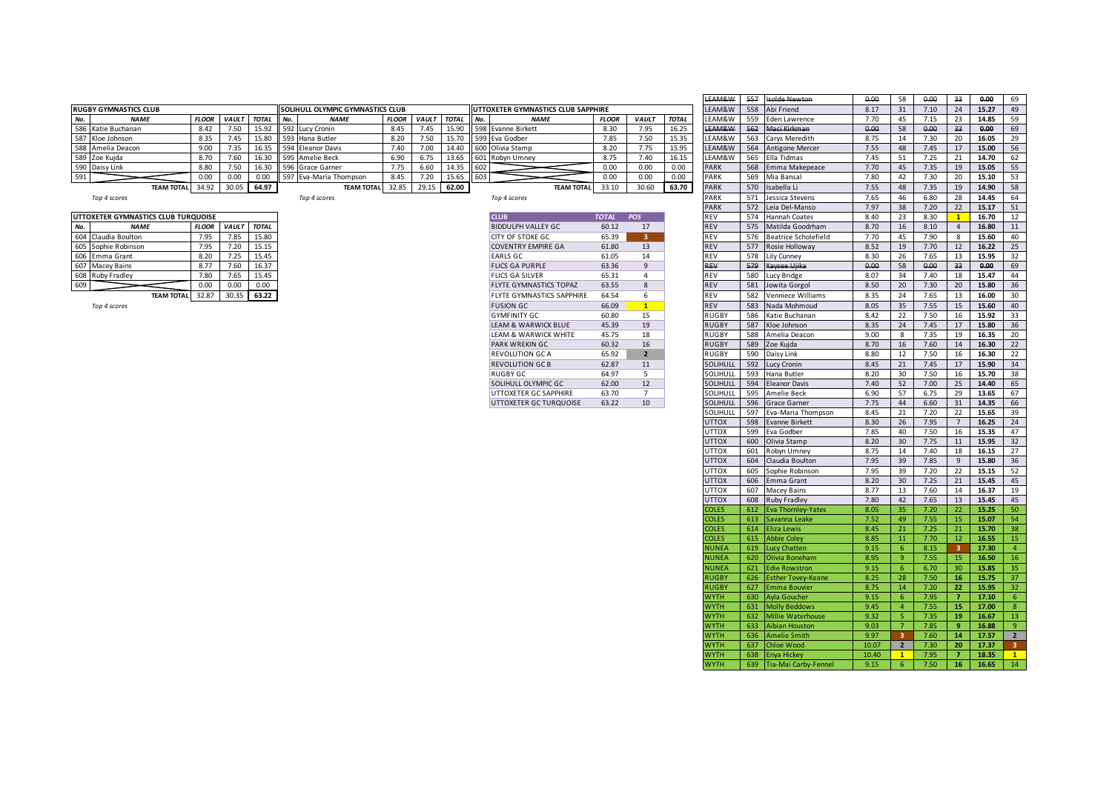|     |                              |              |              |           |                                          |              |              |              |                    |                                    |              |             |              | <b>ELANGWY</b>                |     | <del>ss/ isolac incwton</del> | v.vv | סכ | u.uu           | 55 | v.vv  | בס   |
|-----|------------------------------|--------------|--------------|-----------|------------------------------------------|--------------|--------------|--------------|--------------------|------------------------------------|--------------|-------------|--------------|-------------------------------|-----|-------------------------------|------|----|----------------|----|-------|------|
|     | <b>RUGBY GYMNASTICS CLUB</b> |              |              |           | <b>ISOLIHULL OLYMPIC GYMNASTICS CLUB</b> |              |              |              |                    | UTTOXETER GYMNASTICS CLUB SAPPHIRE |              |             |              | LEAM&W                        | 558 | Abi Friend                    | 8.17 |    | $^{\prime}.10$ |    | 15.27 | -49  |
| No. | <b>NAME</b>                  | <b>FLOOF</b> | <b>VAULT</b> | TOTAL No. | <b>NAME</b>                              | <b>FLOOR</b> | <b>VAULT</b> | <b>TOTAL</b> | $NQ$ .             | <b>NAME</b>                        | <b>FLOOR</b> | <b>VAUL</b> | <b>TOTAL</b> | LEAM&W                        | 559 | Eden Lawrence                 | 7.70 |    | 7.15           |    | 14.85 |      |
|     | 586 Katie Buchanan           | 8.42         | 7.50         |           | 15.92 592 Lucy Cronin                    |              |              | 15.90        |                    | J 1598 Evanne Birkett              | 8.30         | 7.95        | 16.25        | $I E \wedge N A Q \wedge N I$ |     | Maci Kirkman                  | 0.00 |    | 0.00           |    | 0.00  |      |
|     | 587 Kloe Johnson             | 8.35         | 7.45         |           | 15.80 593 Hana Butler                    | 8.20         | 7.50         |              |                    | 15.70 599 Eva Godber               | 7.85         | 7.50        | 15.35        | LEAM&W                        |     | 563 Carys Meredith            | 8.75 |    | 7.30           |    | 16.05 |      |
|     | 588 Amelia Deacon            | 9.00         | 7.35         |           | 16.35 594 Eleanor Davis                  | .40          | 7.00         |              |                    | 14.40 600 Olivia Stamp             | 8.20         | 7.75        | 15.95        | LEAM&W                        |     | 564 Antigone Mercer           | 7.55 | 48 |                |    | 15.00 | - 56 |
|     | 589 Zoe Kujda                | 8.70         |              |           | 16.30 595 Amelie Beck                    | 6.90         | 6.75         |              |                    | 13.65 601 Robyn Umney              | 8.75         | 7.40        | 16.15        | LEAM&W                        |     | 565 Ella Tidmas               | 7.45 |    |                |    | 14.70 |      |
|     | 590 Daisy Link               | 8.80         | 7.50         |           | 16.30 596 Grace Garner                   |              | 6.60         | 14.35        | <b>1602</b>        |                                    | 0.00         | 0.00        | 0.00         | PARK                          |     | 568 Emma Makepeace            | 7.70 |    | 7.35           | 19 | 15.05 |      |
| 591 |                              | 0.00         |              | 0.00      | 597 Eva-Maria Thompson                   | 8.45         | 7.20         | 15.65        | $\blacksquare$ 603 |                                    | 0.00         | 0.00        | 0.00         | <b>PARK</b>                   | 569 | Mia Bansal                    | 7.80 |    | 7.30           |    | 15.10 | -53  |
|     | TEAM TOTAL 34.92             |              | 30.05        | 64.97     | <b>TEAM TOTAL</b>                        | 32.85        |              | 62.00        |                    | <b>TEAM TOTAL</b>                  | 33.10        | 30.60       | 63.70        | <b>PARK</b>                   |     | 570 Isabella Li               | 7.55 | 48 | 7.35           | 19 | 14.90 |      |

|     | UTTOXETER GYMNASTICS CLUB TURQUOISE |              |              |              |
|-----|-------------------------------------|--------------|--------------|--------------|
| No. | <b>NAME</b>                         | <b>FLOOR</b> | <b>VAULT</b> | <b>TOTAL</b> |
| 604 | Claudia Boulton                     | 7.95         | 7.85         | 15.80        |
| 605 | Sophie Robinson                     | 7.95         | 7.20         | 15.15        |
| 606 | Emma Grant                          | 8.20         | 7.25         | 15.45        |
| 607 | <b>Macey Bains</b>                  | 8.77         | 7.60         | 16.37        |
| 608 | Ruby Fradley                        | 7.80         | 7.65         | 15.45        |
| 609 |                                     | 0.00         | 0.00         | 0.00         |
|     | <b>TEAM TOTAL</b>                   | 32.87        | 30.35        | 63.22        |

| <b>CLUB</b><br><b>POS</b><br><b>TOTAL</b><br>60.12<br>17<br>3<br>65.39<br>61.80<br>13<br>61.05<br>14<br>9<br>63.36<br>65.31<br>4<br>8<br>63.55<br>6<br>64.54<br>$\mathbf{1}$<br>66.09<br>15<br>60.80<br>45.39<br>19<br>45.75<br>18<br>16<br>60.32<br>$\overline{2}$<br>65.92<br>11<br>62.87<br>5<br>64.97<br>12<br>62.00<br>$\overline{7}$<br>63.70<br>63.22<br>10 |                                  |  |
|--------------------------------------------------------------------------------------------------------------------------------------------------------------------------------------------------------------------------------------------------------------------------------------------------------------------------------------------------------------------|----------------------------------|--|
|                                                                                                                                                                                                                                                                                                                                                                    |                                  |  |
|                                                                                                                                                                                                                                                                                                                                                                    | <b>BIDDULPH VALLEY GC</b>        |  |
|                                                                                                                                                                                                                                                                                                                                                                    | CITY OF STOKE GC.                |  |
|                                                                                                                                                                                                                                                                                                                                                                    | <b>COVENTRY EMPIRE GA</b>        |  |
|                                                                                                                                                                                                                                                                                                                                                                    | <b>FARLS GC</b>                  |  |
|                                                                                                                                                                                                                                                                                                                                                                    | <b>FLICS GA PURPLE</b>           |  |
|                                                                                                                                                                                                                                                                                                                                                                    | <b>FLICS GA SILVER</b>           |  |
|                                                                                                                                                                                                                                                                                                                                                                    | <b>FLYTE GYMNASTICS TOPAZ</b>    |  |
|                                                                                                                                                                                                                                                                                                                                                                    | <b>FLYTE GYMNASTICS SAPPHIRE</b> |  |
|                                                                                                                                                                                                                                                                                                                                                                    | <b>FUSION GC</b>                 |  |
|                                                                                                                                                                                                                                                                                                                                                                    | <b>GYMEINITY GC</b>              |  |
|                                                                                                                                                                                                                                                                                                                                                                    | <b>LEAM &amp; WARWICK BLUE</b>   |  |
|                                                                                                                                                                                                                                                                                                                                                                    | <b>LEAM &amp; WARWICK WHITE</b>  |  |
|                                                                                                                                                                                                                                                                                                                                                                    | <b>PARK WREKIN GC</b>            |  |
|                                                                                                                                                                                                                                                                                                                                                                    | <b>REVOLUTION GC A</b>           |  |
|                                                                                                                                                                                                                                                                                                                                                                    | <b>REVOLUTION GC B</b>           |  |
|                                                                                                                                                                                                                                                                                                                                                                    | <b>RUGBY GC</b>                  |  |
|                                                                                                                                                                                                                                                                                                                                                                    | SOLIHULL OLYMPIC GC              |  |
|                                                                                                                                                                                                                                                                                                                                                                    | UTTOXETER GC SAPPHIRE            |  |
|                                                                                                                                                                                                                                                                                                                                                                    | UTTOXETER GC TURQUOISE           |  |

|     |                                     |              |             |              |                                  |              |                    |       |     |                                    |              |                |              | EAM&W            |     | <b>Isolde Newton</b>     | 0.00  | 58              | 0.00 | 33             | 0.00  | 69              |
|-----|-------------------------------------|--------------|-------------|--------------|----------------------------------|--------------|--------------------|-------|-----|------------------------------------|--------------|----------------|--------------|------------------|-----|--------------------------|-------|-----------------|------|----------------|-------|-----------------|
|     | RUGBY GYMNASTICS CLUB               |              |             |              | SOLIHULL OLYMPIC GYMNASTICS CLUB |              |                    |       |     | UTTOXETER GYMNASTICS CLUB SAPPHIRE |              |                |              | LEAM&W           |     | 558 Abi Friend           | 8.17  | 31              | 7.10 | 24             | 15.27 | 49              |
| No. | <b>NAME</b>                         | <b>FLOOR</b> | VAULT       | <b>TOTAL</b> | No.<br><b>NAME</b>               | <b>FLOOR</b> | <b>VAULT TOTAL</b> |       | No. | <b>NAME</b>                        | <b>FLOOR</b> | <b>VAULT</b>   | <b>TOTAL</b> | EAM&W            | 559 | Eden Lawrence            | 7.70  | 45              | 7.15 | 23             | 14.85 | 59              |
| 586 | Katie Buchanan                      | 8.42         | 7.50        | 15.92        | 592 Lucy Cronin                  | 8.45         | 7.45               | 15.90 |     | 598 Evanne Birkett                 | 8.30         | 7.95           | 16.25        | <b>EAM&amp;W</b> | 562 | Maci Kirkman             | 0.00  | 58              | 0.00 | 33             | 0.00  | 69              |
| 587 | Kloe Johnson                        | 8.35         | 7.45        | 15.80        | 593 Hana Butler                  | 8.20         | 7.50               | 15.70 |     | 599 Eva Godber                     | 7.85         | 7.50           | 15.35        | LEAM&W           |     | 563 Carys Meredith       | 8.75  | 14              | 7.30 | 20             | 16.05 | 29              |
| 588 | Amelia Deacon                       | 9.00         | 7.35        | 16.35        | 594 Eleanor Davis                | 7.40         | 7.00               | 14.40 |     | 600 Olivia Stamp                   | 8.20         | 7.75           | 15.95        | LEAM&W           | 564 | <b>Antigone Mercer</b>   | 7.55  | 48              | 7.45 | 17             | 15.00 | 56              |
|     | 589 Zoe Kujda                       | 8.70         | 7.60        | 16.30        | 595 Amelie Beck                  | 6.90         | 6.75               | 13.65 |     | 601 Robyn Umney                    | 8.75         | 7.40           | 16.15        | LEAM&W           |     | 565 Ella Tidmas          | 7.45  | 51              | 7.25 | 21             | 14.70 | 62              |
|     | 590 Daisy Link                      | 8.80         | 7.50        | 16.30        | 596 Grace Garner                 | 7.75         | 6.60               | 14.35 | 602 |                                    | 0.00         | 0.00           | 0.00         | <b>PARK</b>      | 568 | Emma Makepeace           | 7.70  | 45              | 7.35 | 19             | 15.05 | 55              |
| 591 |                                     | 0.00         | 0.00        | 0.00         | 597 Eva-Maria Thompson           | 8.45         | 7.20               | 15.65 | 603 |                                    | 0.00         | 0.00           | 0.00         | PARK             |     | 569 Mia Bansal           | 7.80  | 42              | 7.30 | 20             | 15.10 | 53              |
|     | <b>TEAM TOTAL</b>                   | 34.92        | 30.05       | 64.97        | <b>TEAM TOTAL</b>                | 32.85        | 29.15              | 62.00 |     | <b>TEAM TOTAL</b>                  | 33.10        | 30.60          | 63.70        | PARK             | 570 | Isabella Li              | 7.55  | 48              | 7.35 | 19             | 14.90 | 58              |
|     | Top 4 scores                        |              |             |              | Top 4 scores                     |              |                    |       |     | Top 4 scores                       |              |                |              | PARK             | 571 | Jessica Stevens          | 7.65  | 46              | 6.80 | 28             | 14.45 | 64              |
|     |                                     |              |             |              |                                  |              |                    |       |     |                                    |              |                |              | PARK             | 572 | Leia Del-Manso           | 7.97  | 38              | 7.20 | 22             | 15.17 | 51              |
|     | UTTOXETER GYMNASTICS CLUB TURQUOISE |              |             |              |                                  |              |                    |       |     | <b>CLUB</b>                        | <b>TOTAL</b> | <b>POS</b>     |              | <b>REV</b>       | 574 | Hannah Coates            | 8.40  | 23              | 8.30 | $\mathbf{1}$   | 16.70 | 12              |
| No. | <b>NAME</b>                         | <b>FLOOR</b> | VAULT TOTAL |              |                                  |              |                    |       |     | <b>BIDDULPH VALLEY GC</b>          | 60.12        | 17             |              | <b>REV</b>       |     | 575 Matilda Goodrham     | 8.70  | 16              | 8.10 | $\overline{4}$ | 16.80 | 11              |
|     | 604 Claudia Boulton                 | 7.95         | 7.85        | 15.80        |                                  |              |                    |       |     | <b>CITY OF STOKE GC</b>            | 65.39        | 3 <sup>2</sup> |              | REV              |     | 576 Beatrice Scholefield | 7.70  | 45              | 7.90 | 8              | 15.60 | 40              |
|     | 605 Sophie Robinson                 | 7.95         | 7.20        | 15.15        |                                  |              |                    |       |     | <b>COVENTRY EMPIRE GA</b>          | 61.80        | 13             |              | <b>REV</b>       |     | 577 Rosie Holloway       | 8.52  | 19              | 7.70 | 12             | 16.22 | 25              |
| 606 | Emma Grant                          | 8.20         | 7.25        | 15.45        |                                  |              |                    |       |     | EARLS GC                           | 61.05        | 14             |              | <b>REV</b>       |     | 578 Lily Cunney          | 8.30  | 26              | 7.65 | 13             | 15.95 | 32              |
|     | 607 Macey Bains                     | 8.77         | 7.60        | 16.37        |                                  |              |                    |       |     | <b>FLICS GA PURPLE</b>             | 63.36        | 9              |              | <b>REV</b>       | 579 | Kaysee Ujika             | 0.00  | 58              | 0.00 | 33             | 0.00  | 69              |
| 608 | Ruby Fradley                        | 7.80         | 7.65        | 15.45        |                                  |              |                    |       |     | <b>FLICS GA SILVER</b>             | 65.31        | $\overline{4}$ |              | REV              | 580 | Lucy Bridge              | 8.07  | 34              | 7.40 | 18             | 15.47 | 44              |
| 609 |                                     | 0.00         | 0.00        | 0.00         |                                  |              |                    |       |     | <b>FLYTE GYMNASTICS TOPAZ</b>      | 63.55        | 8              |              | <b>REV</b>       |     | 581 Jowita Gorgol        | 8.50  | 20              | 7.30 | 20             | 15.80 | 36              |
|     | <b>TEAM TOTAL</b>                   | 32.87        | 30.35       | 63.22        |                                  |              |                    |       |     | FLYTE GYMNASTICS SAPPHIRE          | 64.54        | 6              |              | <b>REV</b>       |     | 582 Venniece Williams    | 8.35  | 24              | 7.65 | 13             | 16.00 | 30              |
|     | Top 4 scores                        |              |             |              |                                  |              |                    |       |     | <b>FUSION GC</b>                   | 66.09        | $\mathbf{1}$   |              | <b>REV</b>       | 583 | Nada Mohmoud             | 8.05  | 35              | 7.55 | 15             | 15.60 | 40              |
|     |                                     |              |             |              |                                  |              |                    |       |     | <b>GYMFINITY GC</b>                | 60.80        | 15             |              | <b>RUGBY</b>     | 586 | Katie Buchanan           | 8.42  | 22              | 7.50 | 16             | 15.92 | 33              |
|     |                                     |              |             |              |                                  |              |                    |       |     | LEAM & WARWICK BLUE                | 45.39        | 19             |              | <b>RUGBY</b>     | 587 | Kloe Johnson             | 8.35  | 24              | 7.45 | 17             | 15.80 | 36              |
|     |                                     |              |             |              |                                  |              |                    |       |     | LEAM & WARWICK WHITE               | 45.75        | 18             |              | <b>RUGBY</b>     | 588 | Amelia Deacon            | 9.00  | 8               | 7.35 | 19             | 16.35 | 20              |
|     |                                     |              |             |              |                                  |              |                    |       |     | <b>PARK WREKIN GC</b>              | 60.32        | 16             |              | <b>RUGBY</b>     | 589 | Zoe Kujda                | 8.70  | 16              | 7.60 | 14             | 16.30 | 22              |
|     |                                     |              |             |              |                                  |              |                    |       |     | REVOLUTION GC A                    | 65.92        | $2^{\circ}$    |              | RUGBY            | 590 | Daisy Link               | 8.80  | 12              | 7.50 | 16             | 16.30 | 22              |
|     |                                     |              |             |              |                                  |              |                    |       |     | <b>REVOLUTION GC B</b>             | 62.87        | 11             |              | SOLIHULL         | 592 | Lucy Cronin              | 8.45  | 21              | 7.45 | 17             | 15.90 | 34              |
|     |                                     |              |             |              |                                  |              |                    |       |     | <b>RUGBY GC</b>                    | 64.97        | 5              |              | SOLIHULL         | 593 | Hana Butler              | 8.20  | 30              | 7.50 | 16             | 15.70 | 38              |
|     |                                     |              |             |              |                                  |              |                    |       |     | SOLIHULL OLYMPIC GC                | 62.00        | 12             |              | <b>SOLIHULL</b>  |     | 594 Eleanor Davis        | 7.40  | 52              | 7.00 | 25             | 14.40 | 65              |
|     |                                     |              |             |              |                                  |              |                    |       |     | UTTOXETER GC SAPPHIRE              | 63.70        | $\overline{7}$ |              | SOLIHULL         | 595 | <b>Amelie Beck</b>       | 6.90  | 57              | 6.75 | 29             | 13.65 | 67              |
|     |                                     |              |             |              |                                  |              |                    |       |     | UTTOXETER GC TURQUOISE             | 63.22        | 10             |              | SOLIHULL         |     | 596 Grace Garner         | 7.75  | 44              | 6.60 | 31             | 14.35 | 66              |
|     |                                     |              |             |              |                                  |              |                    |       |     |                                    |              |                |              | SOLIHULL         | 597 | Eva-Maria Thompson       | 8.45  | 21              | 7.20 | 22             | 15.65 | 39              |
|     |                                     |              |             |              |                                  |              |                    |       |     |                                    |              |                |              | <b>UTTOX</b>     |     | 598 Evanne Birkett       | 8.30  | 26              | 7.95 | $\overline{7}$ | 16.25 | 24              |
|     |                                     |              |             |              |                                  |              |                    |       |     |                                    |              |                |              | <b>UTTOX</b>     | 599 | Eva Godber               | 7.85  | 40              | 7.50 | 16             | 15.35 | 47              |
|     |                                     |              |             |              |                                  |              |                    |       |     |                                    |              |                |              | <b>UTTOX</b>     | 600 | Olivia Stamp             | 8.20  | 30              | 7.75 | 11             | 15.95 | 32              |
|     |                                     |              |             |              |                                  |              |                    |       |     |                                    |              |                |              | <b>UTTOX</b>     | 601 | Robyn Umney              | 8.75  | 14              | 7.40 | 18             | 16.15 | 27              |
|     |                                     |              |             |              |                                  |              |                    |       |     |                                    |              |                |              | <b>UTTOX</b>     | 604 | Claudia Boulton          | 7.95  | 39              | 7.85 | 9              | 15.80 | 36              |
|     |                                     |              |             |              |                                  |              |                    |       |     |                                    |              |                |              | <b>UTTOX</b>     | 605 | Sophie Robinson          | 7.95  | 39              | 7.20 | 22             | 15.15 | 52              |
|     |                                     |              |             |              |                                  |              |                    |       |     |                                    |              |                |              | <b>UTTOX</b>     | 606 | Emma Grant               | 8.20  | 30 <sup>°</sup> | 7.25 | 21             | 15.45 | 45              |
|     |                                     |              |             |              |                                  |              |                    |       |     |                                    |              |                |              | <b>UTTOX</b>     |     | 607 Macey Bains          | 8.77  | 13              | 7.60 | 14             | 16.37 | 19              |
|     |                                     |              |             |              |                                  |              |                    |       |     |                                    |              |                |              | <b>UTTOX</b>     | 608 | <b>Ruby Fradley</b>      | 7.80  | 42              | 7.65 | 13             | 15.45 | 45              |
|     |                                     |              |             |              |                                  |              |                    |       |     |                                    |              |                |              | <b>COLES</b>     |     | 612 Eva Thornley-Yates   | 8.05  | 35              | 7.20 | 22             | 15.25 | 50              |
|     |                                     |              |             |              |                                  |              |                    |       |     |                                    |              |                |              | <b>COLES</b>     |     | 613 Savanna Leake        | 7.52  | 49              | 7.55 | 15             | 15.07 | 54              |
|     |                                     |              |             |              |                                  |              |                    |       |     |                                    |              |                |              | <b>COLES</b>     |     | 614 Eliza Lewis          | 8.45  | 21              | 7.25 | 21             | 15.70 | 38              |
|     |                                     |              |             |              |                                  |              |                    |       |     |                                    |              |                |              | <b>COLES</b>     |     | 615 Abbie Coley          | 8.85  | 11              | 7.70 | 12             | 16.55 | 15              |
|     |                                     |              |             |              |                                  |              |                    |       |     |                                    |              |                |              | <b>NUNEA</b>     |     | 619 Lucy Chatten         | 9.15  | -6              | 8.15 | -3             | 17.30 | 4 <sup>1</sup>  |
|     |                                     |              |             |              |                                  |              |                    |       |     |                                    |              |                |              | NUNEA            | 620 | Olivia Boneham           | 8.95  | 9               | 7.55 | 15             | 16.50 | 16              |
|     |                                     |              |             |              |                                  |              |                    |       |     |                                    |              |                |              | <b>NUNEA</b>     |     | 621 Edie Rowstron        | 9.15  | 6 <sup>1</sup>  | 6.70 | 30             | 15.85 | 35              |
|     |                                     |              |             |              |                                  |              |                    |       |     |                                    |              |                |              | RUGBY            |     | 626 Esther Tovey-Keane   | 8.25  | 28              | 7.50 | 16             | 15.75 | 37 <sup>2</sup> |
|     |                                     |              |             |              |                                  |              |                    |       |     |                                    |              |                |              | <b>RUGBY</b>     |     | 627 Emma Bouvier         | 8.75  | 14              | 7.20 | 22             | 15.95 | 32 <sup>2</sup> |
|     |                                     |              |             |              |                                  |              |                    |       |     |                                    |              |                |              | <b>WYTH</b>      |     | 630 Ayla Goucher         | 9.15  | 6 <sup>1</sup>  | 7.95 | $\overline{7}$ | 17.10 | 6 <sup>1</sup>  |
|     |                                     |              |             |              |                                  |              |                    |       |     |                                    |              |                |              | <b>WYTH</b>      |     | 631 Molly Beddows        | 9.45  | $\overline{4}$  | 7.55 | 15             | 17.00 | 8 <sup>1</sup>  |
|     |                                     |              |             |              |                                  |              |                    |       |     |                                    |              |                |              | <b>WYTH</b>      |     | 632 Millie Waterhouse    | 9.32  | -5              | 7.35 | <b>19</b>      | 16.67 | 13              |
|     |                                     |              |             |              |                                  |              |                    |       |     |                                    |              |                |              | <b>WYTH</b>      |     | 633 Aibian Houston       | 9.03  | 7 <sup>7</sup>  | 7.85 | 9              | 16.88 | 9               |
|     |                                     |              |             |              |                                  |              |                    |       |     |                                    |              |                |              | <b>WYTH</b>      |     | 636 Amelie Smith         | 9.97  | $\overline{3}$  | 7.60 | 14             | 17.57 | $\overline{2}$  |
|     |                                     |              |             |              |                                  |              |                    |       |     |                                    |              |                |              | <b>WYTH</b>      |     | 637 Chloe Wood           | 10.07 | $\overline{2}$  | 7.30 | 20             | 17.37 | $3 -$           |
|     |                                     |              |             |              |                                  |              |                    |       |     |                                    |              |                |              | <b>WYTH</b>      |     | 638 Enya Hickey          | 10.40 | $\mathbf{1}$    | 7.95 | $\overline{7}$ | 18.35 | $\mathbf{1}$    |
|     |                                     |              |             |              |                                  |              |                    |       |     |                                    |              |                |              | <b>WYTH</b>      |     | 639 Tia-Mai Carby-Fennel | 9.15  | 6 <sup>°</sup>  | 7.50 | 16             | 16.65 | 14              |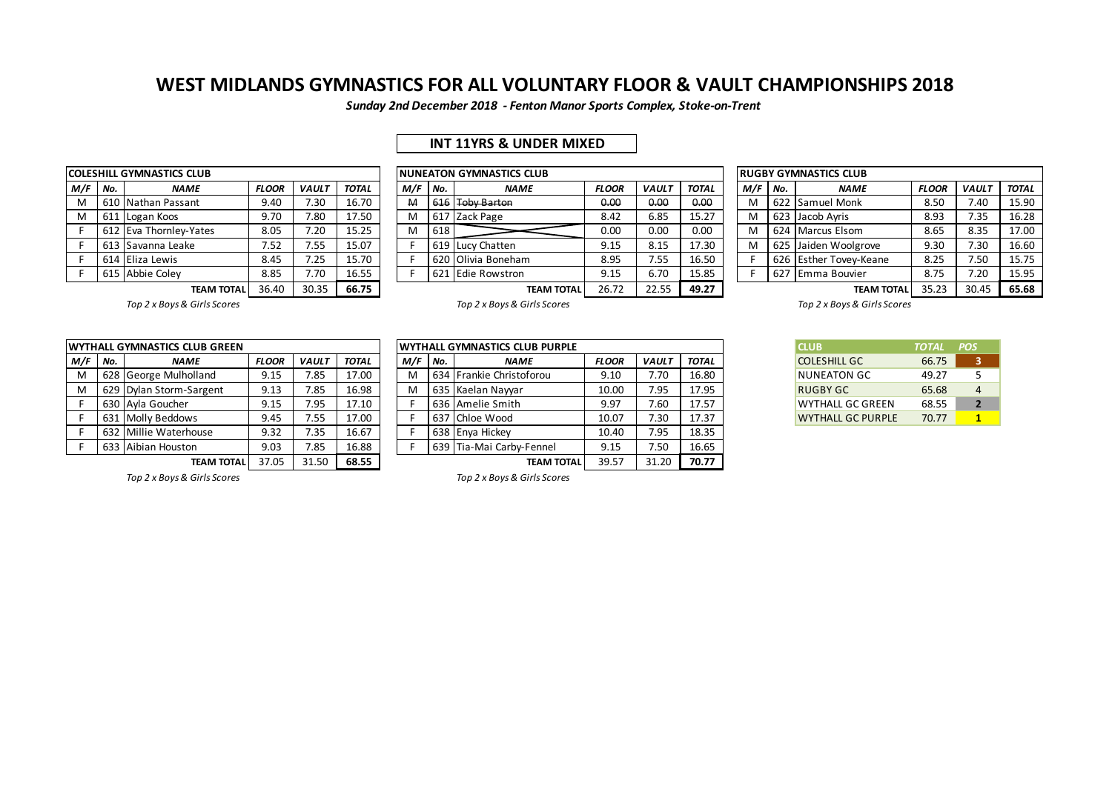*Sunday 2nd December 2018 - Fenton Manor Sports Complex, Stoke-on-Trent*

## **INT 11YRS & UNDER MIXED**

|     |     | <b>COLESHILL GYMNASTICS CLUB</b> |              |              |              |     |     | <b>NUNEATON GYMNASTICS CLUB</b> |
|-----|-----|----------------------------------|--------------|--------------|--------------|-----|-----|---------------------------------|
| M/F | No. | <b>NAME</b>                      | <b>FLOOR</b> | <b>VAULT</b> | <b>TOTAL</b> | M/F | No. | <b>NAME</b>                     |
| M   |     | 610 Nathan Passant               | 9.40         | 7.30         | 16.70        | M   |     | 616 Toby Barton                 |
| м   |     | 611 Logan Koos                   | 9.70         | 7.80         | 17.50        | M   |     | 617 Zack Page                   |
| F   |     | 612 Eva Thornley-Yates           | 8.05         | 7.20         | 15.25        | M   | 618 |                                 |
| F   |     | 613 Savanna Leake                | 7.52         | 7.55         | 15.07        |     |     | 619 Lucy Chatten                |
| F   |     | 614 Eliza Lewis                  | 8.45         | 7.25         | 15.70        | F   |     | 620 Olivia Boneham              |
| F   |     | 615 Abbie Colev                  | 8.85         | 7.70         | 16.55        |     |     | 621 Edie Rowstron               |
|     |     | <b>TEARA TOTAL</b>               | $2C$ $AD$    | חר חר        | CC 7E        |     |     | <b>TEAM</b>                     |

|                         |     | COLESHILL GYMNASTICS CLUB |              |              |              |     |     | INUNEATON GYMNASTICS CLUB |              |              |              |     |     | <b>RUGBY GYMNASTICS CLUB</b> |              |              |              |
|-------------------------|-----|---------------------------|--------------|--------------|--------------|-----|-----|---------------------------|--------------|--------------|--------------|-----|-----|------------------------------|--------------|--------------|--------------|
| M/F                     | No. | <b>NAME</b>               | <b>FLOOR</b> | <b>VAULT</b> | <b>TOTAL</b> | M/F | No. | <b>NAME</b>               | <b>FLOOR</b> | <b>VAULT</b> | <b>TOTAL</b> | M/F | No. | <b>NAME</b>                  | <b>FLOOR</b> | <b>VAULT</b> | <b>TOTAL</b> |
| M                       |     | 610 Nathan Passant        | 9.40         | 7.30         | 16.70        | M   |     | 616 Toby Barton           | 0.00         | 0.00         | 0.00         | M   |     | 622 Samuel Monk              | 8.50         | 7.40         | 15.90        |
| M                       |     | 611 Logan Koos            | 9.70         | 7.80         | 17.50        | M   |     | 617 Zack Page             | 8.42         | 6.85         | 15.27        | M   |     | 623 Jacob Avris              | 8.93         | 7.35         | 16.28        |
|                         |     | 612 Eva Thornlev-Yates    | 8.05         | 7.20         | 15.25        | M   | 618 |                           | 0.00         | 0.00         | 0.00         | M   |     | 624 Marcus Elsom             | 8.65         | 8.35         | 17.00        |
|                         |     | . 613 ISavanna Leake      | 7.52         | 7.55         | 15.07        |     |     | 619 Lucy Chatten          | 9.15         | 8.15         | 17.30        | M   |     | 625 Jaiden Woolgrove         | 9.30         | 7.30         | 16.60        |
|                         |     | 614 Eliza Lewis           | 8.45         | 7.25         | 15.70        |     |     | 620 Olivia Boneham        | 8.95         | 7.55         | 16.50        |     |     | 626 Esther Tovey-Keane       | 8.25         | 7.50         | 15.75        |
| 8.85<br>615 Abbie Coley |     |                           |              | 7.70         | 16.55        |     |     | 621 Edie Rowstron         | 9.15         | 6.70         | 15.85        |     |     | 627 Emma Bouvier             | 8.75         | 7.20         | 15.95        |
|                         |     | <b>TEAM TOTAL</b>         | 36.40        | 30.35        | 66.75        |     |     | <b>TEAM TOTAL</b>         | 26.72        | 22.55        | 49.27        |     |     | <b>TEAM TOTAL</b>            | 35.23        | 30.45        | 65.68        |

|     |                                             | <b>RUGBY GYMNASTICS CLUB</b> |              |              |              |  |  |  |  |  |  |  |  |  |  |
|-----|---------------------------------------------|------------------------------|--------------|--------------|--------------|--|--|--|--|--|--|--|--|--|--|
| M/F | No.                                         | <b>NAME</b>                  | <b>FLOOR</b> | <b>VAULT</b> | <b>TOTAL</b> |  |  |  |  |  |  |  |  |  |  |
| M   |                                             | 622 Samuel Monk              | 8.50         | 7.40         | 15.90        |  |  |  |  |  |  |  |  |  |  |
| M   | Jacob Ayris<br>16.28<br>8.93<br>7.35<br>623 |                              |              |              |              |  |  |  |  |  |  |  |  |  |  |
| M   | 17.00<br>624 Marcus Elsom<br>8.35<br>8.65   |                              |              |              |              |  |  |  |  |  |  |  |  |  |  |
| M   |                                             | 625 Jaiden Woolgrove         | 9.30         | 7.30         | 16.60        |  |  |  |  |  |  |  |  |  |  |
| F   | 626                                         | Esther Tovey-Keane           | 8.25         | 7.50         | 15.75        |  |  |  |  |  |  |  |  |  |  |
| F   | 627                                         | Emma Bouvier                 | 8.75         | 7.20         | 15.95        |  |  |  |  |  |  |  |  |  |  |
|     |                                             | <b>TEAM TOTAL</b>            | 35.73        | 30.45        | <b>65 68</b> |  |  |  |  |  |  |  |  |  |  |

*Top 2 x Boys & Girls Scores Top 2 x Boys & Girls Scores Top 2 x Boys & Girls Scores*

**WYTHALL GYMNASTICS CLUB PURPLE** 

|     |     | <b>WYTHALL GYMNASTICS CLUB GREEN</b> |              |              |              |     |       | <b>IWYTHALL GYMNASTICS CLUB PURPLE</b> |              |              | <b>CLUB</b>  | TOTAL                    | <b>POS</b> |  |
|-----|-----|--------------------------------------|--------------|--------------|--------------|-----|-------|----------------------------------------|--------------|--------------|--------------|--------------------------|------------|--|
| M/F | No. | <b>NAME</b>                          | <b>FLOOR</b> | <b>VAULT</b> | <b>TOTAL</b> | M/F | l No. | <b>NAME</b>                            | <b>FLOOR</b> | <b>VAULT</b> | <b>TOTAL</b> | <b>COLESHILL GC</b>      | 66.75      |  |
| м   |     | 628 George Mulholland                | 9.15         | 7.85         | 17.00        | М   |       | 634 Frankie Christoforou               | 9.10         | 7.70         | 16.80        | NUNEATON GC              | 49.27      |  |
|     |     | 629 Dylan Storm-Sargent              | 9.13         | 7.85         | 16.98        | М   |       | 635 Kaelan Nawar                       | 10.00        | 7.95         | 17.95        | <b>RUGBY GC</b>          | 65.68      |  |
|     |     | 630 Ayla Goucher                     | 9.15         | 7.95         | 17.10        |     |       | 636 Amelie Smith                       | 9.97         | 7.60         | 17.57        | <b>WYTHALL GC GREEN</b>  | 68.55      |  |
|     |     | 631 Molly Beddows                    | 9.45         | 7.55         | 17.00        |     |       | 637 Chloe Wood                         | 10.07        | 7.30         | 17.37        | <b>WYTHALL GC PURPLE</b> | 70.77      |  |
|     |     | 632 Millie Waterhouse                | 9.32         | 7.35         | 16.67        |     |       | 638 Enva Hickey                        | 10.40        | 7.95         | 18.35        |                          |            |  |
|     |     | 633 Aibian Houston                   | 9.03         | 7.85         | 16.88        |     |       | 639 Tia-Mai Carby-Fennel               | 9.15         | 7.50         | 16.65        |                          |            |  |
|     |     |                                      |              |              |              |     |       |                                        |              |              |              |                          |            |  |

M 634 Frankie Christoforou 9.10 7.70 16.80 M 629 Dylan Storm-Sargent 9.13 7.85 16.98 M 635 Kaelan Nayyar 10.00 7.95 17.95 RUGBY GC 65.68 4 F 630 Ayla Goucher 9.15 7.95 17.10 F 636 Amelie Smith 9.97 7.60 17.57 WYTHALL GC GREEN 68.55 **2** F 631 Molly Beddows 9.45 7.55 17.00 F 637 Chloe Wood 10.07 7.30 17.37 WYTHALL GC PURPLE 70.77 **1** F 638 Enya Hickey 10.40 7.95 18.35 F 639 Tia-Mai Carby-Fennel 9.15 7.50 16.65 **TEAM TOTAL** 37.05 31.50 **68.55 TEAM TOTAL** 39.57 31.20 **70.77**

| <b>CLUB</b>              | <b>TOTAL</b> | <b>POS</b>       |
|--------------------------|--------------|------------------|
| <b>COLESHILL GC</b>      | 66.75        | ર                |
| <b>NUNEATON GC</b>       | 49.27        | 5                |
| RUGBY GC                 | 65.68        | Δ                |
| <b>WYTHALL GC GREEN</b>  | 68.55        | $\boldsymbol{z}$ |
| <b>WYTHALL GC PURPLE</b> | 70.77        |                  |

*Top 2 x Boys & Girls Scores Top 2 x Boys & Girls Scores*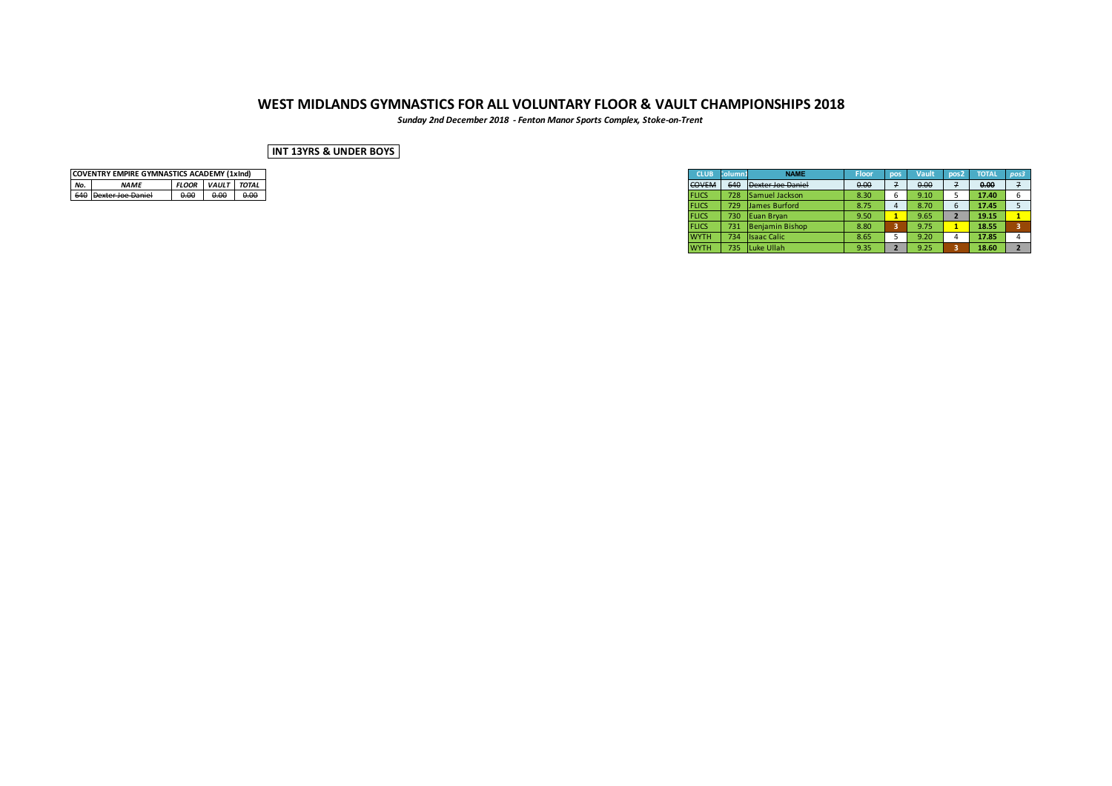*Sunday 2nd December 2018 - Fenton Manor Sports Complex, Stoke-on-Trent*

### **INT 13YRS & UNDER BOYS**

| <b>COVENTRY EMPIRE GYMNASTICS ACADEMY (1xInd)</b> |                  |              |              |              |  |  |  |  |  |  |  |  |  |
|---------------------------------------------------|------------------|--------------|--------------|--------------|--|--|--|--|--|--|--|--|--|
| No.                                               | <b>NAMF</b>      | <b>FLOOR</b> | <b>VAULT</b> | <b>TOTAL</b> |  |  |  |  |  |  |  |  |  |
|                                                   | exter Joe Daniel |              |              |              |  |  |  |  |  |  |  |  |  |

| COVENTRY EMPIRE GYMNASTICS ACADEMY (1xInd) |              |             |      |
|--------------------------------------------|--------------|-------------|------|
| <b>NAME</b>                                | <b>FLOOR</b> | VAULT TOTAL |      |
| 640 Dexter Joe Daniel                      | 0.00         | 0.00        | 0.00 |
|                                            |              |             |      |
|                                            |              |             |      |
|                                            |              |             |      |
|                                            |              |             |      |
|                                            |              |             |      |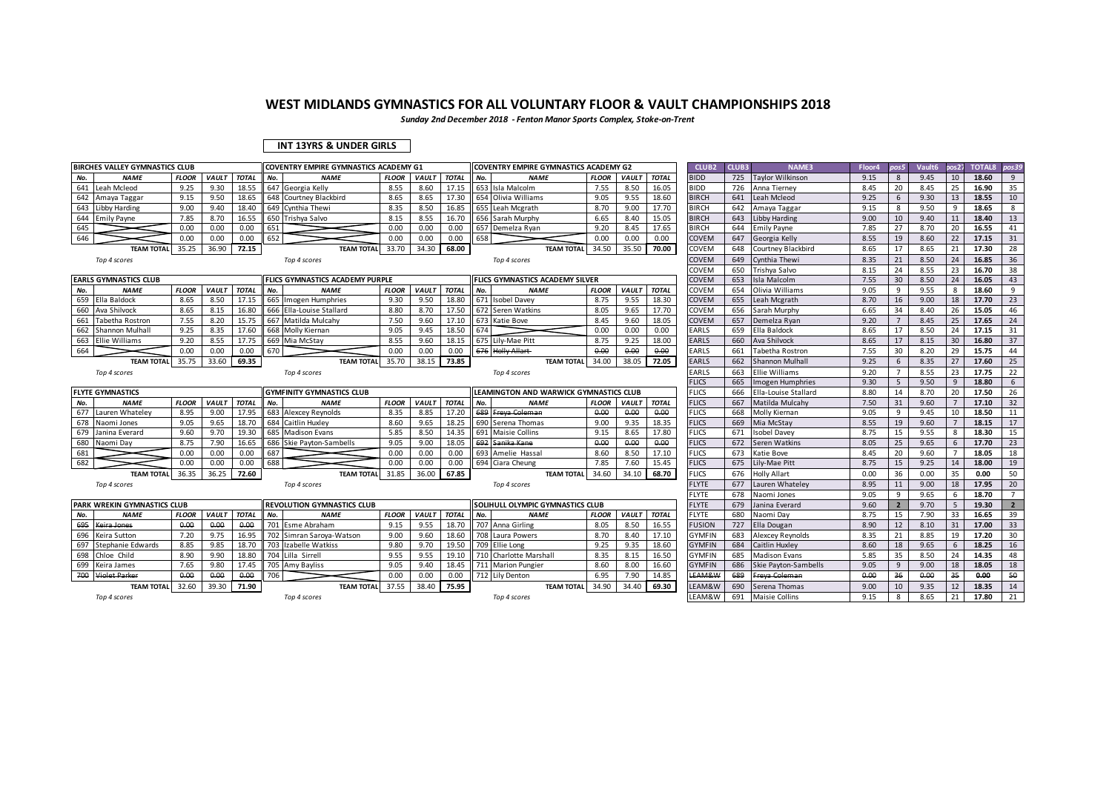*Sunday 2nd December 2018 - Fenton Manor Sports Complex, Stoke-on-Trent*

### **INT 13YRS & UNDER GIRLS**

| <b>BIRCHES VALLEY GYMNASTICS CLUB</b> |              |                    |              | COVENTRY EMPIRE GYMNASTICS ACADEMY G1 |                                  |                    |              | COVENTRY EMPIRE GYMNASTICS ACADEMY G2 |     |                                        |              | CLUB <sub>2</sub> | CLUB3        | NAME3         | Floor4 | pos5                  | Vault6 | pos <sub>27</sub> | <b>TOTAL8</b> | pos39            |       |                |
|---------------------------------------|--------------|--------------------|--------------|---------------------------------------|----------------------------------|--------------------|--------------|---------------------------------------|-----|----------------------------------------|--------------|-------------------|--------------|---------------|--------|-----------------------|--------|-------------------|---------------|------------------|-------|----------------|
| <b>NAME</b><br>No.                    | <b>FLOOR</b> | VAULT              | <b>TOTAL</b> | No.                                   | <b>NAME</b>                      | <b>FLOOR</b>       | <b>VAULT</b> | <b>TOTAL</b>                          | No. | <b>NAME</b>                            | <b>FLOOR</b> | <b>VAULT</b>      | <b>TOTAL</b> | <b>BIDD</b>   | 725    | Taylor Wilkinson      | 9.15   | 8                 | 9.45          | 10 <sup>10</sup> | 18.60 | 9              |
| 641<br>Leah Mcleod                    | 9.25         | 9.30               | 18.55        |                                       | 647 Georgia Kelly                | 8.55               | 8.60         | 17.15                                 |     | 653 Isla Malcolm                       | 7.55         | 8.50              | 16.05        | <b>BIDD</b>   | 726    | Anna Tierney          | 8.45   | 20                | 8.45          | 25               | 16.90 | 35             |
| 642<br>Amaya Taggar                   | 9.15         | 9.50               | 18.65        |                                       | 648 Courtney Blackbird           | 8.65               | 8.65         | 17.30                                 |     | 654 Olivia Williams                    | 9.05         | 9.55              | 18.60        | <b>BIRCH</b>  | 641    | Leah Mcleod           | 9.25   | 6                 | 9.30          | 13               | 18.55 | 10             |
| 643<br><b>Libby Harding</b>           | 9.00         | 9.40               | 18.40        |                                       | 649 Cynthia Thewi                | 8.35               | 8.50         | 16.85                                 |     | 655 Leah Mcgrath                       | 8.70         | 9.00              | 17.70        | <b>BIRCH</b>  | 642    | Amaya Taggar          | 9.15   | 8                 | 9.50          | 9                | 18.65 | 8              |
| 644<br><b>Emily Payne</b>             | 7.85         | 8.70               | 16.55        |                                       | 650 Trishya Salvo                | 8.15               | 8.55         | 16.70                                 |     | 656 Sarah Murphy                       | 6.65         | 8.40              | 15.05        | <b>BIRCH</b>  | 643    | ibby Harding          | 9.00   | 10                | 9.40          | 11               | 18.40 | 13             |
| 645                                   | 0.00         | 0.00               | 0.00         | 651                                   |                                  | 0.00               | 0.00         | 0.00                                  |     | 657 Demelza Rvan                       | 9.20         | 8.45              | 17.65        | <b>BIRCH</b>  | 644    | <b>Emily Payne</b>    | 7.85   | 27                | 8.70          | 20               | 16.55 | 41             |
| 646                                   | 0.00         | 0.00               | 0.00         | 652                                   |                                  | 0.00               | 0.00         | 0.00                                  | 658 |                                        | 0.00         | 0.00              | 0.00         | COVEM         | 647    | Georgia Kelly         | 8.55   | 19                | 8.60          | 22               | 17.15 | 31             |
| <b>TEAM TOTAL</b>                     | 35.25        | 36.90              | 72.15        |                                       | <b>TEAM TOTAL</b>                | 33.70              | 34.30        | 68.00                                 |     | <b>TEAM TOTAL</b>                      | 34.50        | 35.50             | 70.00        | COVEM         | 648    | Courtney Blackbird    | 8.65   | 17                | 8.65          | 21               | 17.30 | 28             |
| Top 4 scores                          |              |                    |              |                                       | Top 4 scores                     |                    |              |                                       |     | Top 4 scores                           |              |                   |              | COVEM         | 649    | Cynthia Thewi         | 8.35   | 21                | 8.50          | 24               | 16.85 | 36             |
|                                       |              |                    |              |                                       |                                  |                    |              |                                       |     |                                        |              |                   |              | COVEM         | 650    | Trishya Salvo         | 8.15   | 24                | 8.55          | 23               | 16.70 | 38             |
| <b>EARLS GYMNASTICS CLUB</b>          |              |                    |              |                                       | FLICS GYMNASTICS ACADEMY PURPLE  |                    |              |                                       |     | <b>FLICS GYMNASTICS ACADEMY SILVER</b> |              |                   |              | COVEM         | 653    | Isla Malcolm          | 7.55   | 30                | 8.50          | 24               | 16.05 | 43             |
| <b>NAME</b><br>No.                    | <b>FLOOR</b> | <b>VAULT</b>       | <b>TOTAL</b> | No.                                   | <b>NAME</b>                      | <b>FLOOR</b>       | VAULT        | <b>TOTAL</b>                          | No. | <b>NAME</b>                            | <b>FLOOR</b> | VAULT             | <b>TOTAL</b> | COVEM         | 654    | Olivia Williams       | 9.05   | 9                 | 9.55          | 8                | 18.60 | 9              |
| 659<br>Ella Baldock                   | 8.65         | 8.50               | 17.15        |                                       | 665 Imogen Humphries             | 9.30               | 9.50         | 18.80                                 |     | 671 Isobel Davey                       | 8.75         | 9.55              | 18.30        | COVEM         | 655    | Leah Mcgrath          | 8.70   | 16                | 9.00          | 18               | 17.70 | 23             |
| 660<br>Ava Shilvock                   | 8.65         | 8.15               | 16.80        |                                       | 666 Ella-Louise Stallard         | 8.80               | 8.70         | 17.50                                 |     | 672 Seren Watkins                      | 8.05         | 9.65              | 17.70        | COVEM         | 656    | Sarah Murphy          | 6.65   | 34                | 8.40          | 26               | 15.05 | 46             |
| 661<br>Tabetha Rostron                | 7.55         | 8.20               | 15.75        |                                       | 667 Matilda Mulcahy              | 7.50               | 9.60         | 17.10                                 |     | 673 Katie Bove                         | 8.45         | 9.60              | 18.05        | COVEM         | 657    | Demelza Ryan          | 9.20   | $\overline{7}$    | 8.45          | 25               | 17.65 | 24             |
| 662<br>Shannon Mulhall                | 9.25         | 8.35               | 17.60        |                                       | 668 Molly Kiernan                | 9.05               | 9.45         | 18.50                                 | 674 |                                        | 0.00         | 0.00              | 0.00         | EARLS         | 659    | Ella Baldock          | 8.65   | 17                | 8.50          | 24               | 17.15 | 31             |
| 663<br><b>Ellie Williams</b>          | 9.20         | 8.55               | 17.75        |                                       | 669 Mia McStay                   | 8.55               | 9.60         | 18.15                                 |     | 675 Lily-Mae Pitt                      | 8.75         | 9.25              | 18.00        | EARLS         | 660    | Ava Shilvock          | 8.65   | 17                | 8.15          | 30               | 16.80 | 37             |
| 664                                   | 0.00         | 0.00               | 0.00         | 670                                   |                                  | 0.00               | 0.00         | 0.00                                  |     | 676 Holly Allart                       | 0.00         | 0.00              | 0.00         | EARLS         | 661    | Tabetha Rostron       | 7.55   | 30                | 8.20          | 29               | 15.75 | 44             |
| <b>TEAM TOTAL</b>                     | 35.75        | 33.60              | 69.35        |                                       | <b>TEAM TOTAL</b>                | 35.70              | 38.15        | 73.85                                 |     | <b>TEAM TOTAL</b>                      | 34.00        | 38.05             | 72.05        | <b>EARLS</b>  | 662    | Shannon Mulhall       | 9.25   | 6                 | 8.35          | 27               | 17.60 | 25             |
| Top 4 scores                          |              |                    |              |                                       | Top 4 scores                     |                    |              |                                       |     | Top 4 scores                           |              |                   |              | EARLS         | 663    | <b>Ellie Williams</b> | 9.20   | $\overline{7}$    | 8.55          | 23               | 17.75 | 22             |
|                                       |              |                    |              |                                       |                                  |                    |              |                                       |     |                                        |              |                   |              | <b>LICS</b>   | 665    | Imogen Humphries      | 9.30   | 5                 | 9.50          | 9                | 18.80 | 6              |
| <b>FLYTE GYMNASTICS</b>               |              |                    |              |                                       | <b>GYMFINITY GYMNASTICS CLUB</b> |                    |              |                                       |     | LEAMINGTON AND WARWICK GYMNASTICS CLUB |              |                   |              | <b>FLICS</b>  | 666    | Ella-Louise Stallard  | 8.80   | 14                | 8.70          | 20               | 17.50 | 26             |
| No.<br><b>NAME</b>                    | <b>FLOOR</b> | VAULT              | <b>TOTAL</b> | No.                                   | <b>NAME</b>                      | <b>FLOOR</b>       | VAULT        | <b>TOTAL</b>                          | No. | <b>NAME</b>                            | <b>FLOOR</b> | VAULT             | <b>TOTAL</b> | <b>FLICS</b>  | 667    | Matilda Mulcahy       | 7.50   | 31                | 9.60          |                  | 17.10 | 32             |
| 677<br>Lauren Whateley                | 8.95         | 9.00               | 17.95        |                                       | 683 Alexcey Reynolds             | 8.35               | 8.85         | 17.20                                 |     | 689 Freva Coleman                      | 0.00         | 0.00              | 0.00         | <b>FLICS</b>  | 668    | Molly Kiernan         | 9.05   | 9                 | 9.45          | 10               | 18.50 | 11             |
| 678<br>Naomi Jones                    | 9.05         | 9.65               | 18.70        |                                       | 684 Caitlin Huxley               | 8.60               | 9.65         | 18.25                                 |     | 690 Serena Thomas                      | 9.00         | 9.35              | 18.35        | <b>FLICS</b>  | 669    | Mia McStay            | 8.55   | 19                | 9.60          |                  | 18.15 | 17             |
| 679<br>Janina Everard                 | 9.60         | 9.70               | 19.30        |                                       | 685 Madison Evans                | 5.85               | 8.50         | 14.35                                 |     | 691 Maisie Collins                     | 9.15         | 8.65              | 17.80        | <b>FLICS</b>  | 671    | <b>Isobel Davey</b>   | 8.75   | 15                | 9.55          | 8                | 18.30 | 15             |
| 680<br>Naomi Day                      | 8.75         | 7.90               | 16.65        |                                       | 686 Skie Payton-Sambells         | 9.05               | 9.00         | 18.05                                 |     | 692 Sanika Kane                        | 0.00         | 0.00              | 0.00         | <b>FLICS</b>  | 672    | Seren Watkins         | 8.05   | 25                | 9.65          | 6                | 17.70 | 23             |
| 681                                   | 0.00         | 0.00               | 0.00         | 687                                   |                                  | 0.00               | 0.00         | 0.00                                  |     | 693 Amelie Hassal                      | 8.60         | 8.50              | 17.10        | <b>FLICS</b>  | 673    | Katie Bove            | 8.45   | 20                | 9.60          |                  | 18.05 | 18             |
| 682                                   | 0.00         | 0.00               | 0.00         | 688                                   |                                  | 0.00               | 0.00         | 0.00                                  |     | 694 Ciara Cheung                       | 7.85         | 7.60              | 15.45        | <b>FLICS</b>  | 675    | ily-Mae Pitt          | 8.75   | 15                | 9.25          | 14               | 18.00 | 19             |
| <b>TEAM TOTAL</b>                     | 36.35        | 36.25              | 72.60        |                                       | <b>TEAM TOTAL</b>                | 31.85              | 36.00        | 67.85                                 |     | <b>TEAM TOTAL</b>                      | 34.60        | 34.10             | 68.70        | <b>FLICS</b>  | 676    | <b>Holly Allart</b>   | 0.00   | 36                | 0.00          | 35               | 0.00  | 50             |
| Top 4 scores                          |              |                    |              |                                       | Top 4 scores                     |                    |              |                                       |     | Top 4 scores                           |              |                   |              | <b>FLYTE</b>  | 677    | Lauren Whateley       | 8.95   | 11                | 9.00          | 18               | 17.95 | 20             |
|                                       |              |                    |              |                                       |                                  |                    |              |                                       |     |                                        |              |                   |              | FLYTE         | 678    | Naomi Jones           | 9.05   | -9                | 9.65          | 6                | 18.70 | $\overline{7}$ |
| PARK WREKIN GYMNASTICS CLUB           |              |                    |              |                                       | REVOLUTION GYMNASTICS CLUB       |                    |              |                                       |     | SOLIHULL OLYMPIC GYMNASTICS CLUB       |              |                   |              | <b>FLYTE</b>  | 679    | Janina Everard        | 9.60   | $\overline{2}$    | 9.70          |                  | 19.30 | $2^{\circ}$    |
| <b>NAME</b><br>No.                    | <b>FLOOR</b> | <b>VAULT TOTAL</b> |              | No.                                   | <b>NAME</b>                      | <b>FLOOR</b>       | <b>VAULT</b> | <b>TOTAL</b>                          | No. | <b>NAME</b>                            | <b>FLOOR</b> | <b>VAULT</b>      | <b>TOTAL</b> | <b>FLYTE</b>  | 680    | Naomi Day             | 8.75   | 15                | 7.90          | 33               | 16.65 | 39             |
| 695<br>Keira Jones                    | 0.00         | 0.00               | 0.00         |                                       | 701 Esme Abraham                 | 9.15               | 9.55         | 18.70                                 |     | 707 Anna Girling                       | 8.05         | 8.50              | 16.55        | <b>FUSION</b> | 727    | Ella Dougan           | 8.90   | 12                | 8.10          | 31               | 17.00 | 33             |
| 696<br>Keira Sutton                   | 7.20         | 9.75               | 16.95        |                                       | 702 Simran Saroya-Watson         | 9.00               | 9.60         | 18.60                                 |     | 708 Laura Powers                       | 8.70         | 8.40              | 17.10        | <b>GYMFIN</b> | 683    | Alexcey Reynolds      | 8.35   | 21                | 8.85          | 19               | 17.20 | 30             |
| 697<br>Stephanie Edwards              | 8.85         | 9.85               | 18.70        |                                       | 703 Izabelle Watkiss             | 9.80               | 9.70         | 19.50                                 |     | 709 Ellie Long                         | 9.25         | 9.35              | 18.60        | <b>GYMFIN</b> | 684    | Caitlin Huxley        | 8.60   | 18                | 9.65          | 6                | 18.25 | 16             |
| 698<br>Chloe Child                    | 8.90         | 9.90               | 18.80        |                                       | 704 Lilla Sirrell                | 9.55               | 9.55         | 19.10                                 |     | 710 Charlotte Marshall                 | 8.35         | 8.15              | 16.50        | <b>GYMFIN</b> | 685    | <b>Madison Evans</b>  | 5.85   | 35                | 8.50          | 24               | 14.35 | 48             |
| 699 Keira James                       | 7.65         | 9.80               | 17.45        |                                       | 705 Amy Bayliss                  | 9.05               | 9.40         | 18.45                                 |     | 711 Marion Pungier                     | 8.60         | 8.00              | 16.60        | <b>GYMFIN</b> | 686    | Skie Payton-Sambells  | 9.05   | 9                 | 9.00          | 18               | 18.05 | 18             |
| 700<br><b>Violet Parker</b>           | 0.00         | 0.00               | 0.00         | 706                                   |                                  | 0.00               | 0.00         | 0.00                                  |     | 712 Lily Denton                        | 6.95         | 7.90              | 14.85        | LEAM&W        | 689    | Freya Coleman         | 0.00   | 36                | 0.00          | 35               | 0.00  | 50             |
| <b>TEAM TOTAL</b>                     | 32.60        | 39.30              | 71.90        |                                       | <b>TEAM TOTAL</b>                | $\overline{37.55}$ | 38.40        | 75.95                                 |     | <b>TEAM TOTAL</b>                      | 34.90        | 34.40             | 69.30        | EAM&W         | 690    | Serena Thomas         | 9.00   | 10                | 9.35          | 12               | 18.35 | 14             |
| Top 4 scores                          |              |                    |              |                                       | Top 4 scores                     |                    |              |                                       |     | Top 4 scores                           |              |                   |              | EAM&W         | 691    | <b>Maisie Collins</b> | 9.15   | 8                 | 8.65          | 21               | 17.80 | 21             |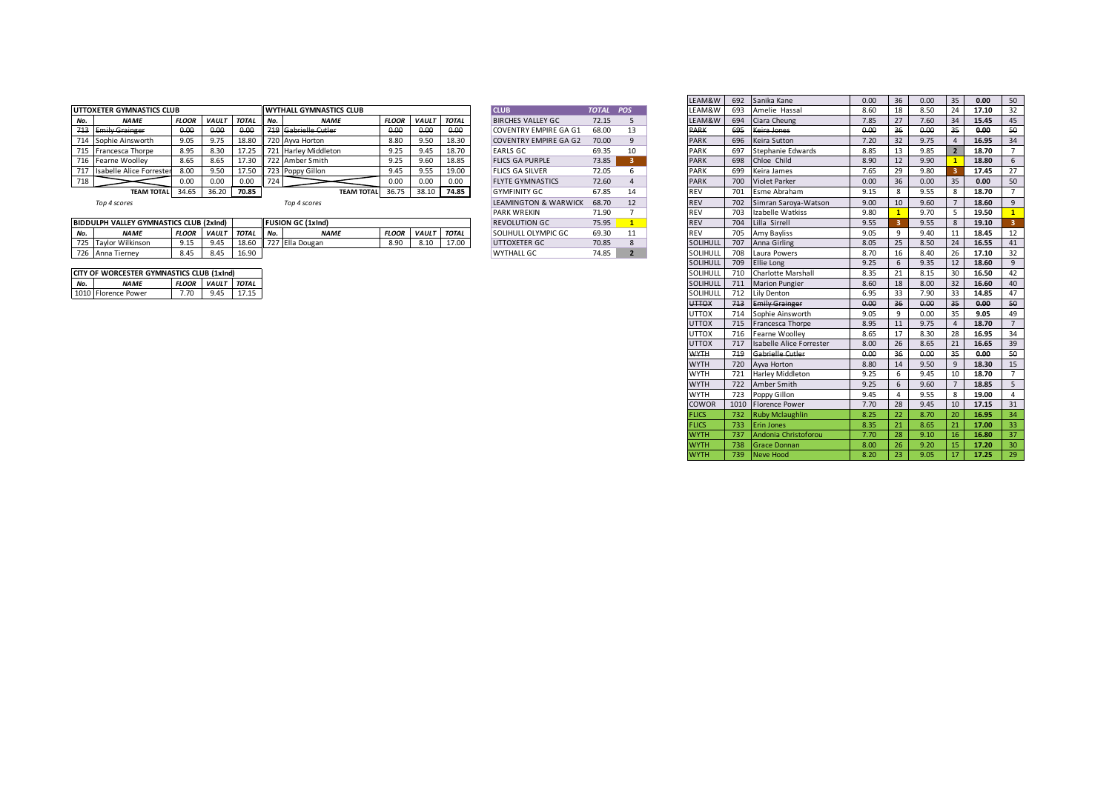|     | UTTOXETER GYMNASTICS CLUB |              |              |              |              | <b>WYTHALL GYMNASTICS CLUB</b> |              |              |              | <b>CLUB</b>                   | TOTAL POS |    | LEAM&W      | 693 | Amelie Hassal        | 8.60 | 18  |      | 17.10 |     |
|-----|---------------------------|--------------|--------------|--------------|--------------|--------------------------------|--------------|--------------|--------------|-------------------------------|-----------|----|-------------|-----|----------------------|------|-----|------|-------|-----|
| No. | <b>NAME</b>               | <b>FLOOR</b> | <b>VAULT</b> | <b>TOTAL</b> | II No.       | <b>NAME</b>                    | <b>FLOOR</b> | <b>VAULT</b> | <b>TOTAL</b> | <b>BIRCHES VALLEY GC</b>      | 72.15     |    | LEAM&W      | 694 | Ciara Cheung         | 7.85 |     | 7.60 | 15.45 | -45 |
|     | 713 Emily Grainger        | 0.00         | 0.00         |              |              | 719 Gabrielle Cutler           | 0.00         | 0.00         | 0.00         | <b>COVENTRY EMPIRE GA G1</b>  | 68.00     | 13 | <b>PARK</b> | 695 | Keira Jones          | 0.00 | ತರಿ | 0.00 | 0.00  |     |
|     | 714 Sophie Ainsworth      | 9.05         | 9.75         | 18.80        |              | 720 Ayva Horton                | 8.80         | 9.50         | 18.30        | <b>COVENTRY EMPIRE GA G2</b>  | 70.00     |    | <b>PARK</b> | 696 | Keira Sutton         | 7.20 | 32  |      | 16.95 |     |
|     | 715 Francesca Thorpe      | 8.95         | 8.30         |              |              | 721 Harley Middleton           |              | 9.45         | 18.70        | <b>EARLS GC</b>               | 69.35     | 10 | PARK        | 697 | Stephanie Edwards    | 8.85 | 13  | 9.85 | 18.70 |     |
|     | 716 Fearne Woolley        | 8.65         | 8.65         | 17.30        |              | 722 Amber Smith                |              | 9.60         | 18.85        | <b>FLICS GA PURPLE</b>        | 73.85     |    | <b>PARK</b> | 698 | Chloe Child          | 8.90 | 12  | 9.90 | 18.80 |     |
| 717 | Isabelle Alice Forrester  | 8.00         | 9.50         | 17.50        |              | 723 Poppy Gillon               | 9.45         | 9.55         | 19.00        | <b>FLICS GA SILVER</b>        | 72.05     |    | PARK        | 699 | Keira James          | 7.65 | 29  | 9.80 | 17.45 |     |
| 718 |                           | 0.00         | 0.00         | 0.00         | $\mathbf{z}$ |                                |              | 0.00         | 0.00         | <b>FLYTE GYMNASTICS</b>       | 72.60     |    | <b>PARK</b> | 700 | Violet Parker        | 0.00 | 36  | 0.00 | 0.00  |     |
|     | <b>TEAM TOTAL</b>         | 34.65        | 36.20        | 70.85        |              | <b>TEAM TOTAL</b>              | 36.75        | 38.10        | 74.85        | <b>GYMFINITY GC</b>           | 67.85     | 14 |             | 701 | Esme Abraham         | 9.15 |     | 9.55 | 18.70 |     |
|     | Top Accorps               |              |              |              |              | Top Accorpe                    |              |              |              | <b>I EAMINGTON P. WADWICK</b> | $CO$ 70   | 12 |             | 702 | Cimran Carous Watcon | 0.00 | 10  | 0.50 | 10 CO |     |

|  | Top 4 scores |  |
|--|--------------|--|
|--|--------------|--|

 $\mathbf{I}$ 

| <b>CLUB</b>                     | TOTAL | POS            |
|---------------------------------|-------|----------------|
| BIRCHES VALLEY GC               | 72.15 | 5              |
| <b>COVENTRY EMPIRE GA G1</b>    | 68.00 | 13             |
| <b>COVENTRY EMPIRE GA G2</b>    | 70.00 | 9              |
| <b>EARLS GC.</b>                | 69.35 | 10             |
| <b>FLICS GA PURPLE</b>          | 73.85 | 3              |
| <b>FLICS GA SILVER</b>          | 72.05 | 6              |
| <b>FLYTE GYMNASTICS</b>         | 72.60 | $\overline{4}$ |
| <b>GYMEINITY GC</b>             | 67.85 | 14             |
| <b>LEAMINGTON &amp; WARWICK</b> | 68.70 | 12             |
| <b>PARK WREKIN</b>              | 71.90 | $\overline{7}$ |
| <b>REVOLUTION GC.</b>           | 75.95 | $\mathbf{1}$   |
| SOLIHULL OLYMPIC GC             | 69.30 | 11             |
| UTTOXETER GC                    | 70.85 | 8              |
| 141177111177                    | 74 OF | -              |

|     |                                           |              |              |              |     |                          |              |              |              |                              |              |                | LEAM&W       | 692 | Sanika Kane                  | 0.00 | 36             | 0.00 | 35             | 0.00  | 50              |
|-----|-------------------------------------------|--------------|--------------|--------------|-----|--------------------------|--------------|--------------|--------------|------------------------------|--------------|----------------|--------------|-----|------------------------------|------|----------------|------|----------------|-------|-----------------|
|     | UTTOXETER GYMNASTICS CLUB                 |              |              |              |     | WYTHALL GYMNASTICS CLUB  |              |              |              | <b>CLUB</b>                  | <b>TOTAL</b> | <b>POS</b>     | LEAM&W       | 693 | Amelie Hassal                | 8.60 | 18             | 8.50 | 24             | 17.10 | 32              |
| No. | <b>NAME</b>                               | <b>FLOOR</b> | <b>VAULT</b> | <b>TOTAL</b> | No. | <b>NAME</b>              | <b>FLOOR</b> | <b>VAULT</b> | <b>TOTAL</b> | <b>BIRCHES VALLEY GC</b>     | 72.15        | 5 <sup>5</sup> | LEAM&W       | 694 | Ciara Cheung                 | 7.85 | 27             | 7.60 | 34             | 15.45 | 45              |
|     | 713 Emily Grainger                        | 0.00         | 0.00         | 0.00         |     | 719 Gabrielle Cutler     | 0.00         | 0.00         | 0.00         | <b>COVENTRY EMPIRE GA G1</b> | 68.00        | 13             | <b>PARK</b>  | 695 | Keira Jones                  | 0.00 | 36             | 0.00 | $35 -$         | 0.00  | 50              |
|     | 714 Sophie Ainsworth                      | 9.05         | 9.75         | 18.80        |     | 720 Ayva Horton          | 8.80         | 9.50         | 18.30        | <b>COVENTRY EMPIRE GA G2</b> | 70.00        | 9              | <b>PARK</b>  | 696 | Keira Sutton                 | 7.20 | 32             | 9.75 | $\overline{4}$ | 16.95 | 34              |
|     | 715 Francesca Thorpe                      | 8.95         | 8.30         | 17.25        |     | 721 Harley Middleton     | 9.25         | 9.45         | 18.70        | <b>EARLS GC</b>              | 69.35        | 10             | <b>PARK</b>  |     | 697 Stephanie Edwards        | 8.85 | 13             | 9.85 | $\overline{2}$ | 18.70 | 7               |
|     | 716 Fearne Woolley                        | 8.65         | 8.65         | 17.30        |     | 722 Amber Smith          | 9.25         | 9.60         | 18.85        | <b>FLICS GA PURPLE</b>       | 73.85        | $-3$           | <b>PARK</b>  |     | 698 Chloe Child              | 8.90 | 12             | 9.90 |                | 18.80 | 6               |
|     | 717 Isabelle Alice Forreste               | 8.00         | 9.50         | 17.50        |     | 723 Poppy Gillon         | 9.45         | 9.55         | 19.00        | <b>FLICS GA SILVER</b>       | 72.05        | 6              | <b>PARK</b>  | 699 | Keira James                  | 7.65 | 29             | 9.80 |                | 17.45 | 27              |
| 718 |                                           | 0.00         | 0.00         | 0.00         | 724 |                          | 0.00         | 0.00         | 0.00         | <b>FLYTE GYMNASTICS</b>      | 72.60        | 4              | <b>PARK</b>  | 700 | <b>Violet Parker</b>         | 0.00 | 36             | 0.00 | 35             | 0.00  | 50              |
|     | <b>TEAM TOTAL</b>                         | 34.65        | 36.20        | 70.85        |     | <b>TEAM TOTAL</b>        | 36.75        | 38.10        | 74.85        | <b>GYMFINITY GC</b>          | 67.85        | 14             | REV          | 701 | Esme Abraham                 | 9.15 | 8              | 9.55 | 8              | 18.70 | 7               |
|     | Top 4 scores                              |              |              |              |     | Top 4 scores             |              |              |              | LEAMINGTON & WARWICK         | 68.70        | 12             | <b>REV</b>   | 702 | Simran Saroya-Watson         | 9.00 | 10             | 9.60 |                | 18.60 | 9               |
|     |                                           |              |              |              |     |                          |              |              |              | <b>PARK WREKIN</b>           | 71.90        | $7^{\circ}$    | REV          | 703 | Izabelle Watkiss             | 9.80 |                | 9.70 | -5             | 19.50 | $\mathbf{1}$    |
|     | BIDDULPH VALLEY GYMNASTICS CLUB (2xInd)   |              |              |              |     | <b>FUSION GC (1xInd)</b> |              |              |              | <b>REVOLUTION GC</b>         | 75.95        | $\mathbf{1}$   | <b>REV</b>   | 704 | Lilla Sirrell                | 9.55 |                | 9.55 | 8              | 19.10 | 3.              |
| No. | <b>NAME</b>                               | <b>FLOOR</b> | VAULT        | <b>TOTAL</b> | No. | <b>NAME</b>              | <b>FLOOR</b> | VAULT TOTAL  |              | SOLIHULL OLYMPIC GC          | 69.30        | 11             | REV          | 705 | Amy Bayliss                  | 9.05 | 9              | 9.40 | 11             | 18.45 | 12              |
|     | 725 Taylor Wilkinson                      | 9.15         | 9.45         | 18.60        |     | 727 Ella Dougan          | 8.90         | 8.10         | 17.00        | UTTOXETER GC                 | 70.85        | 8              | SOLIHULL     | 707 | Anna Girling                 | 8.05 | 25             | 8.50 | 24             | 16.55 | 41              |
|     | 726 Anna Tierney                          | 8.45         | 8.45         | 16.90        |     |                          |              |              |              | <b>WYTHALL GC</b>            | 74.85        | $2^{\circ}$    | SOLIHULL     | 708 | Laura Powers                 | 8.70 | 16             | 8.40 | 26             | 17.10 | 32              |
|     |                                           |              |              |              |     |                          |              |              |              |                              |              |                | SOLIHULL     |     | 709 Ellie Long               | 9.25 | 6              | 9.35 | 12             | 18.60 | 9               |
|     | CITY OF WORCESTER GYMNASTICS CLUB (1xInd) |              |              |              |     |                          |              |              |              |                              |              |                | SOLIHULL     |     | 710 Charlotte Marshall       | 8.35 | 21             | 8.15 | 30             | 16.50 | 42              |
| No. | <b>NAME</b>                               |              | FLOOR VAULT  | <b>TOTAL</b> |     |                          |              |              |              |                              |              |                | SOLIHULL     |     | 711 Marion Pungier           | 8.60 | 18             | 8.00 | 32             | 16.60 | 40              |
|     | 1010 Florence Power                       | 7.70         | 9.45         | 17.15        |     |                          |              |              |              |                              |              |                | SOLIHULL     | 712 | Lily Denton                  | 6.95 | 33             | 7.90 | 33             | 14.85 | 47              |
|     |                                           |              |              |              |     |                          |              |              |              |                              |              |                | <b>UTTOX</b> | 713 | <b>Emily Grainger</b>        | 0.00 | 36             | 0.00 | 35             | 0.00  | 50              |
|     |                                           |              |              |              |     |                          |              |              |              |                              |              |                | UTTOX        | 714 | Sophie Ainsworth             | 9.05 | 9              | 0.00 | 35             | 9.05  | 49              |
|     |                                           |              |              |              |     |                          |              |              |              |                              |              |                | UTTOX        |     | 715 Francesca Thorpe         | 8.95 | 11             | 9.75 | $\overline{4}$ | 18.70 | $7^{\circ}$     |
|     |                                           |              |              |              |     |                          |              |              |              |                              |              |                | UTTOX        |     | 716 Fearne Woolley           | 8.65 | 17             | 8.30 | 28             | 16.95 | 34              |
|     |                                           |              |              |              |     |                          |              |              |              |                              |              |                | <b>UTTOX</b> |     | 717 Isabelle Alice Forrester | 8.00 | 26             | 8.65 | 21             | 16.65 | 39              |
|     |                                           |              |              |              |     |                          |              |              |              |                              |              |                | <b>WYTH</b>  |     | 719 Gabrielle Cutler         | 0.00 | 36             | 0.00 | 35             | 0.00  | 50              |
|     |                                           |              |              |              |     |                          |              |              |              |                              |              |                | <b>WYTH</b>  |     | 720 Ayva Horton              | 8.80 | 14             | 9.50 | 9              | 18.30 | 15              |
|     |                                           |              |              |              |     |                          |              |              |              |                              |              |                | <b>WYTH</b>  |     | 721 Harley Middleton         | 9.25 | 6              | 9.45 | 10             | 18.70 | $7^{\circ}$     |
|     |                                           |              |              |              |     |                          |              |              |              |                              |              |                | <b>WYTH</b>  |     | 722 Amber Smith              | 9.25 | 6              | 9.60 | $\overline{7}$ | 18.85 | 5 <sup>5</sup>  |
|     |                                           |              |              |              |     |                          |              |              |              |                              |              |                | <b>WYTH</b>  |     | 723 Poppy Gillon             | 9.45 | $\overline{4}$ | 9.55 | 8              | 19.00 | $\overline{4}$  |
|     |                                           |              |              |              |     |                          |              |              |              |                              |              |                | COWOR        |     | 1010 Florence Power          | 7.70 | 28             | 9.45 | 10             | 17.15 | 31              |
|     |                                           |              |              |              |     |                          |              |              |              |                              |              |                | <b>FLICS</b> |     | 732 Ruby Mclaughlin          | 8.25 | 22             | 8.70 | 20             | 16.95 | 34              |
|     |                                           |              |              |              |     |                          |              |              |              |                              |              |                | <b>FLICS</b> | 733 | <b>Erin Jones</b>            | 8.35 | 21             | 8.65 | 21             | 17.00 | 33              |
|     |                                           |              |              |              |     |                          |              |              |              |                              |              |                | <b>WYTH</b>  | 737 | Andonia Christoforou         | 7.70 | 28             | 9.10 | 16             | 16.80 | 37              |
|     |                                           |              |              |              |     |                          |              |              |              |                              |              |                | <b>WYTH</b>  | 738 | <b>Grace Donnan</b>          | 8.00 | 26             | 9.20 | 15             | 17.20 | 30 <sup>°</sup> |
|     |                                           |              |              |              |     |                          |              |              |              |                              |              |                | <b>WYTH</b>  | 739 | Neve Hood                    | 8.20 | 23             | 9.05 | 17             | 17.25 | 29              |
|     |                                           |              |              |              |     |                          |              |              |              |                              |              |                |              |     |                              |      |                |      |                |       |                 |

| IVU. | <b>IVAIVIC</b>       | rluun l |      | VAULI IUIAL IIVU. | <b>IVAIVIC</b>        |
|------|----------------------|---------|------|-------------------|-----------------------|
|      | 725 Taylor Wilkinson | 9.15    | 9.45 |                   | 18.60 727 Ella Dougan |
|      | 726 Anna Tiernev     | 8.45    | 8.45 | 16.90             |                       |
|      |                      |         |      |                   |                       |
|      |                      |         |      |                   |                       |

| CITY OF WORCESTER GYMNASTICS CLUB (1XING) |                     |      |                          |       |  |  |  |  |  |  |  |  |
|-------------------------------------------|---------------------|------|--------------------------|-------|--|--|--|--|--|--|--|--|
| No.                                       | <b>NAME</b>         |      | <b>FLOOR VAULT TOTAL</b> |       |  |  |  |  |  |  |  |  |
|                                           | 1010 Florence Power | 7.70 | 9.45                     | 17.15 |  |  |  |  |  |  |  |  |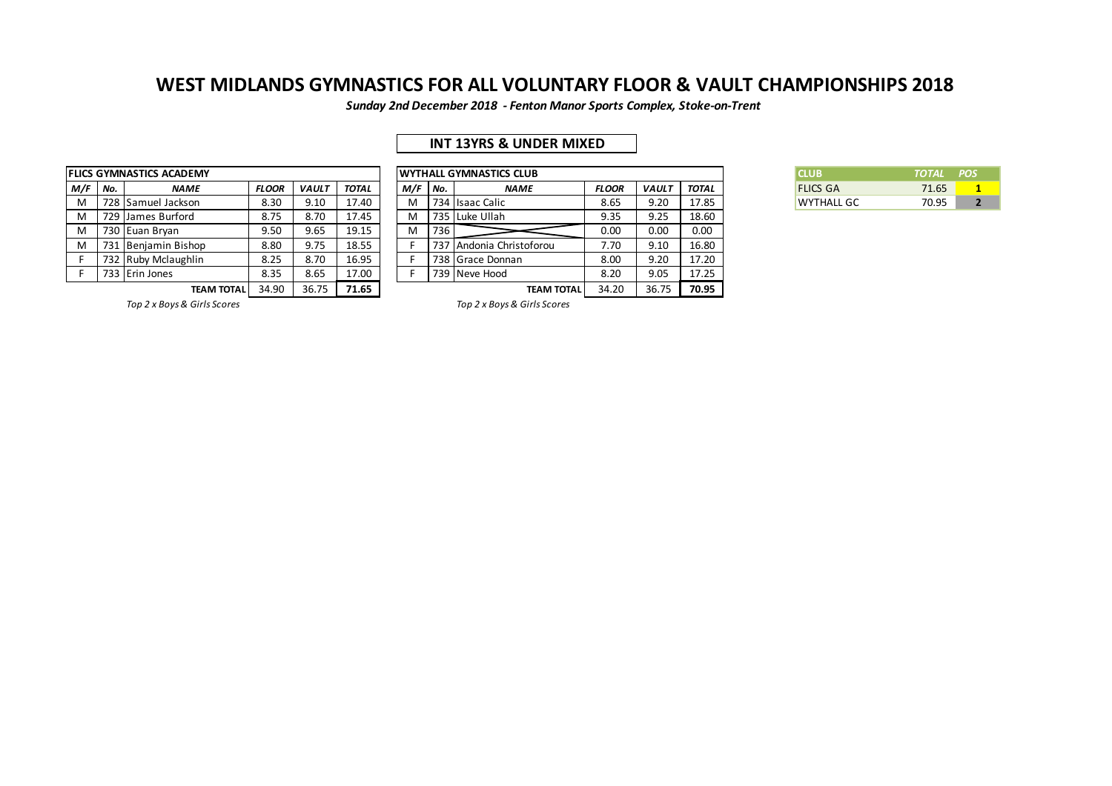*Sunday 2nd December 2018 - Fenton Manor Sports Complex, Stoke-on-Trent*

## **INT 13YRS & UNDER MIXED**

|     |     | <b>FLICS GYMNASTICS ACADEMY</b> |              | <b>WYTHALL GYMNASTICS CLUB</b> |       |     |     |                       |
|-----|-----|---------------------------------|--------------|--------------------------------|-------|-----|-----|-----------------------|
| M/F | No. | <b>NAME</b>                     | <b>FLOOR</b> | <b>VAULT</b>                   | TOTAL | M/F | No. | <b>NAME</b>           |
| M   |     | 728 Samuel Jackson              | 8.30         | 9.10                           | 17.40 | м   |     | 734 Isaac Calic       |
| M   |     | 729 James Burford               | 8.75         | 8.70                           | 17.45 | M   |     | 735 Luke Ullah        |
| M   |     | 730 Euan Bryan                  | 9.50         | 9.65                           | 19.15 | м   | 736 |                       |
| M   |     | 731 Benjamin Bishop             | 8.80         | 9.75                           | 18.55 |     |     | 737 Andonia Christofo |
| F   |     | 732 Ruby Mclaughlin             | 8.25         | 8.70                           | 16.95 |     |     | 738 Grace Donnan      |
| F   |     | 733 Erin Jones                  | 8.35         | 8.65                           | 17.00 |     |     | 739 Neve Hood         |
|     |     | <b>TEAM TOTAL</b>               | 34.90        | 36.75                          | 71.65 |     |     | TE.                   |

|     |     | LICS GYMNASTICS ACADEMY |              |              |              |     |       | IWYTHALL GYMNASTICS CLUB |              |              |       | <b>CLUB</b>       | <b>TOTAL</b> | <b>POS</b> |
|-----|-----|-------------------------|--------------|--------------|--------------|-----|-------|--------------------------|--------------|--------------|-------|-------------------|--------------|------------|
| M/F | No. | <b>NAME</b>             | <b>FLOOR</b> | <b>VAULT</b> | <b>TOTAL</b> | M/F | l No. | <b>NAME</b>              | <b>FLOOR</b> | <b>VAULT</b> | TOTAL | <b>FLICS GA</b>   | 71.65        |            |
| M   |     | 728 Samuel Jackson      | 8.30         | 9.10         | 17.40        | M   |       | 734 Isaac Calic          | 8.65         | 9.20         | 17.85 | <b>WYTHALL GC</b> | 70.95        |            |
| M   |     | 729 James Burford       | 8.75         | 8.70         | 17.45        |     |       | 735 Luke Ullah           | 9.35         | 9.25         | 18.60 |                   |              |            |
| M   |     | 730 Euan Brvan          | 9.50         | 9.65         | 19.15        | M   | 736   |                          | 0.00         | 0.00         | 0.00  |                   |              |            |
| M   |     | 731 Benjamin Bishop     | 8.80         | 9.75         | 18.55        |     | 737   | Andonia Christoforou     | 7.70         | 9.10         | 16.80 |                   |              |            |
|     |     | 732 Ruby Mclaughlin     | 8.25         | 8.70         | 16.95        |     | 738 I | Grace Donnan             | 8.00         | 9.20         | 17.20 |                   |              |            |
|     |     | 733 Erin Jones          | 8.35         | 8.65         | 17.00        |     |       | 739 Neve Hood            | 8.20         | 9.05         | 17.25 |                   |              |            |
|     |     | <b>TEAM TOTAL</b>       | 34.90        | 36.75        | 71.65        |     |       | <b>TEAM TOTAL</b>        | 34.20        | 36.75        | 70.95 |                   |              |            |

| CI UR.            | TOTAL POS |  |
|-------------------|-----------|--|
| <b>FLICS GA</b>   | 71.65     |  |
| <b>WYTHALL GC</b> | 70.95     |  |

*Top 2 x Boys & Girls Scores Top 2 x Boys & Girls Scores*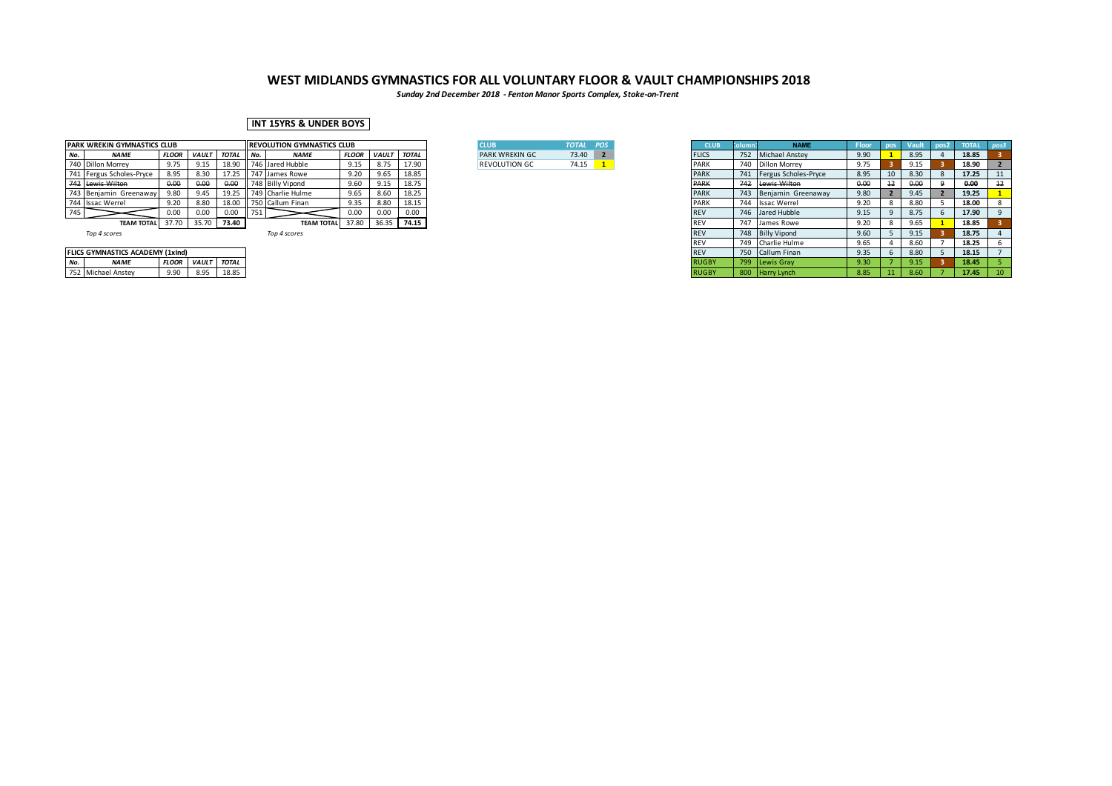*Sunday 2nd December 2018 - Fenton Manor Sports Complex, Stoke-on-Trent*

### **INT 15YRS & UNDER BOYS**

|     | PARK WREKIN GYMNASTICS CLUB |              |              |        |        | <b>REVOLUTION GYMNASTICS CLUB</b> |              |              |       | <b>CLUB</b>           | TOTAL POS |  | <b>CLUB</b>  | <b>NAME</b>              | Floor |    |      | <b>TOTAL</b> | $\blacksquare$ possi |
|-----|-----------------------------|--------------|--------------|--------|--------|-----------------------------------|--------------|--------------|-------|-----------------------|-----------|--|--------------|--------------------------|-------|----|------|--------------|----------------------|
| No. | <b>NAME</b>                 | <b>FLOOR</b> | <b>VAULT</b> | TOTAL  | II No. | <b>NAME</b>                       | <b>FLOOR</b> | <b>VAULT</b> | TOTAL | <b>PARK WREKIN GC</b> | 73.40 2   |  | <b>FLICS</b> | 752 Michael Anstey       | 9.90  |    | 8.95 | 18.85        |                      |
|     | 740 Dillon Morrey           | 9.75         | 0.15         | 18.90  |        | 746 Jared Hubble                  | 9.15         | 8.75         | 17.90 | <b>REVOLUTION GC</b>  | 74.15     |  | PARK         | 740 Dillon Morrey        | 9.75  |    | 9.15 | 18.90        |                      |
|     | 741 Fergus Scholes-Pryce    | 8.95         | 8.30         |        |        | 747 James Rowe                    | 9.20         | 9.65         | 18.85 |                       |           |  | <b>PARK</b>  | 741 Fergus Scholes-Pryce | 8.95  | 10 | 8.30 | 17.25        |                      |
|     | 742 Lewis Wilton            | 0.00         | 0.00         | 0.00   |        | 748 Billy Vipond                  | 9.60         | 9.15         | 18.75 |                       |           |  | PARK         | 742 Lewis Wilton         | 0.00  |    | o.oc | 0.00         |                      |
|     | 743 Benjamin Greenaway      | 9.80         | 9.45         | 19.25  |        | 749 Charlie Hulme                 | 9.65         | 8.60         | 18.25 |                       |           |  | <b>PARK</b>  | 743 Benjamin Greenaway   | 9.80  |    | 9.45 | 19.25        |                      |
|     | 744 Issac Werrel            | 9.20         | 8.80         | 18.00  |        | 750 Callum Finan                  | 9.35         | 8.80         | 18.15 |                       |           |  | PARK         | 744 Issac Werrel         | 9.20  |    | 8.80 | 18.00        |                      |
| 745 |                             | 0.00         | 0.00         | 0.00   | 751    |                                   | 0.00         | 0.00         | 0.00  |                       |           |  |              | 746 Jared Hubble         | 9.15  |    | 8.75 | 17.90        |                      |
|     | TEAM TOTAL 37.70            |              | 35.70        | 173.40 |        | TEAM TOTAL 37.80                  |              | 36.35        | 74.15 |                       |           |  |              | 747 James Rowe           | 9.20  |    | 9.65 | 18.85        |                      |
|     | $  -$                       |              |              |        |        | $  -$                             |              |              |       |                       |           |  | DEL1         | $740$ $0.11 \cdot 10$    | 0.00  |    | 0.45 | $\sim$       |                      |

| <b>CLUB</b>            | TOTAL POS |  |
|------------------------|-----------|--|
| <b>PARK WREKIN GC.</b> | 73.40     |  |
| <b>REVOLUTION GC</b>   | 74.15     |  |

|     | PARK WREKIN GYMNASTICS CLUB      |              |                    |             |        | <b>REVOLUTION GYMNASTICS CLUB</b> |              |              |              |
|-----|----------------------------------|--------------|--------------------|-------------|--------|-----------------------------------|--------------|--------------|--------------|
|     | <b>NAME</b>                      | <b>FLOOR</b> | <b>VAULT TOTAL</b> |             | II No. | <b>NAME</b>                       | <b>FLOOR</b> | <i>VAULT</i> | <b>TOTAL</b> |
|     | 740 Dillon Morrey                | 9.75         |                    | 18.90       |        | 1746 Jared Hubble                 | 9.15         | 8.75         | 17.90        |
|     | 741 Fergus Scholes-Pryce         | 8.95         | 8.30               | 17.25       |        | 747 James Rowe                    | 9.20         | 9.65         | 18.85        |
|     | 742 Lewis Wilton                 | 0.00         | 0.00               | 0.00        |        | 748 Billy Vipond                  | 9.60         | 9.15         | 18.75        |
|     | 743 Benjamin Greenaway           | 9.80         | 9.45               |             |        | 19.25 749 Charlie Hulme           | 9.65         | 8.60         | 18.25        |
|     | 744 Issac Werrel                 | 9.20         | 8.80               | 18.00       |        | 750 Callum Finan                  | 9.35         | 8.80         | 18.15        |
| 745 |                                  | 0.00         | 0.00               | 0.00        | ב ו    |                                   | 0.00         | 0.00         | 0.00         |
|     | <b>TEAM TOTAL</b>                | 37.70        |                    | 35.70 73.40 |        | <b>TEAM TOTAL</b> 37.80 36.35     |              |              | 74.15        |
|     | Top 4 scores                     |              |                    |             |        | Top 4 scores                      |              |              |              |
|     |                                  |              |                    |             |        |                                   |              |              |              |
|     | FLICS GYMNASTICS ACADEMY (1xInd) |              |                    |             |        |                                   |              |              |              |
| No. | <b>NAME</b>                      | <b>FLOOR</b> | VAULT TOTAL        |             |        |                                   |              |              |              |
|     | 752 Michael Anstey               | 9.90         | 8.95               | 18.85       |        |                                   |              |              |              |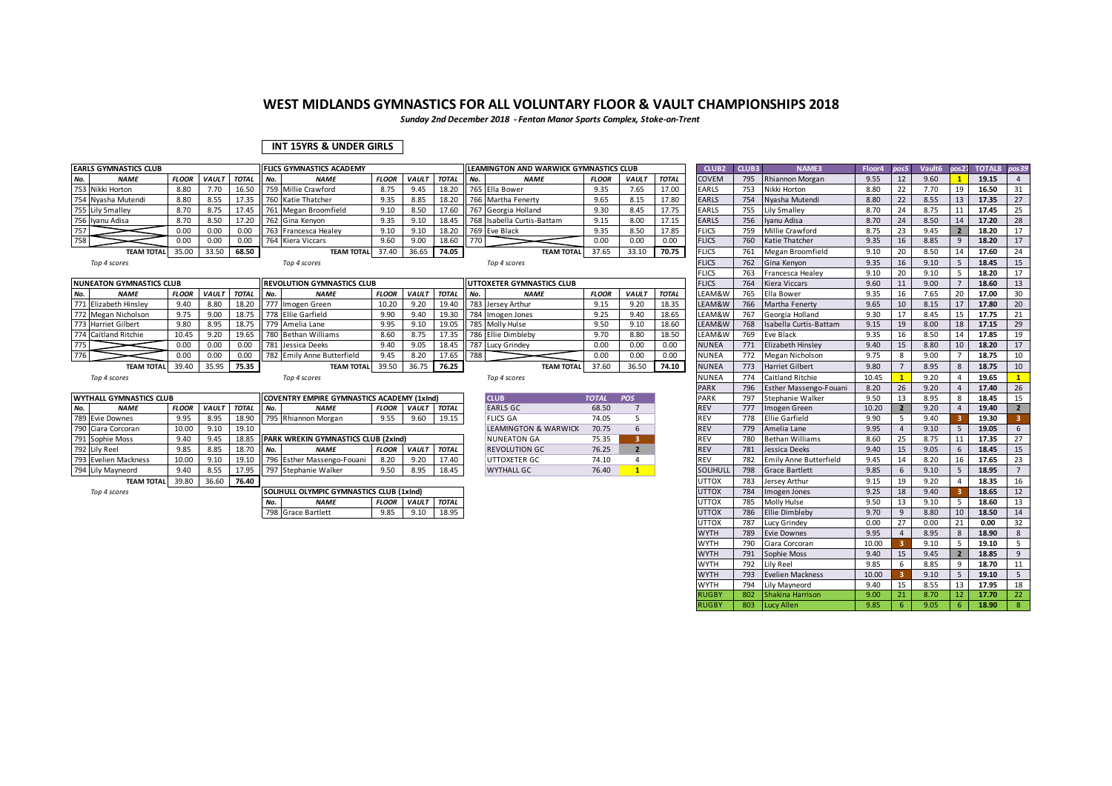*Sunday 2nd December 2018 - Fenton Manor Sports Complex, Stoke-on-Trent*

### **INT 15YRS & UNDER GIRLS**

| <b>EARLS GYMNASTICS CLUB</b>    |              |                    |              |     | <b>FLICS GYMNASTICS ACADEMY</b>                   |              |              |                    |       | LEAMINGTON AND WARWICK GYMNASTICS CLUB |              |                         |              | CLUB <sub>2</sub> | CLUB3 | NAME3                   | Floor4 | pos5                     | Vault6 | pos27                    | TOTAL8 pos39 |                |
|---------------------------------|--------------|--------------------|--------------|-----|---------------------------------------------------|--------------|--------------|--------------------|-------|----------------------------------------|--------------|-------------------------|--------------|-------------------|-------|-------------------------|--------|--------------------------|--------|--------------------------|--------------|----------------|
| <b>NAME</b><br>No.              | <b>FLOOR</b> | <b>VAULT</b>       | <b>TOTAL</b> | No. | <b>NAME</b>                                       | <b>FLOOR</b> | <b>VAULT</b> | <b>TOTAL</b>       | No.   | <b>NAME</b>                            | <b>FLOOR</b> | <b>VAULT</b>            | <b>TOTAL</b> | COVEM             | 795   | Rhiannon Morgan         | 9.55   | 12                       | 9.60   |                          | 19.15        |                |
| 753 Nikki Horton                | 8.80         | 7.70               | 16.50        |     | 759 Millie Crawford                               | 8.75         | 9.45         | 18.20              |       | 765 Ella Bower                         | 9.35         | 7.65                    | 17.00        | <b>EARLS</b>      | 753   | Nikki Horton            | 8.80   | 22                       | 7.70   | 19                       | 16.50        | 31             |
| 754 Nyasha Mutendi              | 8.80         | 8.55               | 17.35        |     | 760 Katie Thatcher                                | 9.35         | 8.85         | 18.20              |       | 766 Martha Fenerty                     | 9.65         | 8.15                    | 17.80        | <b>EARLS</b>      | 754   | Nyasha Mutendi          | 8.80   | 22                       | 8.55   | 13                       | 17.35        | 27             |
| 755 Lily Smalley                | 8.70         | 8.75               | 17.45        |     | 761 Megan Broomfield                              | 9.10         | 8.50         | 17.60              |       | 767 Georgia Holland                    | 9.30         | 8.45                    | 17.75        | <b>EARLS</b>      | 755   | Lily Smalley            | 8.70   | 24                       | 8.75   | 11                       | 17.45        | 25             |
| 756 Iyanu Adisa                 | 8.70         | 8.50               | 17.20        |     | 762 Gina Kenyon                                   | 9.35         | 9.10         | 18.45              |       | 768 Isabella Curtis-Battam             | 9.15         | 8.00                    | 17.15        | <b>EARLS</b>      | 756   | Ivanu Adisa             | 8.70   | 24                       | 8.50   | 14                       | 17.20        | 28             |
| 757                             | 0.00         | 0.00               | 0.00         |     | 763 Francesca Healey                              | 9.10         | 9.10         | 18.20              |       | 769 Eve Black                          | 9.35         | 8.50                    | 17.85        | <b>FLICS</b>      | 759   | Millie Crawford         | 8.75   | 23                       | 9.45   | $\overline{\phantom{a}}$ | 18.20        | 17             |
|                                 | 0.00         | 0.00               | 0.00         |     | 764 Kiera Viccars                                 | 9.60         | 9.00         | 18.60              | 770 l |                                        | 0.00         | 0.00                    | 0.00         | <b>FLICS</b>      | 760   | <b>Katie Thatcher</b>   | 9.35   | 16                       | 8.85   | -9                       | 18.20        | 17             |
| <b>TEAM TOTAL</b>               | 35.00        | 33.50              | 68.50        |     | <b>TEAM TOTAL</b>                                 | 37.40        | 36.65        | 74.05              |       | <b>TEAM TOTAL</b>                      | 37.65        | 33.10                   | 70.75        | <b>FLICS</b>      | 761   | Megan Broomfield        | 9.10   | 20                       | 8.50   | 14                       | 17.60        | 24             |
| Top 4 scores                    |              |                    |              |     | Top 4 scores                                      |              |              |                    |       | Top 4 scores                           |              |                         |              | <b>FLICS</b>      | 762   | Gina Kenvon             | 9.35   | 16                       | 9.10   | -5                       | 18.45        | 15             |
|                                 |              |                    |              |     |                                                   |              |              |                    |       |                                        |              |                         |              | <b>FLICS</b>      | 763   | Francesca Healev        | 9.10   | 20                       | 9.10   |                          | 18.20        | 17             |
| <b>NUNEATON GYMNASTICS CLUB</b> |              |                    |              |     | <b>REVOLUTION GYMNASTICS CLUB</b>                 |              |              |                    |       | UTTOXETER GYMNASTICS CLUB              |              |                         |              | <b>FLICS</b>      | 764   | Kiera Viccars           | 9.60   | 11                       | 9.00   |                          | 18.60        | 13             |
| <b>NAME</b><br>No.              | <b>FLOOR</b> | <b>VAULT TOTAL</b> |              | No. | <b>NAME</b>                                       | <b>FLOOR</b> | <b>VAULT</b> | <b>TOTAL</b>       | No.   | <b>NAME</b>                            | <b>FLOOR</b> | <b>VAULT</b>            | <b>TOTAL</b> | LEAM&W            | 765   | Ella Bower              | 9.35   | 16                       | 7.65   | 20                       | 17.00        | 30             |
| 771 Elizabeth Hinsley           | 9.40         | 8.80               | 18.20        |     | 777 Imogen Green                                  | 10.20        | 9.20         | 19.40              |       | 783 Jersey Arthur                      | 9.15         | 9.20                    | 18.35        | LEAM&W            | 766   | Martha Fenerty          | 9.65   | 10                       | 8.15   | 17                       | 17.80        | 20             |
| 772 Megan Nicholson             | 9.75         | 9.00               | 18.75        |     | 778 Ellie Garfield                                | 9.90         | 9.40         | 19.30              |       | 784 Imogen Jones                       | 9.25         | 9.40                    | 18.65        | LEAM&W            | 767   | Georgia Holland         | 9.30   | 17                       | 8.45   | 15                       | 17.75        | 21             |
| 773 Harriet Gilbert             | 9.80         | 8.95               | 18.75        |     | 779 Amelia Lane                                   | 9.95         | 9.10         | 19.05              |       | 785 Molly Hulse                        | 9.50         | 9.10                    | 18.60        | LEAM&W            | 768   | Isabella Curtis-Battam  | 9.15   | 19                       | 8.00   | 18                       | 17.15        | 29             |
| 774 Caitland Ritchie            | 10.45        | 9.20               | 19.65        |     | 780 Bethan Williams                               | 8.60         | 8.75         | 17.35              |       | 786 Ellie Dimbleby                     | 9.70         | 8.80                    | 18.50        | LEAM&W            | 769   | Eve Black               | 9.35   | 16                       | 8.50   | 14                       | 17.85        | 19             |
|                                 | 0.00         | 0.00               | 0.00         |     | 781 Jessica Deeks                                 | 9.40         | 9.05         | 18.45              |       | 787 Lucy Grindey                       | 0.00         | 0.00                    | 0.00         | <b>NUNEA</b>      | 771   | Elizabeth Hinsley       | 9.40   | 15                       | 8.80   | 10                       | 18.20        | 17             |
|                                 | 0.00         | 0.00               | 0.00         |     | 782 Emily Anne Butterfield                        | 9.45         | 8.20         | 17.65              | 788   |                                        | 0.00         | 0.00                    | 0.00         | <b>NUNEA</b>      | 772   | Megan Nicholson         | 9.75   | 8                        | 9.00   |                          | 18.75        | 10             |
| <b>TEAM TOTAL</b>               | 39.40        | 35.95 75.35        |              |     | <b>TEAM TOTAL</b>                                 | 39.50        | 36.75        | 76.25              |       | <b>TEAM TOTAL</b>                      | 37.60        | 36.50                   | 74.10        | <b>NUNEA</b>      | 773   | <b>Harriet Gilbert</b>  | 9.80   |                          | 8.95   | 8                        | 18.75        | 10             |
| Top 4 scores                    |              |                    |              |     | Top 4 scores                                      |              |              |                    |       | Top 4 scores                           |              |                         |              | <b>NUNEA</b>      | 774   | <b>Caitland Ritchie</b> | 10.45  |                          | 9.20   |                          | 19.65        |                |
|                                 |              |                    |              |     |                                                   |              |              |                    |       |                                        |              |                         |              | <b>PARK</b>       | 796   | Esther Massengo-Fouani  | 8.20   | 26                       | 9.20   |                          | 17.40        | 26             |
| <b>WYTHALL GYMNASTICS CLUB</b>  |              |                    |              |     | <b>COVENTRY EMPIRE GYMNASTICS ACADEMY (1xInd)</b> |              |              |                    |       | <b>CLUB</b>                            | <b>TOTAL</b> | POS                     |              | <b>PARK</b>       | 797   | Stephanie Walker        | 9.50   | 13                       | 8.95   | 8                        | 18.45        | 15             |
| No.<br><b>NAME</b>              | <b>FLOOR</b> | <b>VAULT</b>       | <b>TOTAL</b> | No. | <b>NAME</b>                                       | <b>FLOOR</b> |              | <b>VAULT TOTAL</b> |       | <b>EARLS GC</b>                        | 68.50        | $\overline{7}$          |              | <b>REV</b>        | 777   | Imogen Green            | 10.20  | $\overline{\phantom{a}}$ | 9.20   | $\Delta$                 | 19.40        | $\overline{2}$ |
| 789 Evie Downes                 | 9.95         | 8.95               | 18.90        |     | 795 Rhiannon Morgan                               | 9.55         | 9.60         | 19.15              |       | <b>FLICS GA</b>                        | 74.05        | 5                       |              | <b>REV</b>        | 778   | <b>Ellie Garfield</b>   | 9.90   |                          | 9.40   |                          | 19.30        |                |
| 790 Ciara Corcoran              | 10.00        | 9.10               | 19.10        |     |                                                   |              |              |                    |       | <b>LEAMINGTON &amp; WARWICK</b>        | 70.75        | 6                       |              | <b>REV</b>        | 779   | Amelia Lane             | 9.95   | $\Delta$                 | 9.10   | 5                        | 19.05        | 6              |
| 791 Sophie Moss                 | 9.40         | 9.45               | 18.85        |     | PARK WREKIN GYMNASTICS CLUB (2xInd)               |              |              |                    |       | <b>NUNEATON GA</b>                     | 75.35        | $\overline{\mathbf{3}}$ |              | <b>REV</b>        | 780   | <b>Bethan Williams</b>  | 8.60   | 25                       | 8.75   | 11                       | 17.35        | 27             |
| 792 Lily Reel                   | 9.85         | 8.85               | 18.70        | No. | <b>NAME</b>                                       | <b>FLOOR</b> | <b>VAULT</b> | <b>TOTAL</b>       |       | <b>REVOLUTION GC</b>                   | 76.25        | $\overline{2}$          |              | <b>REV</b>        | 781   | Jessica Deeks           | 9.40   | 15                       | 9.05   | 6                        | 18.45        | 15             |
| 793 Evelien Mackness            | 10.00        | 9.10               | 19.10        |     | 796 Esther Massengo-Fouani                        | 8.20         | 9.20         | 17.40              |       | UTTOXETER GC                           | 74.10        | 4                       |              | <b>REV</b>        | 782   | Emily Anne Butterfield  | 9.45   | 14                       | 8.20   | 16                       | 17.65        | 23             |
| 794 Lily Mayneord               | 9.40         | 8.55               | 17.95        |     | 797 Stephanie Walker                              | 9.50         | 8.95         | 18.45              |       | <b>WYTHALL GC</b>                      | 76.40        | $\mathbf{1}$            |              | SOLIHULL          | 798   | <b>Grace Bartlett</b>   | 9.85   | 6                        | 9.10   | 5                        | 18.95        | $\overline{7}$ |
| <b>TEAM TOTAL</b>               | 39.80        | 36.60              | 76.40        |     |                                                   |              |              |                    |       |                                        |              |                         |              | <b>UTTOX</b>      | 783   | Jersey Arthur           | 9.15   | 19                       | 9.20   |                          | 18.35        | 16             |
| Top 4 scores                    |              |                    |              |     | <b>SOLIHULL OLYMPIC GYMNASTICS CLUB (1xInd)</b>   |              |              |                    |       |                                        |              |                         |              | <b>UTTOX</b>      | 784   | Imogen Jones            | 9.25   | 18                       | 9.40   |                          | 18.65        | 12             |

**NO. NAME FLOOR VAULT TOTAL 798** Grace Bartlett 9.85 9.10 18.95 798 Grace Bartlett 9.85 9.10 18.95 UTTOX 786 Ellie Dimbleby 9.70 9 8.80 10 **18.50** 14

| <b>FLICS</b> | 763 | Francesca Healey              | 9.10  | 20             | 9.10 | 5              | 18.20 | 17             |
|--------------|-----|-------------------------------|-------|----------------|------|----------------|-------|----------------|
| <b>FLICS</b> | 764 | <b>Kiera Viccars</b>          | 9.60  | 11             | 9.00 | $\overline{7}$ | 18.60 | 13             |
| LEAM&W       | 765 | Ella Bower                    | 9.35  | 16             | 7.65 | 20             | 17.00 | 30             |
| LEAM&W       | 766 | Martha Fenerty                | 9.65  | 10             | 8.15 | 17             | 17.80 | 20             |
| LEAM&W       | 767 | Georgia Holland               | 9.30  | 17             | 8.45 | 15             | 17.75 | 21             |
| LEAM&W       | 768 | Isabella Curtis-Battam        | 9.15  | 19             | 8.00 | 18             | 17.15 | 29             |
| LEAM&W       | 769 | Eve Black                     | 9.35  | 16             | 8.50 | 14             | 17.85 | 19             |
| <b>NUNEA</b> | 771 | Elizabeth Hinsley             | 9.40  | 15             | 8.80 | 10             | 18.20 | 17             |
| <b>NUNEA</b> | 772 | Megan Nicholson               | 9.75  | 8              | 9.00 | $\overline{7}$ | 18.75 | 10             |
| <b>NUNEA</b> | 773 | Harriet Gilbert               | 9.80  | $\overline{7}$ | 8.95 | 8              | 18.75 | 10             |
| <b>NUNEA</b> | 774 | Caitland Ritchie              | 10.45 | $\overline{1}$ | 9.20 | 4              | 19.65 | $\mathbf{1}$   |
| <b>PARK</b>  | 796 | Esther Massengo-Fouani        | 8.20  | 26             | 9.20 | 4              | 17.40 | 26             |
| PARK         | 797 | Stephanie Walker              | 9.50  | 13             | 8.95 | 8              | 18.45 | 15             |
| <b>REV</b>   | 777 | Imogen Green                  | 10.20 | $\overline{2}$ | 9.20 | $\overline{4}$ | 19.40 | $\overline{2}$ |
| <b>REV</b>   | 778 | <b>Ellie Garfield</b>         | 9.90  | 5              | 9.40 | 3              | 19.30 | 3              |
| <b>REV</b>   | 779 | Amelia Lane                   | 9.95  | $\overline{4}$ | 9.10 | 5              | 19.05 | 6              |
| <b>REV</b>   | 780 | <b>Bethan Williams</b>        | 8.60  | 25             | 8.75 | 11             | 17.35 | 27             |
| <b>REV</b>   | 781 | Jessica Deeks                 | 9.40  | 15             | 9.05 | 6              | 18.45 | 15             |
| <b>REV</b>   | 782 | <b>Emily Anne Butterfield</b> | 9.45  | 14             | 8.20 | 16             | 17.65 | 23             |
| SOLIHULL     | 798 | <b>Grace Bartlett</b>         | 9.85  | 6              | 9.10 | 5              | 18.95 | $\overline{7}$ |
| <b>UTTOX</b> | 783 | Jersey Arthur                 | 9.15  | 19             | 9.20 | 4              | 18.35 | 16             |
| <b>UTTOX</b> | 784 | Imogen Jones                  | 9.25  | 18             | 9.40 | 3              | 18.65 | 12             |
| <b>UTTOX</b> | 785 | Molly Hulse                   | 9.50  | 13             | 9.10 | 5              | 18.60 | 13             |
| <b>UTTOX</b> | 786 | <b>Ellie Dimbleby</b>         | 9.70  | $\overline{9}$ | 8.80 | 10             | 18.50 | 14             |
| <b>UTTOX</b> | 787 | Lucy Grindey                  | 0.00  | 27             | 0.00 | 21             | 0.00  | 32             |
| <b>WYTH</b>  | 789 | <b>Evie Downes</b>            | 9.95  | $\overline{4}$ | 8.95 | 8              | 18.90 | 8              |
| <b>WYTH</b>  | 790 | Ciara Corcoran                | 10.00 | 3              | 9.10 | 5              | 19.10 | 5              |
| <b>WYTH</b>  | 791 | Sophie Moss                   | 9.40  | 15             | 9.45 | $\overline{2}$ | 18.85 | 9              |
| <b>WYTH</b>  | 792 | Lily Reel                     | 9.85  | 6              | 8.85 | 9              | 18.70 | 11             |
| <b>WYTH</b>  | 793 | <b>Evelien Mackness</b>       | 10.00 | 3              | 9.10 | 5              | 19.10 | 5              |
| <b>WYTH</b>  | 794 | Lily Mayneord                 | 9.40  | 15             | 8.55 | 13             | 17.95 | 18             |
| <b>RUGBY</b> | 802 | Shakina Harrison              | 9.00  | 21             | 8.70 | 12             | 17.70 | 22             |
| <b>RUGBY</b> | 803 | <b>Lucy Allen</b>             | 9.85  | 6              | 9.05 | 6              | 18.90 | 8              |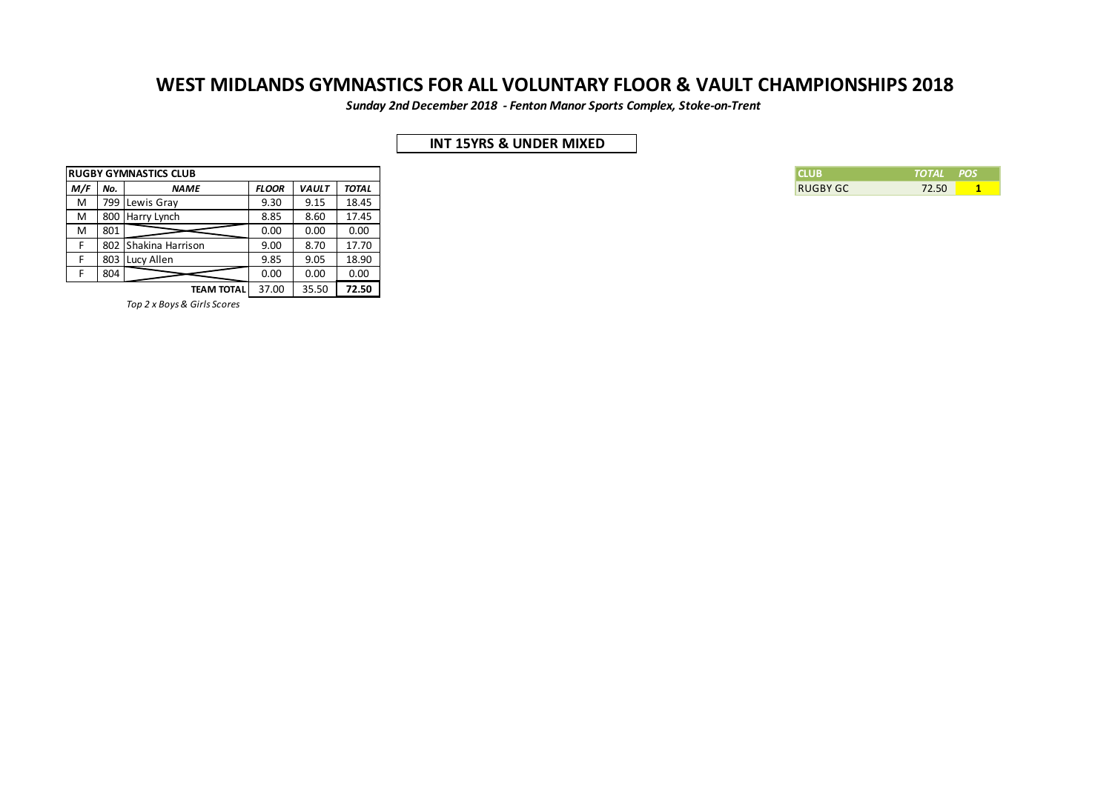*Sunday 2nd December 2018 - Fenton Manor Sports Complex, Stoke-on-Trent*

## **INT 15YRS & UNDER MIXED**

| ICLUB           | TOTAL POS |  |
|-----------------|-----------|--|
| <b>RUGBY GC</b> | 72.50     |  |

|     |     | <b>RUGBY GYMNASTICS CLUB</b> |              |              |              |
|-----|-----|------------------------------|--------------|--------------|--------------|
| M/F | No. | <b>NAME</b>                  | <b>FLOOR</b> | <b>VAULT</b> | <b>TOTAL</b> |
| M   |     | 799 Lewis Gray               | 9.30         | 9.15         | 18.45        |
| M   |     | 800 Harry Lynch              | 8.85         | 8.60         | 17.45        |
| M   | 801 |                              | 0.00         | 0.00         | 0.00         |
|     |     | 802 Shakina Harrison         | 9.00         | 8.70         | 17.70        |
|     |     | 803 Lucy Allen               | 9.85         | 9.05         | 18.90        |
|     | 804 |                              | 0.00         | 0.00         | 0.00         |
|     |     | <b>TEAM TOTAL</b>            | 37.00        | 35.50        | 72.50        |

*Top 2 x Boys & Girls Scores*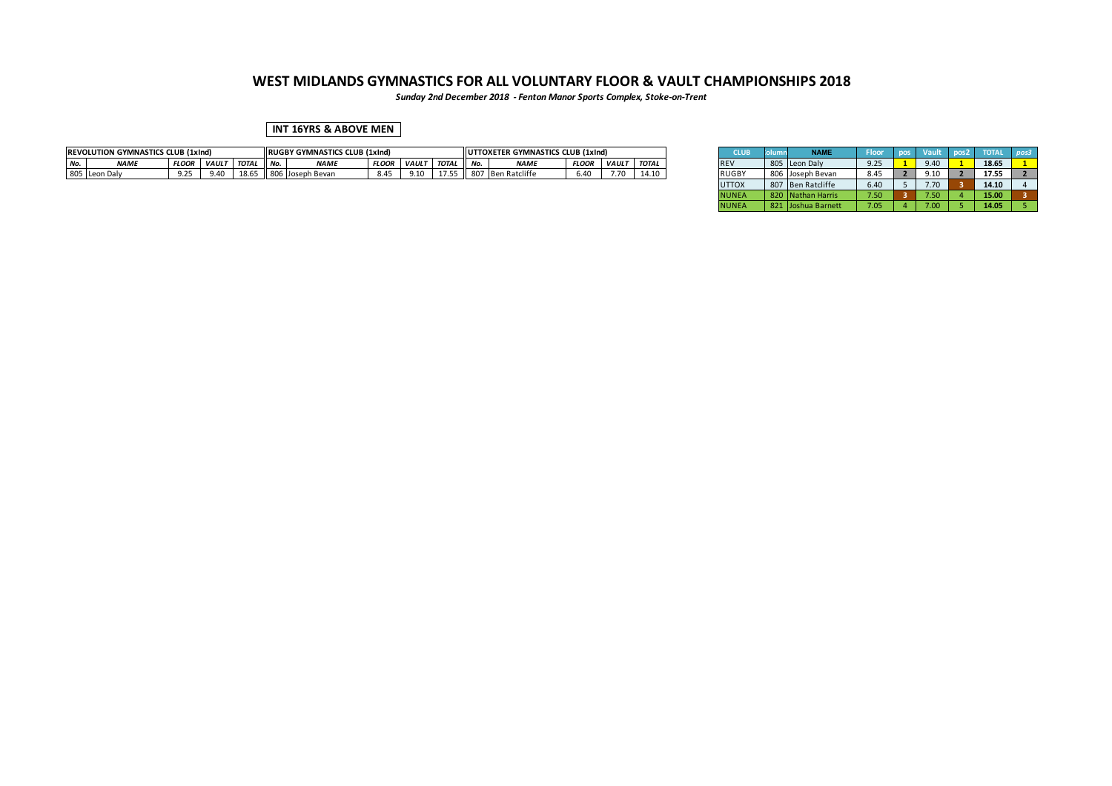*Sunday 2nd December 2018 - Fenton Manor Sports Complex, Stoke-on-Trent*

### **INT 16YRS & ABOVE MEN**

|        | <b>REVOLUTION GYMNASTICS CLUB (1xInd)</b><br><b>FLOO</b><br><b>NAME</b><br>VAUL |        |              |                 |              | <b>RUGBY GYMNASTICS CLUB (1xInd)</b> |              |              |              |       | UTTOXETER GYMNASTICS CLUB (1xInd) |              |              |       | ะเบเ         | <b>NAMI</b>      |                              |         |       |  |
|--------|---------------------------------------------------------------------------------|--------|--------------|-----------------|--------------|--------------------------------------|--------------|--------------|--------------|-------|-----------------------------------|--------------|--------------|-------|--------------|------------------|------------------------------|---------|-------|--|
| $A1 -$ |                                                                                 |        |              | <b>TOTAL</b>    | $\mathbf{A}$ | NAMI                                 | <b>FLOOF</b> | <b>VAULT</b> | <b>TOTAL</b> | II No | <b>NAMI</b>                       | <b>FLOOR</b> | <b>VAULT</b> | TOTAI | <b>REV</b>   | 805 Leon Daly    | $\sim$ $\sim$ $\sim$<br>9.25 | $-9.40$ | 18.65 |  |
|        | 805 Leon<br>Leon Dalv                                                           | $\sim$ | $\mathbf{a}$ | 10 <sup>o</sup> |              | า Bevan                              | - 8.4°       | 0.10         |              |       | Ratclit                           | 6.40         |              | 14.1  | <b>RUGBY</b> | 806 Joseph Bevan | $\sim$<br>8.4.               | 1.10    | 17.55 |  |

| <b>CLUB</b>  | olumn | <b>NAME</b>          | <b>Floor</b> | pos            | <b>Vault</b> | pos <sub>2</sub> | <b>TOTAL</b> | pos3 |
|--------------|-------|----------------------|--------------|----------------|--------------|------------------|--------------|------|
| <b>REV</b>   | 805   | Leon Daly            | 9.25         |                | 9.40         |                  | 18.65        |      |
| <b>RUGBY</b> | 806   | Joseph Bevan         | 8.45         | $\overline{2}$ | 9.10         |                  | 17.55        |      |
| <b>UTTOX</b> | 807   | <b>Ben Ratcliffe</b> | 6.40         | 5              | 7.70         | 3                | 14.10        | 4    |
| <b>NUNEA</b> | 820   | Nathan Harris        | 7.50         | з              | 7.50         | 4                | 15.00        |      |
| <b>NUNEA</b> | 821   | Joshua Barnett       | 7.05         | 4              | 7.00         |                  | 14.05        |      |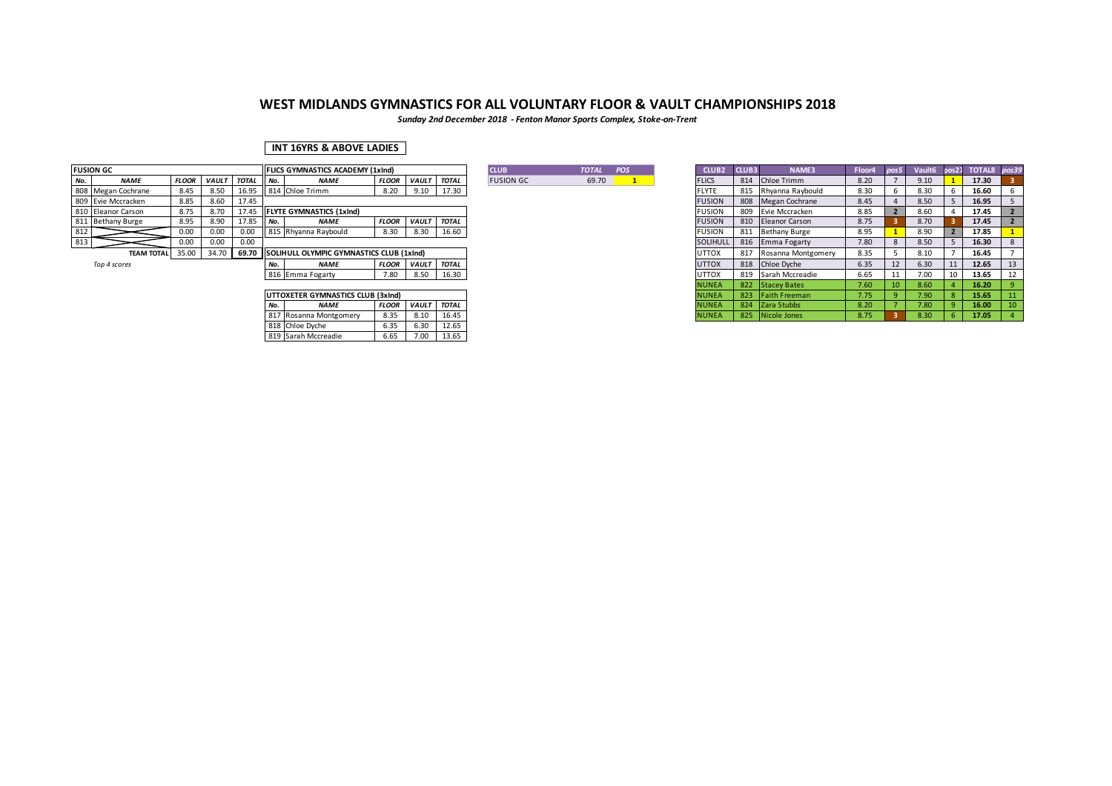*Sunday 2nd December 2018 - Fenton Manor Sports Complex, Stoke-on-Trent*

### **INT 16YRS & ABOVE LADIES**

|     | <b>FUSION GC</b>        |              |              |             | <b>IFLICS GYMNASTICS ACADEMY (1xInd)</b>        |              |              |              | <b>CLUB</b>      | <b>TOTAL</b> | POS | CLUB <sub>2</sub> | <b>CLUB3</b> | <b>NAME3</b>           | Floor4 | pos5 | Vault <sub>6</sub> |    | pos27 TOTAL8 pos39 |  |
|-----|-------------------------|--------------|--------------|-------------|-------------------------------------------------|--------------|--------------|--------------|------------------|--------------|-----|-------------------|--------------|------------------------|--------|------|--------------------|----|--------------------|--|
| No. | <b>NAME</b>             | <b>FLOOR</b> | <b>VAULT</b> | TOTAL No.   | <b>NAME</b>                                     | <b>FLOOR</b> | <b>VAULT</b> | <b>TOTAL</b> | <b>FUSION GC</b> | 69.70        |     | <b>FLICS</b>      |              | 814 Chloe Trimm        | 8.20   |      | 9.10               |    | 17.30              |  |
|     | 808 Megan Cochrane      | 8.45         | 8.50         |             | 16.95 814 Chloe Trimm                           | 8.20         | 9.10         | 17.30        |                  |              |     | <b>FLYTE</b>      |              | 815 Rhyanna Raybould   | 8.30   |      | 8.30               |    | 16.60              |  |
|     | 809 Evie Mccracken      | 8.85         | 8.60         | 17.45       |                                                 |              |              |              |                  |              |     | <b>FUSION</b>     |              | 808 Megan Cochrane     | 8.45   |      | 8.50               |    | 16.95              |  |
|     | 810 Eleanor Carson      | 8.75         | 8.70         | 17.45       | <b>IFLYTE GYMNASTICS (1xInd)</b>                |              |              |              |                  |              |     | <b>FUSION</b>     |              | 809 Evie Mccracken     | 8.85   |      | 8.60               |    | 17.45              |  |
|     | 811 Bethany Burge       | 8.95         | 8.90         | $17.85$ No. | <b>NAME</b>                                     | <b>FLOOR</b> | <b>VAULT</b> | <b>TOTAL</b> |                  |              |     | <b>FUSION</b>     |              | 810 Eleanor Carson     | 8.75   |      | 8.70               |    | 17.45              |  |
| 812 |                         | 0.00         | 0.00         | 0.00        | 815 Rhyanna Raybould                            | 8.30         | 8.30         | 16.60        |                  |              |     | <b>FUSION</b>     |              | 811 Bethany Burge      | 8.95   |      | 8.90               |    | 17.85              |  |
| 813 |                         | 0.00         | 0.00         | 0.00        |                                                 |              |              |              |                  |              |     | SOLIHULL          |              | 816 Emma Fogarty       | 7.80   |      | 8.50               |    | 16.30              |  |
|     | <b>TEAM TOTAL 35.00</b> |              | 34.70        |             | 69.70 ISOLIHULL OLYMPIC GYMNASTICS CLUB (1xInd) |              |              |              |                  |              |     | <b>UTTOX</b>      |              | 817 Rosanna Montgomery | 8.35   |      | 8.10               |    | 16.45              |  |
|     | Top 4 scores            |              |              |             | <b>NAME</b>                                     | <b>FLOOR</b> | <b>VAULT</b> | <b>TOTAL</b> |                  |              |     | <b>UTTOX</b>      |              | 818 Chloe Dyche        | 6.35   |      | 6.30               | 11 | 12.65              |  |
|     |                         |              |              |             | 816 Emma Fogarty                                | 7.80         | 8.50         | 16.30        |                  |              |     | <b>UTTOX</b>      |              | 819 Sarah Mccreadie    | 6.65   |      | 7.00               | 10 | 13.65              |  |

|     | UTTOXETER GYMNASTICS CLUB (3xInd) |              |              |              |  |  |  |  |  |  |  |  |  |  |
|-----|-----------------------------------|--------------|--------------|--------------|--|--|--|--|--|--|--|--|--|--|
| No. | <b>NAME</b>                       | <b>FLOOR</b> | <b>VAULT</b> | <b>TOTAL</b> |  |  |  |  |  |  |  |  |  |  |
|     | 817 Rosanna Montgomery            | 8.35         | 8.10         | 16.45        |  |  |  |  |  |  |  |  |  |  |
|     | 818 Chloe Dyche                   | 6.35         | 6.30         | 12.65        |  |  |  |  |  |  |  |  |  |  |
|     | 819 Sarah Mccreadie               | 6.65         | 7.00         | 13.65        |  |  |  |  |  |  |  |  |  |  |

| В      | <b>TOTAL</b> | <b>POS</b> |
|--------|--------------|------------|
| ION GC | 69.70        |            |
|        |              |            |

|     | <b>FLICS GYMNASTICS ACADEMY (1xInd)</b>  |              |              |              | <b>CLUB</b>      | <b>TOTAL</b> | POS | CLUB <sub>2</sub> | CLUB3 | NAME3                | Floor4 | pos5 | Vault6 | pos27 | <b>TOTAL8</b> | pos3! |
|-----|------------------------------------------|--------------|--------------|--------------|------------------|--------------|-----|-------------------|-------|----------------------|--------|------|--------|-------|---------------|-------|
| No. | <b>NAME</b>                              | <b>FLOOR</b> | <b>VAULT</b> | <b>TOTAL</b> | <b>FUSION GC</b> | 69.70        |     | <b>FLICS</b>      | 814   | Chloe Trimm          | 8.20   |      | 9.10   |       | 17.30         |       |
|     | 814 Chloe Trimm                          | 8.20         | 9.10         | 17.30        |                  |              |     | <b>FLYTE</b>      | 815   | Rhyanna Raybould     | 8.30   | 6    | 8.30   | 6     | 16.60         |       |
|     |                                          |              |              |              |                  |              |     | <b>FUSION</b>     | 808   | Megan Cochrane       | 8.45   |      | 8.50   |       | 16.95         |       |
|     | <b>FLYTE GYMNASTICS (1xInd)</b>          |              |              |              |                  |              |     | <b>FUSION</b>     | 809   | Evie Mccracken       | 8.85   |      | 8.60   |       | 17.45         |       |
| No. | <b>NAME</b>                              | <b>FLOOR</b> | <b>VAULT</b> | <b>TOTAL</b> |                  |              |     | <b>FUSION</b>     | 810   | Eleanor Carson       | 8.75   |      | 8.70   |       | 17.45         |       |
|     | 815 Rhyanna Raybould                     | 8.30         | 8.30         | 16.60        |                  |              |     | <b>FUSION</b>     | 811   | <b>Bethany Burge</b> | 8.95   |      | 8.90   |       | 17.85         |       |
|     |                                          |              |              |              |                  |              |     | SOLIHULL          | 816   | Emma Fogarty         | 7.80   | 8    | 8.50   |       | 16.30         | 8     |
|     | SOLIHULL OLYMPIC GYMNASTICS CLUB (1xInd) |              |              |              |                  |              |     | <b>UTTOX</b>      | 817   | Rosanna Montgomery   | 8.35   |      | 8.10   |       | 16.45         |       |
| No. | <b>NAME</b>                              | <b>FLOOR</b> | <b>VAULT</b> | <b>TOTAL</b> |                  |              |     | <b>UTTOX</b>      | 818   | Chloe Dyche          | 6.35   | 12   | 6.30   | 11    | 12.65         | 13    |
|     | 816 Emma Fogarty                         | 7.80         | 8.50         | 16.30        |                  |              |     | <b>UTTOX</b>      | 819   | Sarah Mccreadie      | 6.65   | 11   | 7.00   | 10    | 13.65         | 12    |
|     |                                          |              |              |              |                  |              |     | <b>NUNEA</b>      | 822   | Stacey Bates         | 7.60   | 10   | 8.60   |       | 16.20         |       |
|     | UTTOXETER GYMNASTICS CLUB (3xInd)        |              |              |              |                  |              |     | <b>NUNEA</b>      | 823   | Faith Freeman        | 7.75   | -9   | 7.90   | 8     | 15.65         | 11    |
| No. | <b>NAME</b>                              | <b>FLOOR</b> | <b>VAULT</b> | <b>TOTAL</b> |                  |              |     | <b>NUNEA</b>      | 824   | Zara Stubbs          | 8.20   |      | 7.80   | q     | 16.00         | 10    |
|     | 817 Rosanna Montgomery                   | 8.35         | 8.10         | 16.45        |                  |              |     | <b>NUNEA</b>      | 825   | Nicole Jones         | 8.75   |      | 8.30   | 6.    | 17.05         |       |
|     |                                          |              |              |              |                  |              |     |                   |       |                      |        |      |        |       |               |       |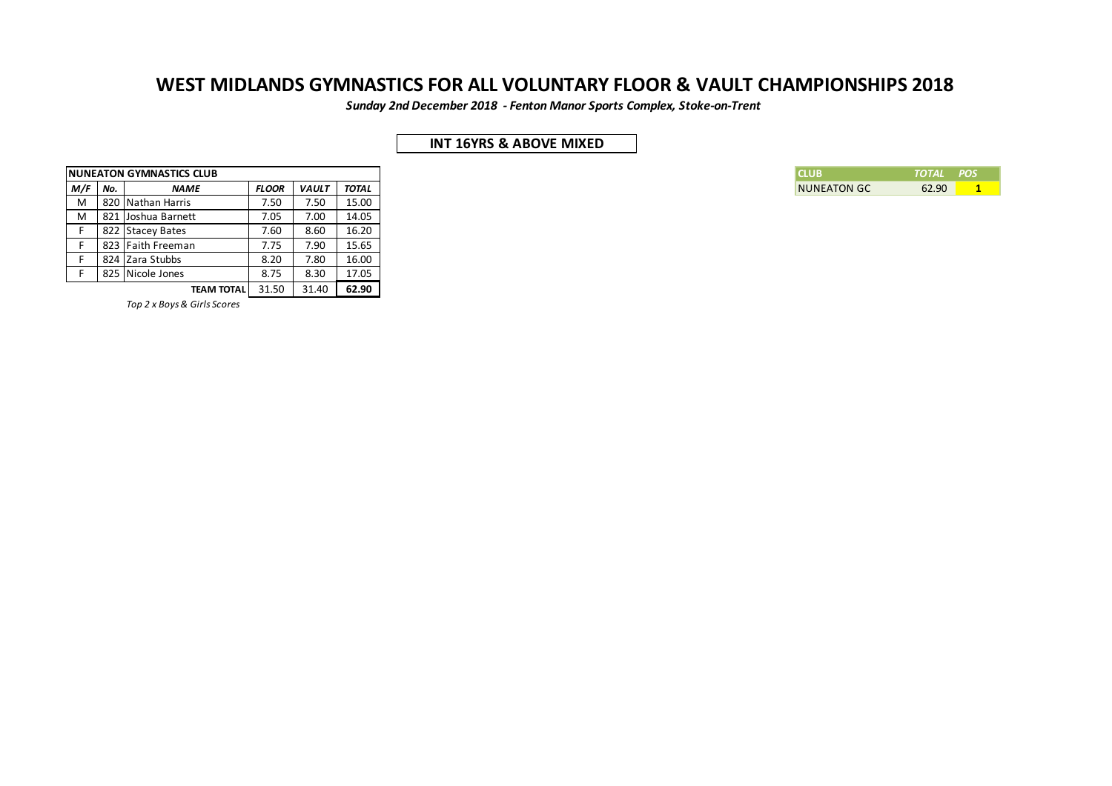*Sunday 2nd December 2018 - Fenton Manor Sports Complex, Stoke-on-Trent*

## **INT 16YRS & ABOVE MIXED**

|     |     | <b>INUNEATON GYMNASTICS CLUB</b> |              |              |              |
|-----|-----|----------------------------------|--------------|--------------|--------------|
| M/F | No. | <b>NAME</b>                      | <b>FLOOR</b> | <b>VAULT</b> | <b>TOTAL</b> |
| М   |     | 820 Nathan Harris                | 7.50         | 7.50         | 15.00        |
| М   | 821 | Joshua Barnett                   | 7.05         | 7.00         | 14.05        |
|     |     | 822 Stacey Bates                 | 7.60         | 8.60         | 16.20        |
|     |     | 823 Faith Freeman                | 7.75         | 7.90         | 15.65        |
|     |     | 824 Zara Stubbs                  | 8.20         | 7.80         | 16.00        |
|     |     | 825 Nicole Jones                 | 8.75         | 8.30         | 17.05        |
|     |     | <b>TEAM TOTAL</b>                | 31.50        | 31.40        | 62.90        |

*Top 2 x Boys & Girls Scores*

| <b>ICLUB</b>       | TOTAL POS |  |
|--------------------|-----------|--|
| <b>NUNEATON GC</b> | 62.90     |  |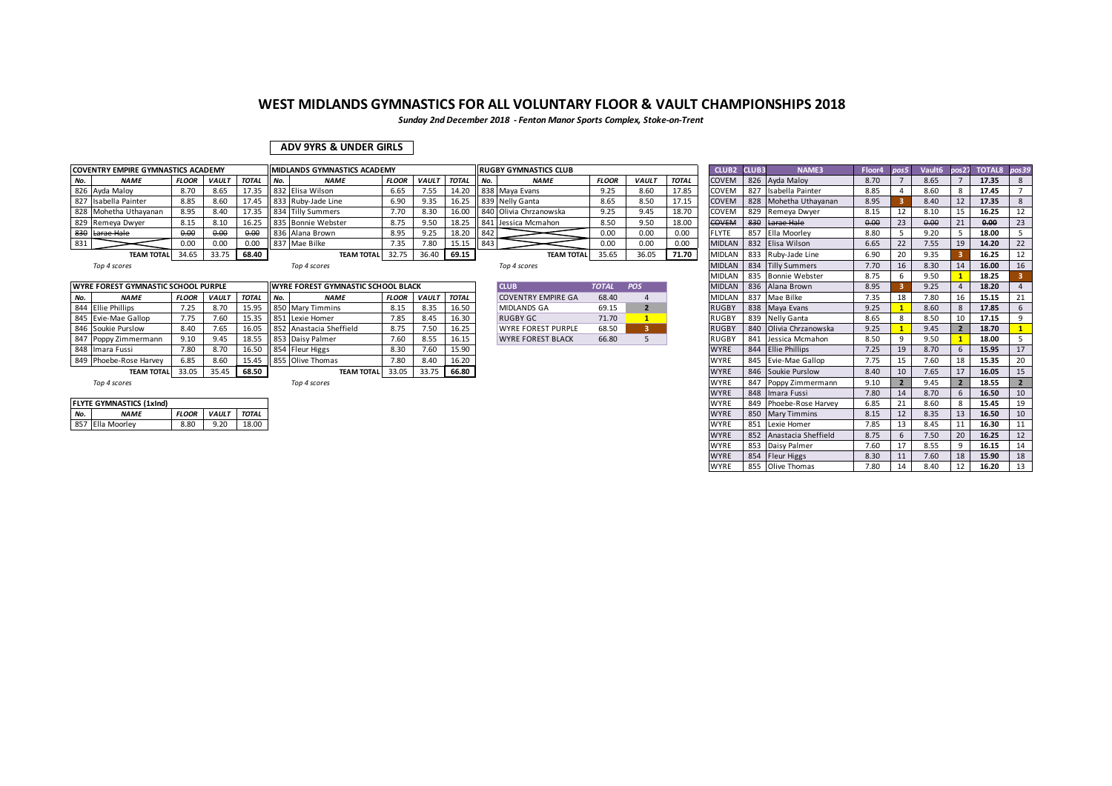*Sunday 2nd December 2018 - Fenton Manor Sports Complex, Stoke-on-Trent*

### **ADV 9YRS & UNDER GIRLS**

|     | <b>COVENTRY EMPIRE GYMNASTICS ACADEMY</b> |              |              |              |       | <b>IMIDLANDS GYMNASTICS ACADEMY</b>   |              |              |              |       | llrugby gymnastics club               |              |              |              | CLUB <sub>2</sub> | CLUB3 | <b>NAME3</b>                                 | <b>Floor</b> | Vault6 | pos27          | TOTAL8 pos39 |                |
|-----|-------------------------------------------|--------------|--------------|--------------|-------|---------------------------------------|--------------|--------------|--------------|-------|---------------------------------------|--------------|--------------|--------------|-------------------|-------|----------------------------------------------|--------------|--------|----------------|--------------|----------------|
| No. | <b>NAME</b>                               | <b>FLOOR</b> | <b>VAULT</b> | <b>TOTAL</b> | I No. | <b>NAME</b>                           | <b>FLOOR</b> | <b>VAULT</b> | <b>TOTAL</b> | I No. | <b>NAME</b>                           | <b>FLOOR</b> | <b>VAULT</b> | <b>TOTAL</b> | <b>COVEN</b>      |       | 826 Ayda Maloy                               | 8.70         | 8.65   |                | 17.35        |                |
|     | 826 Ayda Maloy                            | 8.70         | 8.65         | 17.35        |       | 832 Elisa Wilson                      | 6.65         | '.55         | 14.20        |       | 838 Maya Evans                        | 9.25         | 8.60         | 17.85        | COVEN             |       | Isabella Painter                             | 8.85         | 8.60   |                | 17.45        |                |
|     | 827 Isabella Painter                      | 8.85         | 8.60         | 17.45        |       | 833 Ruby-Jade Line                    | 6.90         | 9.35         | 16.25        |       | 839 Nelly Ganta                       | 8.65         | 8.50         |              | <b>COVEN</b>      |       | 828 Mohetha Uthayanan                        | 8.95         | 8.40   | 12             | 17.35        |                |
|     | 828 Mohetha Uthayanan                     | 8.95         | 8.40         | 17.35        |       | 834 Tilly Summers                     | 7.70         | 8.30         | 16.00        |       | 840 Olivia Chrzanowska                | 9.25         | 9.45         | 18.70        | <b>COVEN</b>      |       | 829 Remeya Dwyer                             | 8.15         | 8.10   | 15             | 16.25        |                |
|     | 829 Remeya Dwyer                          | 8.15         | 8.10         | 16.25        |       | 835 Bonnie Webster                    | 8.75         | 9.50         | 18.25        |       | 841 Jessica Mcmahon                   | 8.50         | 9.50         | 18.00        | <b>COVEM</b>      |       | 830 Larae Hale                               | 0.00         | 0.00   | 21             | 0.00         |                |
|     | 830 Larae Hale                            | 0.00         | 0.00         | 0,00         |       | 836 Alana Brown                       | 8.95         | 9.25         | 18.20        | 842   |                                       | 0.00         | J.00         | 0.00         | <b>FLYTE</b>      | 857   | Ella Moorley                                 | 8.80         | 9.20   |                | 18.00        |                |
| 831 |                                           | 0.00         |              | 00.ر         |       | 837 Mae Bilke                         | 7.35         | 7.80         | 15.15        | 843   |                                       | 0.00         | 0.00         | 0.00         | <b>MIDLAN</b>     |       | 832 Elisa Wilson                             | 6.65         | 7.55   | 19             | 14.20        |                |
|     | <b>TEAM TOTAL</b>                         | 34.65        | 33.75        | 68.40        |       | <b>TEAM TOTAL</b>                     |              | 36.40        | 69.15        |       | <b>TEAM TOTAL</b>                     | 35.65        | 36.05        | 71.70        | <b>MIDLAN</b>     |       | 833 Ruby-Jade Line                           | 6.90         | 9.35   |                | 16.25        |                |
|     | $T \sim 10^{-4}$ and $T \sim 10^{-4}$     |              |              |              |       | $T \sim 10^{-4}$ and $T \sim 10^{-4}$ |              |              |              |       | $T \sim 10^{-4}$ and $T \sim 10^{-4}$ |              |              |              |                   |       | MUDIAN $\overline{O24}$ Till, $\overline{C}$ | 770          | 0.20   | $\overline{A}$ | 10.00        | 1 <sup>c</sup> |

| <b>CLUB</b>               | <b>TOTAL</b> | <b>POS</b> |
|---------------------------|--------------|------------|
| <b>COVENTRY EMPIRE GA</b> | 68.40        |            |
| <b>MIDLANDS GA</b>        | 69.15        | 2          |
| RUGBY GC                  | 71.70        |            |
| <b>WYRE FOREST PURPLE</b> | 68.50        | ء          |
|                           | ----         | $-$        |

|     | COVENTRY EMPIRE GYMNASTICS ACADEMY  |              |              |              |     | <b>MIDLANDS GYMNASTICS ACADEMY</b>        |              |                    |       |        | <b>RUGBY GYMNASTICS CLUB</b> |              |                |              | CLUB2 CLUB3   | NAME3                   | Floor4 | pos5 | Vault <sub>6</sub> | pos27                    | TOTAL8 pos39 |                 |
|-----|-------------------------------------|--------------|--------------|--------------|-----|-------------------------------------------|--------------|--------------------|-------|--------|------------------------------|--------------|----------------|--------------|---------------|-------------------------|--------|------|--------------------|--------------------------|--------------|-----------------|
| No. | <b>NAME</b>                         | <b>FLOOR</b> | <b>VAULT</b> | <b>TOTAL</b> | No. | <b>NAME</b>                               | <b>FLOOR</b> | <b>VAULT TOTAL</b> |       | II No. | <b>NAME</b>                  | <b>FLOOR</b> | <b>VAULT</b>   | <b>TOTAL</b> | <b>COVEM</b>  | 826 Ayda Maloy          | 8.70   |      | 8.65               |                          | 17.35        |                 |
|     | 826 Ayda Maloy                      | 8.70         | 8.65         | 17.35        |     | 832 Elisa Wilson                          | 6.65         | 7.55               | 14.20 |        | 838 Maya Evans               | 9.25         | 8.60           | 17.85        | COVEM         | 827 Isabella Painter    | 8.85   |      | 8.60               | 8                        | 17.45        |                 |
|     | 827 Isabella Painter                | 8.85         | 8.60         | 17.45        |     | 833 Ruby-Jade Line                        | 6.90         | 9.35               | 16.25 |        | 839 Nelly Ganta              | 8.65         | 8.50           | 17.15        | COVEM         | 828 Mohetha Uthavanan   | 8.95   |      | 8.40               | 12                       | 17.35        |                 |
|     | 828 Mohetha Uthayanan               | 8.95         | 8.40         | 17.35        |     | 834 Tilly Summers                         | 7.70         | 8.30               | 16.00 |        | 840 Olivia Chrzanowska       | 9.25         | 9.45           | 18.70        | COVEM         | 829 Remeya Dwyer        | 8.15   | 12   | 8.10               | 15                       | 16.25        | 12              |
|     | 829 Remeva Dwyer                    | 8.15         | 8.10         | 16.25        |     | 835 Bonnie Webster                        | 8.75         | 9.50               | 18.25 |        | 841 Jessica Mcmahon          | 8.50         | 9.50           | 18.00        | <b>COVEM</b>  | 830 Larae Hale          | 0.00   | 23   | 0.00               | 21                       | 0.00         | 23              |
|     | 830 Larae Hale                      | 0.00         | 0.00         | 0.00         |     | 836 Alana Brown                           | 8.95         | 9.25               | 18.20 | 842    |                              | 0.00         | 0.00           | 0.00         | <b>FLYTE</b>  | 857 Ella Moorley        | 8.80   | .5   | 9.20               | -5                       | 18.00        | 5 <sub>5</sub>  |
| 831 |                                     | 0.00         | 0.00         | 0.00         |     | 837 Mae Bilke                             | 7.35         | 7.80               | 15.15 | 843    |                              | 0.00         | 0.00           | 0.00         | <b>MIDLAN</b> | 832 Elisa Wilson        | 6.65   | 22   | 7.55               | 19                       | 14.20        | 22              |
|     | <b>TEAM TOTAL</b>                   | 34.65        | 33.75        | 68.40        |     | <b>TEAM TOTAL</b>                         | 32.75        | 36.40 69.15        |       |        | <b>TEAM TOTAL</b>            | 35.65        | 36.05          | 71.70        | <b>MIDLAN</b> | 833 Ruby-Jade Line      | 6.90   | 20   | 9.35               |                          | 16.25        | 12              |
|     | Top 4 scores                        |              |              |              |     | Top 4 scores                              |              |                    |       |        | Top 4 scores                 |              |                |              | <b>MIDLAN</b> | 834 Tilly Summers       | 7.70   | 16   | 8.30               | 14                       | 16.00        | 16              |
|     |                                     |              |              |              |     |                                           |              |                    |       |        |                              |              |                |              | <b>MIDLAN</b> | 835 Bonnie Webster      | 8.75   |      | 9.50               |                          | 18.25        |                 |
|     | WYRE FOREST GYMNASTIC SCHOOL PURPLE |              |              |              |     | <b>WYRE FOREST GYMNASTIC SCHOOL BLACK</b> |              |                    |       |        | <b>CLUB</b>                  | <b>TOTAL</b> | POS            |              | <b>MIDLAN</b> | 836 Alana Brown         | 8.95   |      | 9.25               | $\Delta$                 | 18.20        | $\overline{a}$  |
| No. | <b>NAME</b>                         | <b>FLOOR</b> | <b>VAULT</b> | <b>TOTAL</b> | No. | <b>NAME</b>                               | <b>FLOOR</b> | VAULT TOTAL        |       |        | <b>COVENTRY EMPIRE GA</b>    | 68.40        |                |              | <b>MIDLAN</b> | 837 Mae Bilke           | 7.35   | 18   | 7.80               | 16                       | 15.15        | 21              |
|     | 844 Ellie Phillips                  | 7.25         | 8.70         | 15.95        |     | 850 Mary Timmins                          | 8.15         | 8.35               | 16.50 |        | <b>MIDLANDS GA</b>           | 69.15        |                |              | <b>RUGBY</b>  | 838 Maya Evans          | 9.25   |      | 8.60               | 8                        | 17.85        |                 |
|     | 845 Evie-Mae Gallop                 | 7.75         | 7.60         | 15.35        |     | 851 Lexie Homer                           | 7.85         | 8.45               | 16.30 |        | <b>RUGBY GC</b>              | 71.70        | $\mathbf{1}$   |              | <b>RUGBY</b>  | 839 Nelly Ganta         | 8.65   | 8    | 8.50               | 10                       | 17.15        | 9               |
|     | 846 Soukie Purslow                  | 8.40         | 7.65         | 16.05        |     | 852 Anastacia Sheffield                   | 8.75         | 7.50               | 16.25 |        | <b>WYRE FOREST PURPLE</b>    | 68.50        | 3 <sup>2</sup> |              | <b>RUGBY</b>  | 840 Olivia Chrzanowska  | 9.25   |      | 9.45               | $\overline{\phantom{a}}$ | 18.70        |                 |
|     | 847 Poppy Zimmermann                | 9.10         | 9.45         | 18.55        |     | 853 Daisy Palmer                          | 7.60         | 8.55               | 16.15 |        | <b>WYRE FOREST BLACK</b>     | 66.80        | 5              |              | <b>RUGBY</b>  | 841 Jessica Mcmahon     | 8.50   | q    | 9.50               |                          | 18.00        | 5 <sup>5</sup>  |
|     | 848 Imara Fussi                     | 7.80         | 8.70         | 16.50        |     | 854 Fleur Higgs                           | 8.30         | 7.60               | 15.90 |        |                              |              |                |              | <b>WYRE</b>   | 844 Ellie Phillips      | 7.25   | 19   | 8.70               | 6                        | 15.95        | 17              |
|     | 849 Phoebe-Rose Harvey              | 6.85         | 8.60         | 15.45        |     | 855 Olive Thomas                          | 7.80         | 8.40               | 16.20 |        |                              |              |                |              | <b>WYRE</b>   | 845 Evie-Mae Gallop     | 7.75   | 15   | 7.60               | 18                       | 15.35        | 20              |
|     | TEAM TOTAL 33.05                    |              | 35.45        | 68.50        |     | <b>TEAM TOTAL</b>                         | 33.05        | 33.75 66.80        |       |        |                              |              |                |              | <b>WYRE</b>   | 846 Soukie Purslow      | 8.40   | 10   | 7.65               | 17                       | 16.05        | 15              |
|     | Top 4 scores                        |              |              |              |     | Top 4 scores                              |              |                    |       |        |                              |              |                |              | <b>WYRE</b>   | 847 Poppy Zimmermann    | 9.10   |      | 9.45               |                          | 18.55        | $\overline{2}$  |
|     |                                     |              |              |              |     |                                           |              |                    |       |        |                              |              |                |              | <b>WYRE</b>   | 848 Imara Fussi         | 7.80   | 14   | 8.70               | 6                        | 16.50        | 10 <sup>°</sup> |
|     | <b>FLYTE GYMNASTICS (1xInd)</b>     |              |              |              |     |                                           |              |                    |       |        |                              |              |                |              | <b>WYRE</b>   | 849 Phoebe-Rose Harvey  | 6.85   | 21   | 8.60               |                          | 15.45        | 19              |
| No. | <b>NAME</b>                         | <b>FLOOR</b> | <b>VAULT</b> | <b>TOTAL</b> |     |                                           |              |                    |       |        |                              |              |                |              | <b>WYRE</b>   | 850 Mary Timmins        | 8.15   | 12   | 8.35               | 13                       | 16.50        | 10              |
|     | 857 Ella Moorley                    | 8.80         | 9.20         | 18.00        |     |                                           |              |                    |       |        |                              |              |                |              | <b>WYRE</b>   | 851 Lexie Homer         | 7.85   | 13   | 8.45               | 11                       | 16.30        | 11              |
|     |                                     |              |              |              |     |                                           |              |                    |       |        |                              |              |                |              | <b>WYRE</b>   | 852 Anastacia Sheffield | 8.75   | 6    | 7.50               | 20                       | 16.25        | 12              |
|     |                                     |              |              |              |     |                                           |              |                    |       |        |                              |              |                |              | <b>WYRE</b>   | 853 Daisy Palmer        | 7.60   | 17   | 8.55               | 9                        | 16.15        | 14              |
|     |                                     |              |              |              |     |                                           |              |                    |       |        |                              |              |                |              | <b>WYRE</b>   | 854 Fleur Higgs         | 8.30   | 11   | 7.60               | 18                       | 15.90        | 18              |
|     |                                     |              |              |              |     |                                           |              |                    |       |        |                              |              |                |              | <b>WYRE</b>   | 855 Olive Thomas        | 7.80   | 14   | 8.40               | 12                       | 16.20        | 13              |

|     | <b>FLYTE GYMNASTICS (1xInd)</b> |      |                          |       |
|-----|---------------------------------|------|--------------------------|-------|
| No. | <b>NAME</b>                     |      | <b>FLOOR VAULT TOTAL</b> |       |
|     | 857 Ella Moorley                | 8.80 | 9.20                     | 18.00 |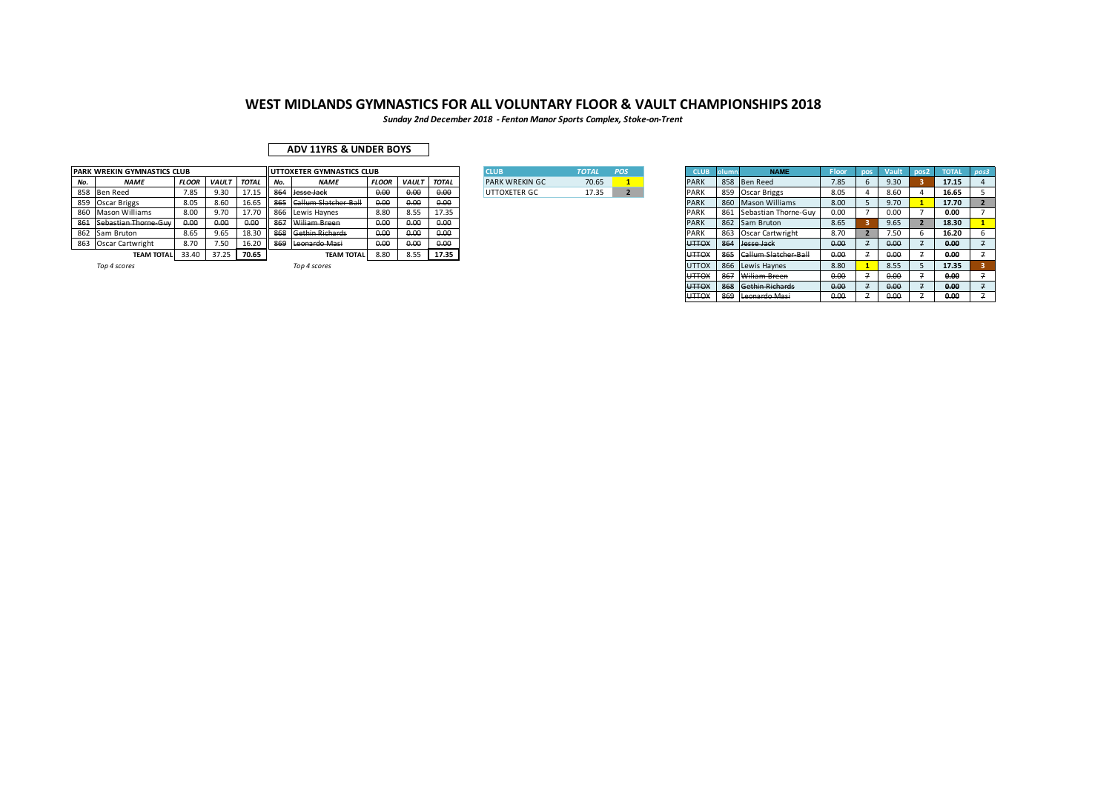*Sunday 2nd December 2018 - Fenton Manor Sports Complex, Stoke-on-Trent*

### **ADV 11YRS & UNDER BOYS**

|     | PARK WREKIN GYMNASTICS CLUB |              |              |              |     | UTTOXETER GYMNASTICS CLUB |              |              |              | <b>CLUB</b>           | <b>TOTAL</b> | POS | <b>CLUB</b>  |          | <b>NAME</b>                 | Floor         |               | pos | <b>TOTAL</b> |  |
|-----|-----------------------------|--------------|--------------|--------------|-----|---------------------------|--------------|--------------|--------------|-----------------------|--------------|-----|--------------|----------|-----------------------------|---------------|---------------|-----|--------------|--|
| No. | <b>NAME</b>                 | <b>FLOOR</b> | <b>VAULT</b> | <b>TOTAL</b> | No. | <b>NAME</b>               | <b>FLOOR</b> | <b>VAULT</b> | <b>TOTAL</b> | <b>PARK WREKIN GC</b> | 70.65        |     | PAR          | 858      | <b>Ben Reed</b>             | 7.85          | 9.30          |     | 17.15        |  |
|     | 858 Ben Reed                | 7.85         | 9.30         | 17.1!        |     | Hesse Jack                | 0.00         | 0.00         | 0.00         | UTTOXETER GC          | 17.35        |     | <b>PARK</b>  |          | 859 Oscar Briggs            | 8.05          | 8.60          |     | 16.65        |  |
|     | 859 Oscar Briggs            | 8.05         | 8.60         | 16.65        | 865 | Callum Slatcher Ball      | 0.00         | 0.00         | 0.00         |                       |              |     | PAR          |          | 860 Mason Williams          | 8.00          | 9.70          |     | 17.70        |  |
|     | 860 Mason Williams          | 8.00         | 9.70         | 17.70        | 866 | Lewis Haynes              | 8.80         | 8.55         | 17.35        |                       |              |     | PAR          | 861      | Sebastian Thorne-Guv        | 0.00          | 0.00          |     | 0.00         |  |
|     | 861 Sebastian Thorne-Guy    | 0.00         | 0.00         | 0.00         |     | Wiliam Breen              | 0.00         | 0.00         | 0.00         |                       |              |     | PARK         |          | 862 Sam Bruton              | 8.65          | 9.65          |     | 18.30        |  |
|     | 862 Sam Bruton              | 8.65         | 9.65         | 18.30        |     | athin Richards            | 0.00         | 0.00         | 0.00         |                       |              |     | <b>PAR</b>   | 863      | Oscar Cartwright            | 8.70          | 7.50          |     | 16.20        |  |
|     | 863 Oscar Cartwright        | 8.70         | 7.50         | 16.20        | 869 | Leonardo Masi             | 0.00         | 0.00         | 0.00         |                       |              |     | <b>UTTOX</b> | 864      | Jesse Jack                  | 0.00          | 0.00          |     | 0.00         |  |
|     | <b>TEAM TOTAL</b>           | 33.40        | 37.25        | 70.65        |     | <b>TEAM TOTAL</b>         | 8.80         | 8.55         | 17.35        |                       |              |     | <b>UTTOX</b> | 865      | <b>Callum Slatcher-Ball</b> | 0.00          | 0.00          |     | 0.00         |  |
|     | Top 4 scores                |              |              |              |     | Top 4 scores              |              |              |              |                       |              |     | <b>UTTOX</b> |          | 866 Lewis Haynes            | 8.80          | 8.55          |     | 17.35        |  |
|     |                             |              |              |              |     |                           |              |              |              |                       |              |     |              | ---- --- |                             | $\sim$ $\sim$ | $\sim$ $\sim$ |     | $- - -$      |  |

| <b>ICLUB</b>           | <b>TOTAL</b> | <b>POS</b> |
|------------------------|--------------|------------|
| <b>PARK WREKIN GC.</b> | 70.65        |            |
| UTTOXETER GC           | 17.35        |            |

| <b>CLUB</b>  | <b>olumn</b> | <b>NAME</b>           | Floor | pos | Vault | pos <sub>2</sub> | <b>TOTAL</b> | pos3           |
|--------------|--------------|-----------------------|-------|-----|-------|------------------|--------------|----------------|
| PARK         | 858          | <b>Ben Reed</b>       | 7.85  | 6   | 9.30  | 3                | 17.15        | $\overline{a}$ |
| PARK         | 859          | Oscar Briggs          | 8.05  | 4   | 8.60  | $\overline{a}$   | 16.65        | 5              |
| PARK         | 860          | <b>Mason Williams</b> | 8.00  | 5   | 9.70  | 1                | 17.70        | $\overline{2}$ |
| PARK         | 861          | Sebastian Thorne-Guv  | 0.00  | 7   | 0.00  | 7                | 0.00         | 7              |
| PARK         | 862          | Sam Bruton            | 8.65  | з   | 9.65  | $\overline{2}$   | 18.30        | $\mathbf{1}$   |
| PARK         | 863          | Oscar Cartwright      | 8.70  | 2   | 7.50  | 6                | 16.20        | 6              |
| <b>UTTOX</b> | 864          | Jesse Jack            | 0.00  | 7   | 0.00  | $\overline{7}$   | 0.00         | 7              |
| <b>UTTOX</b> | 865          | Callum Slatcher-Ball  | 0.00  | 7   | 0.00  | 7                | 0.00         | 7              |
| <b>UTTOX</b> | 866          | Lewis Havnes          | 8.80  | 1   | 8.55  | 5                | 17.35        | 3              |
| <b>UTTOX</b> | 867          | Wiliam Breen          | 0.00  | 7   | 0.00  | 7                | 0.00         | $\overline{z}$ |
| <b>UTTOX</b> | 868          | Gethin Richards       | 0.00  | 7   | 0.00  | $\overline{7}$   | 0.00         | $\overline{7}$ |
| <b>UTTOX</b> | 869          | Leonardo Masi         | 0.00  | 7   | 0.00  | 7                | 0.00         | 7              |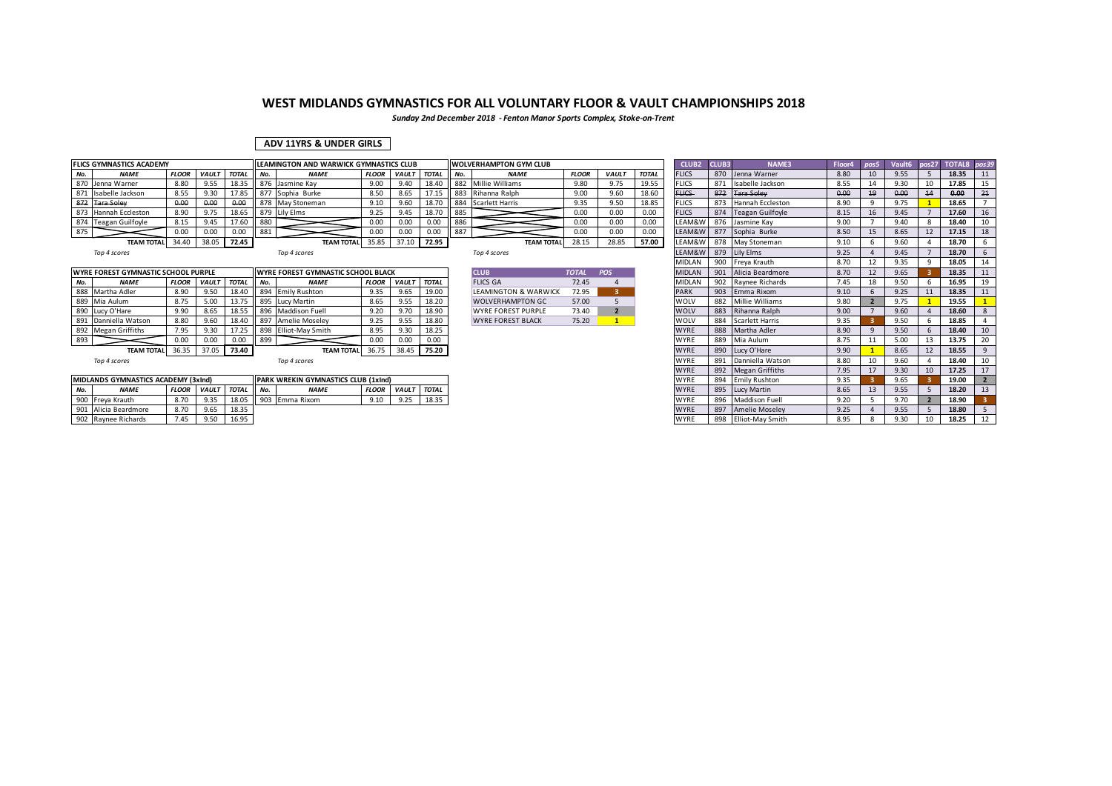*Sunday 2nd December 2018 - Fenton Manor Sports Complex, Stoke-on-Trent*

### **ADV 11YRS & UNDER GIRLS**

|     | <b>FLICS GYMNASTICS ACADEMY</b> |              |              |              |       | <b>ILEAMINGTON AND WARWICK GYMNASTICS CLUB</b> |              |              |              |     | <b>WOLVERHAMPTON GYM CLUB</b> |              |              |              | CLUB <sub>2</sub> | <b>CLUB3</b> | <b>NAME3</b>         | Floor4 |      |    | Vault6 pos27 TOTAL8 pos39 |  |
|-----|---------------------------------|--------------|--------------|--------------|-------|------------------------------------------------|--------------|--------------|--------------|-----|-------------------------------|--------------|--------------|--------------|-------------------|--------------|----------------------|--------|------|----|---------------------------|--|
| No. | <b>NAME</b>                     | <b>FLOOR</b> | <b>VAULT</b> | <b>TOTAL</b> | il No | <b>NAME</b>                                    | <b>FLOOR</b> | <b>VAULT</b> | <b>TOTAL</b> | No. | <b>NAME</b>                   | <b>FLOOR</b> | <b>VAULT</b> | <b>TOTAL</b> | <b>FLICS</b>      |              | 870 Jenna Warner     | 8.80   | 9.55 |    | 18.35                     |  |
|     | 870 Jenna Warner                | 8.80         | 9.55         | 18.35        |       | 876 Jasmine Kay                                | 9.00         | 9.40         | 18.40        |     | 882 Millie Williams           | 9.80         | 9.75         | 19.55        | <b>FLICS</b>      | 871          | Isabelle Jackson     | 8.55   | 9.30 |    | 17.85                     |  |
|     | 871 Isabelle Jackson            | 8.55         | 9.30         | 17.85        |       | 877 Sophia Burke                               | 8.50         | 8.65         | 17.15        |     | 883 Rihanna Ralph             | 9.00         | 9.60         | 18.60        | <b>FLICS</b>      | 872          | <b>Tara Soley</b>    | 0.00   | 0.00 |    | 0.00                      |  |
|     | 872 Tara Soley                  | 0.00         | 0.00         | 0.00         |       | 1878 May Stoneman                              | 9.10         | 9.60         | 18.70        |     | 884 Scarlett Harris           | 9.35         | 9.50         | 18.85        | <b>FLICS</b>      | 873          | Hannah Eccleston     | 8.90   | 9.75 |    | 18.65                     |  |
|     | 873 Hannah Eccleston            | 8.90         | 9.75         | 18.65        |       | 879 Lily Elms                                  | 9.25         | 9.45         | 18.70        | 885 |                               | 0.00         | 0.00         | 0.00         | <b>FLICS</b>      |              | 874 Teagan Guilfoyle | 8.15   | 9.45 |    | 17.60                     |  |
|     | 874 Teagan Guilfoyle            | 8.15         | 9.45         | 17.60        | 880   |                                                | 0.00         | 0.00         | 0.00         | 886 |                               | 0.00         | 0.00         | 0.00         | LEAM&W            |              | 876 Jasmine Kay      | 9.00   | 9.40 |    | 18.40                     |  |
| 875 |                                 | 0.00         | 0.00         | 0.00         | 881   |                                                | 0.00         | 0.00         | 0.00         | 887 |                               | 0.00         | 0.00         | 0.00         | LEAM&W            |              | 877 Sophia Burke     | 8.50   | 8.65 | 12 | 17.15                     |  |
|     | <b>TEAM TOTAL</b>               | 34.40        | 38.05        | 72.45        |       | <b>TEAM TOTAL</b>                              | 35.85        | 37.10        | 72.95        |     | <b>TEAM TOTAL</b>             | 28.15        | 28.85        | 57.00        | LEAM&W            |              | 878 May Stoneman     | 9.10   | 9.60 |    | 18.70                     |  |
|     |                                 |              |              |              |       |                                                |              |              |              |     |                               |              |              |              |                   |              |                      |        |      |    |                           |  |

|     | WYRE FOREST GYMNASTIC SCHOOL PURPLE |       |                    |       |        | <b>INYRE FOREST GYMNASTIC SCHOOL BLACK</b> |              |              |              | <b>CLUB</b>                     | <b>TOTAL</b> | <b>POS</b> | <b>MIDLAN</b> |     | 901 Alicia Beardmore | 8.70 | 9.65 | 18.35 | $\vert$ 11 |
|-----|-------------------------------------|-------|--------------------|-------|--------|--------------------------------------------|--------------|--------------|--------------|---------------------------------|--------------|------------|---------------|-----|----------------------|------|------|-------|------------|
| No. | <b>NAME</b>                         |       | <b>FLOOR VAULT</b> | TOTAL | II No. | <b>NAME</b>                                | <b>FLOOR</b> | <b>VAULT</b> | <b>TOTAL</b> | <b>FLICS GA</b>                 | 72.45        |            | <b>MIDLAN</b> |     | 902 Raynee Richards  | 7.45 | 9.50 | 16.95 |            |
|     | 888 Martha Adler                    | 8.90  | 9.50               | 18.40 |        | 894 Emily Rushton                          | 9.35         | 9.65         | 19.00        | <b>LEAMINGTON &amp; WARWICK</b> | 72.95        |            | <b>PARK</b>   | 903 | Emma Rixom           | 9.10 | 9.25 | 18.35 |            |
|     | 889 Mia Aulum                       | 8.75  | 5.00               |       |        | 13.75 895 Lucy Martin                      |              | 9.55         | 18.20        | <b>WOLVERHAMPTON GC</b>         | 57.00        |            | <b>WOLV</b>   | 882 | Millie Williams      | 9.80 | 9.75 | 19.55 |            |
|     | 890 Lucy O'Hare                     | 9.90  | 8.65               | 18.55 |        | 896 Maddison Fuell                         |              | 9.70         | 18.90        | <b>WYRE FOREST PURPLE</b>       | 73.40        |            | <b>WOLV</b>   | 883 | Rihanna Ralph        | 9.00 | 9.60 | 18.60 |            |
|     | 891 Danniella Watson                | 8.80  | 9.60               | 18.40 |        | 897 Amelie Moseley                         |              | 9.55         | 18.80        | <b>WYRE FOREST BLACK</b>        | 75.20        |            | WOLV          | 884 | Scarlett Harris      | 9.35 | 9.50 | 18.85 |            |
|     | 892 Megan Griffiths                 | 7.95  | 9.30               | 17.25 |        | 898 Elliot-May Smith                       | 8.95         | 9.30         | 18.25        |                                 |              |            | <b>WYRE</b>   | 888 | Martha Adler         | 8.90 | 9.50 | 18.40 |            |
| 893 |                                     | 0.00  | 0.00               | 0.00  | 899    |                                            |              | 0.00         | 0.00         |                                 |              |            | <b>WYRE</b>   | 889 | Mia Aulum            | 8.75 | 5.00 | 13.75 |            |
|     | <b>TEAM TOTAL</b>                   | 36.35 | 37.05              | 73.40 |        | TEAM TOTAL 36.75                           |              | 38.45        | 75.20        |                                 |              |            | <b>WYRE</b>   | 890 | Lucy O'Hare          | 9.90 | 8.65 | 18.55 |            |
|     |                                     |       |                    |       |        |                                            |              |              |              |                                 |              |            |               |     |                      |      |      |       |            |

| Top 4 scores |  |  |  |  |
|--------------|--|--|--|--|
|--------------|--|--|--|--|

| MIDLANDS GYMNASTICS ACADEMY (3xInd) |                     |      |                          |       |        | <b>IPARK WREKIN GYMNASTICS CLUB (1xInd)</b> |              |             |       |
|-------------------------------------|---------------------|------|--------------------------|-------|--------|---------------------------------------------|--------------|-------------|-------|
| <b>NAME</b>                         |                     |      | <b>FLOOR VAULT TOTAL</b> |       | II No. | <b>NAME</b>                                 | <b>FLOOR</b> | VAULT TOTAL |       |
| Freva Krauth                        |                     | 8.70 | 9.35                     | 18.05 |        | 903 Emma Rixom                              |              | 9.25        | 18.35 |
| 901 Alicia Beardmore                |                     | 8.70 | 9.65                     | 18.35 |        |                                             |              |             |       |
|                                     | 902 Raynee Richards | 7.45 | 050                      | 16.95 |        |                                             |              |             |       |

| <b>CLUB</b>                     | <b>TOTAL</b> | <b>POS</b> |
|---------------------------------|--------------|------------|
| FLICS GA                        | 72.45        |            |
| <b>LEAMINGTON &amp; WARWICK</b> | 72.95        | з          |
| <b>WOLVERHAMPTON GC.</b>        | 57.00        | 5          |
| WYRE FOREST PURPLE              | 73.40        | D          |
| <b><i>MYRE EOREST BLACK</i></b> | 75.20        |            |

| 3 YMNAS I ICS ACADEMY                 |              |              |              |     | ILEAMINGTON AND WARWICK GYMNASTICS CLUB   |              |              |              |     | I WOLVERHAMPTON GYM CLUB        |              |                |              | CLUB2 CLUB3   |     | <b>NAME3</b>         | Floor4 pos5 |                  |      |              | Vaultb pos27 TOTAL8 pos39 |    |
|---------------------------------------|--------------|--------------|--------------|-----|-------------------------------------------|--------------|--------------|--------------|-----|---------------------------------|--------------|----------------|--------------|---------------|-----|----------------------|-------------|------------------|------|--------------|---------------------------|----|
| <b>NAME</b>                           | <b>FLOOR</b> | <b>VAULT</b> | <b>TOTAL</b> | No. | <b>NAME</b>                               | <b>FLOOR</b> | <b>VAULT</b> | <b>TOTAL</b> | No. | <b>NAME</b>                     | <b>FLOOR</b> | <b>VAULT</b>   | <b>TOTAL</b> | <b>FLICS</b>  |     | 870 Jenna Warner     | 8.80        | 10 <sup>10</sup> | 9.55 |              | 18.35                     | 11 |
| Jenna Warner                          | 8.80         | 9.55         | 18.35        |     | 876 Jasmine Kay                           | 9.00         | 9.40         | 18.40        |     | 882 Millie Williams             | 9.80         | 9.75           | 19.55        | <b>FLICS</b>  |     | 871 Isabelle Jackson | 8.55        |                  | 9.30 | 10           | 17.85                     | 15 |
| Isabelle Jackson                      | 8.55         | 9.30         | 17.85        |     | 877 Sophia Burke                          | 8.50         | 8.65         | 17.15        |     | 883 Rihanna Ralph               | 9.00         | 9.60           | 18.60        | <b>FLICS</b>  | 872 | <b>Tara Soley</b>    | 0.00        | 19               | 0.00 | 14           | 0.00                      | 21 |
| <b>Tara Soley</b>                     | 0.00         | 0.00         | 0.00         |     | 878 May Stoneman                          | 9.10         | 9.60         | 18.70        |     | 884 Scarlett Harris             | 9.35         | 9.50           | 18.85        | <b>FLICS</b>  |     | 873 Hannah Eccleston | 8.90        |                  | 9.75 |              | 18.65                     |    |
| Hannah Eccleston                      | 8.90         | 9.75         | 18.65        |     | 879 Lily Elms                             | 9.25         | 9.45         | 18.70        | 885 |                                 | 0.00         | 0.00           | 0.00         | <b>FLICS</b>  |     | 874 Teagan Guilfoyle | 8.15        | 16               | 9.45 |              | 17.60                     | 16 |
| Teagan Guilfoyle                      | 8.15         | 9.45         | 17.60        | 880 |                                           | 0.00         | 0.00         | 0.00         | 886 |                                 | 0.00         | 0.00           | 0.00         | LEAM&W        |     | 876 Jasmine Kay      | 9.00        |                  | 9.40 | $\mathbf{R}$ | 18.40                     | 10 |
|                                       | 0.00         | 0.00         | 0.00         | 881 |                                           | 0.00         | 0.00         | 0.00         | 887 |                                 | 0.00         | 0.00           | 0.00         | LEAM&W        |     | 877 Sophia Burke     | 8.50        | 15               | 8.65 | 12           | 17.15                     | 18 |
| <b>TEAM TOTAL</b>                     | 34.40        | 38.05        | 72.45        |     | <b>TEAM TOTAL</b>                         | 35.85        | 37.10        | 72.95        |     | <b>TEAM TOTAL</b>               | 28.15        | 28.85          | 57.00        | LEAM&W        |     | 878 May Stoneman     | 9.10        |                  | 9.60 |              | 18.70                     |    |
| Top 4 scores                          |              |              |              |     | Top 4 scores                              |              |              |              |     | Top 4 scores                    |              |                |              | LEAM&W        |     | 879 Lily Elms        | 9.25        |                  | 9.45 |              | 18.70                     |    |
|                                       |              |              |              |     |                                           |              |              |              |     |                                 |              |                |              | MIDLAN        |     | 900 Freva Krauth     | 8.70        | 12               | 9.35 | q            | 18.05                     | 14 |
| <b>FOREST GYMNASTIC SCHOOL PURPLE</b> |              |              |              |     | <b>WYRE FOREST GYMNASTIC SCHOOL BLACK</b> |              |              |              |     | <b>CLUB</b>                     | <b>TOTAL</b> | POS            |              | <b>MIDLAN</b> |     | 901 Alicia Beardmore | 8.70        |                  | 9.65 |              | 18.35                     | 11 |
| <b>NAME</b>                           | <b>FLOOR</b> | <b>VAULT</b> | <b>TOTAL</b> | No. | <b>NAME</b>                               | <b>FLOOR</b> | <b>VAULT</b> | <b>TOTAL</b> |     | <b>FLICS GA</b>                 | 72.45        |                |              | <b>MIDLAN</b> |     | 902 Raynee Richards  | 7.45        | 18               | 9.50 |              | 16.95                     | 19 |
| Martha Adler                          | 8.90         | 9.50         | 18.40        |     | 894 Emily Rushton                         | 9.35         | 9.65         | 19.00        |     | <b>LEAMINGTON &amp; WARWICK</b> | 72.95        | 3              |              | <b>PARK</b>   |     | 903 Emma Rixom       | 9.10        |                  | 9.25 |              | 18.35                     | 11 |
| Mia Aulum                             | 8.75         | 5.00         | 13.75        |     | 895 Lucy Martin                           | 8.65         | 9.55         | 18.20        |     | <b>WOLVERHAMPTON GC</b>         | 57.00        |                |              | WOLV          |     | 882 Millie Williams  | 9.80        |                  | 9.75 |              | 19.55                     |    |
| Lucy O'Hare                           | 9.90         | 8.65         | 18.55        |     | 896 Maddison Fuell                        | 9.20         | 9.70         | 18.90        |     | <b>WYRE FOREST PURPLE</b>       | 73.40        | $\overline{2}$ |              | WOLV          |     | 883 Rihanna Ralph    | 9.00        |                  | 9.60 |              | 18.60                     | 8  |
| Danniella Watson                      | 8.80         | 9.60         | 18.40        |     | 897 Amelie Moseley                        | 9.25         | 9.55         | 18.80        |     | <b>WYRE FOREST BLACK</b>        | 75.20        |                |              | WOLV          |     | 884 Scarlett Harris  | 9.35        |                  | 9.50 |              | 18.85                     |    |
| Megan Griffiths                       | 7.95         | 9.30         | 17.25        |     | 898 Elliot-May Smith                      | 8.95         | 9.30         | 18.25        |     |                                 |              |                |              | <b>WYRE</b>   |     | 888 Martha Adler     | 8.90        |                  | 9.50 |              | 18.40                     | 10 |
|                                       | 0.00         | 0.00         | 0.00         | 899 |                                           | 0.00         | 0.00         | 0.00         |     |                                 |              |                |              | WYRE          |     | 889 Mia Aulum        | 8.75        |                  | 5.00 | 13           | 13.75                     | 20 |
| <b>TEAM TOTAL</b>                     | 36.35        | 37.05 73.40  |              |     | <b>TEAM TOTAL</b>                         | 36.75        |              | 38.45 75.20  |     |                                 |              |                |              | <b>WYRE</b>   |     | 890 Lucy O'Hare      | 9.90        |                  | 8.65 | 12           | 18.55                     | 9  |
| Top 4 scores                          |              |              |              |     | Top 4 scores                              |              |              |              |     |                                 |              |                |              | WYRE          |     | 891 Danniella Watson | 8.80        | 10               | 9.60 |              | 18.40                     | 10 |
|                                       |              |              |              |     |                                           |              |              |              |     |                                 |              |                |              | <b>WYRE</b>   |     | 892 Megan Griffiths  | 7.95        | 17               | 9.30 | 10           | 17.25                     | 17 |
| NDS GYMNASTICS ACADEMY (3xInd)        |              |              |              |     | PARK WREKIN GYMNASTICS CLUB (1xInd)       |              |              |              |     |                                 |              |                |              | <b>WYRE</b>   |     | 894 Emily Rushton    | 9.35        |                  | 9.65 |              | 19.00                     |    |
| <b>NAME</b>                           | <b>FLOOR</b> | <b>VAULT</b> | <b>TOTAL</b> | No. | <b>NAME</b>                               | <b>FLOOR</b> | VAULT TOTAL  |              |     |                                 |              |                |              | <b>WYRE</b>   |     | 895 Lucy Martin      | 8.65        | 13               | 9.55 |              | 18.20                     | 13 |
| Freya Krauth                          | 8.70         | 9.35         | 18.05        |     | 903 Emma Rixom                            | 9.10         | 9.25         | 18.35        |     |                                 |              |                |              | WYRE          |     | 896 Maddison Fuell   | 9.20        |                  | 9.70 |              | 18.90                     |    |
| Alicia Beardmore                      | 8.70         | 9.65         | 18.35        |     |                                           |              |              |              |     |                                 |              |                |              | <b>WYRE</b>   | 897 | Amelie Moseley       | 9.25        |                  | 9.55 |              | 18.80                     |    |
| Raynee Richards                       | 7.45         | 9.50         | 16.95        |     |                                           |              |              |              |     |                                 |              |                |              | WYRE          |     | 898 Elliot-May Smith | 8.95        | 8                | 9.30 | 10           | 18.25                     | 12 |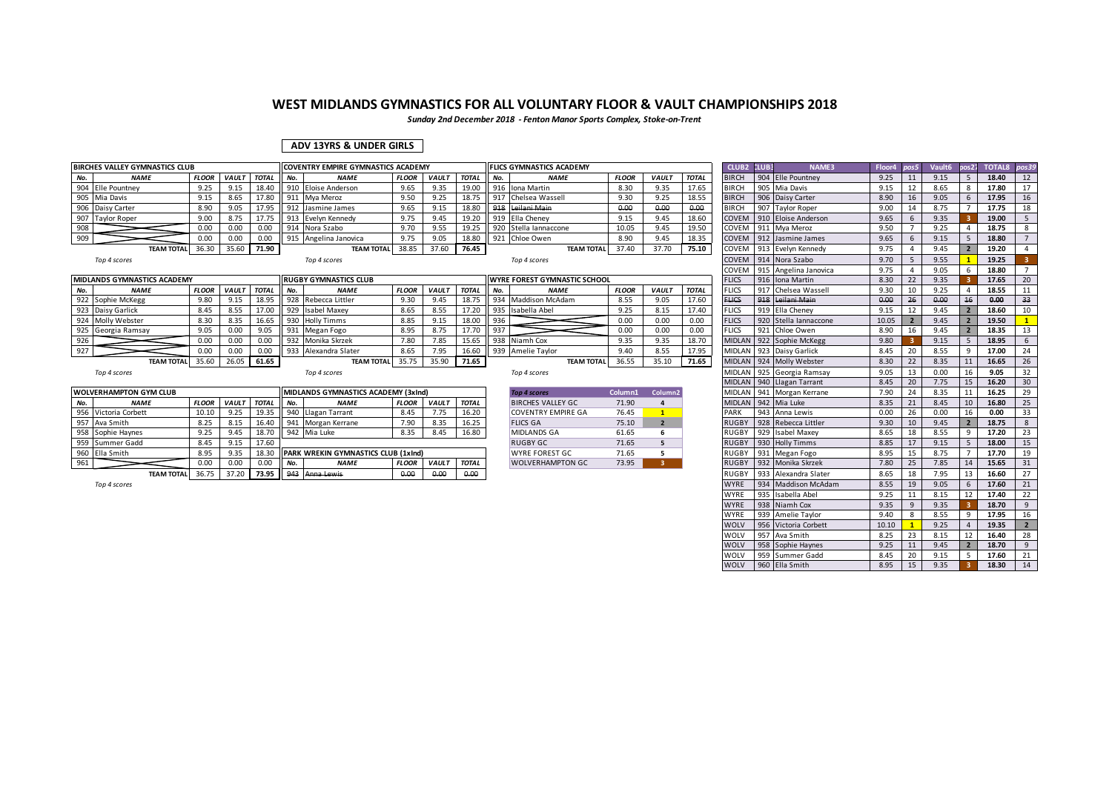*Sunday 2nd December 2018 - Fenton Manor Sports Complex, Stoke-on-Trent*

### **ADV 13YRS & UNDER GIRLS**

|     | <b>BIRCHES VALLEY GYMNASTICS CLUB</b> |              |              |              |     | <b>COVENTRY EMPIRE GYMNASTICS ACADEMY</b> |              |              |              |     | <b>FLICS GYMNASTICS ACADEMY</b>     |              |                     |              | CLUB2 CLUB3         |     | <b>NAME3</b>              | Floor4 | pos5 | Vault <sub>6</sub> | nos2'                    | <b>TOTAL8</b> | pos39          |
|-----|---------------------------------------|--------------|--------------|--------------|-----|-------------------------------------------|--------------|--------------|--------------|-----|-------------------------------------|--------------|---------------------|--------------|---------------------|-----|---------------------------|--------|------|--------------------|--------------------------|---------------|----------------|
| No. | <b>NAME</b>                           | <b>FLOOR</b> | <b>VAULT</b> | <b>TOTAL</b> | No. | <b>NAME</b>                               | <b>FLOOR</b> | <b>VAULT</b> | <b>TOTAL</b> | No. | <b>NAME</b>                         | <b>FLOOR</b> | <b>VAULT</b>        | <b>TOTAL</b> | <b>BIRCH</b>        |     | 904 Elle Pountney         | 9.25   | 11   | 9.15               | -5                       | 18.40         | 12             |
| 904 | Elle Pountnev                         | 9.25         | 9.15         | 18.40        |     | 910 Eloise Anderson                       | 9.65         | 9.35         | 19.00        |     | 916 Iona Martin                     | 8.30         | 9.35                | 17.65        | <b>BIRCH</b>        |     | 905 Mia Davis             | 9.15   | 12   | 8.65               | 8                        | 17.80         | 17             |
| 905 | Mia Davis                             | 9.15         | 8.65         | 17.80        |     | 911 Mya Meroz                             | 9.50         | 9.25         | 18.75        | 917 | Chelsea Wassell                     | 9.30         | 9.25                | 18.55        | <b>BIRCH</b>        |     | 906 Daisy Carter          | 8.90   | 16   | 9.05               | 6                        | 17.95         | 16             |
|     | 906 Daisy Carter                      | 8.90         | 9.05         | 17.95        |     | 912 Jasmine James                         | 9.65         | 9.15         | 18.80        | 918 | Leilani Main                        | 0.00         | 0.00                | 0.00         | <b>BIRCH</b>        |     | 907 Taylor Roper          | 9.00   | 14   | 8.75               |                          | 17.75         | 18             |
|     | 907 Taylor Roper                      | 9.00         | 8.75         | 17.75        |     | 913 Evelyn Kennedy                        | 9.75         | 9.45         | 19.20        |     | 919 Ella Cheney                     | 9.15         | 9.45                | 18.60        | COVEM               |     | 910 Eloise Anderson       | 9.65   | 6    | 9.35               |                          | 19.00         | 5              |
| 908 |                                       | 0.00         | 0.00         | 0.00         |     | 914 Nora Szabo                            | 9.70         | 9.55         | 19.25        |     | 920 Stella Jannaccone               | 10.05        | 9.45                | 19.50        | COVEM               |     | 911 Mva Meroz             | 9.50   |      | 9.25               | $\Delta$                 | 18.75         | 8              |
| 909 |                                       | 0.00         | 0.00         | 0.00         |     | 915 Angelina Janovica                     | 9.75         | 9.05         | 18.80        | 921 | Chloe Owen                          | 8.90         | 9.45                | 18.35        |                     |     | COVEM 912 Jasmine James   | 9.65   | 6    | 9.15               | -5                       | 18.80         | $\overline{7}$ |
|     | <b>TEAM TOTAL</b>                     | 36.30        | 35.60        | 71.90        |     | <b>TEAM TOTAL</b>                         | 38.85        | 37.60        | 76.45        |     | <b>TEAM TOTAL</b>                   | 37.40        | 37.70               | 75.10        |                     |     | COVEM 913 Evelyn Kennedy  | 9.75   | Δ    | 9.45               | $\overline{2}$           | 19.20         | $\overline{a}$ |
|     | Top 4 scores                          |              |              |              |     | Top 4 scores                              |              |              |              |     | Top 4 scores                        |              |                     |              | COVEM               |     | 914 Nora Szabo            | 9.70   | 5    | 9.55               |                          | 19.25         |                |
|     |                                       |              |              |              |     |                                           |              |              |              |     |                                     |              |                     |              | COVEN               |     | 915 Angelina Janovica     | 9.75   |      | 9.05               |                          | 18.80         | $\overline{7}$ |
|     | <b>MIDLANDS GYMNASTICS ACADEMY</b>    |              |              |              |     | <b>RUGBY GYMNASTICS CLUB</b>              |              |              |              |     | <b>WYRE FOREST GYMNASTIC SCHOOL</b> |              |                     |              | <b>FLICS</b>        |     | 916 Iona Martin           | 8.30   | 22   | 9.35               |                          | 17.65         | 20             |
| No. | <b>NAME</b>                           | <b>FLOOR</b> | <b>VAULT</b> | <b>TOTAL</b> | No. | <b>NAME</b>                               | <b>FLOOR</b> | <b>VAULT</b> | <b>TOTAL</b> | No. | <b>NAME</b>                         | <b>FLOOR</b> | <b>VAULT</b>        | <b>TOTAL</b> | <b>FLICS</b>        |     | 917 Chelsea Wassell       | 9.30   | 10   | 9.25               | $\overline{4}$           | 18.55         | 11             |
| 922 | Sophie McKegg                         | 9.80         | 9.15         | 18.95        | 928 | Rebecca Littler                           | 9.30         | 9.45         | 18.75        | 934 | <b>Maddison McAdam</b>              | 8.55         | 9.05                | 17.60        | <b>FLICS</b>        | 918 | Leilani Main              | 0.00   | 26   | 0.00               | 16                       | 0.00          | 33             |
| 923 | Daisy Garlick                         | 8.45         | 8.55         | 17.00        | 929 | Isabel Maxey                              | 8.65         | 8.55         | 17.20        |     | 935 Isabella Abel                   | 9.25         | 8.15                | 17.40        | <b>FLICS</b>        |     | 919 Ella Cheney           | 9.15   | 12   | 9.45               | $\overline{\phantom{a}}$ | 18.60         | 10             |
| 924 | Molly Webster                         | 8.30         | 8.35         | 16.65        | 930 | <b>Holly Timms</b>                        | 8.85         | 9.15         | 18.00        | 936 |                                     | 0.00         | 0.00                | 0.00         | <b>FLICS</b>        |     | 920 Stella Jannaccone     | 10.05  |      | 9.45               | $\overline{2}$           | 19.50         | $\mathbf{1}$   |
|     | 925 Georgia Ramsay                    | 9.05         | 0.00         | 9.05         |     | 931 Megan Fogo                            | 8.95         | 8.75         | 17.70        | 937 |                                     | 0.00         | 0.00                | 0.00         | <b>FLICS</b>        |     | 921 Chloe Owen            | 8.90   | 16   | 9.45               | $\overline{2}$           | 18.35         | 13             |
| 926 |                                       | 0.00         | 0.00         | 0.00         |     | 932 Monika Skrzek                         | 7.80         | 7.85         | 15.65        |     | 938 Niamh Cox                       | 9.35         | 9.35                | 18.70        |                     |     | MIDLAN 922 Sophie McKegg  | 9.80   |      | 9.15               | 5                        | 18.95         | 6              |
| 927 |                                       | 0.00         | 0.00         | 0.00         |     | 933 Alexandra Slater                      | 8.65         | 7.95         | 16.60        |     | 939 Amelie Taylor                   | 9.40         | 8.55                | 17.95        |                     |     | MIDLAN 923 Daisy Garlick  | 8.45   | 20   | 8.55               | 9                        | 17.00         | 24             |
|     | <b>TEAM TOTAL</b>                     | 35.60        | 26.05        | 61.65        |     | TEAM TOTAL 35.75                          |              | 35.90        | 71.65        |     | <b>TEAM TOTAL</b>                   | 36.55        | 35.10               | 71.65        |                     |     | MIDLAN 924 Molly Webster  | 8.30   | 22   | 8.35               | 11                       | 16.65         | 26             |
|     | Top 4 scores                          |              |              |              |     | Top 4 scores                              |              |              |              |     | Top 4 scores                        |              |                     |              |                     |     | MIDLAN 925 Georgia Ramsay | 9.05   | 13   | 0.00               | 16                       | 9.05          | 32             |
|     |                                       |              |              |              |     |                                           |              |              |              |     |                                     |              |                     |              |                     |     | MIDLAN 940 Llagan Tarrant | 8.45   | 20   | 7.75               | 15                       | 16.20         | 30             |
|     | <b>WOLVERHAMPTON GYM CLUB</b>         |              |              |              |     | MIDLANDS GYMNASTICS ACADEMY (3xind)       |              |              |              |     | <b>Top 4 scores</b>                 | Column1      | Column <sub>2</sub> |              |                     |     | MIDLAN 941 Morgan Kerrane | 7.90   | 24   | 8.35               | 11                       | 16.25         | 29             |
| No. | <b>NAME</b>                           | <b>FLOOR</b> | VAULT        | <b>TOTAL</b> | No. | <b>NAME</b>                               | <b>FLOOR</b> | <b>VAULT</b> | <b>TOTAL</b> |     | <b>BIRCHES VALLEY GC</b>            | 71.90        | $\overline{a}$      |              | MIDLAN 942 Mia Luke |     |                           | 8.35   | 21   | 8.45               | 10                       | 16.80         | 25             |
|     | 956 Victoria Corbett                  | 10.10        | 9.25         | 19.35        |     | 940 Llagan Tarrant                        | 8.45         | 7.75         | 16.20        |     | <b>COVENTRY EMPIRE GA</b>           | 76.45        | 1                   |              | PARK                |     | 943 Anna Lewis            | 0.00   | 26   | 0.00               | 16                       | 0.00          | 33             |
|     | 957 Ava Smith                         | 8.25         | 8.15         | 16.40        |     | 941 Morgan Kerrane                        | 7.90         | 8.35         | 16.25        |     | <b>FLICS GA</b>                     | 75.10        | $2^{\circ}$         |              | <b>RUGBY</b>        |     | 928 Rebecca Littler       | 9.30   | 10   | 9.45               | $\overline{2}$           | 18.75         | 8              |
| 958 | Sophie Haynes                         | 9.25         | 9.45         | 18.70        |     | 942 Mia Luke                              | 8.35         | 8.45         | 16.80        |     | <b>MIDLANDS GA</b>                  | 61.65        | 6                   |              | <b>RUGBY</b>        |     | 929 Isabel Maxey          | 8.65   | 18   | 8.55               | 9                        | 17.20         | 23             |
| 959 | 9.15<br>17.60<br>Summer Gadd<br>8.45  |              |              |              |     |                                           |              |              |              |     | <b>RUGBY GC</b>                     | 71.65        | 5.                  |              | <b>RUGBY</b>        |     | 930 Holly Timms           | 8.85   | 17   | 9.15               | 5                        | 18.00         | 15             |
|     | 960 Ella Smith                        | 8.95         | 9.35         | 18.30        |     | PARK WREKIN GYMNASTICS CLUB (1xInd)       |              |              |              |     | WYRE FOREST GC                      | 71.65        | 5                   |              | <b>RUGBY</b>        |     | 931 Megan Fogo            | 8.95   | 15   | 8.75               | $\overline{7}$           | 17.70         | 19             |
| 961 |                                       | 0.00         | 0.00         | 0.00         | No. | <b>NAME</b>                               | <b>FLOOR</b> | <b>VAULT</b> | <b>TOTAL</b> |     | <b>WOLVERHAMPTON GC</b>             | 73.95        | 3 <sup>1</sup>      |              | <b>RUGBY</b>        |     | 932 Monika Skrzek         | 7.80   | 25   | 7.85               | 14                       | 15.65         | 31             |
|     | <b>TEAM TOTAL</b>                     | 36.75        | 37.20        | 73.95        | 943 | Anna Lewis                                | 0.00         | 0.00         | 0.00         |     |                                     |              |                     |              | RUGBY               |     | 933 Alexandra Slater      | 8.65   | 18   | 7.95               | 13                       | 16.60         | 27             |
|     | Top 4 scores                          |              |              |              |     |                                           |              |              |              |     |                                     |              |                     |              | <b>WYRE</b>         |     | 934 Maddison McAdam       | 8.55   | 19   | 9.05               | 6                        | 17.60         | 21             |
|     |                                       |              |              |              |     |                                           |              |              |              |     |                                     |              |                     |              | <b>WYRE</b>         |     | 935 Isabella Abel         | 9.25   | 11   | 8.15               | 12                       | 17.40         | 22             |

WYRE 938 Niamh Cox 9.35 9 9.35 **3 18.70** 9 WYRE 939 Amelie Taylor 9.40 8 8.55 9 **17.95** 16 WOLV 956 Victoria Corbett 10.10 **1** 9.25 4 **19.35 2** WOLV 957 Ava Smith 8.25 23 8.15 12 **16.40** 28 **958 Sophie Haynes** 9.25 11 9.45 2 WOLV 959 Summer Gadd 8.45 20 9.15 5 **17.60** 21

**WOLV 960 Ella Smith 8.95 15 9.35 3**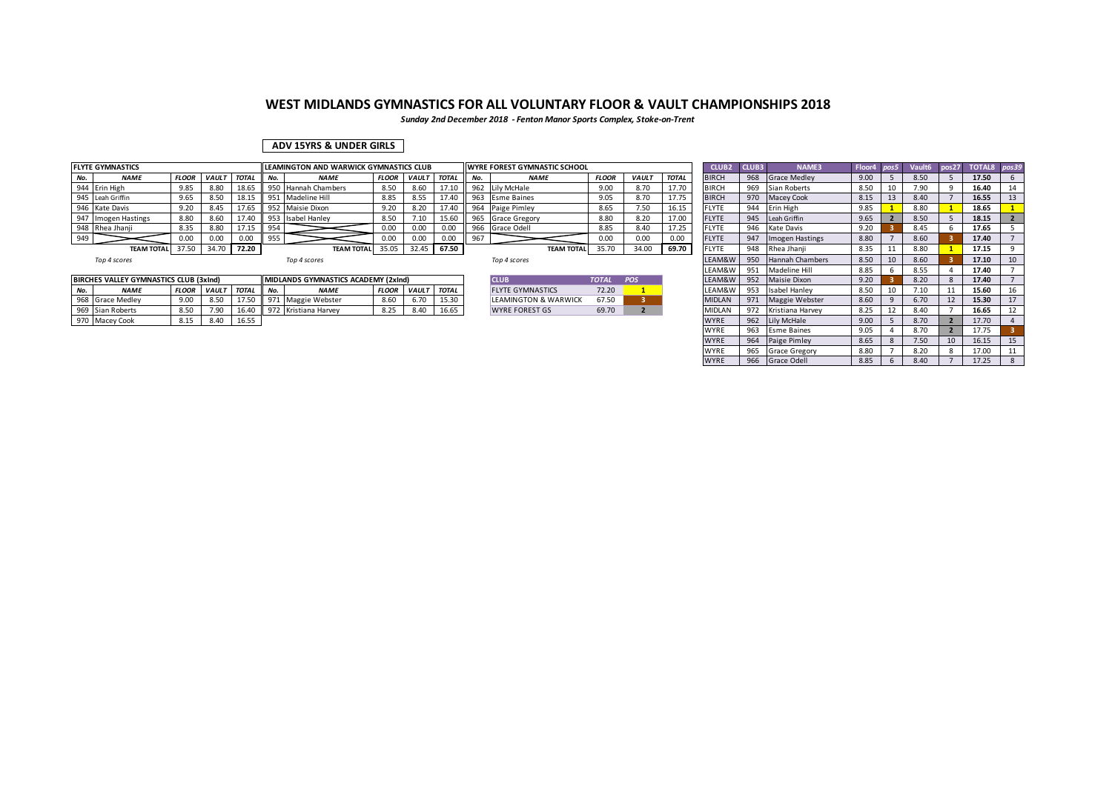*Sunday 2nd December 2018 - Fenton Manor Sports Complex, Stoke-on-Trent*

### **ADV 15YRS & UNDER GIRLS**

|              | <b>FLYTE GYMNASTICS</b> |              |             |              |     | LEAMINGTON AND WARWICK GYMNASTICS CLUB |              |              |              |     | <b>IWYRE FOREST GYMNASTIC SCHOOL</b> |              |              |              | CLUB <sub>2</sub> | CLUB3 | <b>NAME3</b>           | Floor |      | pos27 TOTAL8 pos39 |  |
|--------------|-------------------------|--------------|-------------|--------------|-----|----------------------------------------|--------------|--------------|--------------|-----|--------------------------------------|--------------|--------------|--------------|-------------------|-------|------------------------|-------|------|--------------------|--|
| No.          | <b>NAME</b>             | <b>FLOOR</b> | <b>VAUL</b> | <b>TOTAL</b> |     | <b>NAME</b>                            | <b>FLOOR</b> | <b>VAULT</b> | <b>TOTAL</b> | No. | <b>NAME</b>                          | <b>FLOOR</b> | <b>VAULT</b> | <b>TOTAL</b> | <b>BIRCH</b>      | 968   | <b>Grace Medley</b>    | 9.00  | 8.50 | 17.50              |  |
|              | 944 Erin High           | 9.85         | 8.80        | 18.65        | 950 | <b>Hannah Chambers</b>                 | 8.50         | 8.60         |              | 962 | Lily McHale                          | 9.00         | 8.70         | 17.70        | BIRCH             | 969   | Sian Roberts           | 8.50  | 7.90 | 16.40              |  |
|              | 945 Leah Griffin        | 9.65         | 8.50        |              | 951 | Madeline Hill                          | 8.85         | 8.55         | 17.40        | 963 | <b>Esme Baines</b>                   | 9.05         | 8.70         | 17.75        | <b>BIRCH</b>      | 970   | <b>Macey Cook</b>      | 8.15  | 8.40 | 16.55              |  |
|              | 946 Kate Davis          | 0.22         | 8.45        |              | 952 | Maisie Dixon                           | 9.20         | 8.20         |              | 964 | Paige Pimley                         | 8.65         | .50          | 16.15        | <b>FLYTE</b>      | 944   | Erin High              | 9.85  | 8.80 | 18.65              |  |
| 947          | Imogen Hastings         | 8.80         | 8.60        | 17.40        |     | 953 Isabel Hanley                      | 8.50         | 7.10         | 15.60        | 965 | <b>Grace Gregory</b>                 | 8.80         | 8.20         | 17.00        | <b>FLYTE</b>      | 945   | Leah Griffin           | 9.65  | 8.50 | 18.15              |  |
|              | 948 Rhea Jhanji         | 8.35         | 8.80        | 1715         | 954 |                                        |              | 0.00         | 0.00         | 966 | Grace Odell                          | 8.85         | 8.40         | 17.25        | <b>FLYTE</b>      | 946   | Kate Davis             | 9.20  | 8.45 | 17.65              |  |
| 949          |                         |              | 0.00        | 0.00         |     |                                        |              | 0.00         | 0.00         | 967 |                                      | 0.00         | 0.00         | 0.00         | <b>FLYTE</b>      | 947   | Imogen Hastings        | 8.80  | 8.60 | 17.40              |  |
|              | TEAM TOTAL 37.50        |              | 34.70       | 72.20        |     | <b>TEAM TOTAL</b>                      | 35.05        | 32.45        | 67.50        |     | <b>TEAM TOTAL</b>                    | 35.70        | 34.00        | 69.70        | <b>FLYTE</b>      | 948   | Rhea Jhanii            | 8.35  | 8.80 | 17.15              |  |
| Top 4 scores |                         |              |             |              |     | Top 4 scores                           |              |              |              |     | Top 4 scores                         |              |              |              | LEAM&W            | 950   | <b>Hannah Chambers</b> | 8.50  | 8.60 | 17.10              |  |

|     | <b>BIRCHES VALLEY GYMNASTICS CLUB (3xInd)</b> |              |              |              |     | <b>IMIDLANDS GYMNASTICS ACADEMY (2xind)</b> |             |              |              | <b>CLUE</b>                     | <b>TOTAL</b> | <b>POS</b> | LEAM&W                          | Q52 | Maisie Dixon     | 9.20 | 8.20        | 17.40 |  |
|-----|-----------------------------------------------|--------------|--------------|--------------|-----|---------------------------------------------|-------------|--------------|--------------|---------------------------------|--------------|------------|---------------------------------|-----|------------------|------|-------------|-------|--|
| No. | <b>NAME</b>                                   | <b>FLOOR</b> | <b>VAULT</b> | <b>TOTAL</b> | No  | NAMI                                        | <b>FLOO</b> | <b>VAUL1</b> | <b>TOTAL</b> | <b>FLYTE GYMNASTICS</b>         | 72.20        |            | LEAM&W                          | u.  | Isabel Hanley    | 8.50 | 7.40<br>٠⊥∪ | 15.60 |  |
|     | 968 Grace Medley                              | 9.00         | 850<br>0.JL  | 1/50         | 971 | e Webster<br>កខខ                            | 8.60        | 6.70         | 15.30        | <b>LEAMINGTON &amp; WARWICK</b> | 67.50        |            | <b>MIDLAN</b>                   | 971 | Maggie Webster   | 0.00 | 6.70        | 15.30 |  |
|     | 969 Sian Roberts                              | 8.50         | 7 OC<br>7.50 | 16.40        | 972 | Kristiana Harvey                            | 8.25        | 8.40         | 16.65        | <b>WYRE FOREST GS</b>           | 69.70        |            | <b>IMIDIAN</b><br><b>AIDLAI</b> |     | Kristiana Harvey |      | 8.10        | 16.65 |  |
|     | 970 Macey Cook                                | 8.15         | 8.40         | 16.55        |     |                                             |             |              |              |                                 |              |            | <b>WYRE</b>                     | 962 | Lily McHale      | 9.00 |             | 17.70 |  |

| Top 4 scores |  |
|--------------|--|
|--------------|--|

| ICIUR                           | <b>TOTAL</b> | PΩS |
|---------------------------------|--------------|-----|
| <b>FLYTE GYMNASTICS</b>         | 72.20        |     |
| <b>LEAMINGTON &amp; WARWICK</b> | 67.50        |     |
| <b>WYRE FOREST GS</b>           | 69.70        |     |

|     | <b>LYTE GYMNASTICS</b>                |              |                    |              |     | LEAMINGTON AND WARWICK GYMNASTICS CLUB      |       |                   |       |     | <b>WYRE FOREST GYMNASTIC SCHOOL</b> |              |              |              | CLUB <sub>2</sub> | CLUB3 | NAME3                  | Floor4 pos5 |    |      |    | Vault6 pos27 TOTAL8 pos39 |    |
|-----|---------------------------------------|--------------|--------------------|--------------|-----|---------------------------------------------|-------|-------------------|-------|-----|-------------------------------------|--------------|--------------|--------------|-------------------|-------|------------------------|-------------|----|------|----|---------------------------|----|
| No. | <b>NAME</b>                           | <b>FLOOR</b> | <b>VAULT TOTAL</b> |              | No. | <b>NAME</b>                                 |       | FLOOR VAULT TOTAL |       | No. | <b>NAME</b>                         | <b>FLOOR</b> | <b>VAULT</b> | <b>TOTAL</b> | <b>BIRCH</b>      | 968   | <b>Grace Medley</b>    | 9.00        |    | 8.50 |    | 17.50                     |    |
|     | 944 Erin High                         | 9.85         | 8.80               | 18.65        |     | 950 Hannah Chambers                         | 8.50  | 8.60              | 17.10 |     | 962 Lily McHale                     | 9.00         | 8.70         | 17.70        | <b>BIRCH</b>      | 969   | Sian Roberts           | 8.50        | 10 | 7.90 | q  | 16.40                     | 14 |
|     | 945 Leah Griffin                      | 9.65         | 8.50               | 18.15        |     | 951 Madeline Hill                           | 8.85  | 8.55              | 17.40 |     | 963 Esme Baines                     | 9.05         | 8.70         | 17.75        | <b>BIRCH</b>      |       | 970 Macey Cook         | 8.15        | 13 | 8.40 |    | 16.55                     | 13 |
|     | 946 Kate Davis                        | 9.20         | 8.45               | 17.65        |     | 952 Maisie Dixon                            | 9.20  | 8.20              | 17.40 |     | 964 Paige Pimley                    | 8.65         | 7.50         | 16.15        | FLYTE             |       | 944 Erin High          | 9.85        |    | 8.80 |    | 18.65                     |    |
|     | 947 Imogen Hastings                   | 8.80         | 8.60               | 17.40        |     | 953 Isabel Hanley                           | 8.50  | 7.10              | 15.60 |     | 965 Grace Gregory                   | 8.80         | 8.20         | 17.00        | <b>FLYTE</b>      |       | 945 Leah Griffin       | 9.65        |    | 8.50 |    | 18.15                     |    |
|     | 948 Rhea Jhanji                       | 8.35         | 8.80               | 17.15        | 954 |                                             | 0.00  | 0.00              | 0.00  |     | 966 Grace Odell                     | 8.85         | 8.40         | 17.25        | <b>FLYTE</b>      | 946   | Kate Davis             | 9.20        |    | 8.45 |    | 17.65                     |    |
| 949 |                                       | 0.00         | 0.00               | 0.00         | 955 |                                             | 0.00  | 0.00              | 0.00  | 967 |                                     | 0.00         | 0.00         | 0.00         | <b>FLYTE</b>      | 947   | Imogen Hastings        | 8.80        |    | 8.60 |    | 17.40                     |    |
|     | <b>TEAM TOTAL</b>                     | 37.50        | 34.70              | 72.20        |     | <b>TEAM TOTAL</b>                           | 35.05 | 32.45             | 67.50 |     | <b>TEAM TOTAL</b>                   | 35.70        | 34.00        | 69.70        | <b>FLYTE</b>      | 948   | Rhea Jhanji            | 8.35        |    | 8.80 |    | 17.15                     |    |
|     | Top 4 scores                          |              |                    |              |     | Top 4 scores                                |       |                   |       |     | Top 4 scores                        |              |              |              | LEAM&W            | 950   | <b>Hannah Chambers</b> | 8.50        | 10 | 8.60 |    | 17.10                     | 10 |
|     |                                       |              |                    |              |     |                                             |       |                   |       |     |                                     |              |              |              | LEAM&W            | 951   | Madeline Hill          | 8.85        |    | 8.55 |    | 17.40                     |    |
|     | IRCHES VALLEY GYMNASTICS CLUB (3xInd) |              |                    |              |     | <b>IMIDLANDS GYMNASTICS ACADEMY (2xInd)</b> |       |                   |       |     | <b>CLUB</b>                         | <b>TOTAL</b> | POS          |              | LEAM&W            |       | 952 Maisie Dixon       | 9.20        |    | 8.20 |    | 17.40                     |    |
| No. | <b>NAME</b>                           | <b>FLOOR</b> | <b>VAULT</b>       | <b>TOTAL</b> | No. | <b>NAME</b>                                 |       | FLOOR VAULT TOTAL |       |     | <b>FLYTE GYMNASTICS</b>             | 72.20        |              |              | LEAM&W            | 953   | Isabel Hanley          | 8.50        | 10 | 7.10 | 11 | 15.60                     | 16 |
|     | 968 Grace Medley                      | 9.00         | 8.50               | 17.50        | 971 | Maggie Webster                              | 8.60  | 6.70              | 15.30 |     | LEAMINGTON & WARWICK                | 67.50        |              |              | <b>MIDLAN</b>     |       | 971 Maggie Webster     | 8.60        |    | 6.70 | 12 | 15.30                     |    |
|     | 969 Sian Roberts                      | 8.50         | 7.90               | 16.40        |     | 972 Kristiana Harvey                        | 8.25  | 8.40              | 16.65 |     | <b>WYRE FOREST GS</b>               | 69.70        |              |              | <b>MIDLAN</b>     |       | 972 Kristiana Harvey   | 8.25        |    | 8.40 |    | 16.65                     |    |
|     | 970 Macey Cook                        | 8.15         | 8.40               | 16.55        |     |                                             |       |                   |       |     |                                     |              |              |              | <b>WYRE</b>       |       | 962 Lily McHale        | 9.00        |    | 8.70 |    | 17.70                     |    |
|     |                                       |              |                    |              |     |                                             |       |                   |       |     |                                     |              |              |              | <b>WYRE</b>       | 963   | <b>Esme Baines</b>     | 9.05        |    | 8.70 |    | 17.75                     |    |
|     |                                       |              |                    |              |     |                                             |       |                   |       |     |                                     |              |              |              | <b>WYRE</b>       |       | 964 Paige Pimley       | 8.65        |    | 7.50 | 10 | 16.15                     | 15 |
|     |                                       |              |                    |              |     |                                             |       |                   |       |     |                                     |              |              |              | <b>WYRE</b>       | 965   | <b>Grace Gregory</b>   | 8.80        |    | 8.20 |    | 17.00                     |    |
|     |                                       |              |                    |              |     |                                             |       |                   |       |     |                                     |              |              |              | <b>WYRE</b>       |       | 966 Grace Odell        | 8.85        |    | 8.40 |    | 17.25                     |    |
|     |                                       |              |                    |              |     |                                             |       |                   |       |     |                                     |              |              |              |                   |       |                        |             |    |      |    |                           |    |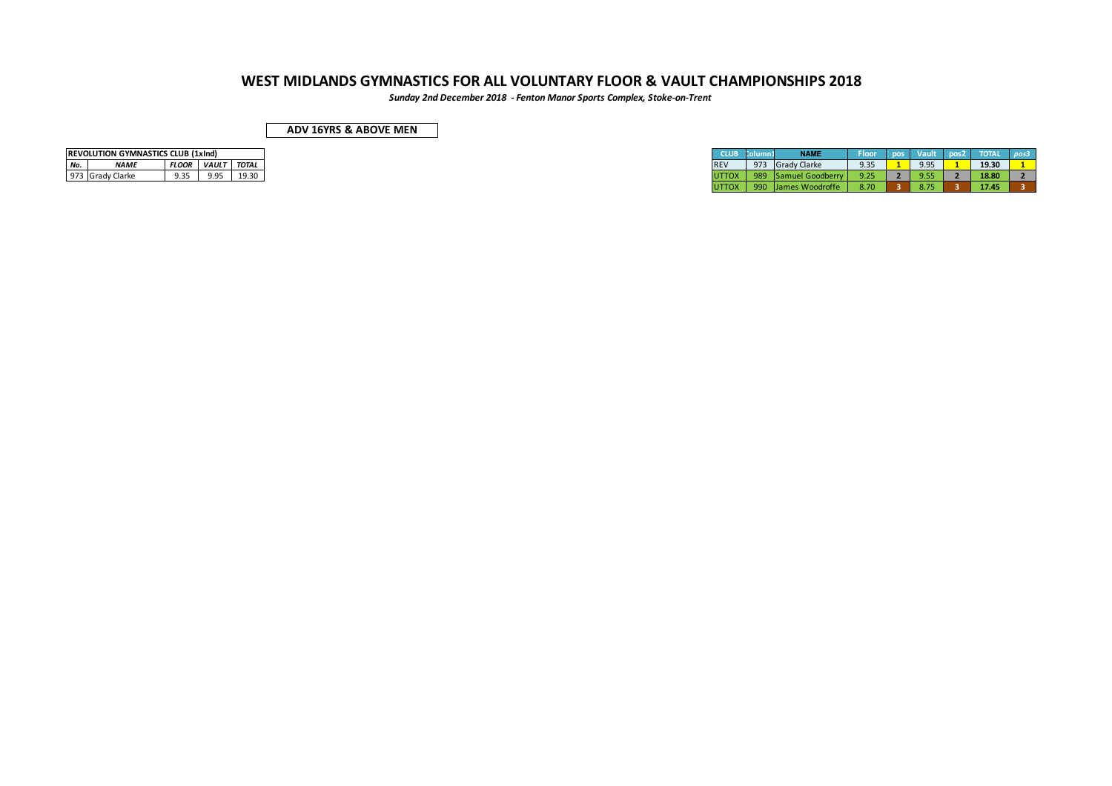*Sunday 2nd December 2018 - Fenton Manor Sports Complex, Stoke-on-Trent*

| ADV 16YRS & ABOVE MEN |  |
|-----------------------|--|
|-----------------------|--|

|     | <b>REVOLUTION GYMNASTICS CLUB (1xInd)</b> |                |                    |  |  |  |  |  |  |  |  |  |  |  |  |
|-----|-------------------------------------------|----------------|--------------------|--|--|--|--|--|--|--|--|--|--|--|--|
| No. | <b>NAMF</b>                               | <b>FLOOR</b> I | <b>VAULT</b> TOTAL |  |  |  |  |  |  |  |  |  |  |  |  |
|     | 973 Grady Clarke                          | 9.35           | 9.95               |  |  |  |  |  |  |  |  |  |  |  |  |

|     | <b>REVOLUTION GYMNASTICS CLUB (1xInd)</b> |              |              |       |
|-----|-------------------------------------------|--------------|--------------|-------|
|     |                                           |              |              |       |
| No. | <i><b>NAME</b></i>                        | <b>FLOOR</b> | <b>VAULT</b> | TOTAL |
|     | 973 Grady Clarke                          | 9.35         | 9.95         | 19.30 |
|     |                                           |              |              |       |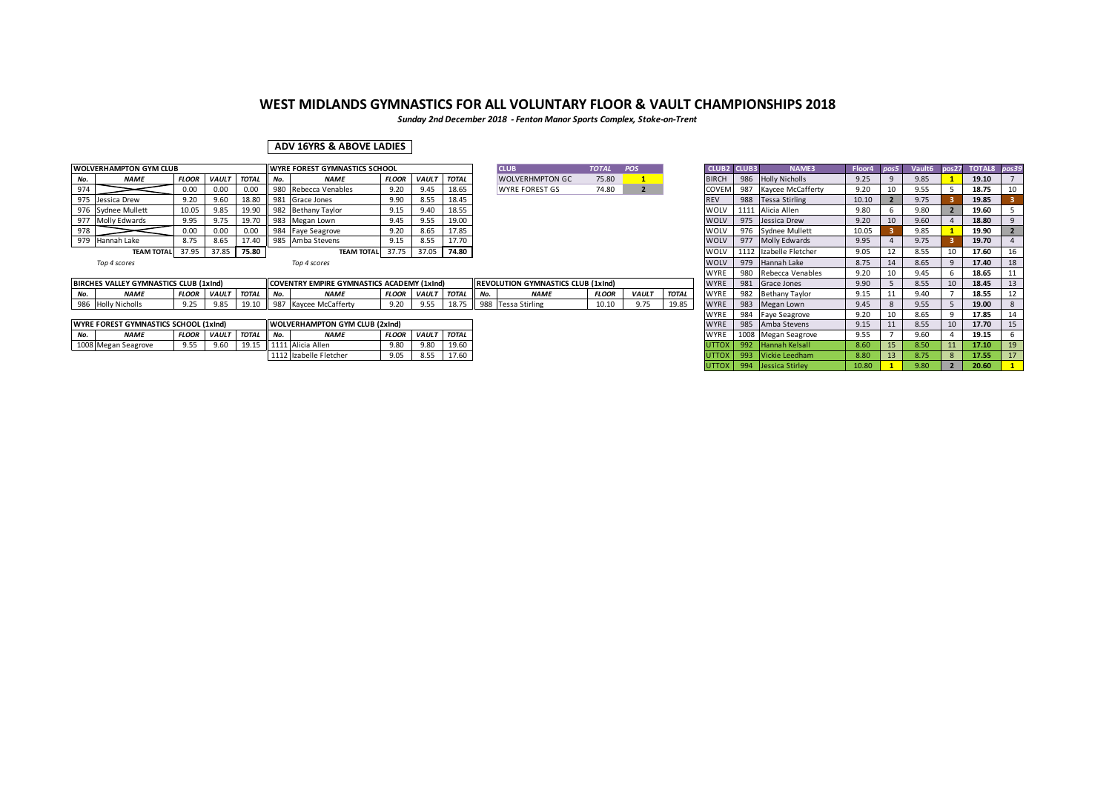*Sunday 2nd December 2018 - Fenton Manor Sports Complex, Stoke-on-Trent*

### **ADV 16YRS & ABOVE LADIES**

|     | <b>WOLVERHAMPTON GYM CLUB</b> |              |                    |           | <b>WYRE FOREST GYMNASTICS SCHOOL</b> |                    |              |              |              |  | <b>CLUB</b>            | <b>TOTAL</b> | POS         | <b>CLUB2 CLUB3</b>                              |                                                                                 | <b>NAME3</b>          | Floor4 |      | Vault6 | pos27 TOTAL8 pos39 |    |
|-----|-------------------------------|--------------|--------------------|-----------|--------------------------------------|--------------------|--------------|--------------|--------------|--|------------------------|--------------|-------------|-------------------------------------------------|---------------------------------------------------------------------------------|-----------------------|--------|------|--------|--------------------|----|
| No. | <b>NAME</b>                   | <b>FLOOR</b> | <b>VAULT</b> TOTAL |           | No.                                  | <b>NAME</b>        | <b>FLOOR</b> | <b>VAULT</b> | <b>TOTAL</b> |  | <b>WOLVERHMPTON GC</b> | 75.80        |             | <b>BIRCH</b>                                    |                                                                                 | 986 Holly Nicholls    | 9.25   |      | 9.85   | 19.10              |    |
| 974 |                               | 0.00         | 0.00               | 0.00      | 980                                  | Rebecca Venables   | 9.20         | 9.45         | 18.65        |  | <b>WYRE FOREST GS</b>  | 74.80        |             | <b>COVEM</b>                                    |                                                                                 | 987 Kaycee McCafferty | 9.20   |      | 9.55   | 18.75              |    |
|     | 975 Jessica Drew              | 9.20         | 9.60               | 18.80     |                                      | 981 Grace Jones    | 9.90         | 8.55         | 18.45        |  |                        |              |             | <b>REV</b>                                      |                                                                                 | 988 Tessa Stirling    | 10.10  |      | 9.75   | 19.85              |    |
|     | 976 Sydnee Mullett            | 10.05        | 9.85               | 19.90     |                                      | 982 Bethany Taylor | 9.15         | 9.40         | 18.55        |  |                        |              |             | <b>WOLV</b>                                     |                                                                                 | 1111 Alicia Allen     | 9.80   |      | 9.80   | 19.60              |    |
|     | 977 Molly Edwards             | 9.95         |                    | 19.70     |                                      | 983 Megan Lown     | 9.45         | 9.55         | 19.00        |  |                        |              |             | <b>WOLV</b>                                     |                                                                                 | 975 Jessica Drew      | 9.20   | τn   | 9.60   | 18.80              |    |
| 978 |                               | 0.00         | 0.00               | 0.00      |                                      | 984 Faye Seagrove  | 9.20         | 8.65         | 17.85        |  |                        |              |             | <b>WOLV</b>                                     |                                                                                 | 976 Sydnee Mullett    | 10.05  |      | 9.85   | 19.90              |    |
|     | 979 Hannah Lake               | 8.75         | 8.65               | 17.40     |                                      | 985 Amba Stevens   | 9.15         | 8.55         | 17.70        |  |                        |              |             | <b>WOLV</b>                                     |                                                                                 | 977 Molly Edwards     | 9.95   |      | 9.75   | 19.70              |    |
|     | <b>TEAM TOTAL</b>             | 37.95        | 37.85              | $5$ 75.80 |                                      | TEAM TOTAL 37.75   |              | 37.05        | 74.80        |  |                        |              |             | <b>WOLV</b>                                     | 1112                                                                            | Izabelle Fletcher     | 9.05   | 12   | 8.55   | 17.60              | 16 |
|     | Top 4 scores                  | Top 4 scores |                    |           |                                      |                    |              |              |              |  |                        |              | <b>WOLV</b> | 979                                             | Hannah Lake                                                                     | 8.75                  |        | 8.65 | 17.40  | 18                 |    |
|     |                               |              |                    |           |                                      |                    |              |              |              |  |                        |              |             | the contract of the contract of the contract of | the contract of the contract of the contract of the contract of the contract of |                       |        |      |        |                    |    |

| ICI IIR                 | <b>TOTAL</b> | POS |
|-------------------------|--------------|-----|
| <b>WOLVERHMPTON GC.</b> | 75.80        |     |
| <b>WYRE FOREST GS</b>   | 74.80        |     |

|                                                                                                                                                          |              |                                     |              |     |              |              |              |                |              |                |              |               |              | .            | ---               | . . <b>.</b>  | ----       | ---- | ----- |     |
|----------------------------------------------------------------------------------------------------------------------------------------------------------|--------------|-------------------------------------|--------------|-----|--------------|--------------|--------------|----------------|--------------|----------------|--------------|---------------|--------------|--------------|-------------------|---------------|------------|------|-------|-----|
| BIRCHES VALLEY GYMNASTICS CLUB (1xInd)<br><b>JLUTION GYMNASTICS CLUB (1xInd)</b><br>E GYMNASTICS ACADEMY (1xInd)<br><b>REVO</b><br><b>ICOVENTRY EMPL</b> |              |                                     |              |     |              |              |              |                |              |                | <b>WYR</b>   | 0.01<br>J∪⊥   | Grace Jones  | 200<br>ار. ر | $\sim$ $-$<br>3.כ | 18.45         |            |      |       |     |
| <b>NAM</b>                                                                                                                                               | <b>FLOOR</b> | <b>VAUL</b>                         | <b>TOTAL</b> | No. | <b>NAMI</b>  | <b>FLOOR</b> | <b>VAULT</b> | <b>TOTAL</b>   | $\mathbf{A}$ | <b>NAMI</b>    | <b>FLOOF</b> | <b>VAUL</b>   | <b>TOTAL</b> | <b>WYP</b>   |                   | athany Tavlor | 1.1<br>ے ۔ | חו נ | 18.55 | . . |
| 986 Holly Nicholls                                                                                                                                       | $\sim$ $-$   | 0 <sup>0<sup>1</sup><br/>5.85</sup> | <u>_</u>     |     | · McCafferty |              |              | 107<br>10. / J | 985          | Tessa Stirling | 10.10        | $\rightarrow$ | 19.85        | <b>WYP</b>   | 983               | Megan Lown    | 9.43       | n ee | 19.00 |     |

|     | <b>WYRE FOREST GYMNASTICS SCHOOL (1xInd)</b> |              |              |              |              | <b>WOLVERHAMPTON GYM CLUB (2xind)</b> |              |              |       |
|-----|----------------------------------------------|--------------|--------------|--------------|--------------|---------------------------------------|--------------|--------------|-------|
| No. | <b>NAME</b>                                  | <b>FLOOI</b> | <b>VAULT</b> | <b>TOTAL</b> | $\mathbf{A}$ | <b>NAME</b>                           | <b>FLOOR</b> | <b>VAULT</b> | TOTAL |
|     | 1008 Megan Seagrove                          | 9.55         | 9.60         | 10.15        |              | Alicia Allen                          | 0.9c         | 9.80         | 19.60 |
|     |                                              |              |              |              |              | Izabelle Fletcher                     | 9.05         | 8.55         | 17.60 |

|     | WYRE FOREST GYMNASTICS SCHOOL              |              |              |              |     |                                           |              |                |              |              |              |                        |        |      |        |       |               |       |
|-----|--------------------------------------------|--------------|--------------|--------------|-----|-------------------------------------------|--------------|----------------|--------------|--------------|--------------|------------------------|--------|------|--------|-------|---------------|-------|
|     |                                            |              |              |              |     | <b>CLUB</b>                               | <b>TOTAL</b> | POS            |              | <b>CLUB2</b> | <b>CLUB3</b> | <b>NAME3</b>           | Floor4 | pos5 | Vault6 | pos27 | <b>TOTAL8</b> | pos39 |
| No. | <b>NAME</b>                                | <b>FLOOR</b> | VAULT        | <b>TOTAL</b> |     | <b>WOLVERHMPTON GC</b>                    | 75.80        |                |              | <b>BIRCH</b> | 986          | <b>Holly Nicholls</b>  | 9.25   | 9    | 9.85   |       | 19.10         |       |
|     | 980 Rebecca Venables                       | 9.20         | 9.45         | 18.65        |     | <b>WYRE FOREST GS</b>                     | 74.80        | $\overline{2}$ |              | COVEM        | 987          | Kaycee McCafferty      | 9.20   | 10   | 9.55   |       | 18.75         | 10    |
|     | 981 Grace Jones                            | 9.90         | 8.55         | 18.45        |     |                                           |              |                |              | <b>REV</b>   | 988          | <b>Tessa Stirling</b>  | 10.10  |      | 9.75   |       | 19.85         |       |
|     | 982 Bethany Taylor                         | 9.15         | 9.40         | 18.55        |     |                                           |              |                |              | <b>WOLV</b>  |              | 1111 Alicia Allen      | 9.80   | 6    | 9.80   |       | 19.60         |       |
|     | 983 Megan Lown                             | 9.45         | 9.55         | 19.00        |     |                                           |              |                |              | <b>WOLV</b>  |              | 975 Jessica Drew       | 9.20   | 10   | 9.60   |       | 18.80         | 9     |
|     | 984 Faye Seagrove                          | 9.20         | 8.65         | 17.85        |     |                                           |              |                |              | WOLV         |              | 976 Sydnee Mullett     | 10.05  |      | 9.85   |       | 19.90         |       |
|     | 985 Amba Stevens                           | 9.15         | 8.55         | 17.70        |     |                                           |              |                |              | <b>WOLV</b>  |              | 977 Molly Edwards      | 9.95   |      | 9.75   |       | 19.70         |       |
|     | <b>TEAM TOTAL</b>                          | 37.75        | 37.05        | 74.80        |     |                                           |              |                |              | <b>WOLV</b>  |              | 1112 Izabelle Fletcher | 9.05   | 12   | 8.55   | 10    | 17.60         | 16    |
|     | Top 4 scores                               |              |              |              |     |                                           |              |                |              | <b>WOLV</b>  | 979          | Hannah Lake            | 8.75   | 14   | 8.65   | 9     | 17.40         | 18    |
|     |                                            |              |              |              |     |                                           |              |                |              | <b>WYRE</b>  | 980          | Rebecca Venables       | 9.20   | 10   | 9.45   | 6     | 18.65         | 11    |
|     | COVENTRY EMPIRE GYMNASTICS ACADEMY (1xInd) |              |              |              |     | <b>REVOLUTION GYMNASTICS CLUB (1xInd)</b> |              |                |              | <b>WYRE</b>  | 981          | Grace Jones            | 9.90   |      | 8.55   | 10    | 18.45         | 13    |
| No. | <b>NAME</b>                                | <b>FLOOR</b> | <b>VAULT</b> | <b>TOTAL</b> | No. | <b>NAME</b>                               | <b>FLOOR</b> | VAULT          | <b>TOTAL</b> | <b>WYRE</b>  | 982          | <b>Bethany Taylor</b>  | 9.15   | 11   | 9.40   |       | 18.55         | 12    |
|     | 987 Kaycee McCafferty                      | 9.20         | 9.55         | 18.75        |     | 988 Tessa Stirling                        | 10.10        | 9.75           | 19.85        | <b>WYRE</b>  | 983          | Megan Lown             | 9.45   | 8    | 9.55   | 5     | 19.00         | 8     |
|     |                                            |              |              |              |     |                                           |              |                |              | <b>WYRE</b>  | 984          | <b>Faye Seagrove</b>   | 9.20   | 10   | 8.65   | 9     | 17.85         | 14    |
|     | <b>WOLVERHAMPTON GYM CLUB (2xInd)</b>      |              |              |              |     |                                           |              |                |              | <b>WYRE</b>  | 985          | Amba Stevens           | 9.15   | 11   | 8.55   | 10    | 17.70         | 15    |
| No. | <b>NAME</b>                                | <b>FLOOR</b> | <b>VAULT</b> | <b>TOTAL</b> |     |                                           |              |                |              | <b>WYRE</b>  | 1008         | Megan Seagrove         | 9.55   |      | 9.60   |       | 19.15         | 6     |
|     | 1111 Alicia Allen                          | 9.80         | 9.80         | 19.60        |     |                                           |              |                |              | <b>UTTOX</b> | 992          | Hannah Kelsall         | 8.60   | 15   | 8.50   | 11    | 17.10         | 19    |
|     | 1112 Izabelle Fletcher                     | 9.05         | 8.55         | 17.60        |     |                                           |              |                |              | <b>UTTOX</b> | 993          | Vickie Leedham         | 8.80   | 13   | 8.75   | 8     | 17.55         | 17    |
|     |                                            |              |              |              |     |                                           |              |                |              | <b>UTTOX</b> | 994          | Jessica Stirley        | 10.80  |      | 9.80   |       | 20.60         |       |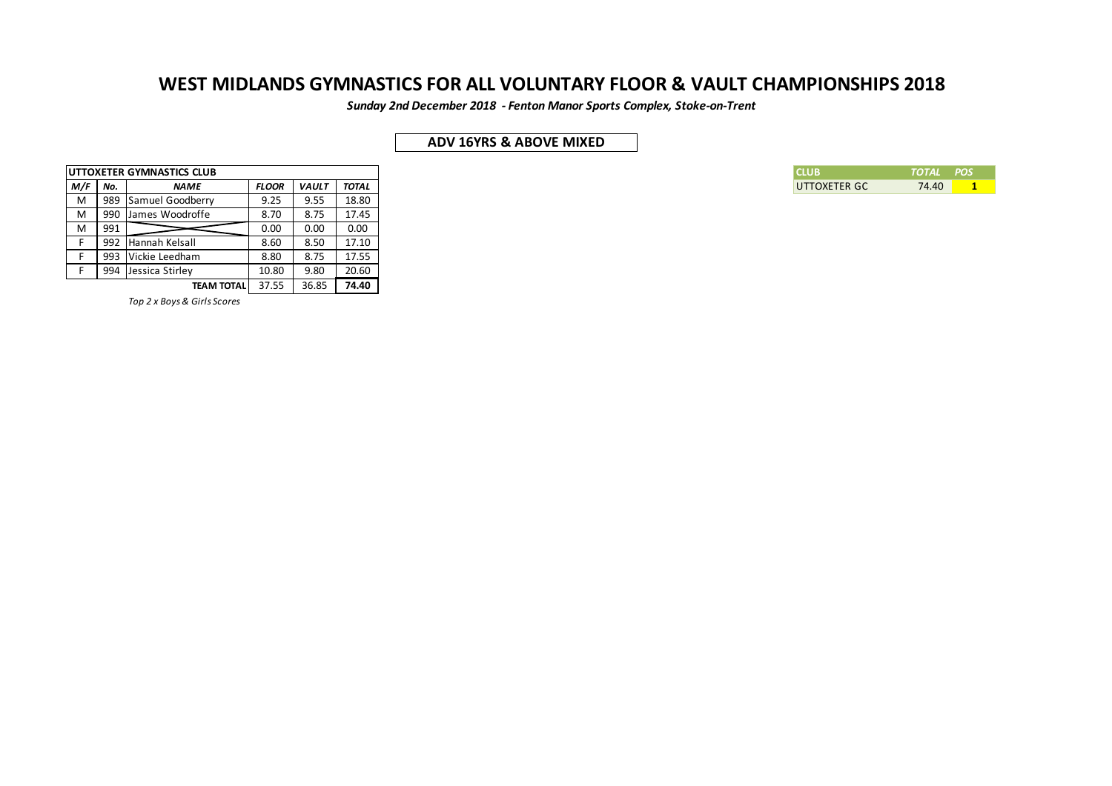*Sunday 2nd December 2018 - Fenton Manor Sports Complex, Stoke-on-Trent*

## **ADV 16YRS & ABOVE MIXED**

|     |     | <b>IUTTOXETER GYMNASTICS CLUB</b> |              |              |              |
|-----|-----|-----------------------------------|--------------|--------------|--------------|
| M/F | No. | <b>NAME</b>                       | <b>FLOOR</b> | <b>VAULT</b> | <b>TOTAL</b> |
| M   | 989 | Samuel Goodberry                  | 9.25         | 9.55         | 18.80        |
| M   | 990 | I James Woodroffe                 | 8.70         | 8.75         | 17.45        |
| М   | 991 |                                   | 0.00         | 0.00         | 0.00         |
|     | 992 | Hannah Kelsall                    | 8.60         | 8.50         | 17.10        |
|     | 993 | Vickie Leedham                    | 8.80         | 8.75         | 17.55        |
|     | 994 | Jessica Stirley                   | 10.80        | 9.80         | 20.60        |
|     |     | <b>TEAM TOTAL</b>                 | 37.55        | 36.85        | 74.40        |

*Top 2 x Boys & Girls Scores*

| I CLLIR      | <i><b>TOTAL POS</b></i> |  |
|--------------|-------------------------|--|
| UTTOXETER GC | 74.40                   |  |